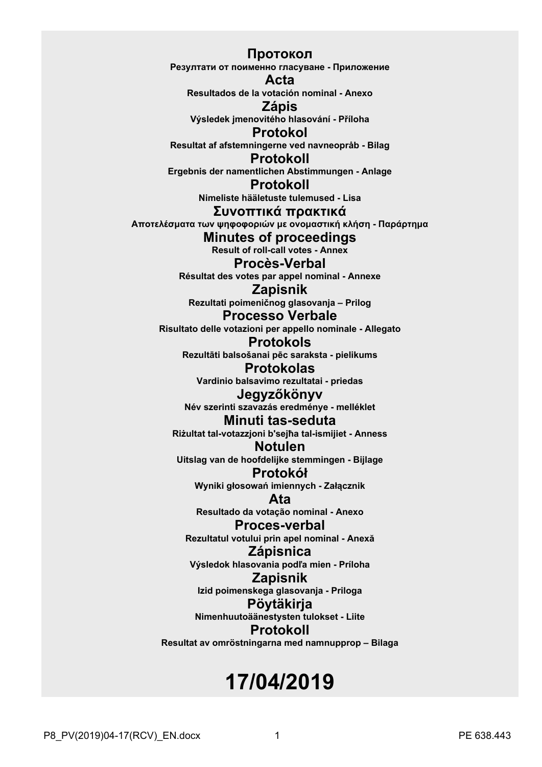**Протокол Резултати от поименно гласуване - Приложение Acta Resultados de la votación nominal - Anexo Zápis Výsledek jmenovitého hlasování - Příloha Protokol Resultat af afstemningerne ved navneopråb - Bilag Protokoll Ergebnis der namentlichen Abstimmungen - Anlage Protokoll Nimeliste hääletuste tulemused - Lisa Συvoπτικά πρακτικά Απoτελέσματα τωv ψηφoφoριώv με ovoμαστική κλήση - Παράρτημα Minutes of proceedings Result of roll-call votes - Annex Procès-Verbal Résultat des votes par appel nominal - Annexe Zapisnik Rezultati poimeničnog glasovanja – Prilog Processo Verbale Risultato delle votazioni per appello nominale - Allegato Protokols Rezultāti balsošanai pēc saraksta - pielikums Protokolas Vardinio balsavimo rezultatai - priedas Jegyzőkönyv Név szerinti szavazás eredménye - melléklet Minuti tas-seduta Riżultat tal-votazzjoni b'sejħa tal-ismijiet - Anness Notulen Uitslag van de hoofdelijke stemmingen - Bijlage Protokół Wyniki głosowań imiennych - Załącznik Ata Resultado da votação nominal - Anexo Proces-verbal Rezultatul votului prin apel nominal - Anexă Zápisnica Výsledok hlasovania podľa mien - Príloha Zapisnik Izid poimenskega glasovanja - Priloga Pöytäkirja Nimenhuutoäänestysten tulokset - Liite Protokoll Resultat av omröstningarna med namnupprop – Bilaga**

# **17/04/2019**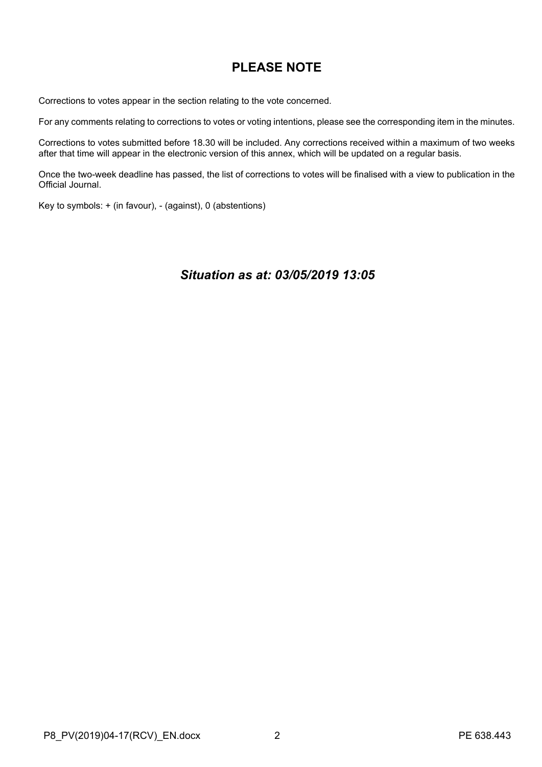# **PLEASE NOTE**

Corrections to votes appear in the section relating to the vote concerned.

For any comments relating to corrections to votes or voting intentions, please see the corresponding item in the minutes.

Corrections to votes submitted before 18.30 will be included. Any corrections received within a maximum of two weeks after that time will appear in the electronic version of this annex, which will be updated on a regular basis.

Once the two-week deadline has passed, the list of corrections to votes will be finalised with a view to publication in the Official Journal.

Key to symbols: + (in favour), - (against), 0 (abstentions)

# *Situation as at: 03/05/2019 13:05*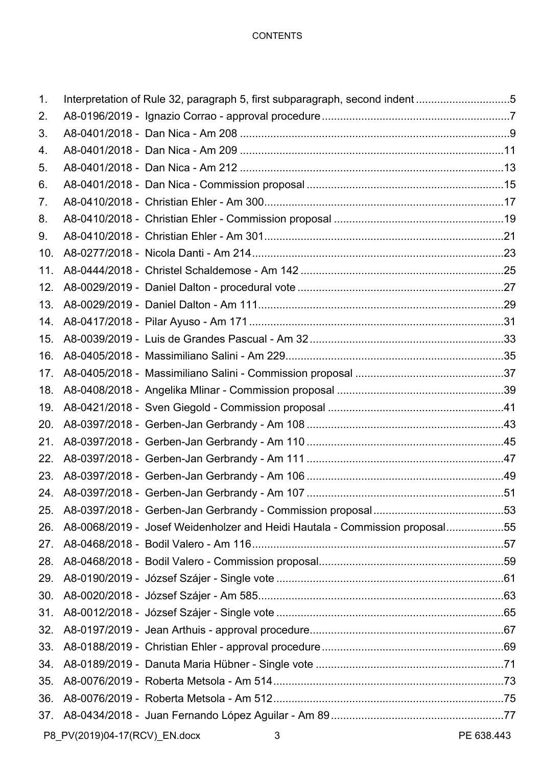## **CONTENTS**

| 1.              | Interpretation of Rule 32, paragraph 5, first subparagraph, second indent 5 |            |
|-----------------|-----------------------------------------------------------------------------|------------|
| 2.              |                                                                             |            |
| 3.              |                                                                             |            |
| 4.              |                                                                             |            |
| 5.              |                                                                             |            |
| 6.              |                                                                             |            |
| 7.              |                                                                             |            |
| 8.              |                                                                             |            |
| 9.              |                                                                             |            |
| 10 <sub>1</sub> |                                                                             |            |
| 11.             |                                                                             |            |
| 12.             |                                                                             |            |
| 13.             |                                                                             |            |
| 14.             |                                                                             |            |
| 15.             |                                                                             |            |
| 16.             |                                                                             |            |
| 17.             |                                                                             |            |
| 18.             |                                                                             |            |
| 19.             |                                                                             |            |
| 20.             |                                                                             |            |
| 21.             |                                                                             |            |
| 22.             |                                                                             |            |
| 23.             |                                                                             |            |
|                 |                                                                             |            |
| 25.             |                                                                             |            |
| 26.             | A8-0068/2019 - Josef Weidenholzer and Heidi Hautala - Commission proposal55 |            |
| 27.             |                                                                             |            |
| 28.             |                                                                             |            |
| 29.             |                                                                             |            |
| 30.             |                                                                             |            |
| 31.             |                                                                             |            |
| 32.             |                                                                             |            |
| 33.             |                                                                             |            |
| 34.             |                                                                             |            |
| 35.             |                                                                             |            |
| 36.             |                                                                             |            |
| 37.             |                                                                             |            |
|                 | P8_PV(2019)04-17(RCV)_EN.docx<br>3                                          | PE 638.443 |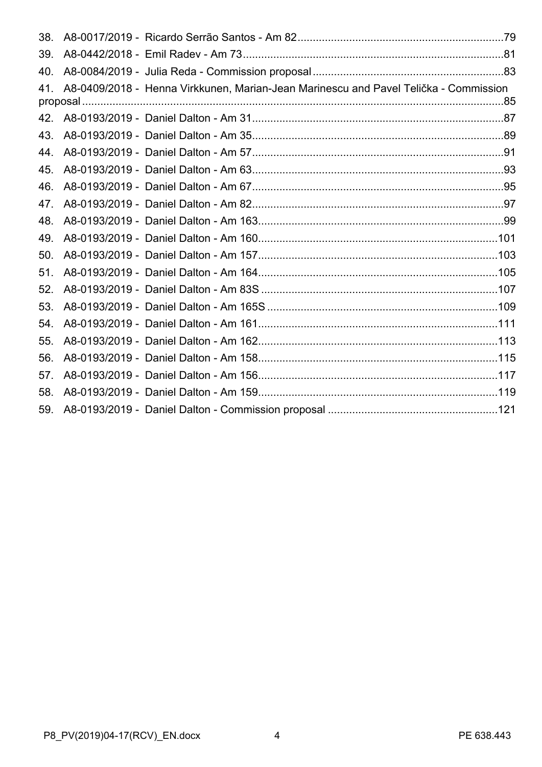| 38. |                                                                                      |  |
|-----|--------------------------------------------------------------------------------------|--|
| 39. |                                                                                      |  |
| 40. |                                                                                      |  |
| 41. | A8-0409/2018 - Henna Virkkunen, Marian-Jean Marinescu and Pavel Telička - Commission |  |
|     |                                                                                      |  |
| 43. |                                                                                      |  |
| 44  |                                                                                      |  |
| 45. |                                                                                      |  |
| 46. |                                                                                      |  |
| 47. |                                                                                      |  |
| 48. |                                                                                      |  |
| 49. |                                                                                      |  |
| 50. |                                                                                      |  |
| 51. |                                                                                      |  |
| 52. |                                                                                      |  |
| 53. |                                                                                      |  |
| 54. |                                                                                      |  |
| 55. |                                                                                      |  |
| 56. |                                                                                      |  |
| 57. |                                                                                      |  |
| 58. |                                                                                      |  |
| 59. |                                                                                      |  |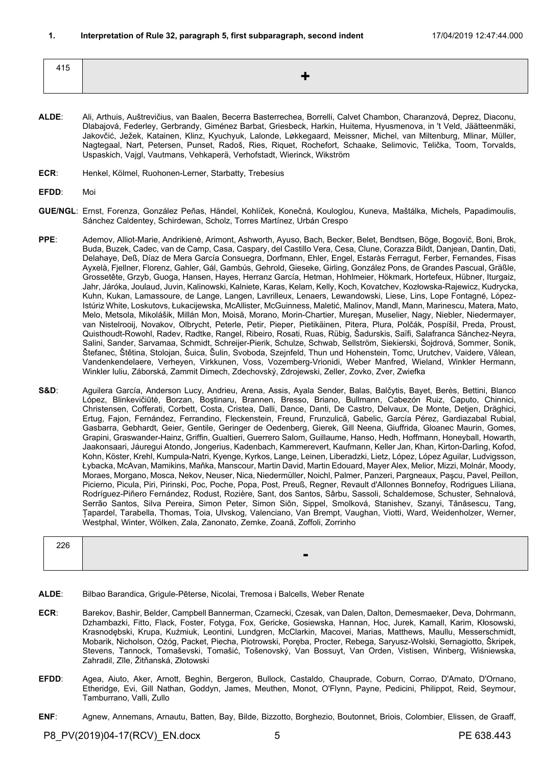<span id="page-4-0"></span>

| $\cdot$ $\cdot$ $-$<br>415 |  |
|----------------------------|--|
|                            |  |

- **ALDE**: Ali, Arthuis, Auštrevičius, van Baalen, Becerra Basterrechea, Borrelli, Calvet Chambon, Charanzová, Deprez, Diaconu, Dlabajová, Federley, Gerbrandy, Giménez Barbat, Griesbeck, Harkin, Huitema, Hyusmenova, in 't Veld, Jäätteenmäki, Jakovčić, Ježek, Katainen, Klinz, Kyuchyuk, Lalonde, Løkkegaard, Meissner, Michel, van Miltenburg, Mlinar, Müller, Nagtegaal, Nart, Petersen, Punset, Radoš, Ries, Riquet, Rochefort, Schaake, Selimovic, Telička, Toom, Torvalds, Uspaskich, Vajgl, Vautmans, Vehkaperä, Verhofstadt, Wierinck, Wikström
- **ECR**: Henkel, Kölmel, Ruohonen-Lerner, Starbatty, Trebesius
- **EFDD**: Moi
- **GUE/NGL**: Ernst, Forenza, González Peñas, Händel, Kohlíček, Konečná, Kouloglou, Kuneva, Maštálka, Michels, Papadimoulis, Sánchez Caldentey, Schirdewan, Scholz, Torres Martínez, Urbán Crespo
- **PPE**: Ademov, Alliot-Marie, Andrikienė, Arimont, Ashworth, Ayuso, Bach, Becker, Belet, Bendtsen, Böge, Bogovič, Boni, Brok, Buda, Buzek, Cadec, van de Camp, Casa, Caspary, del Castillo Vera, Cesa, Clune, Corazza Bildt, Danjean, Dantin, Dati, Delahaye, Deß, Díaz de Mera García Consuegra, Dorfmann, Ehler, Engel, Estaràs Ferragut, Ferber, Fernandes, Fisas Ayxelà, Fjellner, Florenz, Gahler, Gál, Gambús, Gehrold, Gieseke, Girling, González Pons, de Grandes Pascual, Gräßle, Grossetête, Grzyb, Guoga, Hansen, Hayes, Herranz García, Hetman, Hohlmeier, Hökmark, Hortefeux, Hübner, Iturgaiz, Jahr, Járóka, Joulaud, Juvin, Kalinowski, Kalniete, Karas, Kelam, Kelly, Koch, Kovatchev, Kozłowska-Rajewicz, Kudrycka, Kuhn, Kukan, Lamassoure, de Lange, Langen, Lavrilleux, Lenaers, Lewandowski, Liese, Lins, Lope Fontagné, López-Istúriz White, Loskutovs, Łukacijewska, McAllister, McGuinness, Maletić, Malinov, Mandl, Mann, Marinescu, Matera, Mato, Melo, Metsola, Mikolášik, Millán Mon, Moisă, Morano, Morin-Chartier, Mureşan, Muselier, Nagy, Niebler, Niedermayer, van Nistelrooij, Novakov, Olbrycht, Peterle, Petir, Pieper, Pietikäinen, Pitera, Plura, Polčák, Pospíšil, Preda, Proust, Quisthoudt-Rowohl, Radev, Radtke, Rangel, Ribeiro, Rosati, Ruas, Rübig, Šadurskis, Saïfi, Salafranca Sánchez-Neyra, Salini, Sander, Sarvamaa, Schmidt, Schreijer-Pierik, Schulze, Schwab, Sellström, Siekierski, Šojdrová, Sommer, Sonik, Štefanec, Štětina, Stolojan, Šuica, Šulin, Svoboda, Szejnfeld, Thun und Hohenstein, Tomc, Urutchev, Vaidere, Vălean, Vandenkendelaere, Verheyen, Virkkunen, Voss, Vozemberg-Vrionidi, Weber Manfred, Wieland, Winkler Hermann, Winkler Iuliu, Záborská, Zammit Dimech, Zdechovský, Zdrojewski, Zeller, Zovko, Zver, Zwiefka
- **S&D**: Aguilera García, Anderson Lucy, Andrieu, Arena, Assis, Ayala Sender, Balas, Balčytis, Bayet, Berès, Bettini, Blanco López, Blinkevičiūtė, Borzan, Boştinaru, Brannen, Bresso, Briano, Bullmann, Cabezón Ruiz, Caputo, Chinnici, Christensen, Cofferati, Corbett, Costa, Cristea, Dalli, Dance, Danti, De Castro, Delvaux, De Monte, Detjen, Drăghici, Ertug, Fajon, Fernández, Ferrandino, Fleckenstein, Freund, Frunzulică, Gabelic, García Pérez, Gardiazabal Rubial, Gasbarra, Gebhardt, Geier, Gentile, Geringer de Oedenberg, Gierek, Gill Neena, Giuffrida, Gloanec Maurin, Gomes, Grapini, Graswander-Hainz, Griffin, Gualtieri, Guerrero Salom, Guillaume, Hanso, Hedh, Hoffmann, Honeyball, Howarth, Jaakonsaari, Jáuregui Atondo, Jongerius, Kadenbach, Kammerevert, Kaufmann, Keller Jan, Khan, Kirton-Darling, Kofod, Kohn, Köster, Krehl, Kumpula-Natri, Kyenge, Kyrkos, Lange, Leinen, Liberadzki, Lietz, López, López Aguilar, Ludvigsson, Łybacka, McAvan, Mamikins, Maňka, Manscour, Martin David, Martin Edouard, Mayer Alex, Melior, Mizzi, Molnár, Moody, Moraes, Morgano, Mosca, Nekov, Neuser, Nica, Niedermüller, Noichl, Palmer, Panzeri, Pargneaux, Paşcu, Pavel, Peillon, Picierno, Picula, Piri, Pirinski, Poc, Poche, Popa, Post, Preuß, Regner, Revault d'Allonnes Bonnefoy, Rodrigues Liliana, Rodríguez-Piñero Fernández, Rodust, Rozière, Sant, dos Santos, Sârbu, Sassoli, Schaldemose, Schuster, Sehnalová, Serrão Santos, Silva Pereira, Simon Peter, Simon Siôn, Sippel, Smolková, Stanishev, Szanyi, Tănăsescu, Tang, Țapardel, Tarabella, Thomas, Toia, Ulvskog, Valenciano, Van Brempt, Vaughan, Viotti, Ward, Weidenholzer, Werner, Westphal, Winter, Wölken, Zala, Zanonato, Zemke, Zoană, Zoffoli, Zorrinho

| 226 |                          |
|-----|--------------------------|
|     | $\overline{\phantom{0}}$ |
|     |                          |

- **ALDE**: Bilbao Barandica, Grigule-Pēterse, Nicolai, Tremosa i Balcells, Weber Renate
- **ECR**: Barekov, Bashir, Belder, Campbell Bannerman, Czarnecki, Czesak, van Dalen, Dalton, Demesmaeker, Deva, Dohrmann, Dzhambazki, Fitto, Flack, Foster, Fotyga, Fox, Gericke, Gosiewska, Hannan, Hoc, Jurek, Kamall, Karim, Kłosowski, Krasnodębski, Krupa, Kuźmiuk, Leontini, Lundgren, McClarkin, Macovei, Marias, Matthews, Maullu, Messerschmidt, Mobarik, Nicholson, Ożóg, Packet, Piecha, Piotrowski, Poręba, Procter, Rebega, Saryusz-Wolski, Sernagiotto, Škripek, Stevens, Tannock, Tomaševski, Tomašić, Tošenovský, Van Bossuyt, Van Orden, Vistisen, Winberg, Wiśniewska, Zahradil, Zīle, Žitňanská, Złotowski
- **EFDD**: Agea, Aiuto, Aker, Arnott, Beghin, Bergeron, Bullock, Castaldo, Chauprade, Coburn, Corrao, D'Amato, D'Ornano, Etheridge, Evi, Gill Nathan, Goddyn, James, Meuthen, Monot, O'Flynn, Payne, Pedicini, Philippot, Reid, Seymour, Tamburrano, Valli, Zullo
- **ENF**: Agnew, Annemans, Arnautu, Batten, Bay, Bilde, Bizzotto, Borghezio, Boutonnet, Briois, Colombier, Elissen, de Graaff,

P8\_PV(2019)04-17(RCV)\_EN.docx 5 5 PE 638.443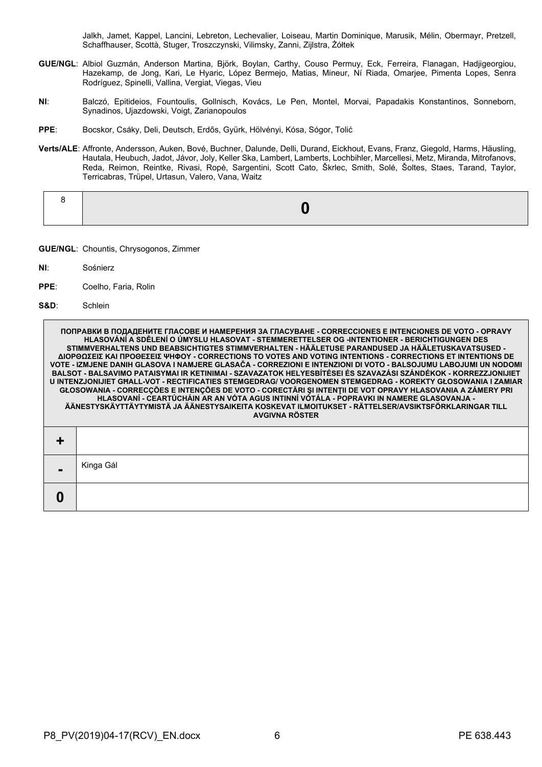Jalkh, Jamet, Kappel, Lancini, Lebreton, Lechevalier, Loiseau, Martin Dominique, Marusik, Mélin, Obermayr, Pretzell, Schaffhauser, Scottà, Stuger, Troszczynski, Vilimsky, Zanni, Zijlstra, Żółtek

- **GUE/NGL**: Albiol Guzmán, Anderson Martina, Björk, Boylan, Carthy, Couso Permuy, Eck, Ferreira, Flanagan, Hadjigeorgiou, Hazekamp, de Jong, Kari, Le Hyaric, López Bermejo, Matias, Mineur, Ní Riada, Omarjee, Pimenta Lopes, Senra Rodríguez, Spinelli, Vallina, Vergiat, Viegas, Vieu
- **NI**: Balczó, Epitideios, Fountoulis, Gollnisch, Kovács, Le Pen, Montel, Morvai, Papadakis Konstantinos, Sonneborn, Synadinos, Ujazdowski, Voigt, Zarianopoulos
- **PPE**: Bocskor, Csáky, Deli, Deutsch, Erdős, Gyürk, Hölvényi, Kósa, Sógor, Tolić
- **Verts/ALE**: Affronte, Andersson, Auken, Bové, Buchner, Dalunde, Delli, Durand, Eickhout, Evans, Franz, Giegold, Harms, Häusling, Hautala, Heubuch, Jadot, Jávor, Joly, Keller Ska, Lambert, Lamberts, Lochbihler, Marcellesi, Metz, Miranda, Mitrofanovs, Reda, Reimon, Reintke, Rivasi, Ropė, Sargentini, Scott Cato, Škrlec, Smith, Solé, Šoltes, Staes, Tarand, Taylor, Terricabras, Trüpel, Urtasun, Valero, Vana, Waitz

**GUE/NGL**: Chountis, Chrysogonos, Zimmer

- **NI**: Sośnierz
- **PPE**: Coelho, Faria, Rolin
- **S&D**: Schlein

**ПОПРАВКИ В ПОДАДЕНИТЕ ГЛАСОВЕ И НАМЕРЕНИЯ ЗА ГЛАСУВАНЕ - CORRECCIONES E INTENCIONES DE VOTO - OPRAVY HLASOVÁNÍ A SDĚLENÍ O ÚMYSLU HLASOVAT - STEMMERETTELSER OG -INTENTIONER - BERICHTIGUNGEN DES STIMMVERHALTENS UND BEABSICHTIGTES STIMMVERHALTEN - HÄÄLETUSE PARANDUSED JA HÄÄLETUSKAVATSUSED - ΔΙΟΡΘΩΣΕΙΣ ΚΑΙ ΠΡΟΘΕΣΕΙΣ ΨΗΦΟΥ - CORRECTIONS TO VOTES AND VOTING INTENTIONS - CORRECTIONS ET INTENTIONS DE VOTE - IZMJENE DANIH GLASOVA I NAMJERE GLASAČA - CORREZIONI E INTENZIONI DI VOTO - BALSOJUMU LABOJUMI UN NODOMI BALSOT - BALSAVIMO PATAISYMAI IR KETINIMAI - SZAVAZATOK HELYESBÍTÉSEI ÉS SZAVAZÁSI SZÁNDÉKOK - KORREZZJONIJIET U INTENZJONIJIET GĦALL-VOT - RECTIFICATIES STEMGEDRAG/ VOORGENOMEN STEMGEDRAG - KOREKTY GŁOSOWANIA I ZAMIAR GŁOSOWANIA - CORRECÇÕES E INTENÇÕES DE VOTO - CORECTĂRI ŞI INTENŢII DE VOT OPRAVY HLASOVANIA A ZÁMERY PRI HLASOVANÍ - CEARTÚCHÁIN AR AN VÓTA AGUS INTINNÍ VÓTÁLA - POPRAVKI IN NAMERE GLASOVANJA - ÄÄNESTYSKÄYTTÄYTYMISTÄ JA ÄÄNESTYSAIKEITA KOSKEVAT ILMOITUKSET - RÄTTELSER/AVSIKTSFÖRKLARINGAR TILL AVGIVNA RÖSTER + -** Kinga Gál **0**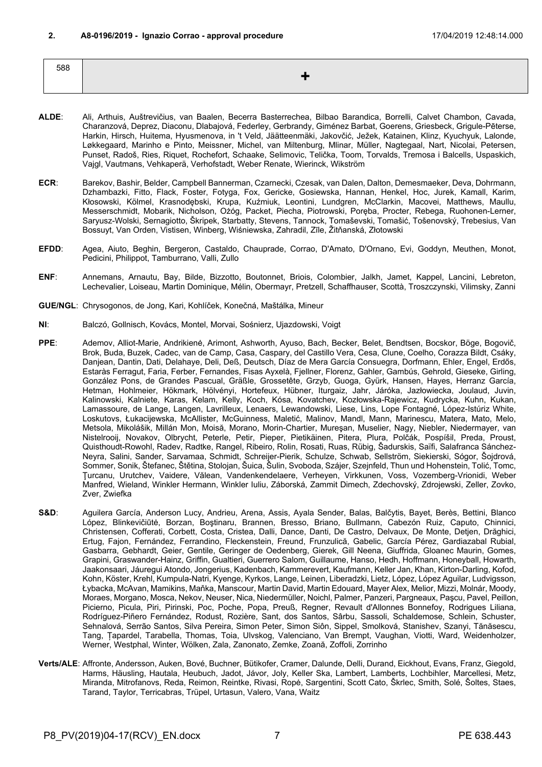<span id="page-6-0"></span>588 **+**

- **ALDE**: Ali, Arthuis, Auštrevičius, van Baalen, Becerra Basterrechea, Bilbao Barandica, Borrelli, Calvet Chambon, Cavada, Charanzová, Deprez, Diaconu, Dlabajová, Federley, Gerbrandy, Giménez Barbat, Goerens, Griesbeck, Grigule-Pēterse, Harkin, Hirsch, Huitema, Hyusmenova, in 't Veld, Jäätteenmäki, Jakovčić, Ježek, Katainen, Klinz, Kyuchyuk, Lalonde, Løkkegaard, Marinho e Pinto, Meissner, Michel, van Miltenburg, Mlinar, Müller, Nagtegaal, Nart, Nicolai, Petersen, Punset, Radoš, Ries, Riquet, Rochefort, Schaake, Selimovic, Telička, Toom, Torvalds, Tremosa i Balcells, Uspaskich, Vajgl, Vautmans, Vehkaperä, Verhofstadt, Weber Renate, Wierinck, Wikström
- **ECR**: Barekov, Bashir, Belder, Campbell Bannerman, Czarnecki, Czesak, van Dalen, Dalton, Demesmaeker, Deva, Dohrmann, Dzhambazki, Fitto, Flack, Foster, Fotyga, Fox, Gericke, Gosiewska, Hannan, Henkel, Hoc, Jurek, Kamall, Karim, Kłosowski, Kölmel, Krasnodębski, Krupa, Kuźmiuk, Leontini, Lundgren, McClarkin, Macovei, Matthews, Maullu, Messerschmidt, Mobarik, Nicholson, Ożóg, Packet, Piecha, Piotrowski, Poręba, Procter, Rebega, Ruohonen-Lerner, Saryusz-Wolski, Sernagiotto, Škripek, Starbatty, Stevens, Tannock, Tomaševski, Tomašić, Tošenovský, Trebesius, Van Bossuyt, Van Orden, Vistisen, Winberg, Wiśniewska, Zahradil, Zīle, Žitňanská, Złotowski
- **EFDD**: Agea, Aiuto, Beghin, Bergeron, Castaldo, Chauprade, Corrao, D'Amato, D'Ornano, Evi, Goddyn, Meuthen, Monot, Pedicini, Philippot, Tamburrano, Valli, Zullo
- **ENF**: Annemans, Arnautu, Bay, Bilde, Bizzotto, Boutonnet, Briois, Colombier, Jalkh, Jamet, Kappel, Lancini, Lebreton, Lechevalier, Loiseau, Martin Dominique, Mélin, Obermayr, Pretzell, Schaffhauser, Scottà, Troszczynski, Vilimsky, Zanni
- **GUE/NGL**: Chrysogonos, de Jong, Kari, Kohlíček, Konečná, Maštálka, Mineur
- **NI**: Balczó, Gollnisch, Kovács, Montel, Morvai, Sośnierz, Ujazdowski, Voigt
- PPE: Ademov, Alliot-Marie, Andrikienė, Arimont, Ashworth, Ayuso, Bach, Becker, Belet, Bendtsen, Bocskor, Böge. Bogovič. Brok, Buda, Buzek, Cadec, van de Camp, Casa, Caspary, del Castillo Vera, Cesa, Clune, Coelho, Corazza Bildt, Csáky, Danjean, Dantin, Dati, Delahaye, Deli, Deß, Deutsch, Díaz de Mera García Consuegra, Dorfmann, Ehler, Engel, Erdős, Estaràs Ferragut, Faria, Ferber, Fernandes, Fisas Ayxelà, Fjellner, Florenz, Gahler, Gambús, Gehrold, Gieseke, Girling, González Pons, de Grandes Pascual, Gräßle, Grossetête, Grzyb, Guoga, Gyürk, Hansen, Hayes, Herranz García, Hetman, Hohlmeier, Hökmark, Hölvényi, Hortefeux, Hübner, Iturgaiz, Jahr, Járóka, Jazłowiecka, Joulaud, Juvin, Kalinowski, Kalniete, Karas, Kelam, Kelly, Koch, Kósa, Kovatchev, Kozłowska-Rajewicz, Kudrycka, Kuhn, Kukan, Lamassoure, de Lange, Langen, Lavrilleux, Lenaers, Lewandowski, Liese, Lins, Lope Fontagné, López-Istúriz White, Loskutovs, Łukacijewska, McAllister, McGuinness, Maletić, Malinov, Mandl, Mann, Marinescu, Matera, Mato, Melo, Metsola, Mikolášik, Millán Mon, Moisă, Morano, Morin-Chartier, Mureşan, Muselier, Nagy, Niebler, Niedermayer, van Nistelrooij, Novakov, Olbrycht, Peterle, Petir, Pieper, Pietikäinen, Pitera, Plura, Polčák, Pospíšil, Preda, Proust, Quisthoudt-Rowohl, Radev, Radtke, Rangel, Ribeiro, Rolin, Rosati, Ruas, Rübig, Šadurskis, Saïfi, Salafranca Sánchez-Neyra, Salini, Sander, Sarvamaa, Schmidt, Schreijer-Pierik, Schulze, Schwab, Sellström, Siekierski, Sógor, Šojdrová, Sommer, Sonik, Štefanec, Štětina, Stolojan, Šuica, Šulin, Svoboda, Szájer, Szejnfeld, Thun und Hohenstein, Tolić, Tomc, Ţurcanu, Urutchev, Vaidere, Vălean, Vandenkendelaere, Verheyen, Virkkunen, Voss, Vozemberg-Vrionidi, Weber Manfred, Wieland, Winkler Hermann, Winkler Iuliu, Záborská, Zammit Dimech, Zdechovský, Zdrojewski, Zeller, Zovko, Zver, Zwiefka
- S&D: Aguilera García, Anderson Lucy, Andrieu, Arena, Assis, Ayala Sender, Balas, Balčytis, Bayet, Berès, Bettini, Blanco López, Blinkevičiūtė, Borzan, Boştinaru, Brannen, Bresso, Briano, Bullmann, Cabezón Ruiz, Caputo, Chinnici, Christensen, Cofferati, Corbett, Costa, Cristea, Dalli, Dance, Danti, De Castro, Delvaux, De Monte, Detjen, Drăghici, Ertug, Fajon, Fernández, Ferrandino, Fleckenstein, Freund, Frunzulică, Gabelic, García Pérez, Gardiazabal Rubial, Gasbarra, Gebhardt, Geier, Gentile, Geringer de Oedenberg, Gierek, Gill Neena, Giuffrida, Gloanec Maurin, Gomes, Grapini, Graswander-Hainz, Griffin, Gualtieri, Guerrero Salom, Guillaume, Hanso, Hedh, Hoffmann, Honeyball, Howarth, Jaakonsaari, Jáuregui Atondo, Jongerius, Kadenbach, Kammerevert, Kaufmann, Keller Jan, Khan, Kirton-Darling, Kofod, Kohn, Köster, Krehl, Kumpula-Natri, Kyenge, Kyrkos, Lange, Leinen, Liberadzki, Lietz, López, López Aguilar, Ludvigsson, Łybacka, McAvan, Mamikins, Maňka, Manscour, Martin David, Martin Edouard, Mayer Alex, Melior, Mizzi, Molnár, Moody, Moraes, Morgano, Mosca, Nekov, Neuser, Nica, Niedermüller, Noichl, Palmer, Panzeri, Pargneaux, Paşcu, Pavel, Peillon, Picierno, Picula, Piri, Pirinski, Poc, Poche, Popa, Preuß, Regner, Revault d'Allonnes Bonnefoy, Rodrigues Liliana, Rodríguez-Piñero Fernández, Rodust, Rozière, Sant, dos Santos, Sârbu, Sassoli, Schaldemose, Schlein, Schuster, Sehnalová, Serrão Santos, Silva Pereira, Simon Peter, Simon Siôn, Sippel, Smolková, Stanishev, Szanyi, Tănăsescu, Tang, Țapardel, Tarabella, Thomas, Toia, Ulvskog, Valenciano, Van Brempt, Vaughan, Viotti, Ward, Weidenholzer, Werner, Westphal, Winter, Wölken, Zala, Zanonato, Zemke, Zoană, Zoffoli, Zorrinho
- **Verts/ALE**: Affronte, Andersson, Auken, Bové, Buchner, Bütikofer, Cramer, Dalunde, Delli, Durand, Eickhout, Evans, Franz, Giegold, Harms, Häusling, Hautala, Heubuch, Jadot, Jávor, Joly, Keller Ska, Lambert, Lamberts, Lochbihler, Marcellesi, Metz, Miranda, Mitrofanovs, Reda, Reimon, Reintke, Rivasi, Ropė, Sargentini, Scott Cato, Škrlec, Smith, Solé, Šoltes, Staes, Tarand, Taylor, Terricabras, Trüpel, Urtasun, Valero, Vana, Waitz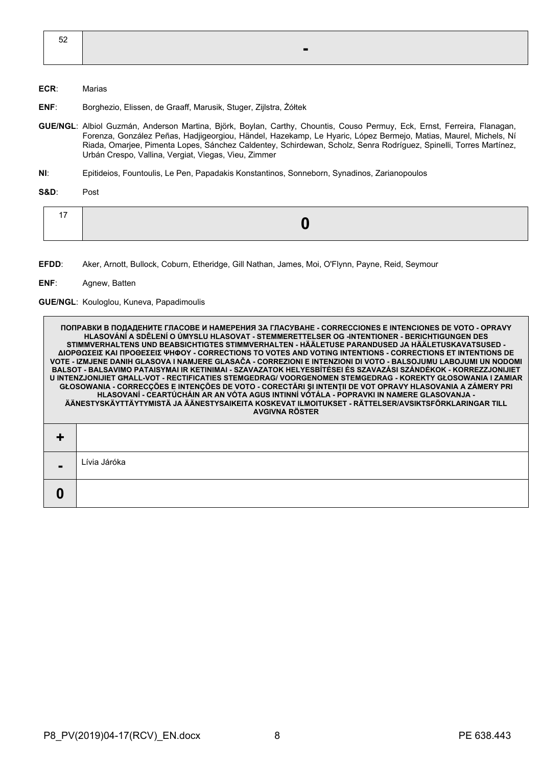| $\overline{a}$<br>ັບ |  |
|----------------------|--|
|                      |  |
|                      |  |

#### **ECR**: Marias

- **ENF**: Borghezio, Elissen, de Graaff, Marusik, Stuger, Zijlstra, Żółtek
- **GUE/NGL**: Albiol Guzmán, Anderson Martina, Björk, Boylan, Carthy, Chountis, Couso Permuy, Eck, Ernst, Ferreira, Flanagan, Forenza, González Peñas, Hadjigeorgiou, Händel, Hazekamp, Le Hyaric, López Bermejo, Matias, Maurel, Michels, Ní Riada, Omarjee, Pimenta Lopes, Sánchez Caldentey, Schirdewan, Scholz, Senra Rodríguez, Spinelli, Torres Martínez, Urbán Crespo, Vallina, Vergiat, Viegas, Vieu, Zimmer
- **NI**: Epitideios, Fountoulis, Le Pen, Papadakis Konstantinos, Sonneborn, Synadinos, Zarianopoulos

**S&D**: Post

|--|--|--|

**EFDD**: Aker, Arnott, Bullock, Coburn, Etheridge, Gill Nathan, James, Moi, O'Flynn, Payne, Reid, Seymour

**ENF**: Agnew, Batten

#### **GUE/NGL**: Kouloglou, Kuneva, Papadimoulis

**ПОПРАВКИ В ПОДАДЕНИТЕ ГЛАСОВЕ И НАМЕРЕНИЯ ЗА ГЛАСУВАНЕ - CORRECCIONES E INTENCIONES DE VOTO - OPRAVY HLASOVÁNÍ A SDĚLENÍ O ÚMYSLU HLASOVAT - STEMMERETTELSER OG -INTENTIONER - BERICHTIGUNGEN DES STIMMVERHALTENS UND BEABSICHTIGTES STIMMVERHALTEN - HÄÄLETUSE PARANDUSED JA HÄÄLETUSKAVATSUSED - ΔΙΟΡΘΩΣΕΙΣ ΚΑΙ ΠΡΟΘΕΣΕΙΣ ΨΗΦΟΥ - CORRECTIONS TO VOTES AND VOTING INTENTIONS - CORRECTIONS ET INTENTIONS DE VOTE - IZMJENE DANIH GLASOVA I NAMJERE GLASAČA - CORREZIONI E INTENZIONI DI VOTO - BALSOJUMU LABOJUMI UN NODOMI BALSOT - BALSAVIMO PATAISYMAI IR KETINIMAI - SZAVAZATOK HELYESBÍTÉSEI ÉS SZAVAZÁSI SZÁNDÉKOK - KORREZZJONIJIET U INTENZJONIJIET GĦALL-VOT - RECTIFICATIES STEMGEDRAG/ VOORGENOMEN STEMGEDRAG - KOREKTY GŁOSOWANIA I ZAMIAR GŁOSOWANIA - CORRECÇÕES E INTENÇÕES DE VOTO - CORECTĂRI ŞI INTENŢII DE VOT OPRAVY HLASOVANIA A ZÁMERY PRI HLASOVANÍ - CEARTÚCHÁIN AR AN VÓTA AGUS INTINNÍ VÓTÁLA - POPRAVKI IN NAMERE GLASOVANJA - ÄÄNESTYSKÄYTTÄYTYMISTÄ JA ÄÄNESTYSAIKEITA KOSKEVAT ILMOITUKSET - RÄTTELSER/AVSIKTSFÖRKLARINGAR TILL AVGIVNA RÖSTER + -** Lívia Járóka **0**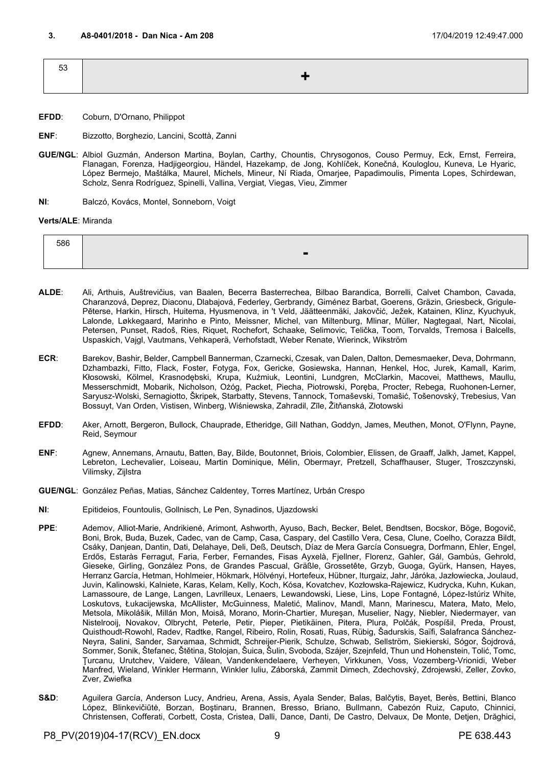<span id="page-8-0"></span>

| 53 | ▔▁▙░ |
|----|------|
|    |      |

- **EFDD**: Coburn, D'Ornano, Philippot
- **ENF**: Bizzotto, Borghezio, Lancini, Scottà, Zanni
- **GUE/NGL**: Albiol Guzmán, Anderson Martina, Boylan, Carthy, Chountis, Chrysogonos, Couso Permuy, Eck, Ernst, Ferreira, Flanagan, Forenza, Hadjigeorgiou, Händel, Hazekamp, de Jong, Kohlíček, Konečná, Kouloglou, Kuneva, Le Hyaric, López Bermejo, Maštálka, Maurel, Michels, Mineur, Ní Riada, Omarjee, Papadimoulis, Pimenta Lopes, Schirdewan, Scholz, Senra Rodríguez, Spinelli, Vallina, Vergiat, Viegas, Vieu, Zimmer
- **NI**: Balczó, Kovács, Montel, Sonneborn, Voigt

#### **Verts/ALE**: Miranda

| 586 |                |
|-----|----------------|
|     | $\blacksquare$ |
|     |                |

- **ALDE**: Ali, Arthuis, Auštrevičius, van Baalen, Becerra Basterrechea, Bilbao Barandica, Borrelli, Calvet Chambon, Cavada, Charanzová, Deprez, Diaconu, Dlabajová, Federley, Gerbrandy, Giménez Barbat, Goerens, Gräzin, Griesbeck, Grigule-Pēterse, Harkin, Hirsch, Huitema, Hyusmenova, in 't Veld, Jäätteenmäki, Jakovčić, Ježek, Katainen, Klinz, Kyuchyuk, Lalonde, Løkkegaard, Marinho e Pinto, Meissner, Michel, van Miltenburg, Mlinar, Müller, Nagtegaal, Nart, Nicolai, Petersen, Punset, Radoš, Ries, Riquet, Rochefort, Schaake, Selimovic, Telička, Toom, Torvalds, Tremosa i Balcells, Uspaskich, Vajgl, Vautmans, Vehkaperä, Verhofstadt, Weber Renate, Wierinck, Wikström
- **ECR**: Barekov, Bashir, Belder, Campbell Bannerman, Czarnecki, Czesak, van Dalen, Dalton, Demesmaeker, Deva, Dohrmann, Dzhambazki, Fitto, Flack, Foster, Fotyga, Fox, Gericke, Gosiewska, Hannan, Henkel, Hoc, Jurek, Kamall, Karim, Kłosowski, Kölmel, Krasnodębski, Krupa, Kuźmiuk, Leontini, Lundgren, McClarkin, Macovei, Matthews, Maullu, Messerschmidt, Mobarik, Nicholson, Ożóg, Packet, Piecha, Piotrowski, Poręba, Procter, Rebega, Ruohonen-Lerner, Saryusz-Wolski, Sernagiotto, Škripek, Starbatty, Stevens, Tannock, Tomaševski, Tomašić, Tošenovský, Trebesius, Van Bossuyt, Van Orden, Vistisen, Winberg, Wiśniewska, Zahradil, Zīle, Žitňanská, Złotowski
- **EFDD**: Aker, Arnott, Bergeron, Bullock, Chauprade, Etheridge, Gill Nathan, Goddyn, James, Meuthen, Monot, O'Flynn, Payne, Reid, Seymour
- **ENF**: Agnew, Annemans, Arnautu, Batten, Bay, Bilde, Boutonnet, Briois, Colombier, Elissen, de Graaff, Jalkh, Jamet, Kappel, Lebreton, Lechevalier, Loiseau, Martin Dominique, Mélin, Obermayr, Pretzell, Schaffhauser, Stuger, Troszczynski, Vilimsky, Zijlstra
- **GUE/NGL**: González Peñas, Matias, Sánchez Caldentey, Torres Martínez, Urbán Crespo
- **NI**: Epitideios, Fountoulis, Gollnisch, Le Pen, Synadinos, Ujazdowski
- **PPE**: Ademov, Alliot-Marie, Andrikienė, Arimont, Ashworth, Ayuso, Bach, Becker, Belet, Bendtsen, Bocskor, Böge, Bogovič, Boni, Brok, Buda, Buzek, Cadec, van de Camp, Casa, Caspary, del Castillo Vera, Cesa, Clune, Coelho, Corazza Bildt, Csáky, Danjean, Dantin, Dati, Delahaye, Deli, Deß, Deutsch, Díaz de Mera García Consuegra, Dorfmann, Ehler, Engel, Erdős, Estaràs Ferragut, Faria, Ferber, Fernandes, Fisas Ayxelà, Fjellner, Florenz, Gahler, Gál, Gambús, Gehrold, Gieseke, Girling, González Pons, de Grandes Pascual, Gräßle, Grossetête, Grzyb, Guoga, Gyürk, Hansen, Hayes, Herranz García, Hetman, Hohlmeier, Hökmark, Hölvényi, Hortefeux, Hübner, Iturgaiz, Jahr, Járóka, Jazłowiecka, Joulaud, Juvin, Kalinowski, Kalniete, Karas, Kelam, Kelly, Koch, Kósa, Kovatchev, Kozłowska-Rajewicz, Kudrycka, Kuhn, Kukan, Lamassoure, de Lange, Langen, Lavrilleux, Lenaers, Lewandowski, Liese, Lins, Lope Fontagné, López-Istúriz White, Loskutovs, Łukacijewska, McAllister, McGuinness, Maletić, Malinov, Mandl, Mann, Marinescu, Matera, Mato, Melo, Metsola, Mikolášik, Millán Mon, Moisă, Morano, Morin-Chartier, Mureşan, Muselier, Nagy, Niebler, Niedermayer, van Nistelrooij, Novakov, Olbrycht, Peterle, Petir, Pieper, Pietikäinen, Pitera, Plura, Polčák, Pospíšil, Preda, Proust, Quisthoudt-Rowohl, Radev, Radtke, Rangel, Ribeiro, Rolin, Rosati, Ruas, Rübig, Šadurskis, Saïfi, Salafranca Sánchez-Neyra, Salini, Sander, Sarvamaa, Schmidt, Schreijer-Pierik, Schulze, Schwab, Sellström, Siekierski, Sógor, Šojdrová, Sommer, Sonik, Štefanec, Štětina, Stolojan, Šuica, Šulin, Svoboda, Szájer, Szejnfeld, Thun und Hohenstein, Tolić, Tomc, Ţurcanu, Urutchev, Vaidere, Vălean, Vandenkendelaere, Verheyen, Virkkunen, Voss, Vozemberg-Vrionidi, Weber Manfred, Wieland, Winkler Hermann, Winkler Iuliu, Záborská, Zammit Dimech, Zdechovský, Zdrojewski, Zeller, Zovko, Zver, Zwiefka
- **S&D**: Aguilera García, Anderson Lucy, Andrieu, Arena, Assis, Ayala Sender, Balas, Balčytis, Bayet, Berès, Bettini, Blanco López, Blinkevičiūtė, Borzan, Boştinaru, Brannen, Bresso, Briano, Bullmann, Cabezón Ruiz, Caputo, Chinnici, Christensen, Cofferati, Corbett, Costa, Cristea, Dalli, Dance, Danti, De Castro, Delvaux, De Monte, Detjen, Drăghici,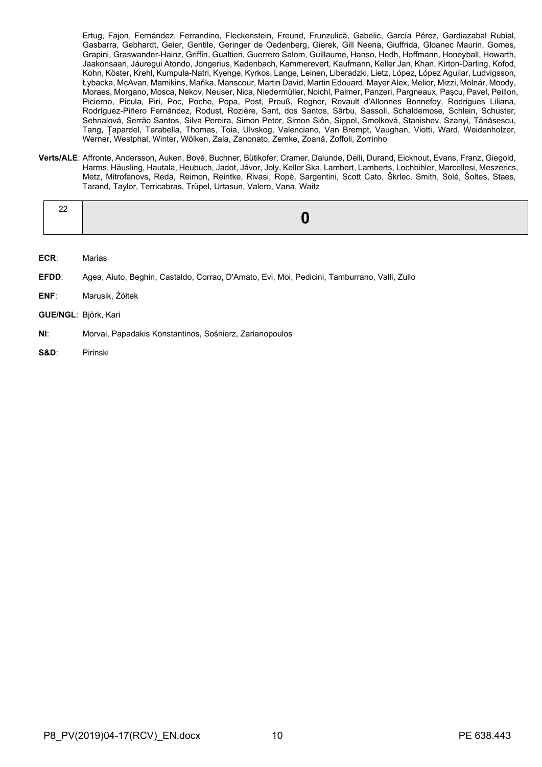Ertug, Fajon, Fernández, Ferrandino, Fleckenstein, Freund, Frunzulică, Gabelic, García Pérez, Gardiazabal Rubial, Gasbarra, Gebhardt, Geier, Gentile, Geringer de Oedenberg, Gierek, Gill Neena, Giuffrida, Gloanec Maurin, Gomes, Grapini, Graswander-Hainz, Griffin, Gualtieri, Guerrero Salom, Guillaume, Hanso, Hedh, Hoffmann, Honeyball, Howarth, Jaakonsaari, Jáuregui Atondo, Jongerius, Kadenbach, Kammerevert, Kaufmann, Keller Jan, Khan, Kirton-Darling, Kofod, Kohn, Köster, Krehl, Kumpula-Natri, Kyenge, Kyrkos, Lange, Leinen, Liberadzki, Lietz, López, López Aguilar, Ludvigsson, Łybacka, McAvan, Mamikins, Maňka, Manscour, Martin David, Martin Edouard, Mayer Alex, Melior, Mizzi, Molnár, Moody, Moraes, Morgano, Mosca, Nekov, Neuser, Nica, Niedermüller, Noichl, Palmer, Panzeri, Pargneaux, Paşcu, Pavel, Peillon, Picierno, Picula, Piri, Poc, Poche, Popa, Post, Preuß, Regner, Revault d'Allonnes Bonnefoy, Rodrigues Liliana, Rodríguez-Piñero Fernández, Rodust, Rozière, Sant, dos Santos, Sârbu, Sassoli, Schaldemose, Schlein, Schuster, Sehnalová, Serrão Santos, Silva Pereira, Simon Peter, Simon Siôn, Sippel, Smolková, Stanishev, Szanyi, Tănăsescu, Tang, Țapardel, Tarabella, Thomas, Toia, Ulvskog, Valenciano, Van Brempt, Vaughan, Viotti, Ward, Weidenholzer, Werner, Westphal, Winter, Wölken, Zala, Zanonato, Zemke, Zoană, Zoffoli, Zorrinho

**Verts/ALE**: Affronte, Andersson, Auken, Bové, Buchner, Bütikofer, Cramer, Dalunde, Delli, Durand, Eickhout, Evans, Franz, Giegold, Harms, Häusling, Hautala, Heubuch, Jadot, Jávor, Joly, Keller Ska, Lambert, Lamberts, Lochbihler, Marcellesi, Meszerics, Metz, Mitrofanovs, Reda, Reimon, Reintke, Rivasi, Ropė, Sargentini, Scott Cato, Škrlec, Smith, Solé, Šoltes, Staes, Tarand, Taylor, Terricabras, Trüpel, Urtasun, Valero, Vana, Waitz

| . വെ<br>44 | $\overline{\phantom{a}}$ |
|------------|--------------------------|
|            |                          |

- **ECR**: Marias
- **EFDD**: Agea, Aiuto, Beghin, Castaldo, Corrao, D'Amato, Evi, Moi, Pedicini, Tamburrano, Valli, Zullo
- **ENF**: Marusik, Żółtek
- **GUE/NGL**: Björk, Kari
- **NI**: Morvai, Papadakis Konstantinos, Sośnierz, Zarianopoulos
- **S&D**: Pirinski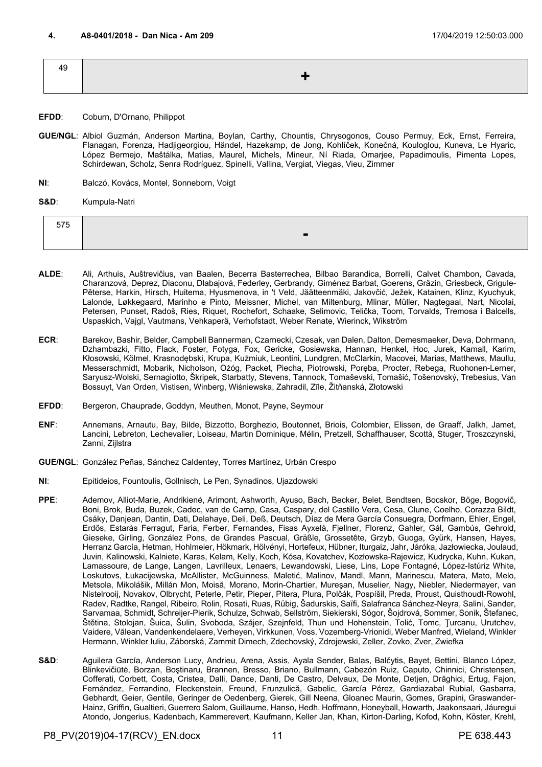<span id="page-10-0"></span>

| 49 |      |
|----|------|
|    | ▚▗▙▚ |
|    |      |

- **EFDD**: Coburn, D'Ornano, Philippot
- **GUE/NGL**: Albiol Guzmán, Anderson Martina, Boylan, Carthy, Chountis, Chrysogonos, Couso Permuy, Eck, Ernst, Ferreira, Flanagan, Forenza, Hadjigeorgiou, Händel, Hazekamp, de Jong, Kohlíček, Konečná, Kouloglou, Kuneva, Le Hyaric, López Bermejo, Maštálka, Matias, Maurel, Michels, Mineur, Ní Riada, Omarjee, Papadimoulis, Pimenta Lopes, Schirdewan, Scholz, Senra Rodríguez, Spinelli, Vallina, Vergiat, Viegas, Vieu, Zimmer
- **NI**: Balczó, Kovács, Montel, Sonneborn, Voigt
- **S&D**: Kumpula-Natri

| $- - -$ |     |
|---------|-----|
|         | $-$ |
|         |     |

- **ALDE**: Ali, Arthuis, Auštrevičius, van Baalen, Becerra Basterrechea, Bilbao Barandica, Borrelli, Calvet Chambon, Cavada, Charanzová, Deprez, Diaconu, Dlabajová, Federley, Gerbrandy, Giménez Barbat, Goerens, Gräzin, Griesbeck, Grigule-Pēterse, Harkin, Hirsch, Huitema, Hyusmenova, in 't Veld, Jäätteenmäki, Jakovčić, Ježek, Katainen, Klinz, Kyuchyuk, Lalonde, Løkkegaard, Marinho e Pinto, Meissner, Michel, van Miltenburg, Mlinar, Müller, Nagtegaal, Nart, Nicolai, Petersen, Punset, Radoš, Ries, Riquet, Rochefort, Schaake, Selimovic, Telička, Toom, Torvalds, Tremosa i Balcells, Uspaskich, Vajgl, Vautmans, Vehkaperä, Verhofstadt, Weber Renate, Wierinck, Wikström
- **ECR**: Barekov, Bashir, Belder, Campbell Bannerman, Czarnecki, Czesak, van Dalen, Dalton, Demesmaeker, Deva, Dohrmann, Dzhambazki, Fitto, Flack, Foster, Fotyga, Fox, Gericke, Gosiewska, Hannan, Henkel, Hoc, Jurek, Kamall, Karim, Kłosowski, Kölmel, Krasnodębski, Krupa, Kuźmiuk, Leontini, Lundgren, McClarkin, Macovei, Marias, Matthews, Maullu, Messerschmidt, Mobarik, Nicholson, Ożóg, Packet, Piecha, Piotrowski, Poręba, Procter, Rebega, Ruohonen-Lerner, Saryusz-Wolski, Sernagiotto, Škripek, Starbatty, Stevens, Tannock, Tomaševski, Tomašić, Tošenovský, Trebesius, Van Bossuyt, Van Orden, Vistisen, Winberg, Wiśniewska, Zahradil, Zīle, Žitňanská, Złotowski
- **EFDD**: Bergeron, Chauprade, Goddyn, Meuthen, Monot, Payne, Seymour
- **ENF**: Annemans, Arnautu, Bay, Bilde, Bizzotto, Borghezio, Boutonnet, Briois, Colombier, Elissen, de Graaff, Jalkh, Jamet, Lancini, Lebreton, Lechevalier, Loiseau, Martin Dominique, Mélin, Pretzell, Schaffhauser, Scottà, Stuger, Troszczynski, Zanni, Zijlstra
- **GUE/NGL**: González Peñas, Sánchez Caldentey, Torres Martínez, Urbán Crespo
- **NI**: Epitideios, Fountoulis, Gollnisch, Le Pen, Synadinos, Ujazdowski
- **PPE**: Ademov, Alliot-Marie, Andrikienė, Arimont, Ashworth, Ayuso, Bach, Becker, Belet, Bendtsen, Bocskor, Böge, Bogovič, Boni, Brok, Buda, Buzek, Cadec, van de Camp, Casa, Caspary, del Castillo Vera, Cesa, Clune, Coelho, Corazza Bildt, Csáky, Danjean, Dantin, Dati, Delahaye, Deli, Deß, Deutsch, Díaz de Mera García Consuegra, Dorfmann, Ehler, Engel, Erdős, Estaràs Ferragut, Faria, Ferber, Fernandes, Fisas Ayxelà, Fjellner, Florenz, Gahler, Gál, Gambús, Gehrold, Gieseke, Girling, González Pons, de Grandes Pascual, Gräßle, Grossetête, Grzyb, Guoga, Gyürk, Hansen, Hayes, Herranz García, Hetman, Hohlmeier, Hökmark, Hölvényi, Hortefeux, Hübner, Iturgaiz, Jahr, Járóka, Jazłowiecka, Joulaud, Juvin, Kalinowski, Kalniete, Karas, Kelam, Kelly, Koch, Kósa, Kovatchev, Kozłowska-Rajewicz, Kudrycka, Kuhn, Kukan, Lamassoure, de Lange, Langen, Lavrilleux, Lenaers, Lewandowski, Liese, Lins, Lope Fontagné, López-Istúriz White, Loskutovs, Łukacijewska, McAllister, McGuinness, Maletić, Malinov, Mandl, Mann, Marinescu, Matera, Mato, Melo, Metsola, Mikolášik, Millán Mon, Moisă, Morano, Morin-Chartier, Mureşan, Muselier, Nagy, Niebler, Niedermayer, van Nistelrooij, Novakov, Olbrycht, Peterle, Petir, Pieper, Pitera, Plura, Polčák, Pospíšil, Preda, Proust, Quisthoudt-Rowohl, Radev, Radtke, Rangel, Ribeiro, Rolin, Rosati, Ruas, Rübig, Šadurskis, Saïfi, Salafranca Sánchez-Neyra, Salini, Sander, Sarvamaa, Schmidt, Schreijer-Pierik, Schulze, Schwab, Sellström, Siekierski, Sógor, Šojdrová, Sommer, Sonik, Štefanec, Štětina, Stolojan, Šuica, Šulin, Svoboda, Szájer, Szejnfeld, Thun und Hohenstein, Tolić, Tomc, Ţurcanu, Urutchev, Vaidere, Vălean, Vandenkendelaere, Verheyen, Virkkunen, Voss, Vozemberg-Vrionidi, Weber Manfred, Wieland, Winkler Hermann, Winkler Iuliu, Záborská, Zammit Dimech, Zdechovský, Zdrojewski, Zeller, Zovko, Zver, Zwiefka
- S&D: Aguilera García, Anderson Lucy, Andrieu, Arena, Assis, Ayala Sender, Balas, Balčytis, Bayet, Bettini, Blanco López, Blinkevičiūtė, Borzan, Boştinaru, Brannen, Bresso, Briano, Bullmann, Cabezón Ruiz, Caputo, Chinnici, Christensen, Cofferati, Corbett, Costa, Cristea, Dalli, Dance, Danti, De Castro, Delvaux, De Monte, Detjen, Drăghici, Ertug, Fajon, Fernández, Ferrandino, Fleckenstein, Freund, Frunzulică, Gabelic, García Pérez, Gardiazabal Rubial, Gasbarra, Gebhardt, Geier, Gentile, Geringer de Oedenberg, Gierek, Gill Neena, Gloanec Maurin, Gomes, Grapini, Graswander-Hainz, Griffin, Gualtieri, Guerrero Salom, Guillaume, Hanso, Hedh, Hoffmann, Honeyball, Howarth, Jaakonsaari, Jáuregui Atondo, Jongerius, Kadenbach, Kammerevert, Kaufmann, Keller Jan, Khan, Kirton-Darling, Kofod, Kohn, Köster, Krehl,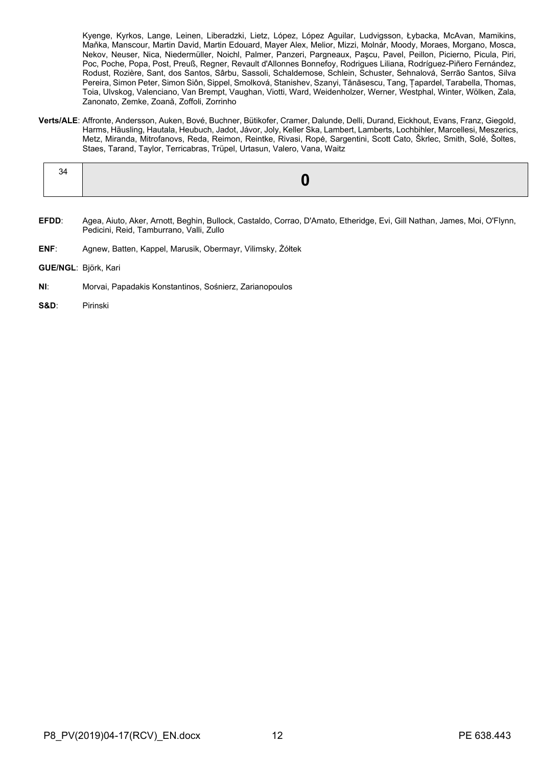Kyenge, Kyrkos, Lange, Leinen, Liberadzki, Lietz, López, López Aguilar, Ludvigsson, Łybacka, McAvan, Mamikins, Maňka, Manscour, Martin David, Martin Edouard, Mayer Alex, Melior, Mizzi, Molnár, Moody, Moraes, Morgano, Mosca, Nekov, Neuser, Nica, Niedermüller, Noichl, Palmer, Panzeri, Pargneaux, Paşcu, Pavel, Peillon, Picierno, Picula, Piri, Poc, Poche, Popa, Post, Preuß, Regner, Revault d'Allonnes Bonnefoy, Rodrigues Liliana, Rodríguez-Piñero Fernández, Rodust, Rozière, Sant, dos Santos, Sârbu, Sassoli, Schaldemose, Schlein, Schuster, Sehnalová, Serrão Santos, Silva Pereira, Simon Peter, Simon Siôn, Sippel, Smolková, Stanishev, Szanyi, Tănăsescu, Tang, Țapardel, Tarabella, Thomas, Toia, Ulvskog, Valenciano, Van Brempt, Vaughan, Viotti, Ward, Weidenholzer, Werner, Westphal, Winter, Wölken, Zala, Zanonato, Zemke, Zoană, Zoffoli, Zorrinho

**Verts/ALE**: Affronte, Andersson, Auken, Bové, Buchner, Bütikofer, Cramer, Dalunde, Delli, Durand, Eickhout, Evans, Franz, Giegold, Harms, Häusling, Hautala, Heubuch, Jadot, Jávor, Joly, Keller Ska, Lambert, Lamberts, Lochbihler, Marcellesi, Meszerics, Metz, Miranda, Mitrofanovs, Reda, Reimon, Reintke, Rivasi, Ropė, Sargentini, Scott Cato, Škrlec, Smith, Solé, Šoltes, Staes, Tarand, Taylor, Terricabras, Trüpel, Urtasun, Valero, Vana, Waitz

- **EFDD**: Agea, Aiuto, Aker, Arnott, Beghin, Bullock, Castaldo, Corrao, D'Amato, Etheridge, Evi, Gill Nathan, James, Moi, O'Flynn, Pedicini, Reid, Tamburrano, Valli, Zullo
- **ENF**: Agnew, Batten, Kappel, Marusik, Obermayr, Vilimsky, Żółtek
- **GUE/NGL**: Björk, Kari
- **NI**: Morvai, Papadakis Konstantinos, Sośnierz, Zarianopoulos
- **S&D**: Pirinski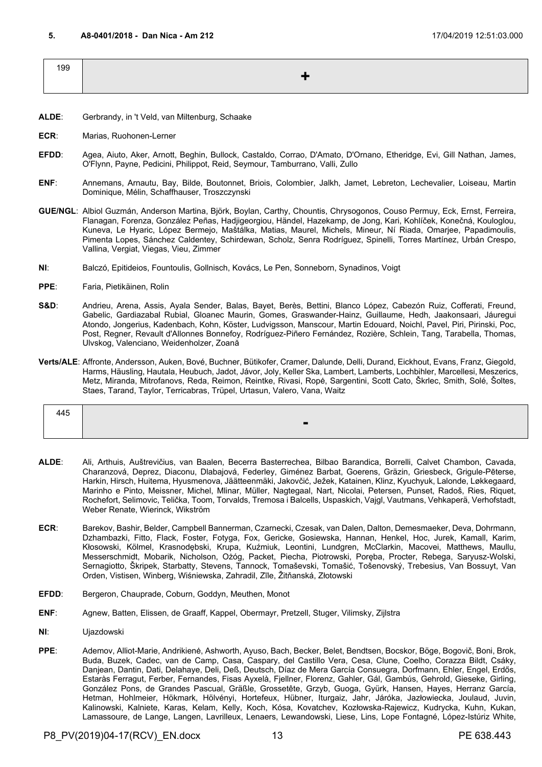<span id="page-12-0"></span>

| 199 |  |
|-----|--|
|     |  |

- **ALDE**: Gerbrandy, in 't Veld, van Miltenburg, Schaake
- **ECR**: Marias, Ruohonen-Lerner
- **EFDD**: Agea, Aiuto, Aker, Arnott, Beghin, Bullock, Castaldo, Corrao, D'Amato, D'Ornano, Etheridge, Evi, Gill Nathan, James, O'Flynn, Payne, Pedicini, Philippot, Reid, Seymour, Tamburrano, Valli, Zullo
- **ENF**: Annemans, Arnautu, Bay, Bilde, Boutonnet, Briois, Colombier, Jalkh, Jamet, Lebreton, Lechevalier, Loiseau, Martin Dominique, Mélin, Schaffhauser, Troszczynski
- **GUE/NGL**: Albiol Guzmán, Anderson Martina, Björk, Boylan, Carthy, Chountis, Chrysogonos, Couso Permuy, Eck, Ernst, Ferreira, Flanagan, Forenza, González Peñas, Hadjigeorgiou, Händel, Hazekamp, de Jong, Kari, Kohlíček, Konečná, Kouloglou, Kuneva, Le Hyaric, López Bermejo, Maštálka, Matias, Maurel, Michels, Mineur, Ní Riada, Omarjee, Papadimoulis, Pimenta Lopes, Sánchez Caldentey, Schirdewan, Scholz, Senra Rodríguez, Spinelli, Torres Martínez, Urbán Crespo, Vallina, Vergiat, Viegas, Vieu, Zimmer
- **NI**: Balczó, Epitideios, Fountoulis, Gollnisch, Kovács, Le Pen, Sonneborn, Synadinos, Voigt
- **PPE**: Faria, Pietikäinen, Rolin
- **S&D**: Andrieu, Arena, Assis, Ayala Sender, Balas, Bayet, Berès, Bettini, Blanco López, Cabezón Ruiz, Cofferati, Freund, Gabelic, Gardiazabal Rubial, Gloanec Maurin, Gomes, Graswander-Hainz, Guillaume, Hedh, Jaakonsaari, Jáuregui Atondo, Jongerius, Kadenbach, Kohn, Köster, Ludvigsson, Manscour, Martin Edouard, Noichl, Pavel, Piri, Pirinski, Poc, Post, Regner, Revault d'Allonnes Bonnefoy, Rodríguez-Piñero Fernández, Rozière, Schlein, Tang, Tarabella, Thomas, Ulvskog, Valenciano, Weidenholzer, Zoană
- **Verts/ALE**: Affronte, Andersson, Auken, Bové, Buchner, Bütikofer, Cramer, Dalunde, Delli, Durand, Eickhout, Evans, Franz, Giegold, Harms, Häusling, Hautala, Heubuch, Jadot, Jávor, Joly, Keller Ska, Lambert, Lamberts, Lochbihler, Marcellesi, Meszerics, Metz, Miranda, Mitrofanovs, Reda, Reimon, Reintke, Rivasi, Ropė, Sargentini, Scott Cato, Škrlec, Smith, Solé, Šoltes, Staes, Tarand, Taylor, Terricabras, Trüpel, Urtasun, Valero, Vana, Waitz

| . .<br>┭┭◡ |                          |
|------------|--------------------------|
|            | $\overline{\phantom{a}}$ |

- **ALDE**: Ali, Arthuis, Auštrevičius, van Baalen, Becerra Basterrechea, Bilbao Barandica, Borrelli, Calvet Chambon, Cavada, Charanzová, Deprez, Diaconu, Dlabajová, Federley, Giménez Barbat, Goerens, Gräzin, Griesbeck, Grigule-Pēterse, Harkin, Hirsch, Huitema, Hyusmenova, Jäätteenmäki, Jakovčić, Ježek, Katainen, Klinz, Kyuchyuk, Lalonde, Løkkegaard, Marinho e Pinto, Meissner, Michel, Mlinar, Müller, Nagtegaal, Nart, Nicolai, Petersen, Punset, Radoš, Ries, Riquet, Rochefort, Selimovic, Telička, Toom, Torvalds, Tremosa i Balcells, Uspaskich, Vajgl, Vautmans, Vehkaperä, Verhofstadt, Weber Renate, Wierinck, Wikström
- **ECR**: Barekov, Bashir, Belder, Campbell Bannerman, Czarnecki, Czesak, van Dalen, Dalton, Demesmaeker, Deva, Dohrmann, Dzhambazki, Fitto, Flack, Foster, Fotyga, Fox, Gericke, Gosiewska, Hannan, Henkel, Hoc, Jurek, Kamall, Karim, Kłosowski, Kölmel, Krasnodębski, Krupa, Kuźmiuk, Leontini, Lundgren, McClarkin, Macovei, Matthews, Maullu, Messerschmidt, Mobarik, Nicholson, Ożóg, Packet, Piecha, Piotrowski, Poręba, Procter, Rebega, Saryusz-Wolski, Sernagiotto, Škripek, Starbatty, Stevens, Tannock, Tomaševski, Tomašić, Tošenovský, Trebesius, Van Bossuyt, Van Orden, Vistisen, Winberg, Wiśniewska, Zahradil, Zīle, Žitňanská, Złotowski
- **EFDD**: Bergeron, Chauprade, Coburn, Goddyn, Meuthen, Monot
- **ENF**: Agnew, Batten, Elissen, de Graaff, Kappel, Obermayr, Pretzell, Stuger, Vilimsky, Zijlstra
- **NI**: Ujazdowski
- **PPE**: Ademov, Alliot-Marie, Andrikienė, Ashworth, Ayuso, Bach, Becker, Belet, Bendtsen, Bocskor, Böge, Bogovič, Boni, Brok, Buda, Buzek, Cadec, van de Camp, Casa, Caspary, del Castillo Vera, Cesa, Clune, Coelho, Corazza Bildt, Csáky, Danjean, Dantin, Dati, Delahaye, Deli, Deß, Deutsch, Díaz de Mera García Consuegra, Dorfmann, Ehler, Engel, Erdős, Estaràs Ferragut, Ferber, Fernandes, Fisas Ayxelà, Fjellner, Florenz, Gahler, Gál, Gambús, Gehrold, Gieseke, Girling, González Pons, de Grandes Pascual, Gräßle, Grossetête, Grzyb, Guoga, Gyürk, Hansen, Hayes, Herranz García, Hetman, Hohlmeier, Hökmark, Hölvényi, Hortefeux, Hübner, Iturgaiz, Jahr, Járóka, Jazłowiecka, Joulaud, Juvin, Kalinowski, Kalniete, Karas, Kelam, Kelly, Koch, Kósa, Kovatchev, Kozłowska-Rajewicz, Kudrycka, Kuhn, Kukan, Lamassoure, de Lange, Langen, Lavrilleux, Lenaers, Lewandowski, Liese, Lins, Lope Fontagné, López-Istúriz White,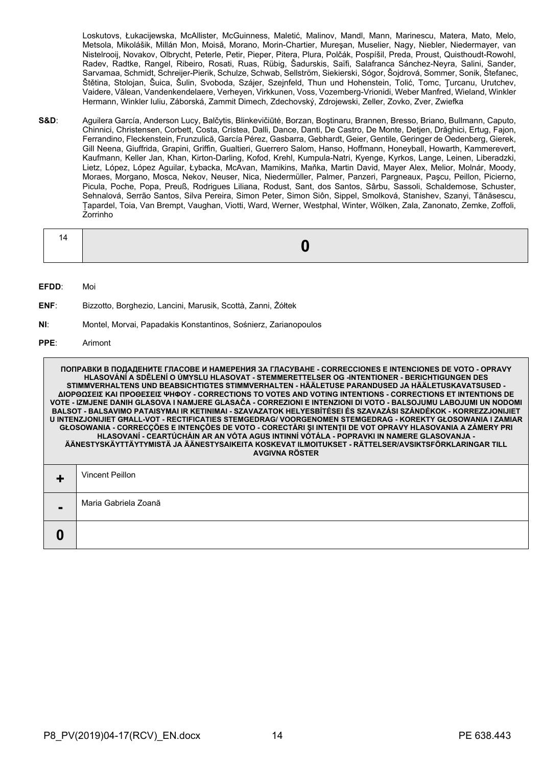Loskutovs, Łukacijewska, McAllister, McGuinness, Maletić, Malinov, Mandl, Mann, Marinescu, Matera, Mato, Melo, Metsola, Mikolášik, Millán Mon, Moisă, Morano, Morin-Chartier, Mureşan, Muselier, Nagy, Niebler, Niedermayer, van Nistelrooij, Novakov, Olbrycht, Peterle, Petir, Pieper, Pitera, Plura, Polčák, Pospíšil, Preda, Proust, Quisthoudt-Rowohl, Radev, Radtke, Rangel, Ribeiro, Rosati, Ruas, Rübig, Šadurskis, Saïfi, Salafranca Sánchez-Neyra, Salini, Sander, Sarvamaa, Schmidt, Schreijer-Pierik, Schulze, Schwab, Sellström, Siekierski, Sógor, Šojdrová, Sommer, Sonik, Štefanec, Štětina, Stolojan, Šuica, Šulin, Svoboda, Szájer, Szejnfeld, Thun und Hohenstein, Tolić, Tomc, Ţurcanu, Urutchev, Vaidere, Vălean, Vandenkendelaere, Verheyen, Virkkunen, Voss, Vozemberg-Vrionidi, Weber Manfred, Wieland, Winkler Hermann, Winkler Iuliu, Záborská, Zammit Dimech, Zdechovský, Zdrojewski, Zeller, Zovko, Zver, Zwiefka

S&D: Aguilera García, Anderson Lucy, Balčytis, Blinkevičiūtė, Borzan, Bostinaru, Brannen, Bresso, Briano, Bullmann, Caputo, Chinnici, Christensen, Corbett, Costa, Cristea, Dalli, Dance, Danti, De Castro, De Monte, Detjen, Drăghici, Ertug, Fajon, Ferrandino, Fleckenstein, Frunzulică, García Pérez, Gasbarra, Gebhardt, Geier, Gentile, Geringer de Oedenberg, Gierek, Gill Neena, Giuffrida, Grapini, Griffin, Gualtieri, Guerrero Salom, Hanso, Hoffmann, Honeyball, Howarth, Kammerevert, Kaufmann, Keller Jan, Khan, Kirton-Darling, Kofod, Krehl, Kumpula-Natri, Kyenge, Kyrkos, Lange, Leinen, Liberadzki, Lietz, López, López Aguilar, Łybacka, McAvan, Mamikins, Maňka, Martin David, Mayer Alex, Melior, Molnár, Moody, Moraes, Morgano, Mosca, Nekov, Neuser, Nica, Niedermüller, Palmer, Panzeri, Pargneaux, Paşcu, Peillon, Picierno, Picula, Poche, Popa, Preuß, Rodrigues Liliana, Rodust, Sant, dos Santos, Sârbu, Sassoli, Schaldemose, Schuster, Sehnalová, Serrão Santos, Silva Pereira, Simon Peter, Simon Siôn, Sippel, Smolková, Stanishev, Szanyi, Tănăsescu, Țapardel, Toia, Van Brempt, Vaughan, Viotti, Ward, Werner, Westphal, Winter, Wölken, Zala, Zanonato, Zemke, Zoffoli, Zorrinho

|--|--|--|

**EFDD**: Moi

- **ENF**: Bizzotto, Borghezio, Lancini, Marusik, Scottà, Zanni, Żółtek
- **NI**: Montel, Morvai, Papadakis Konstantinos, Sośnierz, Zarianopoulos

#### **PPE**: Arimont

**ПОПРАВКИ В ПОДАДЕНИТЕ ГЛАСОВЕ И НАМЕРЕНИЯ ЗА ГЛАСУВАНЕ - CORRECCIONES E INTENCIONES DE VOTO - OPRAVY HLASOVÁNÍ A SDĚLENÍ O ÚMYSLU HLASOVAT - STEMMERETTELSER OG -INTENTIONER - BERICHTIGUNGEN DES STIMMVERHALTENS UND BEABSICHTIGTES STIMMVERHALTEN - HÄÄLETUSE PARANDUSED JA HÄÄLETUSKAVATSUSED - ΔΙΟΡΘΩΣΕΙΣ ΚΑΙ ΠΡΟΘΕΣΕΙΣ ΨΗΦΟΥ - CORRECTIONS TO VOTES AND VOTING INTENTIONS - CORRECTIONS ET INTENTIONS DE VOTE - IZMJENE DANIH GLASOVA I NAMJERE GLASAČA - CORREZIONI E INTENZIONI DI VOTO - BALSOJUMU LABOJUMI UN NODOMI BALSOT - BALSAVIMO PATAISYMAI IR KETINIMAI - SZAVAZATOK HELYESBÍTÉSEI ÉS SZAVAZÁSI SZÁNDÉKOK - KORREZZJONIJIET U INTENZJONIJIET GĦALL-VOT - RECTIFICATIES STEMGEDRAG/ VOORGENOMEN STEMGEDRAG - KOREKTY GŁOSOWANIA I ZAMIAR GŁOSOWANIA - CORRECÇÕES E INTENÇÕES DE VOTO - CORECTĂRI ŞI INTENŢII DE VOT OPRAVY HLASOVANIA A ZÁMERY PRI HLASOVANÍ - CEARTÚCHÁIN AR AN VÓTA AGUS INTINNÍ VÓTÁLA - POPRAVKI IN NAMERE GLASOVANJA - ÄÄNESTYSKÄYTTÄYTYMISTÄ JA ÄÄNESTYSAIKEITA KOSKEVAT ILMOITUKSET - RÄTTELSER/AVSIKTSFÖRKLARINGAR TILL AVGIVNA RÖSTER +** Vincent Peillon **-** Maria Gabriela Zoană **0**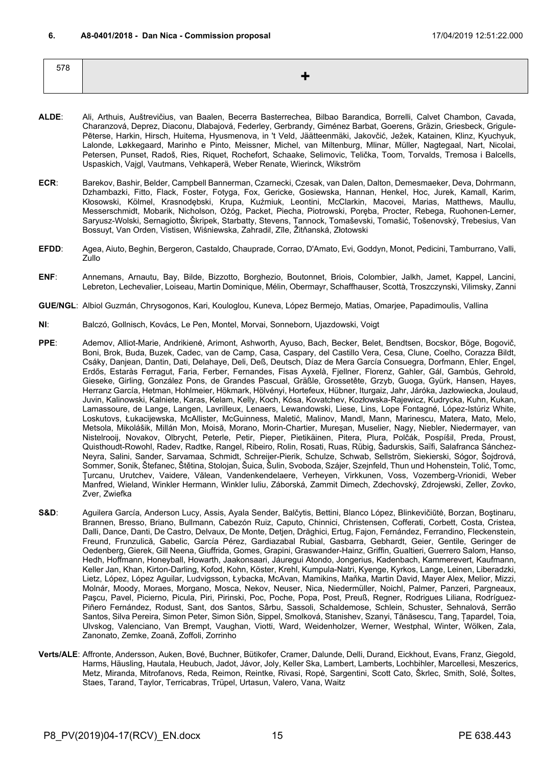<span id="page-14-0"></span>

| 578 |  |
|-----|--|
|     |  |
|     |  |

- **ALDE**: Ali, Arthuis, Auštrevičius, van Baalen, Becerra Basterrechea, Bilbao Barandica, Borrelli, Calvet Chambon, Cavada, Charanzová, Deprez, Diaconu, Dlabajová, Federley, Gerbrandy, Giménez Barbat, Goerens, Gräzin, Griesbeck, Grigule-Pēterse, Harkin, Hirsch, Huitema, Hyusmenova, in 't Veld, Jäätteenmäki, Jakovčić, Ježek, Katainen, Klinz, Kyuchyuk, Lalonde, Løkkegaard, Marinho e Pinto, Meissner, Michel, van Miltenburg, Mlinar, Müller, Nagtegaal, Nart, Nicolai, Petersen, Punset, Radoš, Ries, Riquet, Rochefort, Schaake, Selimovic, Telička, Toom, Torvalds, Tremosa i Balcells, Uspaskich, Vajgl, Vautmans, Vehkaperä, Weber Renate, Wierinck, Wikström
- **ECR**: Barekov, Bashir, Belder, Campbell Bannerman, Czarnecki, Czesak, van Dalen, Dalton, Demesmaeker, Deva, Dohrmann, Dzhambazki, Fitto, Flack, Foster, Fotyga, Fox, Gericke, Gosiewska, Hannan, Henkel, Hoc, Jurek, Kamall, Karim, Kłosowski, Kölmel, Krasnodębski, Krupa, Kuźmiuk, Leontini, McClarkin, Macovei, Marias, Matthews, Maullu, Messerschmidt, Mobarik, Nicholson, Ożóg, Packet, Piecha, Piotrowski, Poręba, Procter, Rebega, Ruohonen-Lerner, Saryusz-Wolski, Sernagiotto, Škripek, Starbatty, Stevens, Tannock, Tomaševski, Tomašić, Tošenovský, Trebesius, Van Bossuyt, Van Orden, Vistisen, Wiśniewska, Zahradil, Zīle, Žitňanská, Złotowski
- **EFDD**: Agea, Aiuto, Beghin, Bergeron, Castaldo, Chauprade, Corrao, D'Amato, Evi, Goddyn, Monot, Pedicini, Tamburrano, Valli, Zullo
- **ENF**: Annemans, Arnautu, Bay, Bilde, Bizzotto, Borghezio, Boutonnet, Briois, Colombier, Jalkh, Jamet, Kappel, Lancini, Lebreton, Lechevalier, Loiseau, Martin Dominique, Mélin, Obermayr, Schaffhauser, Scottà, Troszczynski, Vilimsky, Zanni
- **GUE/NGL**: Albiol Guzmán, Chrysogonos, Kari, Kouloglou, Kuneva, López Bermejo, Matias, Omarjee, Papadimoulis, Vallina
- **NI**: Balczó, Gollnisch, Kovács, Le Pen, Montel, Morvai, Sonneborn, Ujazdowski, Voigt
- **PPE**: Ademov, Alliot-Marie, Andrikienė, Arimont, Ashworth, Ayuso, Bach, Becker, Belet, Bendtsen, Bocskor, Böge, Bogovič, Boni, Brok, Buda, Buzek, Cadec, van de Camp, Casa, Caspary, del Castillo Vera, Cesa, Clune, Coelho, Corazza Bildt, Csáky, Danjean, Dantin, Dati, Delahaye, Deli, Deß, Deutsch, Díaz de Mera García Consuegra, Dorfmann, Ehler, Engel, Erdős, Estaràs Ferragut, Faria, Ferber, Fernandes, Fisas Ayxelà, Fjellner, Florenz, Gahler, Gál, Gambús, Gehrold, Gieseke, Girling, González Pons, de Grandes Pascual, Gräßle, Grossetête, Grzyb, Guoga, Gyürk, Hansen, Hayes, Herranz García, Hetman, Hohlmeier, Hökmark, Hölvényi, Hortefeux, Hübner, Iturgaiz, Jahr, Járóka, Jazłowiecka, Joulaud, Juvin, Kalinowski, Kalniete, Karas, Kelam, Kelly, Koch, Kósa, Kovatchev, Kozłowska-Rajewicz, Kudrycka, Kuhn, Kukan, Lamassoure, de Lange, Langen, Lavrilleux, Lenaers, Lewandowski, Liese, Lins, Lope Fontagné, López-Istúriz White, Loskutovs, Łukacijewska, McAllister, McGuinness, Maletić, Malinov, Mandl, Mann, Marinescu, Matera, Mato, Melo, Metsola, Mikolášik, Millán Mon, Moisă, Morano, Morin-Chartier, Mureşan, Muselier, Nagy, Niebler, Niedermayer, van Nistelrooij, Novakov, Olbrycht, Peterle, Petir, Pieper, Pietikäinen, Pitera, Plura, Polčák, Pospíšil, Preda, Proust, Quisthoudt-Rowohl, Radev, Radtke, Rangel, Ribeiro, Rolin, Rosati, Ruas, Rübig, Šadurskis, Saïfi, Salafranca Sánchez-Neyra, Salini, Sander, Sarvamaa, Schmidt, Schreijer-Pierik, Schulze, Schwab, Sellström, Siekierski, Sógor, Šojdrová, Sommer, Sonik, Štefanec, Štětina, Stolojan, Šuica, Šulin, Svoboda, Szájer, Szejnfeld, Thun und Hohenstein, Tolić, Tomc, Ţurcanu, Urutchev, Vaidere, Vălean, Vandenkendelaere, Verheyen, Virkkunen, Voss, Vozemberg-Vrionidi, Weber Manfred, Wieland, Winkler Hermann, Winkler Iuliu, Záborská, Zammit Dimech, Zdechovský, Zdrojewski, Zeller, Zovko, Zver, Zwiefka
- **S&D**: Aguilera García, Anderson Lucy, Assis, Ayala Sender, Balčytis, Bettini, Blanco López, Blinkevičiūtė, Borzan, Boştinaru, Brannen, Bresso, Briano, Bullmann, Cabezón Ruiz, Caputo, Chinnici, Christensen, Cofferati, Corbett, Costa, Cristea, Dalli, Dance, Danti, De Castro, Delvaux, De Monte, Detjen, Drăghici, Ertug, Fajon, Fernández, Ferrandino, Fleckenstein, Freund, Frunzulică, Gabelic, García Pérez, Gardiazabal Rubial, Gasbarra, Gebhardt, Geier, Gentile, Geringer de Oedenberg, Gierek, Gill Neena, Giuffrida, Gomes, Grapini, Graswander-Hainz, Griffin, Gualtieri, Guerrero Salom, Hanso, Hedh, Hoffmann, Honeyball, Howarth, Jaakonsaari, Jáuregui Atondo, Jongerius, Kadenbach, Kammerevert, Kaufmann, Keller Jan, Khan, Kirton-Darling, Kofod, Kohn, Köster, Krehl, Kumpula-Natri, Kyenge, Kyrkos, Lange, Leinen, Liberadzki, Lietz, López, López Aguilar, Ludvigsson, Łybacka, McAvan, Mamikins, Maňka, Martin David, Mayer Alex, Melior, Mizzi, Molnár, Moody, Moraes, Morgano, Mosca, Nekov, Neuser, Nica, Niedermüller, Noichl, Palmer, Panzeri, Pargneaux, Paşcu, Pavel, Picierno, Picula, Piri, Pirinski, Poc, Poche, Popa, Post, Preuß, Regner, Rodrigues Liliana, Rodríguez-Piñero Fernández, Rodust, Sant, dos Santos, Sârbu, Sassoli, Schaldemose, Schlein, Schuster, Sehnalová, Serrão Santos, Silva Pereira, Simon Peter, Simon Siôn, Sippel, Smolková, Stanishev, Szanyi, Tănăsescu, Tang, Țapardel, Toia, Ulvskog, Valenciano, Van Brempt, Vaughan, Viotti, Ward, Weidenholzer, Werner, Westphal, Winter, Wölken, Zala, Zanonato, Zemke, Zoană, Zoffoli, Zorrinho
- **Verts/ALE**: Affronte, Andersson, Auken, Bové, Buchner, Bütikofer, Cramer, Dalunde, Delli, Durand, Eickhout, Evans, Franz, Giegold, Harms, Häusling, Hautala, Heubuch, Jadot, Jávor, Joly, Keller Ska, Lambert, Lamberts, Lochbihler, Marcellesi, Meszerics, Metz, Miranda, Mitrofanovs, Reda, Reimon, Reintke, Rivasi, Ropė, Sargentini, Scott Cato, Škrlec, Smith, Solé, Šoltes, Staes, Tarand, Taylor, Terricabras, Trüpel, Urtasun, Valero, Vana, Waitz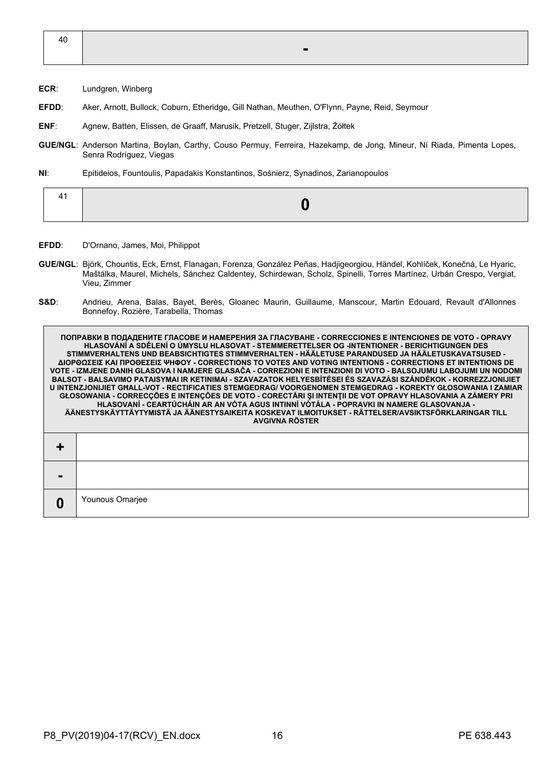40 **-**

- **ECR**: Lundgren, Winberg
- **EFDD**: Aker, Arnott, Bullock, Coburn, Etheridge, Gill Nathan, Meuthen, O'Flynn, Payne, Reid, Seymour
- **ENF**: Agnew, Batten, Elissen, de Graaff, Marusik, Pretzell, Stuger, Zijlstra, Żółtek
- **GUE/NGL**: Anderson Martina, Boylan, Carthy, Couso Permuy, Ferreira, Hazekamp, de Jong, Mineur, Ní Riada, Pimenta Lopes, Senra Rodríguez, Viegas
- **NI**: Epitideios, Fountoulis, Papadakis Konstantinos, Sośnierz, Synadinos, Zarianopoulos

|--|--|--|

- **EFDD**: D'Ornano, James, Moi, Philippot
- **GUE/NGL**: Björk, Chountis, Eck, Ernst, Flanagan, Forenza, González Peñas, Hadjigeorgiou, Händel, Kohlíček, Konečná, Le Hyaric, Maštálka, Maurel, Michels, Sánchez Caldentey, Schirdewan, Scholz, Spinelli, Torres Martínez, Urbán Crespo, Vergiat, Vieu, Zimmer
- **S&D**: Andrieu, Arena, Balas, Bayet, Berès, Gloanec Maurin, Guillaume, Manscour, Martin Edouard, Revault d'Allonnes Bonnefoy, Rozière, Tarabella, Thomas

**ПОПРАВКИ В ПОДАДЕНИТЕ ГЛАСОВЕ И НАМЕРЕНИЯ ЗА ГЛАСУВАНЕ - CORRECCIONES E INTENCIONES DE VOTO - OPRAVY HLASOVÁNÍ A SDĚLENÍ O ÚMYSLU HLASOVAT - STEMMERETTELSER OG -INTENTIONER - BERICHTIGUNGEN DES STIMMVERHALTENS UND BEABSICHTIGTES STIMMVERHALTEN - HÄÄLETUSE PARANDUSED JA HÄÄLETUSKAVATSUSED - ΔΙΟΡΘΩΣΕΙΣ ΚΑΙ ΠΡΟΘΕΣΕΙΣ ΨΗΦΟΥ - CORRECTIONS TO VOTES AND VOTING INTENTIONS - CORRECTIONS ET INTENTIONS DE VOTE - IZMJENE DANIH GLASOVA I NAMJERE GLASAČA - CORREZIONI E INTENZIONI DI VOTO - BALSOJUMU LABOJUMI UN NODOMI BALSOT - BALSAVIMO PATAISYMAI IR KETINIMAI - SZAVAZATOK HELYESBÍTÉSEI ÉS SZAVAZÁSI SZÁNDÉKOK - KORREZZJONIJIET U INTENZJONIJIET GĦALL-VOT - RECTIFICATIES STEMGEDRAG/ VOORGENOMEN STEMGEDRAG - KOREKTY GŁOSOWANIA I ZAMIAR GŁOSOWANIA - CORRECÇÕES E INTENÇÕES DE VOTO - CORECTĂRI ŞI INTENŢII DE VOT OPRAVY HLASOVANIA A ZÁMERY PRI HLASOVANÍ - CEARTÚCHÁIN AR AN VÓTA AGUS INTINNÍ VÓTÁLA - POPRAVKI IN NAMERE GLASOVANJA - ÄÄNESTYSKÄYTTÄYTYMISTÄ JA ÄÄNESTYSAIKEITA KOSKEVAT ILMOITUKSET - RÄTTELSER/AVSIKTSFÖRKLARINGAR TILL AVGIVNA RÖSTER + - 0** Younous Omarjee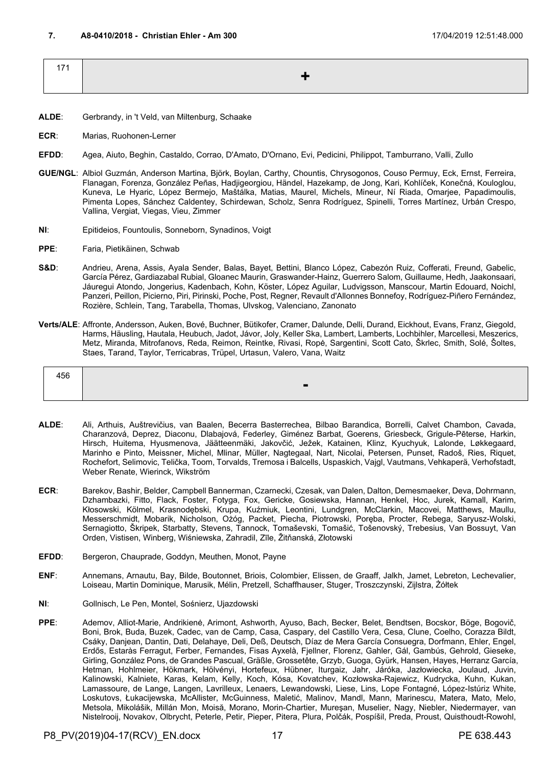<span id="page-16-0"></span>

| $171$ |    |
|-------|----|
|       | ▔▗ |
|       |    |

- **ALDE**: Gerbrandy, in 't Veld, van Miltenburg, Schaake
- **ECR**: Marias, Ruohonen-Lerner
- **EFDD**: Agea, Aiuto, Beghin, Castaldo, Corrao, D'Amato, D'Ornano, Evi, Pedicini, Philippot, Tamburrano, Valli, Zullo
- **GUE/NGL**: Albiol Guzmán, Anderson Martina, Björk, Boylan, Carthy, Chountis, Chrysogonos, Couso Permuy, Eck, Ernst, Ferreira, Flanagan, Forenza, González Peñas, Hadjigeorgiou, Händel, Hazekamp, de Jong, Kari, Kohlíček, Konečná, Kouloglou, Kuneva, Le Hyaric, López Bermejo, Maštálka, Matias, Maurel, Michels, Mineur, Ní Riada, Omarjee, Papadimoulis, Pimenta Lopes, Sánchez Caldentey, Schirdewan, Scholz, Senra Rodríguez, Spinelli, Torres Martínez, Urbán Crespo, Vallina, Vergiat, Viegas, Vieu, Zimmer
- **NI**: Epitideios, Fountoulis, Sonneborn, Synadinos, Voigt
- **PPE**: Faria, Pietikäinen, Schwab
- **S&D**: Andrieu, Arena, Assis, Ayala Sender, Balas, Bayet, Bettini, Blanco López, Cabezón Ruiz, Cofferati, Freund, Gabelic, García Pérez, Gardiazabal Rubial, Gloanec Maurin, Graswander-Hainz, Guerrero Salom, Guillaume, Hedh, Jaakonsaari, Jáuregui Atondo, Jongerius, Kadenbach, Kohn, Köster, López Aguilar, Ludvigsson, Manscour, Martin Edouard, Noichl, Panzeri, Peillon, Picierno, Piri, Pirinski, Poche, Post, Regner, Revault d'Allonnes Bonnefoy, Rodríguez-Piñero Fernández, Rozière, Schlein, Tang, Tarabella, Thomas, Ulvskog, Valenciano, Zanonato
- **Verts/ALE**: Affronte, Andersson, Auken, Bové, Buchner, Bütikofer, Cramer, Dalunde, Delli, Durand, Eickhout, Evans, Franz, Giegold, Harms, Häusling, Hautala, Heubuch, Jadot, Jávor, Joly, Keller Ska, Lambert, Lamberts, Lochbihler, Marcellesi, Meszerics, Metz, Miranda, Mitrofanovs, Reda, Reimon, Reintke, Rivasi, Ropė, Sargentini, Scott Cato, Škrlec, Smith, Solé, Šoltes, Staes, Tarand, Taylor, Terricabras, Trüpel, Urtasun, Valero, Vana, Waitz

| 456 |                          |
|-----|--------------------------|
|     | $\overline{\phantom{a}}$ |

- **ALDE**: Ali, Arthuis, Auštrevičius, van Baalen, Becerra Basterrechea, Bilbao Barandica, Borrelli, Calvet Chambon, Cavada, Charanzová, Deprez, Diaconu, Dlabajová, Federley, Giménez Barbat, Goerens, Griesbeck, Grigule-Pēterse, Harkin, Hirsch, Huitema, Hyusmenova, Jäätteenmäki, Jakovčić, Ježek, Katainen, Klinz, Kyuchyuk, Lalonde, Løkkegaard, Marinho e Pinto, Meissner, Michel, Mlinar, Müller, Nagtegaal, Nart, Nicolai, Petersen, Punset, Radoš, Ries, Riquet, Rochefort, Selimovic, Telička, Toom, Torvalds, Tremosa i Balcells, Uspaskich, Vajgl, Vautmans, Vehkaperä, Verhofstadt, Weber Renate, Wierinck, Wikström
- **ECR**: Barekov, Bashir, Belder, Campbell Bannerman, Czarnecki, Czesak, van Dalen, Dalton, Demesmaeker, Deva, Dohrmann, Dzhambazki, Fitto, Flack, Foster, Fotyga, Fox, Gericke, Gosiewska, Hannan, Henkel, Hoc, Jurek, Kamall, Karim, Kłosowski, Kölmel, Krasnodębski, Krupa, Kuźmiuk, Leontini, Lundgren, McClarkin, Macovei, Matthews, Maullu, Messerschmidt, Mobarik, Nicholson, Ożóg, Packet, Piecha, Piotrowski, Poręba, Procter, Rebega, Saryusz-Wolski, Sernagiotto, Škripek, Starbatty, Stevens, Tannock, Tomaševski, Tomašić, Tošenovský, Trebesius, Van Bossuyt, Van Orden, Vistisen, Winberg, Wiśniewska, Zahradil, Zīle, Žitňanská, Złotowski
- **EFDD**: Bergeron, Chauprade, Goddyn, Meuthen, Monot, Payne
- **ENF**: Annemans, Arnautu, Bay, Bilde, Boutonnet, Briois, Colombier, Elissen, de Graaff, Jalkh, Jamet, Lebreton, Lechevalier, Loiseau, Martin Dominique, Marusik, Mélin, Pretzell, Schaffhauser, Stuger, Troszczynski, Zijlstra, Żółtek
- **NI**: Gollnisch, Le Pen, Montel, Sośnierz, Ujazdowski
- **PPE**: Ademov, Alliot-Marie, Andrikienė, Arimont, Ashworth, Ayuso, Bach, Becker, Belet, Bendtsen, Bocskor, Böge, Bogovič, Boni, Brok, Buda, Buzek, Cadec, van de Camp, Casa, Caspary, del Castillo Vera, Cesa, Clune, Coelho, Corazza Bildt, Csáky, Danjean, Dantin, Dati, Delahaye, Deli, Deß, Deutsch, Díaz de Mera García Consuegra, Dorfmann, Ehler, Engel, Erdős, Estaràs Ferragut, Ferber, Fernandes, Fisas Ayxelà, Fjellner, Florenz, Gahler, Gál, Gambús, Gehrold, Gieseke, Girling, González Pons, de Grandes Pascual, Gräßle, Grossetête, Grzyb, Guoga, Gyürk, Hansen, Hayes, Herranz García, Hetman, Hohlmeier, Hökmark, Hölvényi, Hortefeux, Hübner, Iturgaiz, Jahr, Járóka, Jazłowiecka, Joulaud, Juvin, Kalinowski, Kalniete, Karas, Kelam, Kelly, Koch, Kósa, Kovatchev, Kozłowska-Rajewicz, Kudrycka, Kuhn, Kukan, Lamassoure, de Lange, Langen, Lavrilleux, Lenaers, Lewandowski, Liese, Lins, Lope Fontagné, López-Istúriz White, Loskutovs, Łukacijewska, McAllister, McGuinness, Maletić, Malinov, Mandl, Mann, Marinescu, Matera, Mato, Melo, Metsola, Mikolášik, Millán Mon, Moisă, Morano, Morin-Chartier, Mureşan, Muselier, Nagy, Niebler, Niedermayer, van Nistelrooij, Novakov, Olbrycht, Peterle, Petir, Pieper, Pitera, Plura, Polčák, Pospíšil, Preda, Proust, Quisthoudt-Rowohl,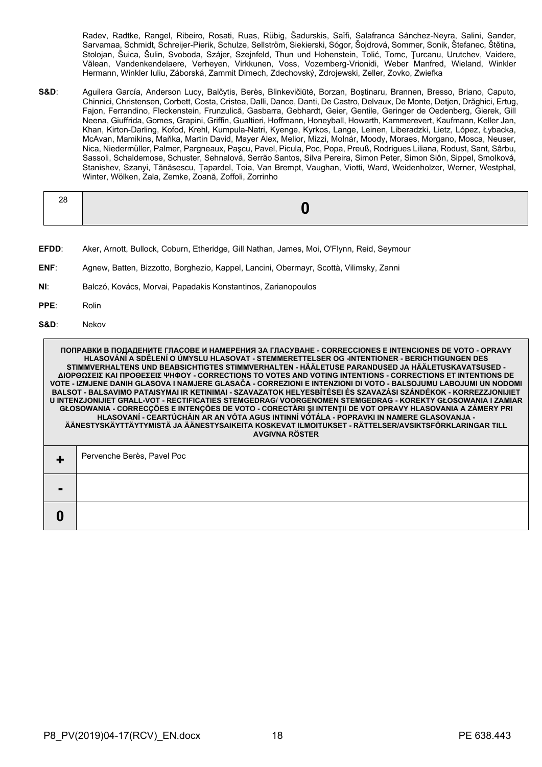Radev, Radtke, Rangel, Ribeiro, Rosati, Ruas, Rübig, Šadurskis, Saïfi, Salafranca Sánchez-Neyra, Salini, Sander, Sarvamaa, Schmidt, Schreijer-Pierik, Schulze, Sellström, Siekierski, Sógor, Šojdrová, Sommer, Sonik, Štefanec, Štětina, Stolojan, Šuica, Šulin, Svoboda, Szájer, Szejnfeld, Thun und Hohenstein, Tolić, Tomc, Ţurcanu, Urutchev, Vaidere, Vălean, Vandenkendelaere, Verheyen, Virkkunen, Voss, Vozemberg-Vrionidi, Weber Manfred, Wieland, Winkler Hermann, Winkler Iuliu, Záborská, Zammit Dimech, Zdechovský, Zdrojewski, Zeller, Zovko, Zwiefka

**S&D**: Aguilera García, Anderson Lucy, Balčytis, Berès, Blinkevičiūtė, Borzan, Boştinaru, Brannen, Bresso, Briano, Caputo, Chinnici, Christensen, Corbett, Costa, Cristea, Dalli, Dance, Danti, De Castro, Delvaux, De Monte, Detjen, Drăghici, Ertug, Fajon, Ferrandino, Fleckenstein, Frunzulică, Gasbarra, Gebhardt, Geier, Gentile, Geringer de Oedenberg, Gierek, Gill Neena, Giuffrida, Gomes, Grapini, Griffin, Gualtieri, Hoffmann, Honeyball, Howarth, Kammerevert, Kaufmann, Keller Jan, Khan, Kirton-Darling, Kofod, Krehl, Kumpula-Natri, Kyenge, Kyrkos, Lange, Leinen, Liberadzki, Lietz, López, Łybacka, McAvan, Mamikins, Maňka, Martin David, Mayer Alex, Melior, Mizzi, Molnár, Moody, Moraes, Morgano, Mosca, Neuser, Nica, Niedermüller, Palmer, Pargneaux, Paşcu, Pavel, Picula, Poc, Popa, Preuß, Rodrigues Liliana, Rodust, Sant, Sârbu, Sassoli, Schaldemose, Schuster, Sehnalová, Serrão Santos, Silva Pereira, Simon Peter, Simon Siôn, Sippel, Smolková, Stanishev, Szanyi, Tănăsescu, Țapardel, Toia, Van Brempt, Vaughan, Viotti, Ward, Weidenholzer, Werner, Westphal, Winter, Wölken, Zala, Zemke, Zoană, Zoffoli, Zorrinho

- **EFDD**: Aker, Arnott, Bullock, Coburn, Etheridge, Gill Nathan, James, Moi, O'Flynn, Reid, Seymour
- **ENF**: Agnew, Batten, Bizzotto, Borghezio, Kappel, Lancini, Obermayr, Scottà, Vilimsky, Zanni
- **NI**: Balczó, Kovács, Morvai, Papadakis Konstantinos, Zarianopoulos
- **PPE**: Rolin
- **S&D**: Nekov

|   | ПОПРАВКИ В ПОДАДЕНИТЕ ГЛАСОВЕ И НАМЕРЕНИЯ ЗА ГЛАСУВАНЕ - CORRECCIONES E INTENCIONES DE VOTO - OPRAVY<br><u> HLASOVÁNÍ A SDĚLENÍ O ÚMYSLU HLASOVAT - STEMMERETTELSER OG -INTENTIONER - BERICHTIGUNGEN DES</u><br>STIMMVERHALTENS UND BEABSICHTIGTES STIMMVERHALTEN - HÄÄLETUSE PARANDUSED JA HÄÄLETUSKAVATSUSED -<br>ΔΙΟΡΘΩΣΕΙΣ ΚΑΙ ΠΡΟΘΕΣΕΙΣ ΨΗΦΟΥ - CORRECTIONS ΤΟ VOTES AND VOTING INTENTIONS - CORRECTIONS ET INTENTIONS DE<br>VOTE - IZMJENE DANIH GLASOVA I NAMJERE GLASAČA - CORREZIONI E INTENZIONI DI VOTO - BALSOJUMU LABOJUMI UN NODOMI<br>BALSOT - BALSAVIMO PATAISYMAI IR KETINIMAI - SZAVAZATOK HELYESBÍTÉSEI ÉS SZAVAZÁSI SZÁNDÉKOK - KORREZZJONIJIET<br>U INTENZJONIJIET GHALL-VOT - RECTIFICATIES STEMGEDRAG/ VOORGENOMEN STEMGEDRAG - KOREKTY GŁOSOWANIA I ZAMIAR<br>GŁOSOWANIA - CORRECÇÕES E INTENÇÕES DE VOTO - CORECTĂRI ȘI INTENȚII DE VOT OPRAVY HLASOVANIA A ZÁMERY PRI<br>HLASOVANÍ - CEARTÚCHÁIN AR AN VÓTA AGUS INTINNÍ VÓTÁLA - POPRAVKI IN NAMERE GLASOVANJA -<br>ÄÄNESTYSKÄYTTÄYTYMISTÄ JA ÄÄNESTYSAIKEITA KOSKEVAT ILMOITUKSET - RÄTTELSER/AVSIKTSFÖRKLARINGAR TILL<br><b>AVGIVNA RÖSTER</b> |
|---|-----------------------------------------------------------------------------------------------------------------------------------------------------------------------------------------------------------------------------------------------------------------------------------------------------------------------------------------------------------------------------------------------------------------------------------------------------------------------------------------------------------------------------------------------------------------------------------------------------------------------------------------------------------------------------------------------------------------------------------------------------------------------------------------------------------------------------------------------------------------------------------------------------------------------------------------------------------------------------------------------------------------------------------------------------------------------------------------------------------------------------|
|   | Pervenche Berès, Pavel Poc                                                                                                                                                                                                                                                                                                                                                                                                                                                                                                                                                                                                                                                                                                                                                                                                                                                                                                                                                                                                                                                                                                  |
|   |                                                                                                                                                                                                                                                                                                                                                                                                                                                                                                                                                                                                                                                                                                                                                                                                                                                                                                                                                                                                                                                                                                                             |
| 0 |                                                                                                                                                                                                                                                                                                                                                                                                                                                                                                                                                                                                                                                                                                                                                                                                                                                                                                                                                                                                                                                                                                                             |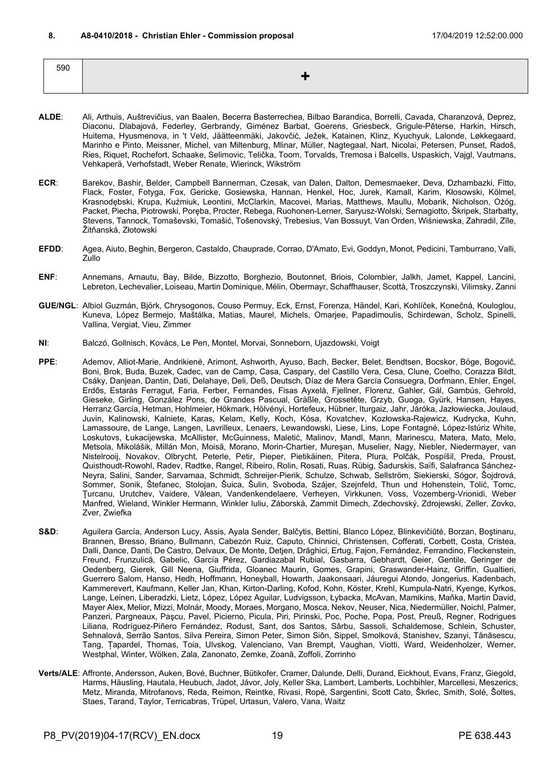<span id="page-18-0"></span>590 **+**

- **ALDE**: Ali, Arthuis, Auštrevičius, van Baalen, Becerra Basterrechea, Bilbao Barandica, Borrelli, Cavada, Charanzová, Deprez, Diaconu, Dlabajová, Federley, Gerbrandy, Giménez Barbat, Goerens, Griesbeck, Grigule-Pēterse, Harkin, Hirsch, Huitema, Hyusmenova, in 't Veld, Jäätteenmäki, Jakovčić, Ježek, Katainen, Klinz, Kyuchyuk, Lalonde, Løkkegaard, Marinho e Pinto, Meissner, Michel, van Miltenburg, Mlinar, Müller, Nagtegaal, Nart, Nicolai, Petersen, Punset, Radoš, Ries, Riquet, Rochefort, Schaake, Selimovic, Telička, Toom, Torvalds, Tremosa i Balcells, Uspaskich, Vajgl, Vautmans, Vehkaperä, Verhofstadt, Weber Renate, Wierinck, Wikström
- **ECR**: Barekov, Bashir, Belder, Campbell Bannerman, Czesak, van Dalen, Dalton, Demesmaeker, Deva, Dzhambazki, Fitto, Flack, Foster, Fotyga, Fox, Gericke, Gosiewska, Hannan, Henkel, Hoc, Jurek, Kamall, Karim, Kłosowski, Kölmel, Krasnodębski, Krupa, Kuźmiuk, Leontini, McClarkin, Macovei, Marias, Matthews, Maullu, Mobarik, Nicholson, Ożóg, Packet, Piecha, Piotrowski, Poręba, Procter, Rebega, Ruohonen-Lerner, Saryusz-Wolski, Sernagiotto, Škripek, Starbatty, Stevens, Tannock, Tomaševski, Tomašić, Tošenovský, Trebesius, Van Bossuyt, Van Orden, Wiśniewska, Zahradil, Zīle, Žitňanská, Złotowski
- **EFDD**: Agea, Aiuto, Beghin, Bergeron, Castaldo, Chauprade, Corrao, D'Amato, Evi, Goddyn, Monot, Pedicini, Tamburrano, Valli, Zullo
- **ENF**: Annemans, Arnautu, Bay, Bilde, Bizzotto, Borghezio, Boutonnet, Briois, Colombier, Jalkh, Jamet, Kappel, Lancini, Lebreton, Lechevalier, Loiseau, Martin Dominique, Mélin, Obermayr, Schaffhauser, Scottà, Troszczynski, Vilimsky, Zanni
- **GUE/NGL**: Albiol Guzmán, Björk, Chrysogonos, Couso Permuy, Eck, Ernst, Forenza, Händel, Kari, Kohlíček, Konečná, Kouloglou, Kuneva, López Bermejo, Maštálka, Matias, Maurel, Michels, Omarjee, Papadimoulis, Schirdewan, Scholz, Spinelli, Vallina, Vergiat, Vieu, Zimmer
- **NI**: Balczó, Gollnisch, Kovács, Le Pen, Montel, Morvai, Sonneborn, Ujazdowski, Voigt
- **PPE**: Ademov, Alliot-Marie, Andrikienė, Arimont, Ashworth, Ayuso, Bach, Becker, Belet, Bendtsen, Bocskor, Böge, Bogovič, Boni, Brok, Buda, Buzek, Cadec, van de Camp, Casa, Caspary, del Castillo Vera, Cesa, Clune, Coelho, Corazza Bildt, Csáky, Danjean, Dantin, Dati, Delahaye, Deli, Deß, Deutsch, Díaz de Mera García Consuegra, Dorfmann, Ehler, Engel, Erdős, Estaràs Ferragut, Faria, Ferber, Fernandes, Fisas Ayxelà, Fjellner, Florenz, Gahler, Gál, Gambús, Gehrold, Gieseke, Girling, González Pons, de Grandes Pascual, Gräßle, Grossetête, Grzyb, Guoga, Gyürk, Hansen, Hayes, Herranz García, Hetman, Hohlmeier, Hökmark, Hölvényi, Hortefeux, Hübner, Iturgaiz, Jahr, Járóka, Jazłowiecka, Joulaud, Juvin, Kalinowski, Kalniete, Karas, Kelam, Kelly, Koch, Kósa, Kovatchev, Kozłowska-Rajewicz, Kudrycka, Kuhn, Lamassoure, de Lange, Langen, Lavrilleux, Lenaers, Lewandowski, Liese, Lins, Lope Fontagné, López-Istúriz White, Loskutovs, Łukacijewska, McAllister, McGuinness, Maletić, Malinov, Mandl, Mann, Marinescu, Matera, Mato, Melo, Metsola, Mikolášik, Millán Mon, Moisă, Morano, Morin-Chartier, Mureşan, Muselier, Nagy, Niebler, Niedermayer, van Nistelrooij, Novakov, Olbrycht, Peterle, Petir, Pieper, Pietikäinen, Pitera, Plura, Polčák, Pospíšil, Preda, Proust, Quisthoudt-Rowohl, Radev, Radtke, Rangel, Ribeiro, Rolin, Rosati, Ruas, Rübig, Šadurskis, Saïfi, Salafranca Sánchez-Neyra, Salini, Sander, Sarvamaa, Schmidt, Schreijer-Pierik, Schulze, Schwab, Sellström, Siekierski, Sógor, Šojdrová, Sommer, Sonik, Štefanec, Stolojan, Šuica, Šulin, Svoboda, Szájer, Szejnfeld, Thun und Hohenstein, Tolić, Tomc, Ţurcanu, Urutchev, Vaidere, Vălean, Vandenkendelaere, Verheyen, Virkkunen, Voss, Vozemberg-Vrionidi, Weber Manfred, Wieland, Winkler Hermann, Winkler Iuliu, Záborská, Zammit Dimech, Zdechovský, Zdrojewski, Zeller, Zovko, Zver, Zwiefka
- **S&D**: Aguilera García, Anderson Lucy, Assis, Ayala Sender, Balčytis, Bettini, Blanco López, Blinkevičiūtė, Borzan, Boştinaru, Brannen, Bresso, Briano, Bullmann, Cabezón Ruiz, Caputo, Chinnici, Christensen, Cofferati, Corbett, Costa, Cristea, Dalli, Dance, Danti, De Castro, Delvaux, De Monte, Detjen, Drăghici, Ertug, Fajon, Fernández, Ferrandino, Fleckenstein, Freund, Frunzulică, Gabelic, García Pérez, Gardiazabal Rubial, Gasbarra, Gebhardt, Geier, Gentile, Geringer de Oedenberg, Gierek, Gill Neena, Giuffrida, Gloanec Maurin, Gomes, Grapini, Graswander-Hainz, Griffin, Gualtieri, Guerrero Salom, Hanso, Hedh, Hoffmann, Honeyball, Howarth, Jaakonsaari, Jáuregui Atondo, Jongerius, Kadenbach, Kammerevert, Kaufmann, Keller Jan, Khan, Kirton-Darling, Kofod, Kohn, Köster, Krehl, Kumpula-Natri, Kyenge, Kyrkos, Lange, Leinen, Liberadzki, Lietz, López, López Aguilar, Ludvigsson, Łybacka, McAvan, Mamikins, Maňka, Martin David, Mayer Alex, Melior, Mizzi, Molnár, Moody, Moraes, Morgano, Mosca, Nekov, Neuser, Nica, Niedermüller, Noichl, Palmer, Panzeri, Pargneaux, Paşcu, Pavel, Picierno, Picula, Piri, Pirinski, Poc, Poche, Popa, Post, Preuß, Regner, Rodrigues Liliana, Rodríguez-Piñero Fernández, Rodust, Sant, dos Santos, Sârbu, Sassoli, Schaldemose, Schlein, Schuster, Sehnalová, Serrão Santos, Silva Pereira, Simon Peter, Simon Siôn, Sippel, Smolková, Stanishev, Szanyi, Tănăsescu, Tang, Țapardel, Thomas, Toia, Ulvskog, Valenciano, Van Brempt, Vaughan, Viotti, Ward, Weidenholzer, Werner, Westphal, Winter, Wölken, Zala, Zanonato, Zemke, Zoană, Zoffoli, Zorrinho
- **Verts/ALE**: Affronte, Andersson, Auken, Bové, Buchner, Bütikofer, Cramer, Dalunde, Delli, Durand, Eickhout, Evans, Franz, Giegold, Harms, Häusling, Hautala, Heubuch, Jadot, Jávor, Joly, Keller Ska, Lambert, Lamberts, Lochbihler, Marcellesi, Meszerics, Metz, Miranda, Mitrofanovs, Reda, Reimon, Reintke, Rivasi, Ropė, Sargentini, Scott Cato, Škrlec, Smith, Solé, Šoltes, Staes, Tarand, Taylor, Terricabras, Trüpel, Urtasun, Valero, Vana, Waitz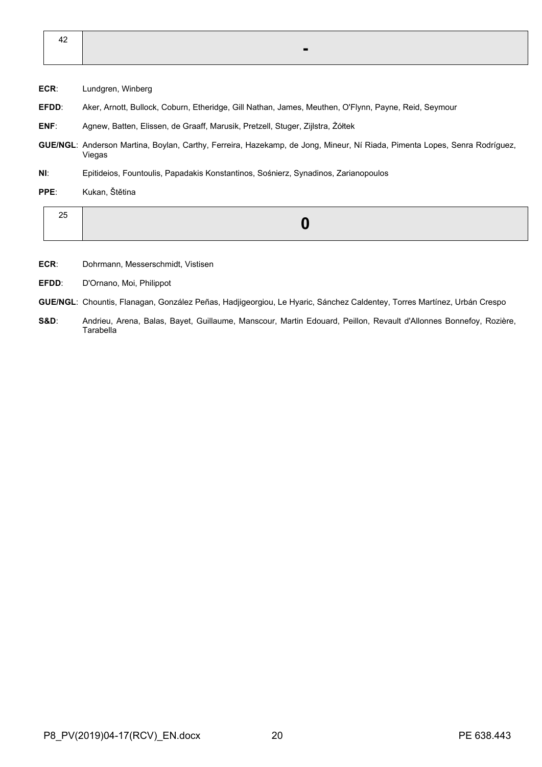| 42 |  |                                  |  |
|----|--|----------------------------------|--|
|    |  | <b>Section Contract Contract</b> |  |

- **ECR**: Lundgren, Winberg
- **EFDD**: Aker, Arnott, Bullock, Coburn, Etheridge, Gill Nathan, James, Meuthen, O'Flynn, Payne, Reid, Seymour
- **ENF**: Agnew, Batten, Elissen, de Graaff, Marusik, Pretzell, Stuger, Zijlstra, Żółtek
- **GUE/NGL**: Anderson Martina, Boylan, Carthy, Ferreira, Hazekamp, de Jong, Mineur, Ní Riada, Pimenta Lopes, Senra Rodríguez, Viegas
- **NI**: Epitideios, Fountoulis, Papadakis Konstantinos, Sośnierz, Synadinos, Zarianopoulos
- **PPE**: Kukan, Štětina

| -- |
|----|
|----|

- **ECR**: Dohrmann, Messerschmidt, Vistisen
- **EFDD**: D'Ornano, Moi, Philippot
- **GUE/NGL**: Chountis, Flanagan, González Peñas, Hadjigeorgiou, Le Hyaric, Sánchez Caldentey, Torres Martínez, Urbán Crespo
- **S&D**: Andrieu, Arena, Balas, Bayet, Guillaume, Manscour, Martin Edouard, Peillon, Revault d'Allonnes Bonnefoy, Rozière, **Tarabella**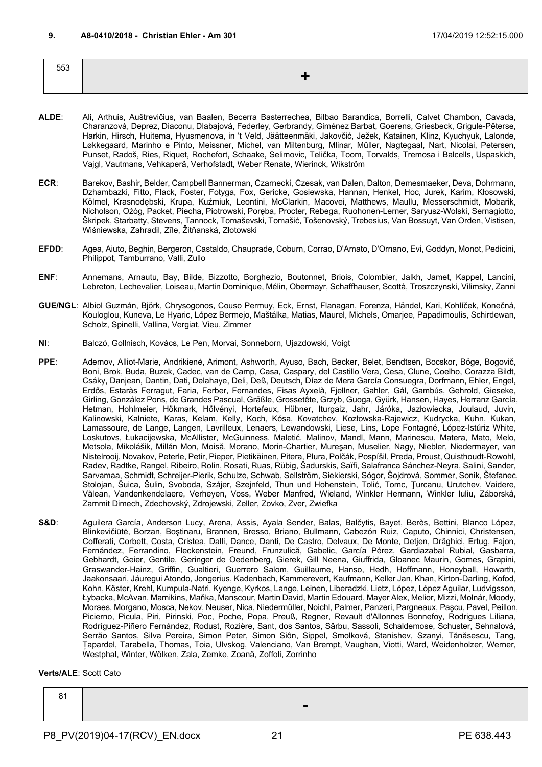<span id="page-20-0"></span>

| 553 |    |
|-----|----|
|     | -- |
|     |    |

- **ALDE**: Ali, Arthuis, Auštrevičius, van Baalen, Becerra Basterrechea, Bilbao Barandica, Borrelli, Calvet Chambon, Cavada, Charanzová, Deprez, Diaconu, Dlabajová, Federley, Gerbrandy, Giménez Barbat, Goerens, Griesbeck, Grigule-Pēterse, Harkin, Hirsch, Huitema, Hyusmenova, in 't Veld, Jäätteenmäki, Jakovčić, Ježek, Katainen, Klinz, Kyuchyuk, Lalonde, Løkkegaard, Marinho e Pinto, Meissner, Michel, van Miltenburg, Mlinar, Müller, Nagtegaal, Nart, Nicolai, Petersen, Punset, Radoš, Ries, Riquet, Rochefort, Schaake, Selimovic, Telička, Toom, Torvalds, Tremosa i Balcells, Uspaskich, Vajgl, Vautmans, Vehkaperä, Verhofstadt, Weber Renate, Wierinck, Wikström
- **ECR**: Barekov, Bashir, Belder, Campbell Bannerman, Czarnecki, Czesak, van Dalen, Dalton, Demesmaeker, Deva, Dohrmann, Dzhambazki, Fitto, Flack, Foster, Fotyga, Fox, Gericke, Gosiewska, Hannan, Henkel, Hoc, Jurek, Karim, Kłosowski, Kölmel, Krasnodębski, Krupa, Kuźmiuk, Leontini, McClarkin, Macovei, Matthews, Maullu, Messerschmidt, Mobarik, Nicholson, Ożóg, Packet, Piecha, Piotrowski, Poręba, Procter, Rebega, Ruohonen-Lerner, Saryusz-Wolski, Sernagiotto, Škripek, Starbatty, Stevens, Tannock, Tomaševski, Tomašić, Tošenovský, Trebesius, Van Bossuyt, Van Orden, Vistisen, Wiśniewska, Zahradil, Zīle, Žitňanská, Złotowski
- **EFDD**: Agea, Aiuto, Beghin, Bergeron, Castaldo, Chauprade, Coburn, Corrao, D'Amato, D'Ornano, Evi, Goddyn, Monot, Pedicini, Philippot, Tamburrano, Valli, Zullo
- **ENF**: Annemans, Arnautu, Bay, Bilde, Bizzotto, Borghezio, Boutonnet, Briois, Colombier, Jalkh, Jamet, Kappel, Lancini, Lebreton, Lechevalier, Loiseau, Martin Dominique, Mélin, Obermayr, Schaffhauser, Scottà, Troszczynski, Vilimsky, Zanni
- **GUE/NGL**: Albiol Guzmán, Björk, Chrysogonos, Couso Permuy, Eck, Ernst, Flanagan, Forenza, Händel, Kari, Kohlíček, Konečná, Kouloglou, Kuneva, Le Hyaric, López Bermejo, Maštálka, Matias, Maurel, Michels, Omarjee, Papadimoulis, Schirdewan, Scholz, Spinelli, Vallina, Vergiat, Vieu, Zimmer
- **NI**: Balczó, Gollnisch, Kovács, Le Pen, Morvai, Sonneborn, Ujazdowski, Voigt
- **PPE**: Ademov, Alliot-Marie, Andrikienė, Arimont, Ashworth, Ayuso, Bach, Becker, Belet, Bendtsen, Bocskor, Böge, Bogovič, Boni, Brok, Buda, Buzek, Cadec, van de Camp, Casa, Caspary, del Castillo Vera, Cesa, Clune, Coelho, Corazza Bildt, Csáky, Danjean, Dantin, Dati, Delahaye, Deli, Deß, Deutsch, Díaz de Mera García Consuegra, Dorfmann, Ehler, Engel, Erdős, Estaràs Ferragut, Faria, Ferber, Fernandes, Fisas Ayxelà, Fjellner, Gahler, Gál, Gambús, Gehrold, Gieseke, Girling, González Pons, de Grandes Pascual, Gräßle, Grossetête, Grzyb, Guoga, Gyürk, Hansen, Hayes, Herranz García, Hetman, Hohlmeier, Hökmark, Hölvényi, Hortefeux, Hübner, Iturgaiz, Jahr, Járóka, Jazłowiecka, Joulaud, Juvin, Kalinowski, Kalniete, Karas, Kelam, Kelly, Koch, Kósa, Kovatchev, Kozłowska-Rajewicz, Kudrycka, Kuhn, Kukan, Lamassoure, de Lange, Langen, Lavrilleux, Lenaers, Lewandowski, Liese, Lins, Lope Fontagné, López-Istúriz White, Loskutovs, Łukacijewska, McAllister, McGuinness, Maletić, Malinov, Mandl, Mann, Marinescu, Matera, Mato, Melo, Metsola, Mikolášik, Millán Mon, Moisă, Morano, Morin-Chartier, Mureşan, Muselier, Nagy, Niebler, Niedermayer, van Nistelrooij, Novakov, Peterle, Petir, Pieper, Pietikäinen, Pitera, Plura, Polčák, Pospíšil, Preda, Proust, Quisthoudt-Rowohl, Radev, Radtke, Rangel, Ribeiro, Rolin, Rosati, Ruas, Rübig, Šadurskis, Saïfi, Salafranca Sánchez-Neyra, Salini, Sander, Sarvamaa, Schmidt, Schreijer-Pierik, Schulze, Schwab, Sellström, Siekierski, Sógor, Šojdrová, Sommer, Sonik, Štefanec, Stolojan, Šuica, Šulin, Svoboda, Szájer, Szejnfeld, Thun und Hohenstein, Tolić, Tomc, Ţurcanu, Urutchev, Vaidere, Vălean, Vandenkendelaere, Verheyen, Voss, Weber Manfred, Wieland, Winkler Hermann, Winkler Iuliu, Záborská, Zammit Dimech, Zdechovský, Zdrojewski, Zeller, Zovko, Zver, Zwiefka
- S&D: Aguilera García, Anderson Lucy, Arena, Assis, Ayala Sender, Balas, Balčytis, Bayet, Berès, Bettini, Blanco López, Blinkevičiūtė, Borzan, Boştinaru, Brannen, Bresso, Briano, Bullmann, Cabezón Ruiz, Caputo, Chinnici, Christensen, Cofferati, Corbett, Costa, Cristea, Dalli, Dance, Danti, De Castro, Delvaux, De Monte, Detjen, Drăghici, Ertug, Fajon, Fernández, Ferrandino, Fleckenstein, Freund, Frunzulică, Gabelic, García Pérez, Gardiazabal Rubial, Gasbarra, Gebhardt, Geier, Gentile, Geringer de Oedenberg, Gierek, Gill Neena, Giuffrida, Gloanec Maurin, Gomes, Grapini, Graswander-Hainz, Griffin, Gualtieri, Guerrero Salom, Guillaume, Hanso, Hedh, Hoffmann, Honeyball, Howarth, Jaakonsaari, Jáuregui Atondo, Jongerius, Kadenbach, Kammerevert, Kaufmann, Keller Jan, Khan, Kirton-Darling, Kofod, Kohn, Köster, Krehl, Kumpula-Natri, Kyenge, Kyrkos, Lange, Leinen, Liberadzki, Lietz, López, López Aguilar, Ludvigsson, Łybacka, McAvan, Mamikins, Maňka, Manscour, Martin David, Martin Edouard, Mayer Alex, Melior, Mizzi, Molnár, Moody, Moraes, Morgano, Mosca, Nekov, Neuser, Nica, Niedermüller, Noichl, Palmer, Panzeri, Pargneaux, Paşcu, Pavel, Peillon, Picierno, Picula, Piri, Pirinski, Poc, Poche, Popa, Preuß, Regner, Revault d'Allonnes Bonnefoy, Rodrigues Liliana, Rodríguez-Piñero Fernández, Rodust, Rozière, Sant, dos Santos, Sârbu, Sassoli, Schaldemose, Schuster, Sehnalová, Serrão Santos, Silva Pereira, Simon Peter, Simon Siôn, Sippel, Smolková, Stanishev, Szanyi, Tănăsescu, Tang, Țapardel, Tarabella, Thomas, Toia, Ulvskog, Valenciano, Van Brempt, Vaughan, Viotti, Ward, Weidenholzer, Werner, Westphal, Winter, Wölken, Zala, Zemke, Zoană, Zoffoli, Zorrinho

**Verts/ALE**: Scott Cato

| $\begin{array}{c} 81 \\ 1 \end{array}$ |  |     |  |
|----------------------------------------|--|-----|--|
|                                        |  | . . |  |
|                                        |  |     |  |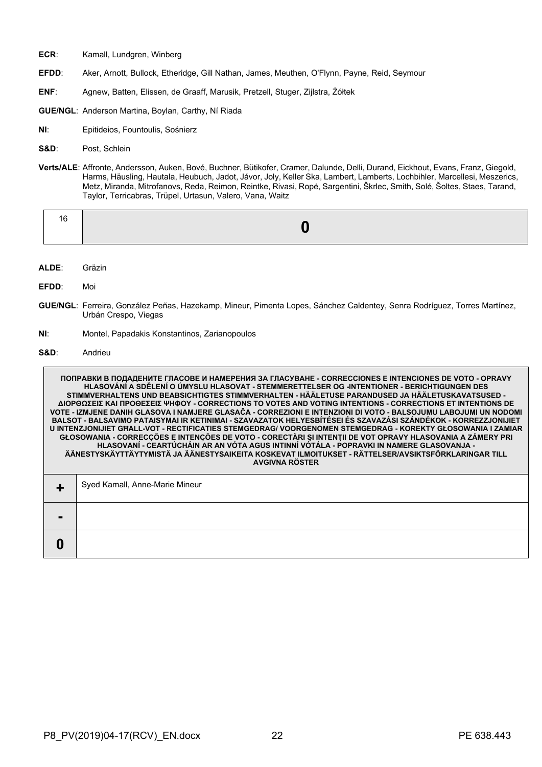- **ECR**: Kamall, Lundgren, Winberg
- **EFDD**: Aker, Arnott, Bullock, Etheridge, Gill Nathan, James, Meuthen, O'Flynn, Payne, Reid, Seymour
- **ENF**: Agnew, Batten, Elissen, de Graaff, Marusik, Pretzell, Stuger, Zijlstra, Żółtek
- **GUE/NGL**: Anderson Martina, Boylan, Carthy, Ní Riada
- **NI**: Epitideios, Fountoulis, Sośnierz
- **S&D**: Post, Schlein
- **Verts/ALE**: Affronte, Andersson, Auken, Bové, Buchner, Bütikofer, Cramer, Dalunde, Delli, Durand, Eickhout, Evans, Franz, Giegold, Harms, Häusling, Hautala, Heubuch, Jadot, Jávor, Joly, Keller Ska, Lambert, Lamberts, Lochbihler, Marcellesi, Meszerics, Metz, Miranda, Mitrofanovs, Reda, Reimon, Reintke, Rivasi, Ropė, Sargentini, Škrlec, Smith, Solé, Šoltes, Staes, Tarand, Taylor, Terricabras, Trüpel, Urtasun, Valero, Vana, Waitz

- **ALDE**: Gräzin
- **EFDD**: Moi
- **GUE/NGL**: Ferreira, González Peñas, Hazekamp, Mineur, Pimenta Lopes, Sánchez Caldentey, Senra Rodríguez, Torres Martínez, Urbán Crespo, Viegas
- **NI**: Montel, Papadakis Konstantinos, Zarianopoulos
- **S&D**: Andrieu

**ПОПРАВКИ В ПОДАДЕНИТЕ ГЛАСОВЕ И НАМЕРЕНИЯ ЗА ГЛАСУВАНЕ - CORRECCIONES E INTENCIONES DE VOTO - OPRAVY HLASOVÁNÍ A SDĚLENÍ O ÚMYSLU HLASOVAT - STEMMERETTELSER OG -INTENTIONER - BERICHTIGUNGEN DES STIMMVERHALTENS UND BEABSICHTIGTES STIMMVERHALTEN - HÄÄLETUSE PARANDUSED JA HÄÄLETUSKAVATSUSED - ΔΙΟΡΘΩΣΕΙΣ ΚΑΙ ΠΡΟΘΕΣΕΙΣ ΨΗΦΟΥ - CORRECTIONS TO VOTES AND VOTING INTENTIONS - CORRECTIONS ET INTENTIONS DE VOTE - IZMJENE DANIH GLASOVA I NAMJERE GLASAČA - CORREZIONI E INTENZIONI DI VOTO - BALSOJUMU LABOJUMI UN NODOMI BALSOT - BALSAVIMO PATAISYMAI IR KETINIMAI - SZAVAZATOK HELYESBÍTÉSEI ÉS SZAVAZÁSI SZÁNDÉKOK - KORREZZJONIJIET U INTENZJONIJIET GĦALL-VOT - RECTIFICATIES STEMGEDRAG/ VOORGENOMEN STEMGEDRAG - KOREKTY GŁOSOWANIA I ZAMIAR GŁOSOWANIA - CORRECÇÕES E INTENÇÕES DE VOTO - CORECTĂRI ŞI INTENŢII DE VOT OPRAVY HLASOVANIA A ZÁMERY PRI HLASOVANÍ - CEARTÚCHÁIN AR AN VÓTA AGUS INTINNÍ VÓTÁLA - POPRAVKI IN NAMERE GLASOVANJA - ÄÄNESTYSKÄYTTÄYTYMISTÄ JA ÄÄNESTYSAIKEITA KOSKEVAT ILMOITUKSET - RÄTTELSER/AVSIKTSFÖRKLARINGAR TILL AVGIVNA RÖSTER +** Syed Kamall, Anne-Marie Mineur **- 0**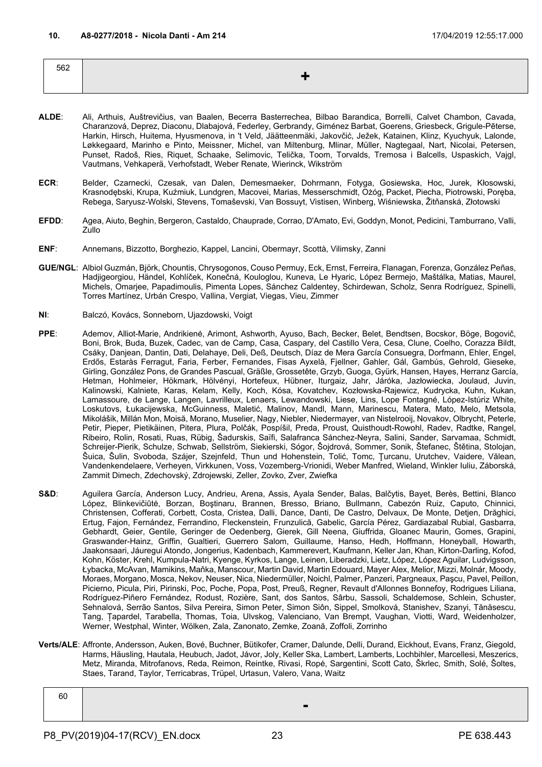<span id="page-22-0"></span>

| 562 |  |
|-----|--|
|     |  |
|     |  |

- **ALDE**: Ali, Arthuis, Auštrevičius, van Baalen, Becerra Basterrechea, Bilbao Barandica, Borrelli, Calvet Chambon, Cavada, Charanzová, Deprez, Diaconu, Dlabajová, Federley, Gerbrandy, Giménez Barbat, Goerens, Griesbeck, Grigule-Pēterse, Harkin, Hirsch, Huitema, Hyusmenova, in 't Veld, Jäätteenmäki, Jakovčić, Ježek, Katainen, Klinz, Kyuchyuk, Lalonde, Løkkegaard, Marinho e Pinto, Meissner, Michel, van Miltenburg, Mlinar, Müller, Nagtegaal, Nart, Nicolai, Petersen, Punset, Radoš, Ries, Riquet, Schaake, Selimovic, Telička, Toom, Torvalds, Tremosa i Balcells, Uspaskich, Vajgl, Vautmans, Vehkaperä, Verhofstadt, Weber Renate, Wierinck, Wikström
- **ECR**: Belder, Czarnecki, Czesak, van Dalen, Demesmaeker, Dohrmann, Fotyga, Gosiewska, Hoc, Jurek, Kłosowski, Krasnodębski, Krupa, Kuźmiuk, Lundgren, Macovei, Marias, Messerschmidt, Ożóg, Packet, Piecha, Piotrowski, Poręba, Rebega, Saryusz-Wolski, Stevens, Tomaševski, Van Bossuyt, Vistisen, Winberg, Wiśniewska, Žitňanská, Złotowski
- **EFDD**: Agea, Aiuto, Beghin, Bergeron, Castaldo, Chauprade, Corrao, D'Amato, Evi, Goddyn, Monot, Pedicini, Tamburrano, Valli, Zullo
- **ENF**: Annemans, Bizzotto, Borghezio, Kappel, Lancini, Obermayr, Scottà, Vilimsky, Zanni
- **GUE/NGL**: Albiol Guzmán, Björk, Chountis, Chrysogonos, Couso Permuy, Eck, Ernst, Ferreira, Flanagan, Forenza, González Peñas, Hadjigeorgiou, Händel, Kohlíček, Konečná, Kouloglou, Kuneva, Le Hyaric, López Bermejo, Maštálka, Matias, Maurel, Michels, Omarjee, Papadimoulis, Pimenta Lopes, Sánchez Caldentey, Schirdewan, Scholz, Senra Rodríguez, Spinelli, Torres Martínez, Urbán Crespo, Vallina, Vergiat, Viegas, Vieu, Zimmer
- **NI**: Balczó, Kovács, Sonneborn, Ujazdowski, Voigt
- **PPE**: Ademov, Alliot-Marie, Andrikienė, Arimont, Ashworth, Ayuso, Bach, Becker, Belet, Bendtsen, Bocskor, Böge, Bogovič, Boni, Brok, Buda, Buzek, Cadec, van de Camp, Casa, Caspary, del Castillo Vera, Cesa, Clune, Coelho, Corazza Bildt, Csáky, Danjean, Dantin, Dati, Delahaye, Deli, Deß, Deutsch, Díaz de Mera García Consuegra, Dorfmann, Ehler, Engel, Erdős, Estaràs Ferragut, Faria, Ferber, Fernandes, Fisas Ayxelà, Fjellner, Gahler, Gál, Gambús, Gehrold, Gieseke, Girling, González Pons, de Grandes Pascual, Gräßle, Grossetête, Grzyb, Guoga, Gyürk, Hansen, Hayes, Herranz García, Hetman, Hohlmeier, Hökmark, Hölvényi, Hortefeux, Hübner, Iturgaiz, Jahr, Járóka, Jazłowiecka, Joulaud, Juvin, Kalinowski, Kalniete, Karas, Kelam, Kelly, Koch, Kósa, Kovatchev, Kozłowska-Rajewicz, Kudrycka, Kuhn, Kukan, Lamassoure, de Lange, Langen, Lavrilleux, Lenaers, Lewandowski, Liese, Lins, Lope Fontagné, López-Istúriz White, Loskutovs, Łukacijewska, McGuinness, Maletić, Malinov, Mandl, Mann, Marinescu, Matera, Mato, Melo, Metsola, Mikolášik, Millán Mon, Moisă, Morano, Muselier, Nagy, Niebler, Niedermayer, van Nistelrooij, Novakov, Olbrycht, Peterle, Petir, Pieper, Pietikäinen, Pitera, Plura, Polčák, Pospíšil, Preda, Proust, Quisthoudt-Rowohl, Radev, Radtke, Rangel, Ribeiro, Rolin, Rosati, Ruas, Rübig, Šadurskis, Saïfi, Salafranca Sánchez-Neyra, Salini, Sander, Sarvamaa, Schmidt, Schreijer-Pierik, Schulze, Schwab, Sellström, Siekierski, Sógor, Šojdrová, Sommer, Sonik, Štefanec, Štětina, Stolojan, Šuica, Šulin, Svoboda, Szájer, Szejnfeld, Thun und Hohenstein, Tolić, Tomc, Ţurcanu, Urutchev, Vaidere, Vălean, Vandenkendelaere, Verheyen, Virkkunen, Voss, Vozemberg-Vrionidi, Weber Manfred, Wieland, Winkler Iuliu, Záborská, Zammit Dimech, Zdechovský, Zdrojewski, Zeller, Zovko, Zver, Zwiefka
- **S&D**: Aguilera García, Anderson Lucy, Andrieu, Arena, Assis, Ayala Sender, Balas, Balčytis, Bayet, Berès, Bettini, Blanco López, Blinkevičiūtė, Borzan, Boştinaru, Brannen, Bresso, Briano, Bullmann, Cabezón Ruiz, Caputo, Chinnici, Christensen, Cofferati, Corbett, Costa, Cristea, Dalli, Dance, Danti, De Castro, Delvaux, De Monte, Detjen, Drăghici, Ertug, Fajon, Fernández, Ferrandino, Fleckenstein, Frunzulică, Gabelic, García Pérez, Gardiazabal Rubial, Gasbarra, Gebhardt, Geier, Gentile, Geringer de Oedenberg, Gierek, Gill Neena, Giuffrida, Gloanec Maurin, Gomes, Grapini, Graswander-Hainz, Griffin, Gualtieri, Guerrero Salom, Guillaume, Hanso, Hedh, Hoffmann, Honeyball, Howarth, Jaakonsaari, Jáuregui Atondo, Jongerius, Kadenbach, Kammerevert, Kaufmann, Keller Jan, Khan, Kirton-Darling, Kofod, Kohn, Köster, Krehl, Kumpula-Natri, Kyenge, Kyrkos, Lange, Leinen, Liberadzki, Lietz, López, López Aguilar, Ludvigsson, Łybacka, McAvan, Mamikins, Maňka, Manscour, Martin David, Martin Edouard, Mayer Alex, Melior, Mizzi, Molnár, Moody, Moraes, Morgano, Mosca, Nekov, Neuser, Nica, Niedermüller, Noichl, Palmer, Panzeri, Pargneaux, Paşcu, Pavel, Peillon, Picierno, Picula, Piri, Pirinski, Poc, Poche, Popa, Post, Preuß, Regner, Revault d'Allonnes Bonnefoy, Rodrigues Liliana, Rodríguez-Piñero Fernández, Rodust, Rozière, Sant, dos Santos, Sârbu, Sassoli, Schaldemose, Schlein, Schuster, Sehnalová, Serrão Santos, Silva Pereira, Simon Peter, Simon Siôn, Sippel, Smolková, Stanishev, Szanyi, Tănăsescu, Tang, Țapardel, Tarabella, Thomas, Toia, Ulvskog, Valenciano, Van Brempt, Vaughan, Viotti, Ward, Weidenholzer, Werner, Westphal, Winter, Wölken, Zala, Zanonato, Zemke, Zoană, Zoffoli, Zorrinho
- **Verts/ALE**: Affronte, Andersson, Auken, Bové, Buchner, Bütikofer, Cramer, Dalunde, Delli, Durand, Eickhout, Evans, Franz, Giegold, Harms, Häusling, Hautala, Heubuch, Jadot, Jávor, Joly, Keller Ska, Lambert, Lamberts, Lochbihler, Marcellesi, Meszerics, Metz, Miranda, Mitrofanovs, Reda, Reimon, Reintke, Rivasi, Ropė, Sargentini, Scott Cato, Škrlec, Smith, Solé, Šoltes, Staes, Tarand, Taylor, Terricabras, Trüpel, Urtasun, Valero, Vana, Waitz

| 60 |                |
|----|----------------|
|    | $\blacksquare$ |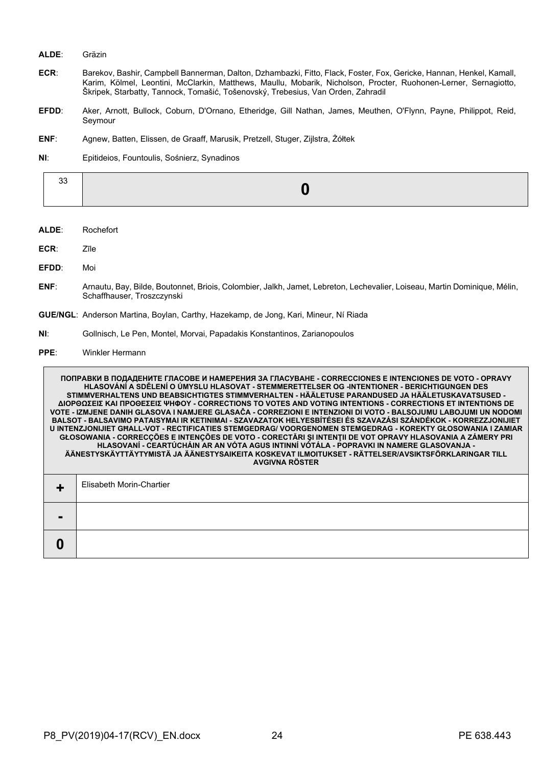#### **ALDE**: Gräzin

- **ECR**: Barekov, Bashir, Campbell Bannerman, Dalton, Dzhambazki, Fitto, Flack, Foster, Fox, Gericke, Hannan, Henkel, Kamall, Karim, Kölmel, Leontini, McClarkin, Matthews, Maullu, Mobarik, Nicholson, Procter, Ruohonen-Lerner, Sernagiotto, Škripek, Starbatty, Tannock, Tomašić, Tošenovský, Trebesius, Van Orden, Zahradil
- **EFDD**: Aker, Arnott, Bullock, Coburn, D'Ornano, Etheridge, Gill Nathan, James, Meuthen, O'Flynn, Payne, Philippot, Reid, Seymour
- **ENF**: Agnew, Batten, Elissen, de Graaff, Marusik, Pretzell, Stuger, Zijlstra, Żółtek
- **NI**: Epitideios, Fountoulis, Sośnierz, Synadinos

| ັບບ |  |
|-----|--|
|     |  |

- **ALDE**: Rochefort
- **ECR**: Zīle
- **EFDD**: Moi

Г

- **ENF**: Arnautu, Bay, Bilde, Boutonnet, Briois, Colombier, Jalkh, Jamet, Lebreton, Lechevalier, Loiseau, Martin Dominique, Mélin, Schaffhauser, Troszczynski
- **GUE/NGL**: Anderson Martina, Boylan, Carthy, Hazekamp, de Jong, Kari, Mineur, Ní Riada
- **NI**: Gollnisch, Le Pen, Montel, Morvai, Papadakis Konstantinos, Zarianopoulos
- **PPE**: Winkler Hermann

|   | ПОПРАВКИ В ПОДАДЕНИТЕ ГЛАСОВЕ И НАМЕРЕНИЯ ЗА ГЛАСУВАНЕ - CORRECCIONES E INTENCIONES DE VOTO - OPRAVY<br>HLASOVÁNÍ A SDĚLENÍ O ÚMYSLU HLASOVAT - STEMMERETTELSER OG -INTENTIONER - BERICHTIGUNGEN DES<br>STIMMVERHALTENS UND BEABSICHTIGTES STIMMVERHALTEN - HÄÄLETUSE PARANDUSED JA HÄÄLETUSKAVATSUSED -<br>ΔΙΟΡΘΩΣΕΙΣ ΚΑΙ ΠΡΟΘΕΣΕΙΣ ΨΗΦΟΥ - CORRECTIONS TO VOTES AND VOTING INTENTIONS - CORRECTIONS ET INTENTIONS DE<br>VOTE - IZMJENE DANIH GLASOVA I NAMJERE GLASAČA - CORREZIONI E INTENZIONI DI VOTO - BALSOJUMU LABOJUMI UN NODOMI<br>BALSOT - BALSAVIMO PATAISYMAI IR KETINIMAI - SZAVAZATOK HELYESBÍTÉSEI ÉS SZAVAZÁSI SZÁNDÉKOK - KORREZZJONIJIET<br><u>U INTENZJONIJIET GHALL-VOT - RECTIFICATIES STEMGEDRAG/ VOORGENOMEN STEMGEDRAG - KOREKTY GŁOSOWANIA I ZAMIAR</u><br>GŁOSOWANIA - CORRECÇÕES E INTENÇÕES DE VOTO - CORECTĂRI ȘI INTENȚII DE VOT OPRAVY HLASOVANIA A ZÁMERY PRI<br>HLASOVANÍ - CEARTÚCHÁIN AR AN VÓTA AGUS INTINNÍ VÓTÁLA - POPRAVKI IN NAMERE GLASOVANJA -<br>ÄÄNESTYSKÄYTTÄYTYMISTÄ JA ÄÄNESTYSAIKEITA KOSKEVAT ILMOITUKSET - RÄTTELSER/AVSIKTSFÖRKLARINGAR TILL<br><b>AVGIVNA RÖSTER</b> |
|---|----------------------------------------------------------------------------------------------------------------------------------------------------------------------------------------------------------------------------------------------------------------------------------------------------------------------------------------------------------------------------------------------------------------------------------------------------------------------------------------------------------------------------------------------------------------------------------------------------------------------------------------------------------------------------------------------------------------------------------------------------------------------------------------------------------------------------------------------------------------------------------------------------------------------------------------------------------------------------------------------------------------------------------------------------------------------------------------------------------------------------|
|   | Elisabeth Morin-Chartier                                                                                                                                                                                                                                                                                                                                                                                                                                                                                                                                                                                                                                                                                                                                                                                                                                                                                                                                                                                                                                                                                                   |
|   |                                                                                                                                                                                                                                                                                                                                                                                                                                                                                                                                                                                                                                                                                                                                                                                                                                                                                                                                                                                                                                                                                                                            |
| 0 |                                                                                                                                                                                                                                                                                                                                                                                                                                                                                                                                                                                                                                                                                                                                                                                                                                                                                                                                                                                                                                                                                                                            |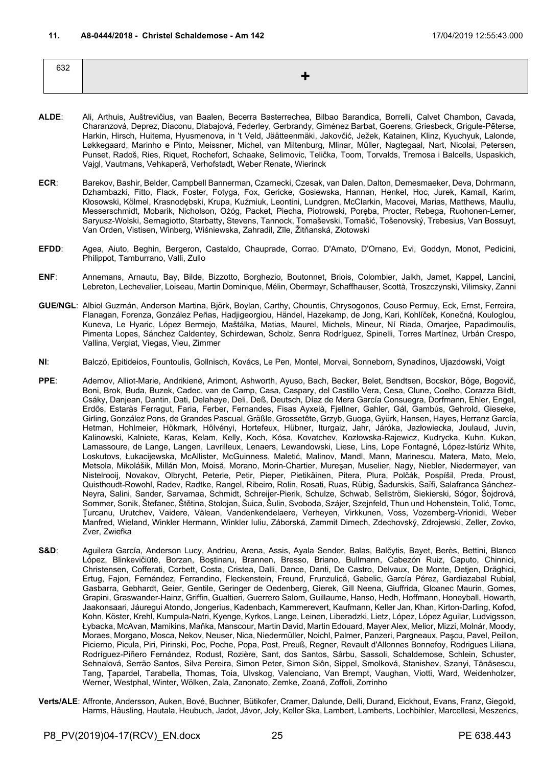<span id="page-24-0"></span>632 **+**

- **ALDE**: Ali, Arthuis, Auštrevičius, van Baalen, Becerra Basterrechea, Bilbao Barandica, Borrelli, Calvet Chambon, Cavada, Charanzová, Deprez, Diaconu, Dlabajová, Federley, Gerbrandy, Giménez Barbat, Goerens, Griesbeck, Grigule-Pēterse, Harkin, Hirsch, Huitema, Hyusmenova, in 't Veld, Jäätteenmäki, Jakovčić, Ježek, Katainen, Klinz, Kyuchyuk, Lalonde, Løkkegaard, Marinho e Pinto, Meissner, Michel, van Miltenburg, Mlinar, Müller, Nagtegaal, Nart, Nicolai, Petersen, Punset, Radoš, Ries, Riquet, Rochefort, Schaake, Selimovic, Telička, Toom, Torvalds, Tremosa i Balcells, Uspaskich, Vajgl, Vautmans, Vehkaperä, Verhofstadt, Weber Renate, Wierinck
- **ECR**: Barekov, Bashir, Belder, Campbell Bannerman, Czarnecki, Czesak, van Dalen, Dalton, Demesmaeker, Deva, Dohrmann, Dzhambazki, Fitto, Flack, Foster, Fotyga, Fox, Gericke, Gosiewska, Hannan, Henkel, Hoc, Jurek, Kamall, Karim, Kłosowski, Kölmel, Krasnodębski, Krupa, Kuźmiuk, Leontini, Lundgren, McClarkin, Macovei, Marias, Matthews, Maullu, Messerschmidt, Mobarik, Nicholson, Ożóg, Packet, Piecha, Piotrowski, Poręba, Procter, Rebega, Ruohonen-Lerner, Saryusz-Wolski, Sernagiotto, Starbatty, Stevens, Tannock, Tomaševski, Tomašić, Tošenovský, Trebesius, Van Bossuyt, Van Orden, Vistisen, Winberg, Wiśniewska, Zahradil, Zīle, Žitňanská, Złotowski
- **EFDD**: Agea, Aiuto, Beghin, Bergeron, Castaldo, Chauprade, Corrao, D'Amato, D'Ornano, Evi, Goddyn, Monot, Pedicini, Philippot, Tamburrano, Valli, Zullo
- **ENF**: Annemans, Arnautu, Bay, Bilde, Bizzotto, Borghezio, Boutonnet, Briois, Colombier, Jalkh, Jamet, Kappel, Lancini, Lebreton, Lechevalier, Loiseau, Martin Dominique, Mélin, Obermayr, Schaffhauser, Scottà, Troszczynski, Vilimsky, Zanni
- **GUE/NGL**: Albiol Guzmán, Anderson Martina, Björk, Boylan, Carthy, Chountis, Chrysogonos, Couso Permuy, Eck, Ernst, Ferreira, Flanagan, Forenza, González Peñas, Hadjigeorgiou, Händel, Hazekamp, de Jong, Kari, Kohlíček, Konečná, Kouloglou, Kuneva, Le Hyaric, López Bermejo, Maštálka, Matias, Maurel, Michels, Mineur, Ní Riada, Omarjee, Papadimoulis, Pimenta Lopes, Sánchez Caldentey, Schirdewan, Scholz, Senra Rodríguez, Spinelli, Torres Martínez, Urbán Crespo, Vallina, Vergiat, Viegas, Vieu, Zimmer
- **NI**: Balczó, Epitideios, Fountoulis, Gollnisch, Kovács, Le Pen, Montel, Morvai, Sonneborn, Synadinos, Ujazdowski, Voigt
- **PPE**: Ademov, Alliot-Marie, Andrikienė, Arimont, Ashworth, Ayuso, Bach, Becker, Belet, Bendtsen, Bocskor, Böge, Bogovič, Boni, Brok, Buda, Buzek, Cadec, van de Camp, Casa, Caspary, del Castillo Vera, Cesa, Clune, Coelho, Corazza Bildt, Csáky, Danjean, Dantin, Dati, Delahaye, Deli, Deß, Deutsch, Díaz de Mera García Consuegra, Dorfmann, Ehler, Engel, Erdős, Estaràs Ferragut, Faria, Ferber, Fernandes, Fisas Ayxelà, Fjellner, Gahler, Gál, Gambús, Gehrold, Gieseke, Girling, González Pons, de Grandes Pascual, Gräßle, Grossetête, Grzyb, Guoga, Gyürk, Hansen, Hayes, Herranz García, Hetman, Hohlmeier, Hökmark, Hölvényi, Hortefeux, Hübner, Iturgaiz, Jahr, Járóka, Jazłowiecka, Joulaud, Juvin, Kalinowski, Kalniete, Karas, Kelam, Kelly, Koch, Kósa, Kovatchev, Kozłowska-Rajewicz, Kudrycka, Kuhn, Kukan, Lamassoure, de Lange, Langen, Lavrilleux, Lenaers, Lewandowski, Liese, Lins, Lope Fontagné, López-Istúriz White, Loskutovs, Łukacijewska, McAllister, McGuinness, Maletić, Malinov, Mandl, Mann, Marinescu, Matera, Mato, Melo, Metsola, Mikolášik, Millán Mon, Moisă, Morano, Morin-Chartier, Mureşan, Muselier, Nagy, Niebler, Niedermayer, van Nistelrooij, Novakov, Olbrycht, Peterle, Petir, Pieper, Pietikäinen, Pitera, Plura, Polčák, Pospíšil, Preda, Proust, Quisthoudt-Rowohl, Radev, Radtke, Rangel, Ribeiro, Rolin, Rosati, Ruas, Rübig, Šadurskis, Saïfi, Salafranca Sánchez-Neyra, Salini, Sander, Sarvamaa, Schmidt, Schreijer-Pierik, Schulze, Schwab, Sellström, Siekierski, Sógor, Šojdrová, Sommer, Sonik, Štefanec, Štětina, Stolojan, Šuica, Šulin, Svoboda, Szájer, Szejnfeld, Thun und Hohenstein, Tolić, Tomc, Ţurcanu, Urutchev, Vaidere, Vălean, Vandenkendelaere, Verheyen, Virkkunen, Voss, Vozemberg-Vrionidi, Weber Manfred, Wieland, Winkler Hermann, Winkler Iuliu, Záborská, Zammit Dimech, Zdechovský, Zdrojewski, Zeller, Zovko, Zver, Zwiefka
- **S&D**: Aguilera García, Anderson Lucy, Andrieu, Arena, Assis, Ayala Sender, Balas, Balčytis, Bayet, Berès, Bettini, Blanco López, Blinkevičiūtė, Borzan, Boştinaru, Brannen, Bresso, Briano, Bullmann, Cabezón Ruiz, Caputo, Chinnici, Christensen, Cofferati, Corbett, Costa, Cristea, Dalli, Dance, Danti, De Castro, Delvaux, De Monte, Detjen, Drăghici, Ertug, Fajon, Fernández, Ferrandino, Fleckenstein, Freund, Frunzulică, Gabelic, García Pérez, Gardiazabal Rubial, Gasbarra, Gebhardt, Geier, Gentile, Geringer de Oedenberg, Gierek, Gill Neena, Giuffrida, Gloanec Maurin, Gomes, Grapini, Graswander-Hainz, Griffin, Gualtieri, Guerrero Salom, Guillaume, Hanso, Hedh, Hoffmann, Honeyball, Howarth, Jaakonsaari, Jáuregui Atondo, Jongerius, Kadenbach, Kammerevert, Kaufmann, Keller Jan, Khan, Kirton-Darling, Kofod, Kohn, Köster, Krehl, Kumpula-Natri, Kyenge, Kyrkos, Lange, Leinen, Liberadzki, Lietz, López, López Aguilar, Ludvigsson, Łybacka, McAvan, Mamikins, Maňka, Manscour, Martin David, Martin Edouard, Mayer Alex, Melior, Mizzi, Molnár, Moody, Moraes, Morgano, Mosca, Nekov, Neuser, Nica, Niedermüller, Noichl, Palmer, Panzeri, Pargneaux, Paşcu, Pavel, Peillon, Picierno, Picula, Piri, Pirinski, Poc, Poche, Popa, Post, Preuß, Regner, Revault d'Allonnes Bonnefoy, Rodrigues Liliana, Rodríguez-Piñero Fernández, Rodust, Rozière, Sant, dos Santos, Sârbu, Sassoli, Schaldemose, Schlein, Schuster, Sehnalová, Serrão Santos, Silva Pereira, Simon Peter, Simon Siôn, Sippel, Smolková, Stanishev, Szanyi, Tănăsescu, Tang, Țapardel, Tarabella, Thomas, Toia, Ulvskog, Valenciano, Van Brempt, Vaughan, Viotti, Ward, Weidenholzer, Werner, Westphal, Winter, Wölken, Zala, Zanonato, Zemke, Zoană, Zoffoli, Zorrinho
- **Verts/ALE**: Affronte, Andersson, Auken, Bové, Buchner, Bütikofer, Cramer, Dalunde, Delli, Durand, Eickhout, Evans, Franz, Giegold, Harms, Häusling, Hautala, Heubuch, Jadot, Jávor, Joly, Keller Ska, Lambert, Lamberts, Lochbihler, Marcellesi, Meszerics,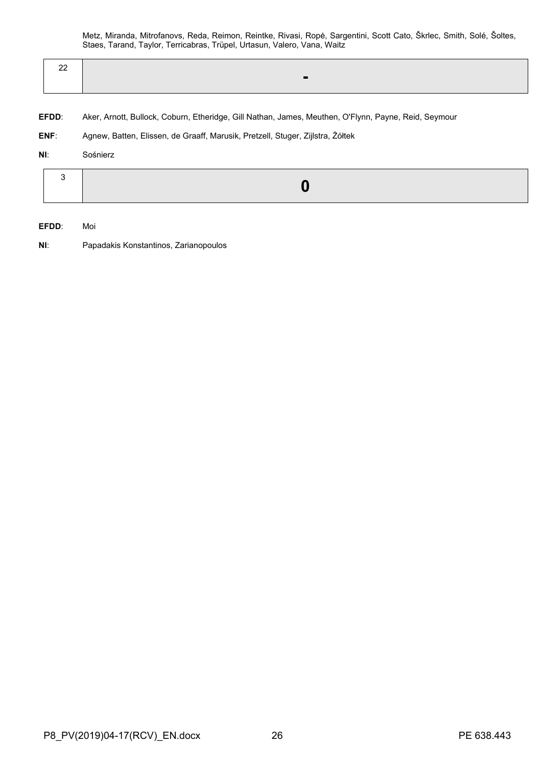Metz, Miranda, Mitrofanovs, Reda, Reimon, Reintke, Rivasi, Ropė, Sargentini, Scott Cato, Škrlec, Smith, Solé, Šoltes, Staes, Tarand, Taylor, Terricabras, Trüpel, Urtasun, Valero, Vana, Waitz

| $\sim$<br>-- |  |  |
|--------------|--|--|
|              |  |  |

- **EFDD**: Aker, Arnott, Bullock, Coburn, Etheridge, Gill Nathan, James, Meuthen, O'Flynn, Payne, Reid, Seymour
- **ENF**: Agnew, Batten, Elissen, de Graaff, Marusik, Pretzell, Stuger, Zijlstra, Żółtek

### **NI**: Sośnierz

|--|--|--|

- **EFDD**: Moi
- **NI**: Papadakis Konstantinos, Zarianopoulos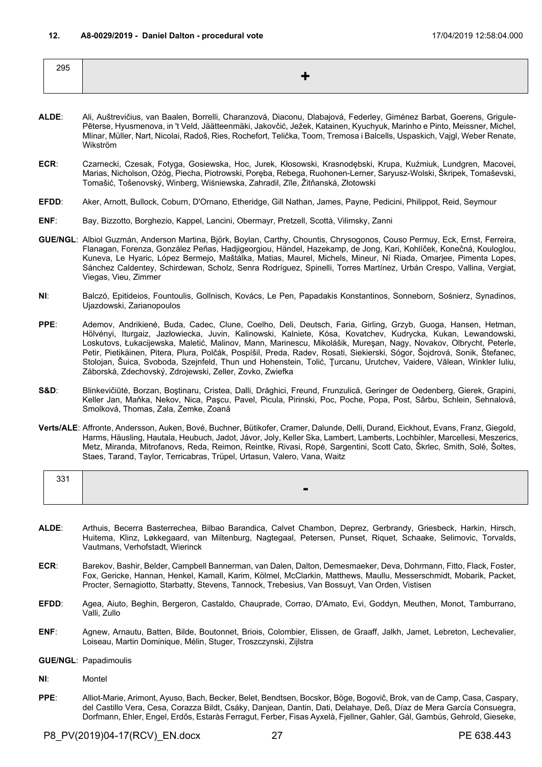<span id="page-26-0"></span>

| 295 |  |
|-----|--|
|     |  |
|     |  |

- **ALDE**: Ali, Auštrevičius, van Baalen, Borrelli, Charanzová, Diaconu, Dlabajová, Federley, Giménez Barbat, Goerens, Grigule-Pēterse, Hyusmenova, in 't Veld, Jäätteenmäki, Jakovčić, Ježek, Katainen, Kyuchyuk, Marinho e Pinto, Meissner, Michel, Mlinar, Müller, Nart, Nicolai, Radoš, Ries, Rochefort, Telička, Toom, Tremosa i Balcells, Uspaskich, Vajgl, Weber Renate, Wikström
- **ECR**: Czarnecki, Czesak, Fotyga, Gosiewska, Hoc, Jurek, Kłosowski, Krasnodębski, Krupa, Kuźmiuk, Lundgren, Macovei, Marias, Nicholson, Ożóg, Piecha, Piotrowski, Poręba, Rebega, Ruohonen-Lerner, Saryusz-Wolski, Škripek, Tomaševski, Tomašić, Tošenovský, Winberg, Wiśniewska, Zahradil, Zīle, Žitňanská, Złotowski
- **EFDD**: Aker, Arnott, Bullock, Coburn, D'Ornano, Etheridge, Gill Nathan, James, Payne, Pedicini, Philippot, Reid, Seymour
- **ENF**: Bay, Bizzotto, Borghezio, Kappel, Lancini, Obermayr, Pretzell, Scottà, Vilimsky, Zanni
- **GUE/NGL**: Albiol Guzmán, Anderson Martina, Björk, Boylan, Carthy, Chountis, Chrysogonos, Couso Permuy, Eck, Ernst, Ferreira, Flanagan, Forenza, González Peñas, Hadjigeorgiou, Händel, Hazekamp, de Jong, Kari, Kohlíček, Konečná, Kouloglou, Kuneva, Le Hyaric, López Bermejo, Maštálka, Matias, Maurel, Michels, Mineur, Ní Riada, Omarjee, Pimenta Lopes, Sánchez Caldentey, Schirdewan, Scholz, Senra Rodríguez, Spinelli, Torres Martínez, Urbán Crespo, Vallina, Vergiat, Viegas, Vieu, Zimmer
- **NI**: Balczó, Epitideios, Fountoulis, Gollnisch, Kovács, Le Pen, Papadakis Konstantinos, Sonneborn, Sośnierz, Synadinos, Ujazdowski, Zarianopoulos
- **PPE**: Ademov, Andrikienė, Buda, Cadec, Clune, Coelho, Deli, Deutsch, Faria, Girling, Grzyb, Guoga, Hansen, Hetman, Hölvényi, Iturgaiz, Jazłowiecka, Juvin, Kalinowski, Kalniete, Kósa, Kovatchev, Kudrycka, Kukan, Lewandowski, Loskutovs, Łukacijewska, Maletić, Malinov, Mann, Marinescu, Mikolášik, Mureşan, Nagy, Novakov, Olbrycht, Peterle, Petir, Pietikäinen, Pitera, Plura, Polčák, Pospíšil, Preda, Radev, Rosati, Siekierski, Sógor, Šojdrová, Sonik, Štefanec, Stolojan, Šuica, Svoboda, Szejnfeld, Thun und Hohenstein, Tolić, Ţurcanu, Urutchev, Vaidere, Vălean, Winkler Iuliu, Záborská, Zdechovský, Zdrojewski, Zeller, Zovko, Zwiefka
- **S&D**: Blinkevičiūtė, Borzan, Boştinaru, Cristea, Dalli, Drăghici, Freund, Frunzulică, Geringer de Oedenberg, Gierek, Grapini, Keller Jan, Maňka, Nekov, Nica, Paşcu, Pavel, Picula, Pirinski, Poc, Poche, Popa, Post, Sârbu, Schlein, Sehnalová, Smolková, Thomas, Zala, Zemke, Zoană
- **Verts/ALE**: Affronte, Andersson, Auken, Bové, Buchner, Bütikofer, Cramer, Dalunde, Delli, Durand, Eickhout, Evans, Franz, Giegold, Harms, Häusling, Hautala, Heubuch, Jadot, Jávor, Joly, Keller Ska, Lambert, Lamberts, Lochbihler, Marcellesi, Meszerics, Metz, Miranda, Mitrofanovs, Reda, Reimon, Reintke, Rivasi, Ropė, Sargentini, Scott Cato, Škrlec, Smith, Solé, Šoltes, Staes, Tarand, Taylor, Terricabras, Trüpel, Urtasun, Valero, Vana, Waitz

| 331 |                |
|-----|----------------|
|     | $\blacksquare$ |

- **ALDE**: Arthuis, Becerra Basterrechea, Bilbao Barandica, Calvet Chambon, Deprez, Gerbrandy, Griesbeck, Harkin, Hirsch, Huitema, Klinz, Løkkegaard, van Miltenburg, Nagtegaal, Petersen, Punset, Riquet, Schaake, Selimovic, Torvalds, Vautmans, Verhofstadt, Wierinck
- **ECR**: Barekov, Bashir, Belder, Campbell Bannerman, van Dalen, Dalton, Demesmaeker, Deva, Dohrmann, Fitto, Flack, Foster, Fox, Gericke, Hannan, Henkel, Kamall, Karim, Kölmel, McClarkin, Matthews, Maullu, Messerschmidt, Mobarik, Packet, Procter, Sernagiotto, Starbatty, Stevens, Tannock, Trebesius, Van Bossuyt, Van Orden, Vistisen
- **EFDD**: Agea, Aiuto, Beghin, Bergeron, Castaldo, Chauprade, Corrao, D'Amato, Evi, Goddyn, Meuthen, Monot, Tamburrano, Valli, Zullo
- **ENF**: Agnew, Arnautu, Batten, Bilde, Boutonnet, Briois, Colombier, Elissen, de Graaff, Jalkh, Jamet, Lebreton, Lechevalier, Loiseau, Martin Dominique, Mélin, Stuger, Troszczynski, Zijlstra
- **GUE/NGL**: Papadimoulis
- **NI**: Montel
- **PPE**: Alliot-Marie, Arimont, Ayuso, Bach, Becker, Belet, Bendtsen, Bocskor, Böge, Bogovič, Brok, van de Camp, Casa, Caspary, del Castillo Vera, Cesa, Corazza Bildt, Csáky, Danjean, Dantin, Dati, Delahaye, Deß, Díaz de Mera García Consuegra, Dorfmann, Ehler, Engel, Erdős, Estaràs Ferragut, Ferber, Fisas Ayxelà, Fjellner, Gahler, Gál, Gambús, Gehrold, Gieseke,

P8\_PV(2019)04-17(RCV)\_EN.docx 27 27 PE 638.443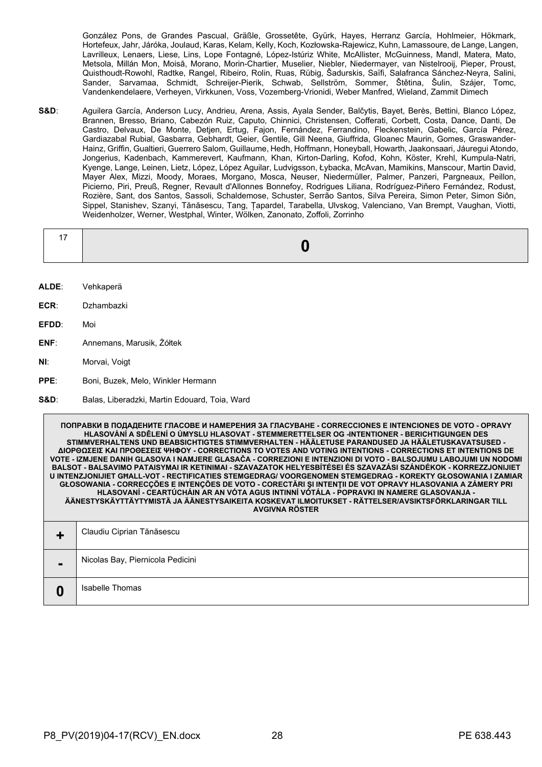González Pons, de Grandes Pascual, Gräßle, Grossetête, Gyürk, Hayes, Herranz García, Hohlmeier, Hökmark, Hortefeux, Jahr, Járóka, Joulaud, Karas, Kelam, Kelly, Koch, Kozłowska-Rajewicz, Kuhn, Lamassoure, de Lange, Langen, Lavrilleux, Lenaers, Liese, Lins, Lope Fontagné, López-Istúriz White, McAllister, McGuinness, Mandl, Matera, Mato, Metsola, Millán Mon, Moisă, Morano, Morin-Chartier, Muselier, Niebler, Niedermayer, van Nistelrooij, Pieper, Proust, Quisthoudt-Rowohl, Radtke, Rangel, Ribeiro, Rolin, Ruas, Rübig, Šadurskis, Saïfi, Salafranca Sánchez-Neyra, Salini, Sander, Sarvamaa, Schmidt, Schreijer-Pierik, Schwab, Sellström, Sommer, Štětina, Šulin, Szájer, Tomc, Vandenkendelaere, Verheyen, Virkkunen, Voss, Vozemberg-Vrionidi, Weber Manfred, Wieland, Zammit Dimech

**S&D**: Aguilera García, Anderson Lucy, Andrieu, Arena, Assis, Ayala Sender, Balčytis, Bayet, Berès, Bettini, Blanco López, Brannen, Bresso, Briano, Cabezón Ruiz, Caputo, Chinnici, Christensen, Cofferati, Corbett, Costa, Dance, Danti, De Castro, Delvaux, De Monte, Detjen, Ertug, Fajon, Fernández, Ferrandino, Fleckenstein, Gabelic, García Pérez, Gardiazabal Rubial, Gasbarra, Gebhardt, Geier, Gentile, Gill Neena, Giuffrida, Gloanec Maurin, Gomes, Graswander-Hainz, Griffin, Gualtieri, Guerrero Salom, Guillaume, Hedh, Hoffmann, Honeyball, Howarth, Jaakonsaari, Jáuregui Atondo, Jongerius, Kadenbach, Kammerevert, Kaufmann, Khan, Kirton-Darling, Kofod, Kohn, Köster, Krehl, Kumpula-Natri, Kyenge, Lange, Leinen, Lietz, López, López Aguilar, Ludvigsson, Łybacka, McAvan, Mamikins, Manscour, Martin David, Mayer Alex, Mizzi, Moody, Moraes, Morgano, Mosca, Neuser, Niedermüller, Palmer, Panzeri, Pargneaux, Peillon, Picierno, Piri, Preuß, Regner, Revault d'Allonnes Bonnefoy, Rodrigues Liliana, Rodríguez-Piñero Fernández, Rodust, Rozière, Sant, dos Santos, Sassoli, Schaldemose, Schuster, Serrão Santos, Silva Pereira, Simon Peter, Simon Siôn, Sippel, Stanishev, Szanyi, Tănăsescu, Tang, Țapardel, Tarabella, Ulvskog, Valenciano, Van Brempt, Vaughan, Viotti, Weidenholzer, Werner, Westphal, Winter, Wölken, Zanonato, Zoffoli, Zorrinho

- **ALDE**: Vehkaperä
- **ECR**: Dzhambazki
- **EFDD**: Moi
- **ENF**: Annemans, Marusik, Żółtek
- **NI**: Morvai, Voigt
- **PPE**: Boni, Buzek, Melo, Winkler Hermann
- **S&D**: Balas, Liberadzki, Martin Edouard, Toia, Ward

**ПОПРАВКИ В ПОДАДЕНИТЕ ГЛАСОВЕ И НАМЕРЕНИЯ ЗА ГЛАСУВАНЕ - CORRECCIONES E INTENCIONES DE VOTO - OPRAVY HLASOVÁNÍ A SDĚLENÍ O ÚMYSLU HLASOVAT - STEMMERETTELSER OG -INTENTIONER - BERICHTIGUNGEN DES STIMMVERHALTENS UND BEABSICHTIGTES STIMMVERHALTEN - HÄÄLETUSE PARANDUSED JA HÄÄLETUSKAVATSUSED - ΔΙΟΡΘΩΣΕΙΣ ΚΑΙ ΠΡΟΘΕΣΕΙΣ ΨΗΦΟΥ - CORRECTIONS TO VOTES AND VOTING INTENTIONS - CORRECTIONS ET INTENTIONS DE VOTE - IZMJENE DANIH GLASOVA I NAMJERE GLASAČA - CORREZIONI E INTENZIONI DI VOTO - BALSOJUMU LABOJUMI UN NODOMI BALSOT - BALSAVIMO PATAISYMAI IR KETINIMAI - SZAVAZATOK HELYESBÍTÉSEI ÉS SZAVAZÁSI SZÁNDÉKOK - KORREZZJONIJIET U INTENZJONIJIET GĦALL-VOT - RECTIFICATIES STEMGEDRAG/ VOORGENOMEN STEMGEDRAG - KOREKTY GŁOSOWANIA I ZAMIAR GŁOSOWANIA - CORRECÇÕES E INTENÇÕES DE VOTO - CORECTĂRI ŞI INTENŢII DE VOT OPRAVY HLASOVANIA A ZÁMERY PRI HLASOVANÍ - CEARTÚCHÁIN AR AN VÓTA AGUS INTINNÍ VÓTÁLA - POPRAVKI IN NAMERE GLASOVANJA - ÄÄNESTYSKÄYTTÄYTYMISTÄ JA ÄÄNESTYSAIKEITA KOSKEVAT ILMOITUKSET - RÄTTELSER/AVSIKTSFÖRKLARINGAR TILL AVGIVNA RÖSTER**

|                | Claudiu Ciprian Tănăsescu        |
|----------------|----------------------------------|
| $\blacksquare$ | Nicolas Bay, Piernicola Pedicini |
| O              | Isabelle Thomas                  |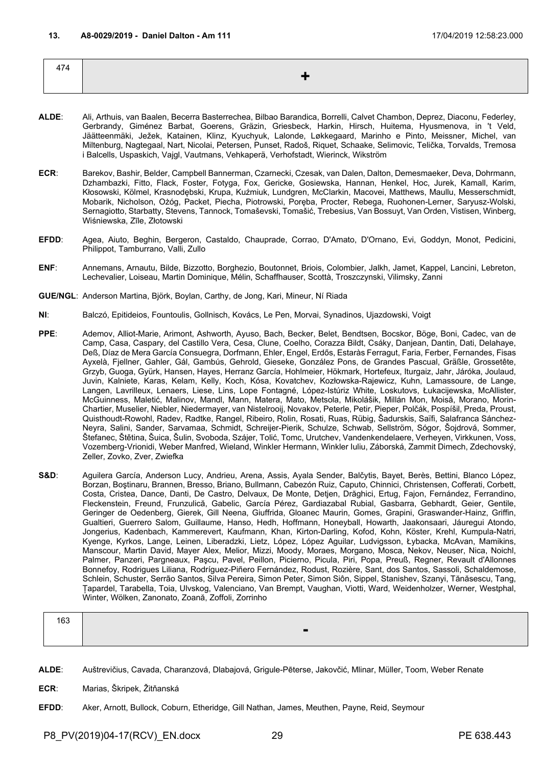<span id="page-28-0"></span>

| 474 |  |
|-----|--|
|     |  |
|     |  |

- **ALDE**: Ali, Arthuis, van Baalen, Becerra Basterrechea, Bilbao Barandica, Borrelli, Calvet Chambon, Deprez, Diaconu, Federley, Gerbrandy, Giménez Barbat, Goerens, Gräzin, Griesbeck, Harkin, Hirsch, Huitema, Hyusmenova, in 't Veld, Jäätteenmäki, Ježek, Katainen, Klinz, Kyuchyuk, Lalonde, Løkkegaard, Marinho e Pinto, Meissner, Michel, van Miltenburg, Nagtegaal, Nart, Nicolai, Petersen, Punset, Radoš, Riquet, Schaake, Selimovic, Telička, Torvalds, Tremosa i Balcells, Uspaskich, Vajgl, Vautmans, Vehkaperä, Verhofstadt, Wierinck, Wikström
- **ECR**: Barekov, Bashir, Belder, Campbell Bannerman, Czarnecki, Czesak, van Dalen, Dalton, Demesmaeker, Deva, Dohrmann, Dzhambazki, Fitto, Flack, Foster, Fotyga, Fox, Gericke, Gosiewska, Hannan, Henkel, Hoc, Jurek, Kamall, Karim, Kłosowski, Kölmel, Krasnodębski, Krupa, Kuźmiuk, Lundgren, McClarkin, Macovei, Matthews, Maullu, Messerschmidt, Mobarik, Nicholson, Ożóg, Packet, Piecha, Piotrowski, Poręba, Procter, Rebega, Ruohonen-Lerner, Saryusz-Wolski, Sernagiotto, Starbatty, Stevens, Tannock, Tomaševski, Tomašić, Trebesius, Van Bossuyt, Van Orden, Vistisen, Winberg, Wiśniewska, Zīle, Złotowski
- **EFDD**: Agea, Aiuto, Beghin, Bergeron, Castaldo, Chauprade, Corrao, D'Amato, D'Ornano, Evi, Goddyn, Monot, Pedicini, Philippot, Tamburrano, Valli, Zullo
- **ENF**: Annemans, Arnautu, Bilde, Bizzotto, Borghezio, Boutonnet, Briois, Colombier, Jalkh, Jamet, Kappel, Lancini, Lebreton, Lechevalier, Loiseau, Martin Dominique, Mélin, Schaffhauser, Scottà, Troszczynski, Vilimsky, Zanni
- **GUE/NGL**: Anderson Martina, Björk, Boylan, Carthy, de Jong, Kari, Mineur, Ní Riada
- **NI**: Balczó, Epitideios, Fountoulis, Gollnisch, Kovács, Le Pen, Morvai, Synadinos, Ujazdowski, Voigt
- **PPE**: Ademov, Alliot-Marie, Arimont, Ashworth, Ayuso, Bach, Becker, Belet, Bendtsen, Bocskor, Böge, Boni, Cadec, van de Camp, Casa, Caspary, del Castillo Vera, Cesa, Clune, Coelho, Corazza Bildt, Csáky, Danjean, Dantin, Dati, Delahaye, Deß, Díaz de Mera García Consuegra, Dorfmann, Ehler, Engel, Erdős, Estaràs Ferragut, Faria, Ferber, Fernandes, Fisas Ayxelà, Fjellner, Gahler, Gál, Gambús, Gehrold, Gieseke, González Pons, de Grandes Pascual, Gräßle, Grossetête, Grzyb, Guoga, Gyürk, Hansen, Hayes, Herranz García, Hohlmeier, Hökmark, Hortefeux, Iturgaiz, Jahr, Járóka, Joulaud, Juvin, Kalniete, Karas, Kelam, Kelly, Koch, Kósa, Kovatchev, Kozłowska-Rajewicz, Kuhn, Lamassoure, de Lange, Langen, Lavrilleux, Lenaers, Liese, Lins, Lope Fontagné, López-Istúriz White, Loskutovs, Łukacijewska, McAllister, McGuinness, Maletić, Malinov, Mandl, Mann, Matera, Mato, Metsola, Mikolášik, Millán Mon, Moisă, Morano, Morin-Chartier, Muselier, Niebler, Niedermayer, van Nistelrooij, Novakov, Peterle, Petir, Pieper, Polčák, Pospíšil, Preda, Proust, Quisthoudt-Rowohl, Radev, Radtke, Rangel, Ribeiro, Rolin, Rosati, Ruas, Rübig, Šadurskis, Saïfi, Salafranca Sánchez-Neyra, Salini, Sander, Sarvamaa, Schmidt, Schreijer-Pierik, Schulze, Schwab, Sellström, Sógor, Šojdrová, Sommer, Štefanec, Štětina, Šuica, Šulin, Svoboda, Szájer, Tolić, Tomc, Urutchev, Vandenkendelaere, Verheyen, Virkkunen, Voss, Vozemberg-Vrionidi, Weber Manfred, Wieland, Winkler Hermann, Winkler Iuliu, Záborská, Zammit Dimech, Zdechovský, Zeller, Zovko, Zver, Zwiefka
- **S&D**: Aguilera García, Anderson Lucy, Andrieu, Arena, Assis, Ayala Sender, Balčytis, Bayet, Berès, Bettini, Blanco López, Borzan, Boştinaru, Brannen, Bresso, Briano, Bullmann, Cabezón Ruiz, Caputo, Chinnici, Christensen, Cofferati, Corbett, Costa, Cristea, Dance, Danti, De Castro, Delvaux, De Monte, Detjen, Drăghici, Ertug, Fajon, Fernández, Ferrandino, Fleckenstein, Freund, Frunzulică, Gabelic, García Pérez, Gardiazabal Rubial, Gasbarra, Gebhardt, Geier, Gentile, Geringer de Oedenberg, Gierek, Gill Neena, Giuffrida, Gloanec Maurin, Gomes, Grapini, Graswander-Hainz, Griffin, Gualtieri, Guerrero Salom, Guillaume, Hanso, Hedh, Hoffmann, Honeyball, Howarth, Jaakonsaari, Jáuregui Atondo, Jongerius, Kadenbach, Kammerevert, Kaufmann, Khan, Kirton-Darling, Kofod, Kohn, Köster, Krehl, Kumpula-Natri, Kyenge, Kyrkos, Lange, Leinen, Liberadzki, Lietz, López, López Aguilar, Ludvigsson, Łybacka, McAvan, Mamikins, Manscour, Martin David, Mayer Alex, Melior, Mizzi, Moody, Moraes, Morgano, Mosca, Nekov, Neuser, Nica, Noichl, Palmer, Panzeri, Pargneaux, Paşcu, Pavel, Peillon, Picierno, Picula, Piri, Popa, Preuß, Regner, Revault d'Allonnes Bonnefoy, Rodrigues Liliana, Rodríguez-Piñero Fernández, Rodust, Rozière, Sant, dos Santos, Sassoli, Schaldemose, Schlein, Schuster, Serrão Santos, Silva Pereira, Simon Peter, Simon Siôn, Sippel, Stanishev, Szanyi, Tănăsescu, Tang, Țapardel, Tarabella, Toia, Ulvskog, Valenciano, Van Brempt, Vaughan, Viotti, Ward, Weidenholzer, Werner, Westphal, Winter, Wölken, Zanonato, Zoană, Zoffoli, Zorrinho

| ט ו |   |
|-----|---|
|     | ш |
|     |   |

- **ALDE**: Auštrevičius, Cavada, Charanzová, Dlabajová, Grigule-Pēterse, Jakovčić, Mlinar, Müller, Toom, Weber Renate
- **ECR**: Marias, Škripek, Žitňanská
- **EFDD**: Aker, Arnott, Bullock, Coburn, Etheridge, Gill Nathan, James, Meuthen, Payne, Reid, Seymour

P8\_PV(2019)04-17(RCV)\_EN.docx 29 29 PE 638.443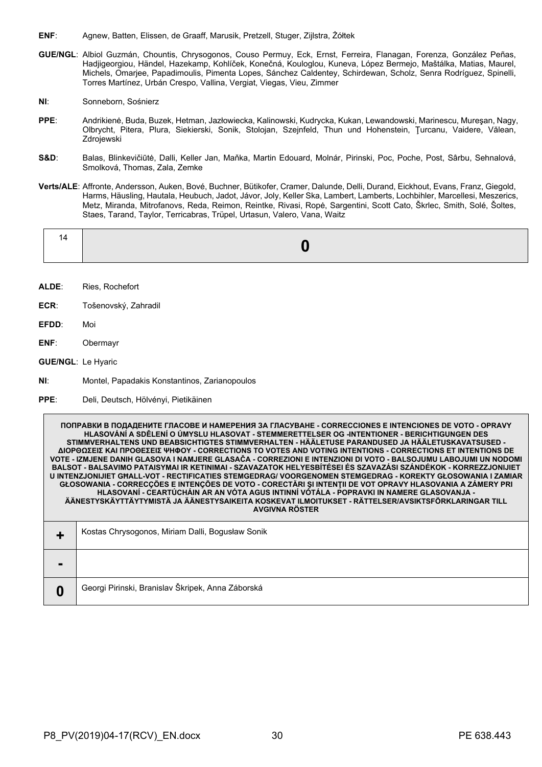- **ENF**: Agnew, Batten, Elissen, de Graaff, Marusik, Pretzell, Stuger, Zijlstra, Żółtek
- **GUE/NGL**: Albiol Guzmán, Chountis, Chrysogonos, Couso Permuy, Eck, Ernst, Ferreira, Flanagan, Forenza, González Peñas, Hadjigeorgiou, Händel, Hazekamp, Kohlíček, Konečná, Kouloglou, Kuneva, López Bermejo, Maštálka, Matias, Maurel, Michels, Omarjee, Papadimoulis, Pimenta Lopes, Sánchez Caldentey, Schirdewan, Scholz, Senra Rodríguez, Spinelli, Torres Martínez, Urbán Crespo, Vallina, Vergiat, Viegas, Vieu, Zimmer
- **NI**: Sonneborn, Sośnierz
- **PPE**: Andrikienė, Buda, Buzek, Hetman, Jazłowiecka, Kalinowski, Kudrycka, Kukan, Lewandowski, Marinescu, Mureşan, Nagy, Olbrycht, Pitera, Plura, Siekierski, Sonik, Stolojan, Szejnfeld, Thun und Hohenstein, Ţurcanu, Vaidere, Vălean, Zdrojewski
- **S&D**: Balas, Blinkevičiūtė, Dalli, Keller Jan, Maňka, Martin Edouard, Molnár, Pirinski, Poc, Poche, Post, Sârbu, Sehnalová, Smolková, Thomas, Zala, Zemke
- **Verts/ALE**: Affronte, Andersson, Auken, Bové, Buchner, Bütikofer, Cramer, Dalunde, Delli, Durand, Eickhout, Evans, Franz, Giegold, Harms, Häusling, Hautala, Heubuch, Jadot, Jávor, Joly, Keller Ska, Lambert, Lamberts, Lochbihler, Marcellesi, Meszerics, Metz, Miranda, Mitrofanovs, Reda, Reimon, Reintke, Rivasi, Ropė, Sargentini, Scott Cato, Škrlec, Smith, Solé, Šoltes, Staes, Tarand, Taylor, Terricabras, Trüpel, Urtasun, Valero, Vana, Waitz

|--|--|

- **ALDE**: Ries, Rochefort
- **ECR**: Tošenovský, Zahradil
- **EFDD**: Moi
- **ENF**: Obermayr
- **GUE/NGL**: Le Hyaric
- **NI**: Montel, Papadakis Konstantinos, Zarianopoulos
- **PPE**: Deli, Deutsch, Hölvényi, Pietikäinen

**ПОПРАВКИ В ПОДАДЕНИТЕ ГЛАСОВЕ И НАМЕРЕНИЯ ЗА ГЛАСУВАНЕ - CORRECCIONES E INTENCIONES DE VOTO - OPRAVY HLASOVÁNÍ A SDĚLENÍ O ÚMYSLU HLASOVAT - STEMMERETTELSER OG -INTENTIONER - BERICHTIGUNGEN DES STIMMVERHALTENS UND BEABSICHTIGTES STIMMVERHALTEN - HÄÄLETUSE PARANDUSED JA HÄÄLETUSKAVATSUSED - ΔΙΟΡΘΩΣΕΙΣ ΚΑΙ ΠΡΟΘΕΣΕΙΣ ΨΗΦΟΥ - CORRECTIONS TO VOTES AND VOTING INTENTIONS - CORRECTIONS ET INTENTIONS DE VOTE - IZMJENE DANIH GLASOVA I NAMJERE GLASAČA - CORREZIONI E INTENZIONI DI VOTO - BALSOJUMU LABOJUMI UN NODOMI BALSOT - BALSAVIMO PATAISYMAI IR KETINIMAI - SZAVAZATOK HELYESBÍTÉSEI ÉS SZAVAZÁSI SZÁNDÉKOK - KORREZZJONIJIET U INTENZJONIJIET GĦALL-VOT - RECTIFICATIES STEMGEDRAG/ VOORGENOMEN STEMGEDRAG - KOREKTY GŁOSOWANIA I ZAMIAR GŁOSOWANIA - CORRECÇÕES E INTENÇÕES DE VOTO - CORECTĂRI ŞI INTENŢII DE VOT OPRAVY HLASOVANIA A ZÁMERY PRI HLASOVANÍ - CEARTÚCHÁIN AR AN VÓTA AGUS INTINNÍ VÓTÁLA - POPRAVKI IN NAMERE GLASOVANJA - ÄÄNESTYSKÄYTTÄYTYMISTÄ JA ÄÄNESTYSAIKEITA KOSKEVAT ILMOITUKSET - RÄTTELSER/AVSIKTSFÖRKLARINGAR TILL AVGIVNA RÖSTER**

|                | Kostas Chrysogonos, Miriam Dalli, Bogusław Sonik  |
|----------------|---------------------------------------------------|
| $\blacksquare$ |                                                   |
|                | Georgi Pirinski, Branislav Škripek, Anna Záborská |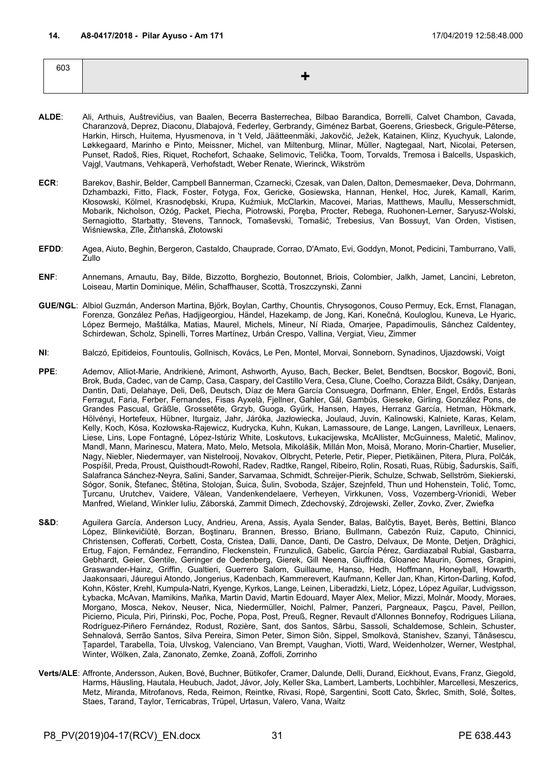<span id="page-30-0"></span>

| 603 |  |
|-----|--|
|     |  |
|     |  |

- **ALDE**: Ali, Arthuis, Auštrevičius, van Baalen, Becerra Basterrechea, Bilbao Barandica, Borrelli, Calvet Chambon, Cavada, Charanzová, Deprez, Diaconu, Dlabajová, Federley, Gerbrandy, Giménez Barbat, Goerens, Griesbeck, Grigule-Pēterse, Harkin, Hirsch, Huitema, Hyusmenova, in 't Veld, Jäätteenmäki, Jakovčić, Ježek, Katainen, Klinz, Kyuchyuk, Lalonde, Løkkegaard, Marinho e Pinto, Meissner, Michel, van Miltenburg, Mlinar, Müller, Nagtegaal, Nart, Nicolai, Petersen, Punset, Radoš, Ries, Riquet, Rochefort, Schaake, Selimovic, Telička, Toom, Torvalds, Tremosa i Balcells, Uspaskich, Vajgl, Vautmans, Vehkaperä, Verhofstadt, Weber Renate, Wierinck, Wikström
- **ECR**: Barekov, Bashir, Belder, Campbell Bannerman, Czarnecki, Czesak, van Dalen, Dalton, Demesmaeker, Deva, Dohrmann, Dzhambazki, Fitto, Flack, Foster, Fotyga, Fox, Gericke, Gosiewska, Hannan, Henkel, Hoc, Jurek, Kamall, Karim, Kłosowski, Kölmel, Krasnodębski, Krupa, Kuźmiuk, McClarkin, Macovei, Marias, Matthews, Maullu, Messerschmidt, Mobarik, Nicholson, Ożóg, Packet, Piecha, Piotrowski, Poręba, Procter, Rebega, Ruohonen-Lerner, Saryusz-Wolski, Sernagiotto, Starbatty, Stevens, Tannock, Tomaševski, Tomašić, Trebesius, Van Bossuyt, Van Orden, Vistisen, Wiśniewska, Zīle, Žitňanská, Złotowski
- **EFDD**: Agea, Aiuto, Beghin, Bergeron, Castaldo, Chauprade, Corrao, D'Amato, Evi, Goddyn, Monot, Pedicini, Tamburrano, Valli, Zullo
- **ENF**: Annemans, Arnautu, Bay, Bilde, Bizzotto, Borghezio, Boutonnet, Briois, Colombier, Jalkh, Jamet, Lancini, Lebreton, Loiseau, Martin Dominique, Mélin, Schaffhauser, Scottà, Troszczynski, Zanni
- **GUE/NGL**: Albiol Guzmán, Anderson Martina, Björk, Boylan, Carthy, Chountis, Chrysogonos, Couso Permuy, Eck, Ernst, Flanagan, Forenza, González Peñas, Hadjigeorgiou, Händel, Hazekamp, de Jong, Kari, Konečná, Kouloglou, Kuneva, Le Hyaric, López Bermejo, Maštálka, Matias, Maurel, Michels, Mineur, Ní Riada, Omarjee, Papadimoulis, Sánchez Caldentey, Schirdewan, Scholz, Spinelli, Torres Martínez, Urbán Crespo, Vallina, Vergiat, Vieu, Zimmer
- **NI**: Balczó, Epitideios, Fountoulis, Gollnisch, Kovács, Le Pen, Montel, Morvai, Sonneborn, Synadinos, Ujazdowski, Voigt
- **PPE**: Ademov, Alliot-Marie, Andrikienė, Arimont, Ashworth, Ayuso, Bach, Becker, Belet, Bendtsen, Bocskor, Bogovič, Boni, Brok, Buda, Cadec, van de Camp, Casa, Caspary, del Castillo Vera, Cesa, Clune, Coelho, Corazza Bildt, Csáky, Danjean, Dantin, Dati, Delahaye, Deli, Deß, Deutsch, Díaz de Mera García Consuegra, Dorfmann, Ehler, Engel, Erdős, Estaràs Ferragut, Faria, Ferber, Fernandes, Fisas Ayxelà, Fjellner, Gahler, Gál, Gambús, Gieseke, Girling, González Pons, de Grandes Pascual, Gräßle, Grossetête, Grzyb, Guoga, Gyürk, Hansen, Hayes, Herranz García, Hetman, Hökmark, Hölvényi, Hortefeux, Hübner, Iturgaiz, Jahr, Járóka, Jazłowiecka, Joulaud, Juvin, Kalinowski, Kalniete, Karas, Kelam, Kelly, Koch, Kósa, Kozłowska-Rajewicz, Kudrycka, Kuhn, Kukan, Lamassoure, de Lange, Langen, Lavrilleux, Lenaers, Liese, Lins, Lope Fontagné, López-Istúriz White, Loskutovs, Łukacijewska, McAllister, McGuinness, Maletić, Malinov, Mandl, Mann, Marinescu, Matera, Mato, Melo, Metsola, Mikolášik, Millán Mon, Moisă, Morano, Morin-Chartier, Muselier, Nagy, Niebler, Niedermayer, van Nistelrooij, Novakov, Olbrycht, Peterle, Petir, Pieper, Pietikäinen, Pitera, Plura, Polčák, Pospíšil, Preda, Proust, Quisthoudt-Rowohl, Radev, Radtke, Rangel, Ribeiro, Rolin, Rosati, Ruas, Rübig, Šadurskis, Saïfi, Salafranca Sánchez-Neyra, Salini, Sander, Sarvamaa, Schmidt, Schreijer-Pierik, Schulze, Schwab, Sellström, Siekierski, Sógor, Sonik, Štefanec, Štětina, Stolojan, Šuica, Šulin, Svoboda, Szájer, Szejnfeld, Thun und Hohenstein, Tolić, Tomc, Ţurcanu, Urutchev, Vaidere, Vălean, Vandenkendelaere, Verheyen, Virkkunen, Voss, Vozemberg-Vrionidi, Weber Manfred, Wieland, Winkler Iuliu, Záborská, Zammit Dimech, Zdechovský, Zdrojewski, Zeller, Zovko, Zver, Zwiefka
- S&D: Aguilera García, Anderson Lucy, Andrieu, Arena, Assis, Ayala Sender, Balas, Balčytis, Bayet, Berès, Bettini, Blanco López, Blinkevičiūtė, Borzan, Boştinaru, Brannen, Bresso, Briano, Bullmann, Cabezón Ruiz, Caputo, Chinnici, Christensen, Cofferati, Corbett, Costa, Cristea, Dalli, Dance, Danti, De Castro, Delvaux, De Monte, Detjen, Drăghici, Ertug, Fajon, Fernández, Ferrandino, Fleckenstein, Frunzulică, Gabelic, García Pérez, Gardiazabal Rubial, Gasbarra, Gebhardt, Geier, Gentile, Geringer de Oedenberg, Gierek, Gill Neena, Giuffrida, Gloanec Maurin, Gomes, Grapini, Graswander-Hainz, Griffin, Gualtieri, Guerrero Salom, Guillaume, Hanso, Hedh, Hoffmann, Honeyball, Howarth, Jaakonsaari, Jáuregui Atondo, Jongerius, Kadenbach, Kammerevert, Kaufmann, Keller Jan, Khan, Kirton-Darling, Kofod, Kohn, Köster, Krehl, Kumpula-Natri, Kyenge, Kyrkos, Lange, Leinen, Liberadzki, Lietz, López, López Aguilar, Ludvigsson, Łybacka, McAvan, Mamikins, Maňka, Martin David, Martin Edouard, Mayer Alex, Melior, Mizzi, Molnár, Moody, Moraes, Morgano, Mosca, Nekov, Neuser, Nica, Niedermüller, Noichl, Palmer, Panzeri, Pargneaux, Paşcu, Pavel, Peillon, Picierno, Picula, Piri, Pirinski, Poc, Poche, Popa, Post, Preuß, Regner, Revault d'Allonnes Bonnefoy, Rodrigues Liliana, Rodríguez-Piñero Fernández, Rodust, Rozière, Sant, dos Santos, Sârbu, Sassoli, Schaldemose, Schlein, Schuster, Sehnalová, Serrão Santos, Silva Pereira, Simon Peter, Simon Siôn, Sippel, Smolková, Stanishev, Szanyi, Tănăsescu, Țapardel, Tarabella, Toia, Ulvskog, Valenciano, Van Brempt, Vaughan, Viotti, Ward, Weidenholzer, Werner, Westphal, Winter, Wölken, Zala, Zanonato, Zemke, Zoană, Zoffoli, Zorrinho
- **Verts/ALE**: Affronte, Andersson, Auken, Bové, Buchner, Bütikofer, Cramer, Dalunde, Delli, Durand, Eickhout, Evans, Franz, Giegold, Harms, Häusling, Hautala, Heubuch, Jadot, Jávor, Joly, Keller Ska, Lambert, Lamberts, Lochbihler, Marcellesi, Meszerics, Metz, Miranda, Mitrofanovs, Reda, Reimon, Reintke, Rivasi, Ropė, Sargentini, Scott Cato, Škrlec, Smith, Solé, Šoltes, Staes, Tarand, Taylor, Terricabras, Trüpel, Urtasun, Valero, Vana, Waitz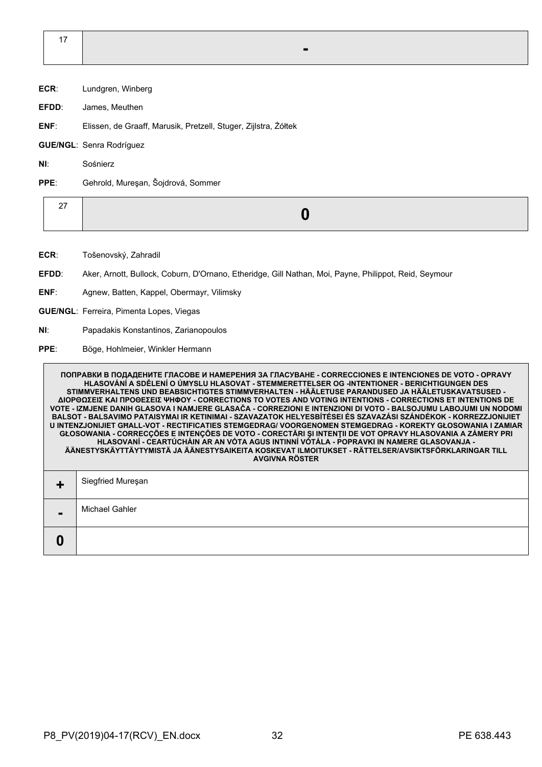17 **-**

- **ECR**: Lundgren, Winberg
- **EFDD**: James, Meuthen
- **ENF**: Elissen, de Graaff, Marusik, Pretzell, Stuger, Zijlstra, Żółtek

**GUE/NGL**: Senra Rodríguez

**NI**: Sośnierz

**PPE**: Gehrold, Mureşan, Šojdrová, Sommer

|--|--|

- **ECR**: Tošenovský, Zahradil
- **EFDD**: Aker, Arnott, Bullock, Coburn, D'Ornano, Etheridge, Gill Nathan, Moi, Payne, Philippot, Reid, Seymour
- **ENF**: Agnew, Batten, Kappel, Obermayr, Vilimsky
- **GUE/NGL**: Ferreira, Pimenta Lopes, Viegas
- **NI**: Papadakis Konstantinos, Zarianopoulos
- **PPE**: Böge, Hohlmeier, Winkler Hermann

**ПОПРАВКИ В ПОДАДЕНИТЕ ГЛАСОВЕ И НАМЕРЕНИЯ ЗА ГЛАСУВАНЕ - CORRECCIONES E INTENCIONES DE VOTO - OPRAVY HLASOVÁNÍ A SDĚLENÍ O ÚMYSLU HLASOVAT - STEMMERETTELSER OG -INTENTIONER - BERICHTIGUNGEN DES STIMMVERHALTENS UND BEABSICHTIGTES STIMMVERHALTEN - HÄÄLETUSE PARANDUSED JA HÄÄLETUSKAVATSUSED - ΔΙΟΡΘΩΣΕΙΣ ΚΑΙ ΠΡΟΘΕΣΕΙΣ ΨΗΦΟΥ - CORRECTIONS TO VOTES AND VOTING INTENTIONS - CORRECTIONS ET INTENTIONS DE VOTE - IZMJENE DANIH GLASOVA I NAMJERE GLASAČA - CORREZIONI E INTENZIONI DI VOTO - BALSOJUMU LABOJUMI UN NODOMI BALSOT - BALSAVIMO PATAISYMAI IR KETINIMAI - SZAVAZATOK HELYESBÍTÉSEI ÉS SZAVAZÁSI SZÁNDÉKOK - KORREZZJONIJIET U INTENZJONIJIET GĦALL-VOT - RECTIFICATIES STEMGEDRAG/ VOORGENOMEN STEMGEDRAG - KOREKTY GŁOSOWANIA I ZAMIAR GŁOSOWANIA - CORRECÇÕES E INTENÇÕES DE VOTO - CORECTĂRI ŞI INTENŢII DE VOT OPRAVY HLASOVANIA A ZÁMERY PRI HLASOVANÍ - CEARTÚCHÁIN AR AN VÓTA AGUS INTINNÍ VÓTÁLA - POPRAVKI IN NAMERE GLASOVANJA - ÄÄNESTYSKÄYTTÄYTYMISTÄ JA ÄÄNESTYSAIKEITA KOSKEVAT ILMOITUKSET - RÄTTELSER/AVSIKTSFÖRKLARINGAR TILL AVGIVNA RÖSTER +** Siegfried Mureşan **-** Michael Gahler **0**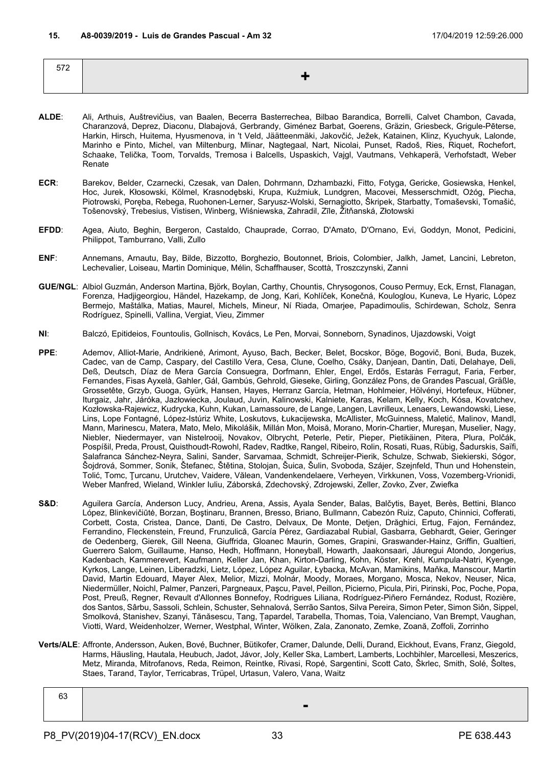<span id="page-32-0"></span>

| 570<br>$\cup$ $\sim$ |  |
|----------------------|--|
|                      |  |

- **ALDE**: Ali, Arthuis, Auštrevičius, van Baalen, Becerra Basterrechea, Bilbao Barandica, Borrelli, Calvet Chambon, Cavada, Charanzová, Deprez, Diaconu, Dlabajová, Gerbrandy, Giménez Barbat, Goerens, Gräzin, Griesbeck, Grigule-Pēterse, Harkin, Hirsch, Huitema, Hyusmenova, in 't Veld, Jäätteenmäki, Jakovčić, Ježek, Katainen, Klinz, Kyuchyuk, Lalonde, Marinho e Pinto, Michel, van Miltenburg, Mlinar, Nagtegaal, Nart, Nicolai, Punset, Radoš, Ries, Riquet, Rochefort, Schaake, Telička, Toom, Torvalds, Tremosa i Balcells, Uspaskich, Vajgl, Vautmans, Vehkaperä, Verhofstadt, Weber Renate
- **ECR**: Barekov, Belder, Czarnecki, Czesak, van Dalen, Dohrmann, Dzhambazki, Fitto, Fotyga, Gericke, Gosiewska, Henkel, Hoc, Jurek, Kłosowski, Kölmel, Krasnodębski, Krupa, Kuźmiuk, Lundgren, Macovei, Messerschmidt, Ożóg, Piecha, Piotrowski, Poręba, Rebega, Ruohonen-Lerner, Saryusz-Wolski, Sernagiotto, Škripek, Starbatty, Tomaševski, Tomašić, Tošenovský, Trebesius, Vistisen, Winberg, Wiśniewska, Zahradil, Zīle, Žitňanská, Złotowski
- **EFDD**: Agea, Aiuto, Beghin, Bergeron, Castaldo, Chauprade, Corrao, D'Amato, D'Ornano, Evi, Goddyn, Monot, Pedicini, Philippot, Tamburrano, Valli, Zullo
- **ENF**: Annemans, Arnautu, Bay, Bilde, Bizzotto, Borghezio, Boutonnet, Briois, Colombier, Jalkh, Jamet, Lancini, Lebreton, Lechevalier, Loiseau, Martin Dominique, Mélin, Schaffhauser, Scottà, Troszczynski, Zanni
- **GUE/NGL**: Albiol Guzmán, Anderson Martina, Björk, Boylan, Carthy, Chountis, Chrysogonos, Couso Permuy, Eck, Ernst, Flanagan, Forenza, Hadjigeorgiou, Händel, Hazekamp, de Jong, Kari, Kohlíček, Konečná, Kouloglou, Kuneva, Le Hyaric, López Bermejo, Maštálka, Matias, Maurel, Michels, Mineur, Ní Riada, Omarjee, Papadimoulis, Schirdewan, Scholz, Senra Rodríguez, Spinelli, Vallina, Vergiat, Vieu, Zimmer
- **NI**: Balczó, Epitideios, Fountoulis, Gollnisch, Kovács, Le Pen, Morvai, Sonneborn, Synadinos, Ujazdowski, Voigt
- **PPE**: Ademov, Alliot-Marie, Andrikienė, Arimont, Ayuso, Bach, Becker, Belet, Bocskor, Böge, Bogovič, Boni, Buda, Buzek, Cadec, van de Camp, Caspary, del Castillo Vera, Cesa, Clune, Coelho, Csáky, Danjean, Dantin, Dati, Delahaye, Deli, Deß, Deutsch, Díaz de Mera García Consuegra, Dorfmann, Ehler, Engel, Erdős, Estaràs Ferragut, Faria, Ferber, Fernandes, Fisas Ayxelà, Gahler, Gál, Gambús, Gehrold, Gieseke, Girling, González Pons, de Grandes Pascual, Gräßle, Grossetête, Grzyb, Guoga, Gyürk, Hansen, Hayes, Herranz García, Hetman, Hohlmeier, Hölvényi, Hortefeux, Hübner, Iturgaiz, Jahr, Járóka, Jazłowiecka, Joulaud, Juvin, Kalinowski, Kalniete, Karas, Kelam, Kelly, Koch, Kósa, Kovatchev, Kozłowska-Rajewicz, Kudrycka, Kuhn, Kukan, Lamassoure, de Lange, Langen, Lavrilleux, Lenaers, Lewandowski, Liese, Lins, Lope Fontagné, López-Istúriz White, Loskutovs, Łukacijewska, McAllister, McGuinness, Maletić, Malinov, Mandl, Mann, Marinescu, Matera, Mato, Melo, Mikolášik, Millán Mon, Moisă, Morano, Morin-Chartier, Mureşan, Muselier, Nagy, Niebler, Niedermayer, van Nistelrooij, Novakov, Olbrycht, Peterle, Petir, Pieper, Pietikäinen, Pitera, Plura, Polčák, Pospíšil, Preda, Proust, Quisthoudt-Rowohl, Radev, Radtke, Rangel, Ribeiro, Rolin, Rosati, Ruas, Rübig, Šadurskis, Saïfi, Salafranca Sánchez-Neyra, Salini, Sander, Sarvamaa, Schmidt, Schreijer-Pierik, Schulze, Schwab, Siekierski, Sógor, Šojdrová, Sommer, Sonik, Štefanec, Štětina, Stolojan, Šuica, Šulin, Svoboda, Szájer, Szejnfeld, Thun und Hohenstein, Tolić, Tomc, Ţurcanu, Urutchev, Vaidere, Vălean, Vandenkendelaere, Verheyen, Virkkunen, Voss, Vozemberg-Vrionidi, Weber Manfred, Wieland, Winkler Iuliu, Záborská, Zdechovský, Zdrojewski, Zeller, Zovko, Zver, Zwiefka
- **S&D**: Aguilera García, Anderson Lucy, Andrieu, Arena, Assis, Ayala Sender, Balas, Balčytis, Bayet, Berès, Bettini, Blanco López, Blinkevičiūtė, Borzan, Boştinaru, Brannen, Bresso, Briano, Bullmann, Cabezón Ruiz, Caputo, Chinnici, Cofferati, Corbett, Costa, Cristea, Dance, Danti, De Castro, Delvaux, De Monte, Detjen, Drăghici, Ertug, Fajon, Fernández, Ferrandino, Fleckenstein, Freund, Frunzulică, García Pérez, Gardiazabal Rubial, Gasbarra, Gebhardt, Geier, Geringer de Oedenberg, Gierek, Gill Neena, Giuffrida, Gloanec Maurin, Gomes, Grapini, Graswander-Hainz, Griffin, Gualtieri, Guerrero Salom, Guillaume, Hanso, Hedh, Hoffmann, Honeyball, Howarth, Jaakonsaari, Jáuregui Atondo, Jongerius, Kadenbach, Kammerevert, Kaufmann, Keller Jan, Khan, Kirton-Darling, Kohn, Köster, Krehl, Kumpula-Natri, Kyenge, Kyrkos, Lange, Leinen, Liberadzki, Lietz, López, López Aguilar, Łybacka, McAvan, Mamikins, Maňka, Manscour, Martin David, Martin Edouard, Mayer Alex, Melior, Mizzi, Molnár, Moody, Moraes, Morgano, Mosca, Nekov, Neuser, Nica, Niedermüller, Noichl, Palmer, Panzeri, Pargneaux, Paşcu, Pavel, Peillon, Picierno, Picula, Piri, Pirinski, Poc, Poche, Popa, Post, Preuß, Regner, Revault d'Allonnes Bonnefoy, Rodrigues Liliana, Rodríguez-Piñero Fernández, Rodust, Rozière, dos Santos, Sârbu, Sassoli, Schlein, Schuster, Sehnalová, Serrão Santos, Silva Pereira, Simon Peter, Simon Siôn, Sippel, Smolková, Stanishev, Szanyi, Tănăsescu, Tang, Țapardel, Tarabella, Thomas, Toia, Valenciano, Van Brempt, Vaughan, Viotti, Ward, Weidenholzer, Werner, Westphal, Winter, Wölken, Zala, Zanonato, Zemke, Zoană, Zoffoli, Zorrinho
- **Verts/ALE**: Affronte, Andersson, Auken, Bové, Buchner, Bütikofer, Cramer, Dalunde, Delli, Durand, Eickhout, Evans, Franz, Giegold, Harms, Häusling, Hautala, Heubuch, Jadot, Jávor, Joly, Keller Ska, Lambert, Lamberts, Lochbihler, Marcellesi, Meszerics, Metz, Miranda, Mitrofanovs, Reda, Reimon, Reintke, Rivasi, Ropė, Sargentini, Scott Cato, Škrlec, Smith, Solé, Šoltes, Staes, Tarand, Taylor, Terricabras, Trüpel, Urtasun, Valero, Vana, Waitz

| ~<br>be |   |
|---------|---|
|         | - |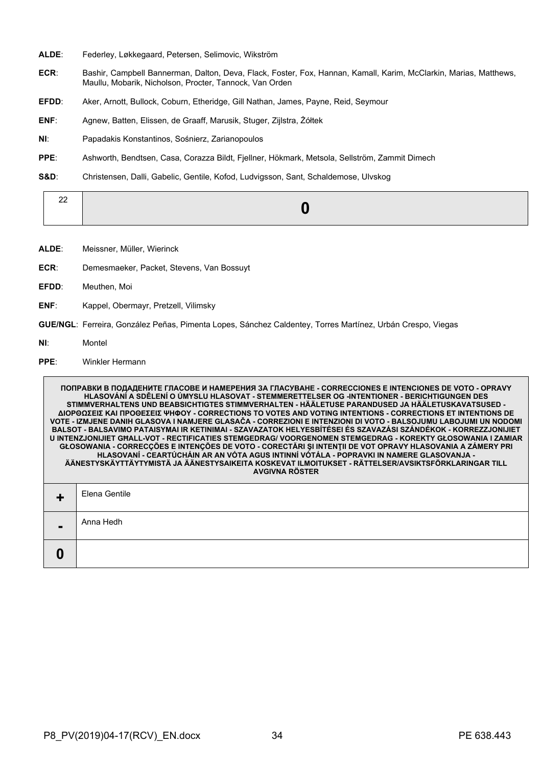- **ALDE**: Federley, Løkkegaard, Petersen, Selimovic, Wikström
- **ECR**: Bashir, Campbell Bannerman, Dalton, Deva, Flack, Foster, Fox, Hannan, Kamall, Karim, McClarkin, Marias, Matthews, Maullu, Mobarik, Nicholson, Procter, Tannock, Van Orden
- **EFDD**: Aker, Arnott, Bullock, Coburn, Etheridge, Gill Nathan, James, Payne, Reid, Seymour
- **ENF**: Agnew, Batten, Elissen, de Graaff, Marusik, Stuger, Zijlstra, Żółtek
- **NI**: Papadakis Konstantinos, Sośnierz, Zarianopoulos
- **PPE**: Ashworth, Bendtsen, Casa, Corazza Bildt, Fjellner, Hökmark, Metsola, Sellström, Zammit Dimech
- **S&D**: Christensen, Dalli, Gabelic, Gentile, Kofod, Ludvigsson, Sant, Schaldemose, Ulvskog

| ∠∠ |
|----|
|----|

- **ALDE**: Meissner, Müller, Wierinck
- **ECR**: Demesmaeker, Packet, Stevens, Van Bossuyt
- **EFDD**: Meuthen, Moi
- **ENF**: Kappel, Obermayr, Pretzell, Vilimsky
- **GUE/NGL**: Ferreira, González Peñas, Pimenta Lopes, Sánchez Caldentey, Torres Martínez, Urbán Crespo, Viegas
- **NI**: Montel
- **PPE**: Winkler Hermann

|   | ПОПРАВКИ В ПОДАДЕНИТЕ ГЛАСОВЕ И НАМЕРЕНИЯ ЗА ГЛАСУВАНЕ - CORRECCIONES E INTENCIONES DE VOTO - OPRAVY<br>HLASOVÁNÍ A SDĚLENÍ O ÚMYSLU HLASOVAT - STEMMERETTELSER OG -INTENTIONER - BERICHTIGUNGEN DES<br>STIMMVERHALTENS UND BEABSICHTIGTES STIMMVERHALTEN - HÄÄLETUSE PARANDUSED JA HÄÄLETUSKAVATSUSED -<br>ΔΙΟΡΘΩΣΕΙΣ ΚΑΙ ΠΡΟΘΕΣΕΙΣ ΨΗΦΟΥ - CORRECTIONS TO VOTES AND VOTING INTENTIONS - CORRECTIONS ET INTENTIONS DE<br>VOTE - IZMJENE DANIH GLASOVA I NAMJERE GLASAČA - CORREZIONI E INTENZIONI DI VOTO - BALSOJUMU LABOJUMI UN NODOMI<br>BALSOT - BALSAVIMO PATAISYMAI IR KETINIMAI - SZAVAZATOK HELYESBÍTÉSEI ÉS SZAVAZÁSI SZÁNDÉKOK - KORREZZJONIJIET<br>U INTENZJONIJIET GHALL-VOT - RECTIFICATIES STEMGEDRAG/ VOORGENOMEN STEMGEDRAG - KOREKTY GŁOSOWANIA I ZAMIAR<br>GŁOSOWANIA - CORRECÇÕES E INTENÇÕES DE VOTO - CORECTĂRI ȘI INTENȚII DE VOT OPRAVY HLASOVANIA A ZÁMERY PRI<br>HLASOVANÍ - CEARTÚCHÁIN AR AN VÓTA AGUS INTINNÍ VÓTÁLA - POPRAVKI IN NAMERE GLASOVANJA -<br>ÄÄNESTYSKÄYTTÄYTYMISTÄ JA ÄÄNESTYSAIKEITA KOSKEVAT ILMOITUKSET - RÄTTELSER/AVSIKTSFÖRKLARINGAR TILL<br><b>AVGIVNA RÖSTER</b> |
|---|---------------------------------------------------------------------------------------------------------------------------------------------------------------------------------------------------------------------------------------------------------------------------------------------------------------------------------------------------------------------------------------------------------------------------------------------------------------------------------------------------------------------------------------------------------------------------------------------------------------------------------------------------------------------------------------------------------------------------------------------------------------------------------------------------------------------------------------------------------------------------------------------------------------------------------------------------------------------------------------------------------------------------------------------------------------------------------------------------------------------|
|   | Elena Gentile                                                                                                                                                                                                                                                                                                                                                                                                                                                                                                                                                                                                                                                                                                                                                                                                                                                                                                                                                                                                                                                                                                       |
|   | Anna Hedh                                                                                                                                                                                                                                                                                                                                                                                                                                                                                                                                                                                                                                                                                                                                                                                                                                                                                                                                                                                                                                                                                                           |
| Ũ |                                                                                                                                                                                                                                                                                                                                                                                                                                                                                                                                                                                                                                                                                                                                                                                                                                                                                                                                                                                                                                                                                                                     |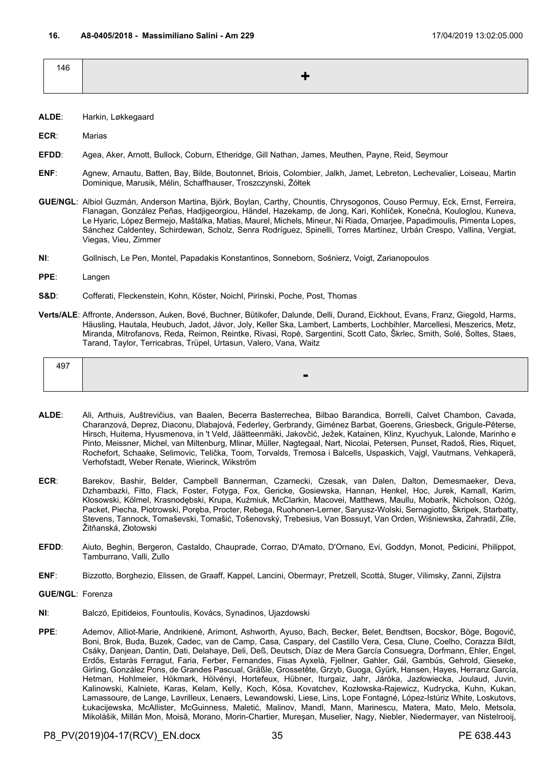<span id="page-34-0"></span>

| 146 |       |
|-----|-------|
|     | ا طار |
|     |       |

- **ALDE**: Harkin, Løkkegaard
- **ECR**: Marias
- **EFDD**: Agea, Aker, Arnott, Bullock, Coburn, Etheridge, Gill Nathan, James, Meuthen, Payne, Reid, Seymour
- **ENF**: Agnew, Arnautu, Batten, Bay, Bilde, Boutonnet, Briois, Colombier, Jalkh, Jamet, Lebreton, Lechevalier, Loiseau, Martin Dominique, Marusik, Mélin, Schaffhauser, Troszczynski, Żółtek
- **GUE/NGL**: Albiol Guzmán, Anderson Martina, Björk, Boylan, Carthy, Chountis, Chrysogonos, Couso Permuy, Eck, Ernst, Ferreira, Flanagan, González Peñas, Hadjigeorgiou, Händel, Hazekamp, de Jong, Kari, Kohlíček, Konečná, Kouloglou, Kuneva, Le Hyaric, López Bermejo, Maštálka, Matias, Maurel, Michels, Mineur, Ní Riada, Omarjee, Papadimoulis, Pimenta Lopes, Sánchez Caldentey, Schirdewan, Scholz, Senra Rodríguez, Spinelli, Torres Martínez, Urbán Crespo, Vallina, Vergiat, Viegas, Vieu, Zimmer
- **NI**: Gollnisch, Le Pen, Montel, Papadakis Konstantinos, Sonneborn, Sośnierz, Voigt, Zarianopoulos
- **PPE**: Langen
- **S&D**: Cofferati, Fleckenstein, Kohn, Köster, Noichl, Pirinski, Poche, Post, Thomas
- **Verts/ALE**: Affronte, Andersson, Auken, Bové, Buchner, Bütikofer, Dalunde, Delli, Durand, Eickhout, Evans, Franz, Giegold, Harms, Häusling, Hautala, Heubuch, Jadot, Jávor, Joly, Keller Ska, Lambert, Lamberts, Lochbihler, Marcellesi, Meszerics, Metz, Miranda, Mitrofanovs, Reda, Reimon, Reintke, Rivasi, Ropė, Sargentini, Scott Cato, Škrlec, Smith, Solé, Šoltes, Staes, Tarand, Taylor, Terricabras, Trüpel, Urtasun, Valero, Vana, Waitz

| A <sub>07</sub><br>᠇┙ |  |
|-----------------------|--|
|                       |  |

- **ALDE**: Ali, Arthuis, Auštrevičius, van Baalen, Becerra Basterrechea, Bilbao Barandica, Borrelli, Calvet Chambon, Cavada, Charanzová, Deprez, Diaconu, Dlabajová, Federley, Gerbrandy, Giménez Barbat, Goerens, Griesbeck, Grigule-Pēterse, Hirsch, Huitema, Hyusmenova, in 't Veld, Jäätteenmäki, Jakovčić, Ježek, Katainen, Klinz, Kyuchyuk, Lalonde, Marinho e Pinto, Meissner, Michel, van Miltenburg, Mlinar, Müller, Nagtegaal, Nart, Nicolai, Petersen, Punset, Radoš, Ries, Riquet, Rochefort, Schaake, Selimovic, Telička, Toom, Torvalds, Tremosa i Balcells, Uspaskich, Vajgl, Vautmans, Vehkaperä, Verhofstadt, Weber Renate, Wierinck, Wikström
- **ECR**: Barekov, Bashir, Belder, Campbell Bannerman, Czarnecki, Czesak, van Dalen, Dalton, Demesmaeker, Deva, Dzhambazki, Fitto, Flack, Foster, Fotyga, Fox, Gericke, Gosiewska, Hannan, Henkel, Hoc, Jurek, Kamall, Karim, Kłosowski, Kölmel, Krasnodębski, Krupa, Kuźmiuk, McClarkin, Macovei, Matthews, Maullu, Mobarik, Nicholson, Ożóg, Packet, Piecha, Piotrowski, Poręba, Procter, Rebega, Ruohonen-Lerner, Saryusz-Wolski, Sernagiotto, Škripek, Starbatty, Stevens, Tannock, Tomaševski, Tomašić, Tošenovský, Trebesius, Van Bossuyt, Van Orden, Wiśniewska, Zahradil, Zīle, Žitňanská, Złotowski
- **EFDD**: Aiuto, Beghin, Bergeron, Castaldo, Chauprade, Corrao, D'Amato, D'Ornano, Evi, Goddyn, Monot, Pedicini, Philippot, Tamburrano, Valli, Zullo
- **ENF**: Bizzotto, Borghezio, Elissen, de Graaff, Kappel, Lancini, Obermayr, Pretzell, Scottà, Stuger, Vilimsky, Zanni, Zijlstra
- **GUE/NGL**: Forenza
- **NI**: Balczó, Epitideios, Fountoulis, Kovács, Synadinos, Ujazdowski
- **PPE**: Ademov, Alliot-Marie, Andrikienė, Arimont, Ashworth, Ayuso, Bach, Becker, Belet, Bendtsen, Bocskor, Böge, Bogovič, Boni, Brok, Buda, Buzek, Cadec, van de Camp, Casa, Caspary, del Castillo Vera, Cesa, Clune, Coelho, Corazza Bildt, Csáky, Danjean, Dantin, Dati, Delahaye, Deli, Deß, Deutsch, Díaz de Mera García Consuegra, Dorfmann, Ehler, Engel, Erdős, Estaràs Ferragut, Faria, Ferber, Fernandes, Fisas Ayxelà, Fjellner, Gahler, Gál, Gambús, Gehrold, Gieseke, Girling, González Pons, de Grandes Pascual, Gräßle, Grossetête, Grzyb, Guoga, Gyürk, Hansen, Hayes, Herranz García, Hetman, Hohlmeier, Hökmark, Hölvényi, Hortefeux, Hübner, Iturgaiz, Jahr, Járóka, Jazłowiecka, Joulaud, Juvin, Kalinowski, Kalniete, Karas, Kelam, Kelly, Koch, Kósa, Kovatchev, Kozłowska-Rajewicz, Kudrycka, Kuhn, Kukan, Lamassoure, de Lange, Lavrilleux, Lenaers, Lewandowski, Liese, Lins, Lope Fontagné, López-Istúriz White, Loskutovs, Łukacijewska, McAllister, McGuinness, Maletić, Malinov, Mandl, Mann, Marinescu, Matera, Mato, Melo, Metsola, Mikolášik, Millán Mon, Moisă, Morano, Morin-Chartier, Mureşan, Muselier, Nagy, Niebler, Niedermayer, van Nistelrooij,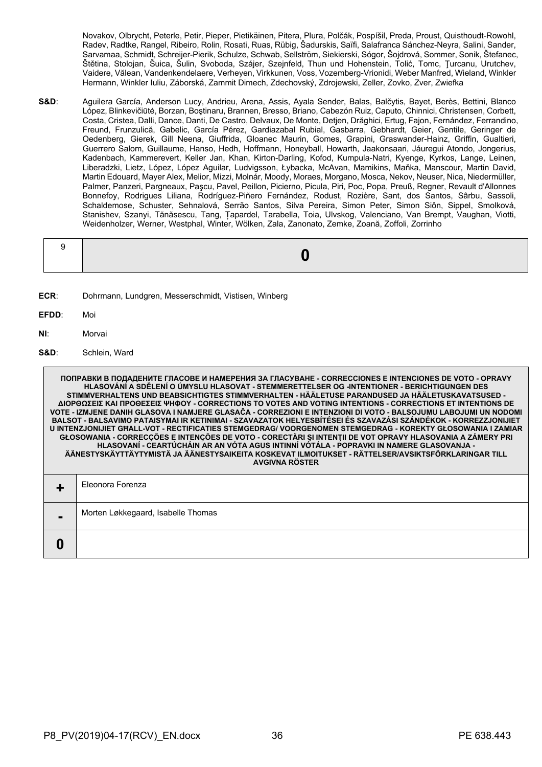Novakov, Olbrycht, Peterle, Petir, Pieper, Pietikäinen, Pitera, Plura, Polčák, Pospíšil, Preda, Proust, Quisthoudt-Rowohl, Radev, Radtke, Rangel, Ribeiro, Rolin, Rosati, Ruas, Rübig, Šadurskis, Saïfi, Salafranca Sánchez-Neyra, Salini, Sander, Sarvamaa, Schmidt, Schreijer-Pierik, Schulze, Schwab, Sellström, Siekierski, Sógor, Šojdrová, Sommer, Sonik, Štefanec, Štětina, Stolojan, Šuica, Šulin, Svoboda, Szájer, Szejnfeld, Thun und Hohenstein, Tolić, Tomc, Ţurcanu, Urutchev, Vaidere, Vălean, Vandenkendelaere, Verheyen, Virkkunen, Voss, Vozemberg-Vrionidi, Weber Manfred, Wieland, Winkler Hermann, Winkler Iuliu, Záborská, Zammit Dimech, Zdechovský, Zdrojewski, Zeller, Zovko, Zver, Zwiefka

**S&D**: Aguilera García, Anderson Lucy, Andrieu, Arena, Assis, Ayala Sender, Balas, Balčytis, Bayet, Berès, Bettini, Blanco López, Blinkevičiūtė, Borzan, Boştinaru, Brannen, Bresso, Briano, Cabezón Ruiz, Caputo, Chinnici, Christensen, Corbett, Costa, Cristea, Dalli, Dance, Danti, De Castro, Delvaux, De Monte, Detjen, Drăghici, Ertug, Fajon, Fernández, Ferrandino, Freund, Frunzulică, Gabelic, García Pérez, Gardiazabal Rubial, Gasbarra, Gebhardt, Geier, Gentile, Geringer de Oedenberg, Gierek, Gill Neena, Giuffrida, Gloanec Maurin, Gomes, Grapini, Graswander-Hainz, Griffin, Gualtieri, Guerrero Salom, Guillaume, Hanso, Hedh, Hoffmann, Honeyball, Howarth, Jaakonsaari, Jáuregui Atondo, Jongerius, Kadenbach, Kammerevert, Keller Jan, Khan, Kirton-Darling, Kofod, Kumpula-Natri, Kyenge, Kyrkos, Lange, Leinen, Liberadzki, Lietz, López, López Aguilar, Ludvigsson, Łybacka, McAvan, Mamikins, Maňka, Manscour, Martin David, Martin Edouard, Mayer Alex, Melior, Mizzi, Molnár, Moody, Moraes, Morgano, Mosca, Nekov, Neuser, Nica, Niedermüller, Palmer, Panzeri, Pargneaux, Paşcu, Pavel, Peillon, Picierno, Picula, Piri, Poc, Popa, Preuß, Regner, Revault d'Allonnes Bonnefoy, Rodrigues Liliana, Rodríguez-Piñero Fernández, Rodust, Rozière, Sant, dos Santos, Sârbu, Sassoli, Schaldemose, Schuster, Sehnalová, Serrão Santos, Silva Pereira, Simon Peter, Simon Siôn, Sippel, Smolková, Stanishev, Szanyi, Tănăsescu, Tang, Țapardel, Tarabella, Toia, Ulvskog, Valenciano, Van Brempt, Vaughan, Viotti, Weidenholzer, Werner, Westphal, Winter, Wölken, Zala, Zanonato, Zemke, Zoană, Zoffoli, Zorrinho

- **ECR**: Dohrmann, Lundgren, Messerschmidt, Vistisen, Winberg
- **EFDD**: Moi
- **NI**: Morvai
- **S&D**: Schlein, Ward

|   | ПОПРАВКИ В ПОДАДЕНИТЕ ГЛАСОВЕ И НАМЕРЕНИЯ ЗА ГЛАСУВАНЕ - CORRECCIONES Е INTENCIONES DE VOTO - OPRAVY<br>HLASOVÁNÍ A SDĚLENÍ O ÚMYSLU HLASOVAT - STEMMERETTELSER OG -INTENTIONER - BERICHTIGUNGEN DES<br>STIMMVERHALTENS UND BEABSICHTIGTES STIMMVERHALTEN - HÄÄLETUSE PARANDUSED JA HÄÄLETUSKAVATSUSED -<br>ΔΙΟΡΘΩΣΕΙΣ ΚΑΙ ΠΡΟΘΕΣΕΙΣ ΨΗΦΟΥ - CORRECTIONS TO VOTES AND VOTING INTENTIONS - CORRECTIONS ET INTENTIONS DE<br>VOTE - IZMJENE DANIH GLASOVA I NAMJERE GLASAČA - CORREZIONI E INTENZIONI DI VOTO - BALSOJUMU LABOJUMI UN NODOMI<br>BALSOT - BALSAVIMO PATAISYMAI IR KETINIMAI - SZAVAZATOK HELYESBÍTÉSEI ÉS SZAVAZÁSI SZÁNDÉKOK - KORREZZJONIJIET<br>U INTENZJONIJIET GHALL-VOT - RECTIFICATIES STEMGEDRAG/ VOORGENOMEN STEMGEDRAG - KOREKTY GŁOSOWANIA I ZAMIAR<br>GŁOSOWANIA - CORRECÇÕES E INTENÇÕES DE VOTO - CORECTĂRI ȘI INTENȚII DE VOT OPRAVY HLASOVANIA A ZÁMERY PRI<br>HLASOVANÍ - CEARTÚCHÁIN AR AN VÓTA AGUS INTINNÍ VÓTÁLA - POPRAVKI IN NAMERE GLASOVANJA -<br>ÄÄNESTYSKÄYTTÄYTYMISTÄ JA ÄÄNESTYSAIKEITA KOSKEVAT ILMOITUKSET - RÄTTELSER/AVSIKTSFÖRKLARINGAR TILL<br>AVGIVNA RÖSTER |
|---|--------------------------------------------------------------------------------------------------------------------------------------------------------------------------------------------------------------------------------------------------------------------------------------------------------------------------------------------------------------------------------------------------------------------------------------------------------------------------------------------------------------------------------------------------------------------------------------------------------------------------------------------------------------------------------------------------------------------------------------------------------------------------------------------------------------------------------------------------------------------------------------------------------------------------------------------------------------------------------------------------------------------------------------------------------------------------------------------------------------|
|   | Eleonora Forenza                                                                                                                                                                                                                                                                                                                                                                                                                                                                                                                                                                                                                                                                                                                                                                                                                                                                                                                                                                                                                                                                                             |
| - | Morten Løkkegaard, Isabelle Thomas                                                                                                                                                                                                                                                                                                                                                                                                                                                                                                                                                                                                                                                                                                                                                                                                                                                                                                                                                                                                                                                                           |
| 0 |                                                                                                                                                                                                                                                                                                                                                                                                                                                                                                                                                                                                                                                                                                                                                                                                                                                                                                                                                                                                                                                                                                              |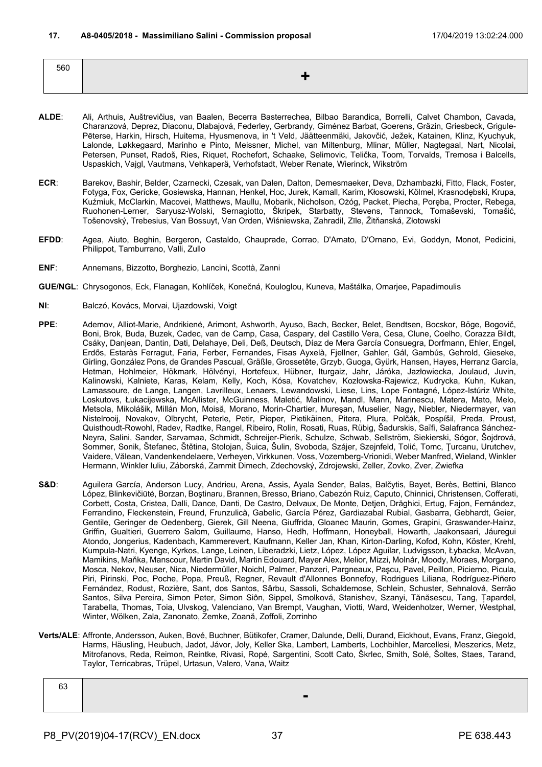| 560 |  |
|-----|--|
|     |  |

- **ALDE**: Ali, Arthuis, Auštrevičius, van Baalen, Becerra Basterrechea, Bilbao Barandica, Borrelli, Calvet Chambon, Cavada, Charanzová, Deprez, Diaconu, Dlabajová, Federley, Gerbrandy, Giménez Barbat, Goerens, Gräzin, Griesbeck, Grigule-Pēterse, Harkin, Hirsch, Huitema, Hyusmenova, in 't Veld, Jäätteenmäki, Jakovčić, Ježek, Katainen, Klinz, Kyuchyuk, Lalonde, Løkkegaard, Marinho e Pinto, Meissner, Michel, van Miltenburg, Mlinar, Müller, Nagtegaal, Nart, Nicolai, Petersen, Punset, Radoš, Ries, Riquet, Rochefort, Schaake, Selimovic, Telička, Toom, Torvalds, Tremosa i Balcells, Uspaskich, Vajgl, Vautmans, Vehkaperä, Verhofstadt, Weber Renate, Wierinck, Wikström
- **ECR**: Barekov, Bashir, Belder, Czarnecki, Czesak, van Dalen, Dalton, Demesmaeker, Deva, Dzhambazki, Fitto, Flack, Foster, Fotyga, Fox, Gericke, Gosiewska, Hannan, Henkel, Hoc, Jurek, Kamall, Karim, Kłosowski, Kölmel, Krasnodębski, Krupa, Kuźmiuk, McClarkin, Macovei, Matthews, Maullu, Mobarik, Nicholson, Ożóg, Packet, Piecha, Poręba, Procter, Rebega, Ruohonen-Lerner, Saryusz-Wolski, Sernagiotto, Škripek, Starbatty, Stevens, Tannock, Tomaševski, Tomašić, Tošenovský, Trebesius, Van Bossuyt, Van Orden, Wiśniewska, Zahradil, Zīle, Žitňanská, Złotowski
- **EFDD**: Agea, Aiuto, Beghin, Bergeron, Castaldo, Chauprade, Corrao, D'Amato, D'Ornano, Evi, Goddyn, Monot, Pedicini, Philippot, Tamburrano, Valli, Zullo
- **ENF**: Annemans, Bizzotto, Borghezio, Lancini, Scottà, Zanni
- **GUE/NGL**: Chrysogonos, Eck, Flanagan, Kohlíček, Konečná, Kouloglou, Kuneva, Maštálka, Omarjee, Papadimoulis
- **NI**: Balczó, Kovács, Morvai, Ujazdowski, Voigt
- **PPE**: Ademov, Alliot-Marie, Andrikienė, Arimont, Ashworth, Ayuso, Bach, Becker, Belet, Bendtsen, Bocskor, Böge, Bogovič, Boni, Brok, Buda, Buzek, Cadec, van de Camp, Casa, Caspary, del Castillo Vera, Cesa, Clune, Coelho, Corazza Bildt, Csáky, Danjean, Dantin, Dati, Delahaye, Deli, Deß, Deutsch, Díaz de Mera García Consuegra, Dorfmann, Ehler, Engel, Erdős, Estaràs Ferragut, Faria, Ferber, Fernandes, Fisas Ayxelà, Fjellner, Gahler, Gál, Gambús, Gehrold, Gieseke, Girling, González Pons, de Grandes Pascual, Gräßle, Grossetête, Grzyb, Guoga, Gyürk, Hansen, Hayes, Herranz García, Hetman, Hohlmeier, Hökmark, Hölvényi, Hortefeux, Hübner, Iturgaiz, Jahr, Járóka, Jazłowiecka, Joulaud, Juvin, Kalinowski, Kalniete, Karas, Kelam, Kelly, Koch, Kósa, Kovatchev, Kozłowska-Rajewicz, Kudrycka, Kuhn, Kukan, Lamassoure, de Lange, Langen, Lavrilleux, Lenaers, Lewandowski, Liese, Lins, Lope Fontagné, López-Istúriz White, Loskutovs, Łukacijewska, McAllister, McGuinness, Maletić, Malinov, Mandl, Mann, Marinescu, Matera, Mato, Melo, Metsola, Mikolášik, Millán Mon, Moisă, Morano, Morin-Chartier, Mureşan, Muselier, Nagy, Niebler, Niedermayer, van Nistelrooij, Novakov, Olbrycht, Peterle, Petir, Pieper, Pietikäinen, Pitera, Plura, Polčák, Pospíšil, Preda, Proust, Quisthoudt-Rowohl, Radev, Radtke, Rangel, Ribeiro, Rolin, Rosati, Ruas, Rübig, Šadurskis, Saïfi, Salafranca Sánchez-Neyra, Salini, Sander, Sarvamaa, Schmidt, Schreijer-Pierik, Schulze, Schwab, Sellström, Siekierski, Sógor, Šojdrová, Sommer, Sonik, Štefanec, Štětina, Stolojan, Šuica, Šulin, Svoboda, Szájer, Szejnfeld, Tolić, Tomc, Ţurcanu, Urutchev, Vaidere, Vălean, Vandenkendelaere, Verheyen, Virkkunen, Voss, Vozemberg-Vrionidi, Weber Manfred, Wieland, Winkler Hermann, Winkler Iuliu, Záborská, Zammit Dimech, Zdechovský, Zdrojewski, Zeller, Zovko, Zver, Zwiefka
- **S&D**: Aguilera García, Anderson Lucy, Andrieu, Arena, Assis, Ayala Sender, Balas, Balčytis, Bayet, Berès, Bettini, Blanco López, Blinkevičiūtė, Borzan, Boştinaru, Brannen, Bresso, Briano, Cabezón Ruiz, Caputo, Chinnici, Christensen, Cofferati, Corbett, Costa, Cristea, Dalli, Dance, Danti, De Castro, Delvaux, De Monte, Detjen, Drăghici, Ertug, Fajon, Fernández, Ferrandino, Fleckenstein, Freund, Frunzulică, Gabelic, García Pérez, Gardiazabal Rubial, Gasbarra, Gebhardt, Geier, Gentile, Geringer de Oedenberg, Gierek, Gill Neena, Giuffrida, Gloanec Maurin, Gomes, Grapini, Graswander-Hainz, Griffin, Gualtieri, Guerrero Salom, Guillaume, Hanso, Hedh, Hoffmann, Honeyball, Howarth, Jaakonsaari, Jáuregui Atondo, Jongerius, Kadenbach, Kammerevert, Kaufmann, Keller Jan, Khan, Kirton-Darling, Kofod, Kohn, Köster, Krehl, Kumpula-Natri, Kyenge, Kyrkos, Lange, Leinen, Liberadzki, Lietz, López, López Aguilar, Ludvigsson, Łybacka, McAvan, Mamikins, Maňka, Manscour, Martin David, Martin Edouard, Mayer Alex, Melior, Mizzi, Molnár, Moody, Moraes, Morgano, Mosca, Nekov, Neuser, Nica, Niedermüller, Noichl, Palmer, Panzeri, Pargneaux, Paşcu, Pavel, Peillon, Picierno, Picula, Piri, Pirinski, Poc, Poche, Popa, Preuß, Regner, Revault d'Allonnes Bonnefoy, Rodrigues Liliana, Rodríguez-Piñero Fernández, Rodust, Rozière, Sant, dos Santos, Sârbu, Sassoli, Schaldemose, Schlein, Schuster, Sehnalová, Serrão Santos, Silva Pereira, Simon Peter, Simon Siôn, Sippel, Smolková, Stanishev, Szanyi, Tănăsescu, Tang, Țapardel, Tarabella, Thomas, Toia, Ulvskog, Valenciano, Van Brempt, Vaughan, Viotti, Ward, Weidenholzer, Werner, Westphal, Winter, Wölken, Zala, Zanonato, Zemke, Zoană, Zoffoli, Zorrinho
- **Verts/ALE**: Affronte, Andersson, Auken, Bové, Buchner, Bütikofer, Cramer, Dalunde, Delli, Durand, Eickhout, Evans, Franz, Giegold, Harms, Häusling, Heubuch, Jadot, Jávor, Joly, Keller Ska, Lambert, Lamberts, Lochbihler, Marcellesi, Meszerics, Metz, Mitrofanovs, Reda, Reimon, Reintke, Rivasi, Ropė, Sargentini, Scott Cato, Škrlec, Smith, Solé, Šoltes, Staes, Tarand, Taylor, Terricabras, Trüpel, Urtasun, Valero, Vana, Waitz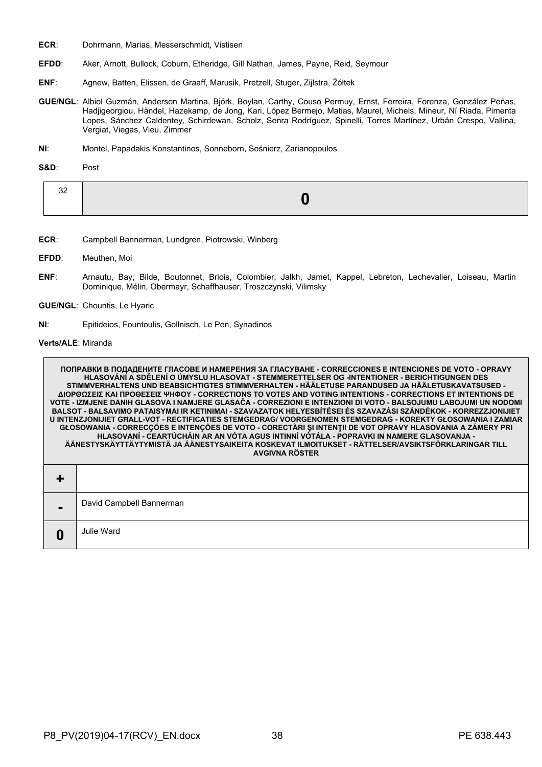- **ECR**: Dohrmann, Marias, Messerschmidt, Vistisen
- **EFDD**: Aker, Arnott, Bullock, Coburn, Etheridge, Gill Nathan, James, Payne, Reid, Seymour
- **ENF**: Agnew, Batten, Elissen, de Graaff, Marusik, Pretzell, Stuger, Zijlstra, Żółtek
- **GUE/NGL**: Albiol Guzmán, Anderson Martina, Björk, Boylan, Carthy, Couso Permuy, Ernst, Ferreira, Forenza, González Peñas, Hadjigeorgiou, Händel, Hazekamp, de Jong, Kari, López Bermejo, Matias, Maurel, Michels, Mineur, Ní Riada, Pimenta Lopes, Sánchez Caldentey, Schirdewan, Scholz, Senra Rodríguez, Spinelli, Torres Martínez, Urbán Crespo, Vallina, Vergiat, Viegas, Vieu, Zimmer
- **NI**: Montel, Papadakis Konstantinos, Sonneborn, Sośnierz, Zarianopoulos

**S&D**: Post

- **ECR**: Campbell Bannerman, Lundgren, Piotrowski, Winberg
- **EFDD**: Meuthen, Moi
- **ENF**: Arnautu, Bay, Bilde, Boutonnet, Briois, Colombier, Jalkh, Jamet, Kappel, Lebreton, Lechevalier, Loiseau, Martin Dominique, Mélin, Obermayr, Schaffhauser, Troszczynski, Vilimsky
- **GUE/NGL**: Chountis, Le Hyaric
- **NI**: Epitideios, Fountoulis, Gollnisch, Le Pen, Synadinos

**Verts/ALE**: Miranda

 $\Gamma$ 

|   | ПОПРАВКИ В ПОДАДЕНИТЕ ГЛАСОВЕ И НАМЕРЕНИЯ ЗА ГЛАСУВАНЕ - CORRECCIONES E INTENCIONES DE VOTO - OPRAVY<br>HLASOVÁNÍ A SDĚLENÍ O ÚMYSLU HLASOVAT - STEMMERETTELSER OG -INTENTIONER - BERICHTIGUNGEN DES<br>STIMMVERHALTENS UND BEABSICHTIGTES STIMMVERHALTEN - HÄÄLETUSE PARANDUSED JA HÄÄLETUSKAVATSUSED -<br>ΔΙΟΡΘΩΣΕΙΣ ΚΑΙ ΠΡΟΘΕΣΕΙΣ ΨΗΦΟΥ - CORRECTIONS TO VOTES AND VOTING INTENTIONS - CORRECTIONS ET INTENTIONS DE<br>VOTE - IZMJENE DANIH GLASOVA I NAMJERE GLASAČA - CORREZIONI E INTENZIONI DI VOTO - BALSOJUMU LABOJUMI UN NODOMI<br>BALSOT - BALSAVIMO PATAISYMAI IR KETINIMAI - SZAVAZATOK HELYESBÍTÉSEI ÉS SZAVAZÁSI SZÁNDÉKOK - KORREZZJONIJIET<br>U INTENZJONIJIET GHALL-VOT - RECTIFICATIES STEMGEDRAG/ VOORGENOMEN STEMGEDRAG - KOREKTY GŁOSOWANIA I ZAMIAR<br>GŁOSOWANIA - CORRECÇÕES E INTENÇÕES DE VOTO - CORECTĂRI ȘI INTENȚII DE VOT OPRAVY HLASOVANIA A ZÁMERY PRI<br>HLASOVANÍ - CEARTÚCHÁIN AR AN VÓTA AGUS INTINNÍ VÓTÁLA - POPRAVKI IN NAMERE GLASOVANJA -<br>ÄÄNESTYSKÄYTTÄYTYMISTÄ JA ÄÄNESTYSAIKEITA KOSKEVAT ILMOITUKSET - RÄTTELSER/AVSIKTSFÖRKLARINGAR TILL<br><b>AVGIVNA RÖSTER</b> |
|---|---------------------------------------------------------------------------------------------------------------------------------------------------------------------------------------------------------------------------------------------------------------------------------------------------------------------------------------------------------------------------------------------------------------------------------------------------------------------------------------------------------------------------------------------------------------------------------------------------------------------------------------------------------------------------------------------------------------------------------------------------------------------------------------------------------------------------------------------------------------------------------------------------------------------------------------------------------------------------------------------------------------------------------------------------------------------------------------------------------------------|
|   |                                                                                                                                                                                                                                                                                                                                                                                                                                                                                                                                                                                                                                                                                                                                                                                                                                                                                                                                                                                                                                                                                                                     |
| - | David Campbell Bannerman                                                                                                                                                                                                                                                                                                                                                                                                                                                                                                                                                                                                                                                                                                                                                                                                                                                                                                                                                                                                                                                                                            |
| 0 | Julie Ward                                                                                                                                                                                                                                                                                                                                                                                                                                                                                                                                                                                                                                                                                                                                                                                                                                                                                                                                                                                                                                                                                                          |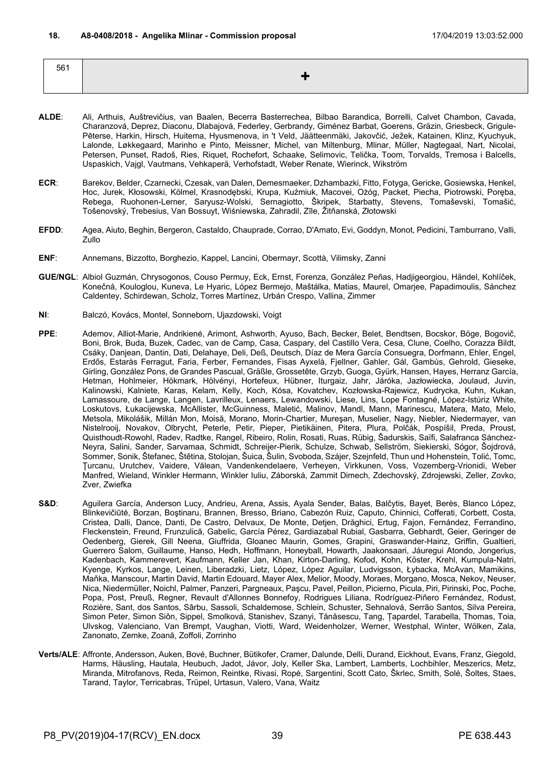| 561 |  |
|-----|--|
|     |  |
|     |  |

- **ALDE**: Ali, Arthuis, Auštrevičius, van Baalen, Becerra Basterrechea, Bilbao Barandica, Borrelli, Calvet Chambon, Cavada, Charanzová, Deprez, Diaconu, Dlabajová, Federley, Gerbrandy, Giménez Barbat, Goerens, Gräzin, Griesbeck, Grigule-Pēterse, Harkin, Hirsch, Huitema, Hyusmenova, in 't Veld, Jäätteenmäki, Jakovčić, Ježek, Katainen, Klinz, Kyuchyuk, Lalonde, Løkkegaard, Marinho e Pinto, Meissner, Michel, van Miltenburg, Mlinar, Müller, Nagtegaal, Nart, Nicolai, Petersen, Punset, Radoš, Ries, Riquet, Rochefort, Schaake, Selimovic, Telička, Toom, Torvalds, Tremosa i Balcells, Uspaskich, Vajgl, Vautmans, Vehkaperä, Verhofstadt, Weber Renate, Wierinck, Wikström
- **ECR**: Barekov, Belder, Czarnecki, Czesak, van Dalen, Demesmaeker, Dzhambazki, Fitto, Fotyga, Gericke, Gosiewska, Henkel, Hoc, Jurek, Kłosowski, Kölmel, Krasnodębski, Krupa, Kuźmiuk, Macovei, Ożóg, Packet, Piecha, Piotrowski, Poręba, Rebega, Ruohonen-Lerner, Saryusz-Wolski, Sernagiotto, Škripek, Starbatty, Stevens, Tomaševski, Tomašić, Tošenovský, Trebesius, Van Bossuyt, Wiśniewska, Zahradil, Zīle, Žitňanská, Złotowski
- **EFDD**: Agea, Aiuto, Beghin, Bergeron, Castaldo, Chauprade, Corrao, D'Amato, Evi, Goddyn, Monot, Pedicini, Tamburrano, Valli, Zullo
- **ENF**: Annemans, Bizzotto, Borghezio, Kappel, Lancini, Obermayr, Scottà, Vilimsky, Zanni
- **GUE/NGL**: Albiol Guzmán, Chrysogonos, Couso Permuy, Eck, Ernst, Forenza, González Peñas, Hadjigeorgiou, Händel, Kohlíček, Konečná, Kouloglou, Kuneva, Le Hyaric, López Bermejo, Maštálka, Matias, Maurel, Omarjee, Papadimoulis, Sánchez Caldentey, Schirdewan, Scholz, Torres Martínez, Urbán Crespo, Vallina, Zimmer
- **NI**: Balczó, Kovács, Montel, Sonneborn, Ujazdowski, Voigt
- **PPE**: Ademov, Alliot-Marie, Andrikienė, Arimont, Ashworth, Ayuso, Bach, Becker, Belet, Bendtsen, Bocskor, Böge, Bogovič, Boni, Brok, Buda, Buzek, Cadec, van de Camp, Casa, Caspary, del Castillo Vera, Cesa, Clune, Coelho, Corazza Bildt, Csáky, Danjean, Dantin, Dati, Delahaye, Deli, Deß, Deutsch, Díaz de Mera García Consuegra, Dorfmann, Ehler, Engel, Erdős, Estaràs Ferragut, Faria, Ferber, Fernandes, Fisas Ayxelà, Fjellner, Gahler, Gál, Gambús, Gehrold, Gieseke, Girling, González Pons, de Grandes Pascual, Gräßle, Grossetête, Grzyb, Guoga, Gyürk, Hansen, Hayes, Herranz García, Hetman, Hohlmeier, Hökmark, Hölvényi, Hortefeux, Hübner, Iturgaiz, Jahr, Járóka, Jazłowiecka, Joulaud, Juvin, Kalinowski, Kalniete, Karas, Kelam, Kelly, Koch, Kósa, Kovatchev, Kozłowska-Rajewicz, Kudrycka, Kuhn, Kukan, Lamassoure, de Lange, Langen, Lavrilleux, Lenaers, Lewandowski, Liese, Lins, Lope Fontagné, López-Istúriz White, Loskutovs, Łukacijewska, McAllister, McGuinness, Maletić, Malinov, Mandl, Mann, Marinescu, Matera, Mato, Melo, Metsola, Mikolášik, Millán Mon, Moisă, Morano, Morin-Chartier, Mureşan, Muselier, Nagy, Niebler, Niedermayer, van Nistelrooij, Novakov, Olbrycht, Peterle, Petir, Pieper, Pietikäinen, Pitera, Plura, Polčák, Pospíšil, Preda, Proust, Quisthoudt-Rowohl, Radev, Radtke, Rangel, Ribeiro, Rolin, Rosati, Ruas, Rübig, Šadurskis, Saïfi, Salafranca Sánchez-Neyra, Salini, Sander, Sarvamaa, Schmidt, Schreijer-Pierik, Schulze, Schwab, Sellström, Siekierski, Sógor, Šojdrová, Sommer, Sonik, Štefanec, Štětina, Stolojan, Šuica, Šulin, Svoboda, Szájer, Szejnfeld, Thun und Hohenstein, Tolić, Tomc, Ţurcanu, Urutchev, Vaidere, Vălean, Vandenkendelaere, Verheyen, Virkkunen, Voss, Vozemberg-Vrionidi, Weber Manfred, Wieland, Winkler Hermann, Winkler Iuliu, Záborská, Zammit Dimech, Zdechovský, Zdrojewski, Zeller, Zovko, Zver, Zwiefka
- **S&D**: Aguilera García, Anderson Lucy, Andrieu, Arena, Assis, Ayala Sender, Balas, Balčytis, Bayet, Berès, Blanco López, Blinkevičiūtė, Borzan, Boştinaru, Brannen, Bresso, Briano, Cabezón Ruiz, Caputo, Chinnici, Cofferati, Corbett, Costa, Cristea, Dalli, Dance, Danti, De Castro, Delvaux, De Monte, Detjen, Drăghici, Ertug, Fajon, Fernández, Ferrandino, Fleckenstein, Freund, Frunzulică, Gabelic, García Pérez, Gardiazabal Rubial, Gasbarra, Gebhardt, Geier, Geringer de Oedenberg, Gierek, Gill Neena, Giuffrida, Gloanec Maurin, Gomes, Grapini, Graswander-Hainz, Griffin, Gualtieri, Guerrero Salom, Guillaume, Hanso, Hedh, Hoffmann, Honeyball, Howarth, Jaakonsaari, Jáuregui Atondo, Jongerius, Kadenbach, Kammerevert, Kaufmann, Keller Jan, Khan, Kirton-Darling, Kofod, Kohn, Köster, Krehl, Kumpula-Natri, Kyenge, Kyrkos, Lange, Leinen, Liberadzki, Lietz, López, López Aguilar, Ludvigsson, Łybacka, McAvan, Mamikins, Maňka, Manscour, Martin David, Martin Edouard, Mayer Alex, Melior, Moody, Moraes, Morgano, Mosca, Nekov, Neuser, Nica, Niedermüller, Noichl, Palmer, Panzeri, Pargneaux, Paşcu, Pavel, Peillon, Picierno, Picula, Piri, Pirinski, Poc, Poche, Popa, Post, Preuß, Regner, Revault d'Allonnes Bonnefoy, Rodrigues Liliana, Rodríguez-Piñero Fernández, Rodust, Rozière, Sant, dos Santos, Sârbu, Sassoli, Schaldemose, Schlein, Schuster, Sehnalová, Serrão Santos, Silva Pereira, Simon Peter, Simon Siôn, Sippel, Smolková, Stanishev, Szanyi, Tănăsescu, Tang, Țapardel, Tarabella, Thomas, Toia, Ulvskog, Valenciano, Van Brempt, Vaughan, Viotti, Ward, Weidenholzer, Werner, Westphal, Winter, Wölken, Zala, Zanonato, Zemke, Zoană, Zoffoli, Zorrinho
- **Verts/ALE**: Affronte, Andersson, Auken, Bové, Buchner, Bütikofer, Cramer, Dalunde, Delli, Durand, Eickhout, Evans, Franz, Giegold, Harms, Häusling, Hautala, Heubuch, Jadot, Jávor, Joly, Keller Ska, Lambert, Lamberts, Lochbihler, Meszerics, Metz, Miranda, Mitrofanovs, Reda, Reimon, Reintke, Rivasi, Ropė, Sargentini, Scott Cato, Škrlec, Smith, Solé, Šoltes, Staes, Tarand, Taylor, Terricabras, Trüpel, Urtasun, Valero, Vana, Waitz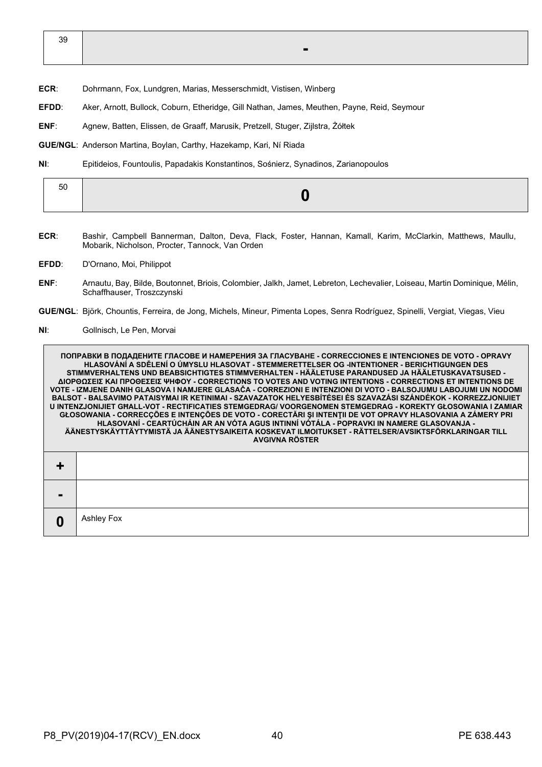39 **-**

- **ECR**: Dohrmann, Fox, Lundgren, Marias, Messerschmidt, Vistisen, Winberg
- **EFDD**: Aker, Arnott, Bullock, Coburn, Etheridge, Gill Nathan, James, Meuthen, Payne, Reid, Seymour
- **ENF**: Agnew, Batten, Elissen, de Graaff, Marusik, Pretzell, Stuger, Zijlstra, Żółtek

**GUE/NGL**: Anderson Martina, Boylan, Carthy, Hazekamp, Kari, Ní Riada

**NI**: Epitideios, Fountoulis, Papadakis Konstantinos, Sośnierz, Synadinos, Zarianopoulos

| - - |  |
|-----|--|
|     |  |

- **ECR**: Bashir, Campbell Bannerman, Dalton, Deva, Flack, Foster, Hannan, Kamall, Karim, McClarkin, Matthews, Maullu, Mobarik, Nicholson, Procter, Tannock, Van Orden
- **EFDD**: D'Ornano, Moi, Philippot
- **ENF**: Arnautu, Bay, Bilde, Boutonnet, Briois, Colombier, Jalkh, Jamet, Lebreton, Lechevalier, Loiseau, Martin Dominique, Mélin, Schaffhauser, Troszczynski
- **GUE/NGL**: Björk, Chountis, Ferreira, de Jong, Michels, Mineur, Pimenta Lopes, Senra Rodríguez, Spinelli, Vergiat, Viegas, Vieu
- **NI**: Gollnisch, Le Pen, Morvai

**ПОПРАВКИ В ПОДАДЕНИТЕ ГЛАСОВЕ И НАМЕРЕНИЯ ЗА ГЛАСУВАНЕ - CORRECCIONES E INTENCIONES DE VOTO - OPRAVY HLASOVÁNÍ A SDĚLENÍ O ÚMYSLU HLASOVAT - STEMMERETTELSER OG -INTENTIONER - BERICHTIGUNGEN DES STIMMVERHALTENS UND BEABSICHTIGTES STIMMVERHALTEN - HÄÄLETUSE PARANDUSED JA HÄÄLETUSKAVATSUSED - ΔΙΟΡΘΩΣΕΙΣ ΚΑΙ ΠΡΟΘΕΣΕΙΣ ΨΗΦΟΥ - CORRECTIONS TO VOTES AND VOTING INTENTIONS - CORRECTIONS ET INTENTIONS DE VOTE - IZMJENE DANIH GLASOVA I NAMJERE GLASAČA - CORREZIONI E INTENZIONI DI VOTO - BALSOJUMU LABOJUMI UN NODOMI BALSOT - BALSAVIMO PATAISYMAI IR KETINIMAI - SZAVAZATOK HELYESBÍTÉSEI ÉS SZAVAZÁSI SZÁNDÉKOK - KORREZZJONIJIET U INTENZJONIJIET GĦALL-VOT - RECTIFICATIES STEMGEDRAG/ VOORGENOMEN STEMGEDRAG - KOREKTY GŁOSOWANIA I ZAMIAR GŁOSOWANIA - CORRECÇÕES E INTENÇÕES DE VOTO - CORECTĂRI ŞI INTENŢII DE VOT OPRAVY HLASOVANIA A ZÁMERY PRI HLASOVANÍ - CEARTÚCHÁIN AR AN VÓTA AGUS INTINNÍ VÓTÁLA - POPRAVKI IN NAMERE GLASOVANJA - ÄÄNESTYSKÄYTTÄYTYMISTÄ JA ÄÄNESTYSAIKEITA KOSKEVAT ILMOITUKSET - RÄTTELSER/AVSIKTSFÖRKLARINGAR TILL AVGIVNA RÖSTER + - 0** Ashley Fox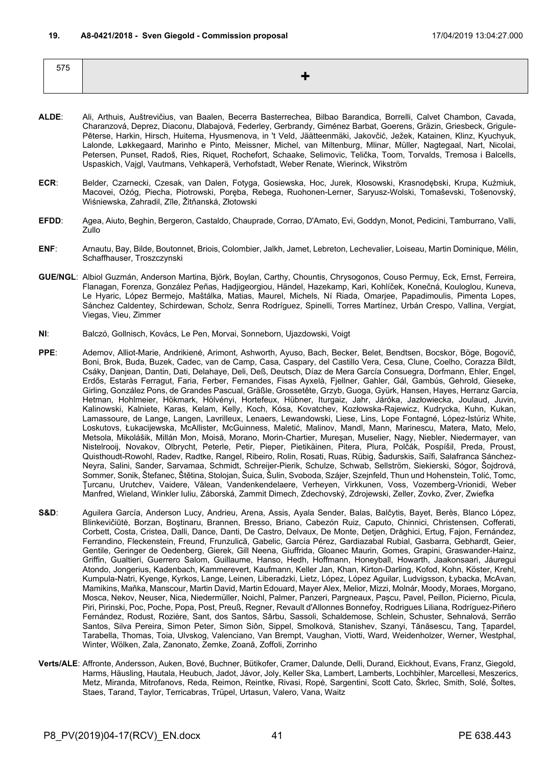| 575 |  |
|-----|--|
|     |  |
|     |  |

- **ALDE**: Ali, Arthuis, Auštrevičius, van Baalen, Becerra Basterrechea, Bilbao Barandica, Borrelli, Calvet Chambon, Cavada, Charanzová, Deprez, Diaconu, Dlabajová, Federley, Gerbrandy, Giménez Barbat, Goerens, Gräzin, Griesbeck, Grigule-Pēterse, Harkin, Hirsch, Huitema, Hyusmenova, in 't Veld, Jäätteenmäki, Jakovčić, Ježek, Katainen, Klinz, Kyuchyuk, Lalonde, Løkkegaard, Marinho e Pinto, Meissner, Michel, van Miltenburg, Mlinar, Müller, Nagtegaal, Nart, Nicolai, Petersen, Punset, Radoš, Ries, Riquet, Rochefort, Schaake, Selimovic, Telička, Toom, Torvalds, Tremosa i Balcells, Uspaskich, Vajgl, Vautmans, Vehkaperä, Verhofstadt, Weber Renate, Wierinck, Wikström
- **ECR**: Belder, Czarnecki, Czesak, van Dalen, Fotyga, Gosiewska, Hoc, Jurek, Kłosowski, Krasnodębski, Krupa, Kuźmiuk, Macovei, Ożóg, Piecha, Piotrowski, Poręba, Rebega, Ruohonen-Lerner, Saryusz-Wolski, Tomaševski, Tošenovský, Wiśniewska, Zahradil, Zīle, Žitňanská, Złotowski
- **EFDD**: Agea, Aiuto, Beghin, Bergeron, Castaldo, Chauprade, Corrao, D'Amato, Evi, Goddyn, Monot, Pedicini, Tamburrano, Valli, Zullo
- **ENF**: Arnautu, Bay, Bilde, Boutonnet, Briois, Colombier, Jalkh, Jamet, Lebreton, Lechevalier, Loiseau, Martin Dominique, Mélin, Schaffhauser, Troszczynski
- **GUE/NGL**: Albiol Guzmán, Anderson Martina, Björk, Boylan, Carthy, Chountis, Chrysogonos, Couso Permuy, Eck, Ernst, Ferreira, Flanagan, Forenza, González Peñas, Hadjigeorgiou, Händel, Hazekamp, Kari, Kohlíček, Konečná, Kouloglou, Kuneva, Le Hyaric, López Bermejo, Maštálka, Matias, Maurel, Michels, Ní Riada, Omarjee, Papadimoulis, Pimenta Lopes, Sánchez Caldentey, Schirdewan, Scholz, Senra Rodríguez, Spinelli, Torres Martínez, Urbán Crespo, Vallina, Vergiat, Viegas, Vieu, Zimmer
- **NI**: Balczó, Gollnisch, Kovács, Le Pen, Morvai, Sonneborn, Ujazdowski, Voigt
- **PPE**: Ademov, Alliot-Marie, Andrikienė, Arimont, Ashworth, Ayuso, Bach, Becker, Belet, Bendtsen, Bocskor, Böge, Bogovič, Boni, Brok, Buda, Buzek, Cadec, van de Camp, Casa, Caspary, del Castillo Vera, Cesa, Clune, Coelho, Corazza Bildt, Csáky, Danjean, Dantin, Dati, Delahaye, Deli, Deß, Deutsch, Díaz de Mera García Consuegra, Dorfmann, Ehler, Engel, Erdős, Estaràs Ferragut, Faria, Ferber, Fernandes, Fisas Ayxelà, Fjellner, Gahler, Gál, Gambús, Gehrold, Gieseke, Girling, González Pons, de Grandes Pascual, Gräßle, Grossetête, Grzyb, Guoga, Gyürk, Hansen, Hayes, Herranz García, Hetman, Hohlmeier, Hökmark, Hölvényi, Hortefeux, Hübner, Iturgaiz, Jahr, Járóka, Jazłowiecka, Joulaud, Juvin, Kalinowski, Kalniete, Karas, Kelam, Kelly, Koch, Kósa, Kovatchev, Kozłowska-Rajewicz, Kudrycka, Kuhn, Kukan, Lamassoure, de Lange, Langen, Lavrilleux, Lenaers, Lewandowski, Liese, Lins, Lope Fontagné, López-Istúriz White, Loskutovs, Łukacijewska, McAllister, McGuinness, Maletić, Malinov, Mandl, Mann, Marinescu, Matera, Mato, Melo, Metsola, Mikolášik, Millán Mon, Moisă, Morano, Morin-Chartier, Mureşan, Muselier, Nagy, Niebler, Niedermayer, van Nistelrooij, Novakov, Olbrycht, Peterle, Petir, Pieper, Pietikäinen, Pitera, Plura, Polčák, Pospíšil, Preda, Proust, Quisthoudt-Rowohl, Radev, Radtke, Rangel, Ribeiro, Rolin, Rosati, Ruas, Rübig, Šadurskis, Saïfi, Salafranca Sánchez-Neyra, Salini, Sander, Sarvamaa, Schmidt, Schreijer-Pierik, Schulze, Schwab, Sellström, Siekierski, Sógor, Šojdrová, Sommer, Sonik, Štefanec, Štětina, Stolojan, Šuica, Šulin, Svoboda, Szájer, Szejnfeld, Thun und Hohenstein, Tolić, Tomc, Ţurcanu, Urutchev, Vaidere, Vălean, Vandenkendelaere, Verheyen, Virkkunen, Voss, Vozemberg-Vrionidi, Weber Manfred, Wieland, Winkler Iuliu, Záborská, Zammit Dimech, Zdechovský, Zdrojewski, Zeller, Zovko, Zver, Zwiefka
- S&D: Aguilera García, Anderson Lucy, Andrieu, Arena, Assis, Ayala Sender, Balas, Balčytis, Bayet, Berès, Blanco López, Blinkevičiūtė, Borzan, Boştinaru, Brannen, Bresso, Briano, Cabezón Ruiz, Caputo, Chinnici, Christensen, Cofferati, Corbett, Costa, Cristea, Dalli, Dance, Danti, De Castro, Delvaux, De Monte, Detjen, Drăghici, Ertug, Fajon, Fernández, Ferrandino, Fleckenstein, Freund, Frunzulică, Gabelic, García Pérez, Gardiazabal Rubial, Gasbarra, Gebhardt, Geier, Gentile, Geringer de Oedenberg, Gierek, Gill Neena, Giuffrida, Gloanec Maurin, Gomes, Grapini, Graswander-Hainz, Griffin, Gualtieri, Guerrero Salom, Guillaume, Hanso, Hedh, Hoffmann, Honeyball, Howarth, Jaakonsaari, Jáuregui Atondo, Jongerius, Kadenbach, Kammerevert, Kaufmann, Keller Jan, Khan, Kirton-Darling, Kofod, Kohn, Köster, Krehl, Kumpula-Natri, Kyenge, Kyrkos, Lange, Leinen, Liberadzki, Lietz, López, López Aguilar, Ludvigsson, Łybacka, McAvan, Mamikins, Maňka, Manscour, Martin David, Martin Edouard, Mayer Alex, Melior, Mizzi, Molnár, Moody, Moraes, Morgano, Mosca, Nekov, Neuser, Nica, Niedermüller, Noichl, Palmer, Panzeri, Pargneaux, Paşcu, Pavel, Peillon, Picierno, Picula, Piri, Pirinski, Poc, Poche, Popa, Post, Preuß, Regner, Revault d'Allonnes Bonnefoy, Rodrigues Liliana, Rodríguez-Piñero Fernández, Rodust, Rozière, Sant, dos Santos, Sârbu, Sassoli, Schaldemose, Schlein, Schuster, Sehnalová, Serrão Santos, Silva Pereira, Simon Peter, Simon Siôn, Sippel, Smolková, Stanishev, Szanyi, Tănăsescu, Tang, Țapardel, Tarabella, Thomas, Toia, Ulvskog, Valenciano, Van Brempt, Vaughan, Viotti, Ward, Weidenholzer, Werner, Westphal, Winter, Wölken, Zala, Zanonato, Zemke, Zoană, Zoffoli, Zorrinho
- **Verts/ALE**: Affronte, Andersson, Auken, Bové, Buchner, Bütikofer, Cramer, Dalunde, Delli, Durand, Eickhout, Evans, Franz, Giegold, Harms, Häusling, Hautala, Heubuch, Jadot, Jávor, Joly, Keller Ska, Lambert, Lamberts, Lochbihler, Marcellesi, Meszerics, Metz, Miranda, Mitrofanovs, Reda, Reimon, Reintke, Rivasi, Ropė, Sargentini, Scott Cato, Škrlec, Smith, Solé, Šoltes, Staes, Tarand, Taylor, Terricabras, Trüpel, Urtasun, Valero, Vana, Waitz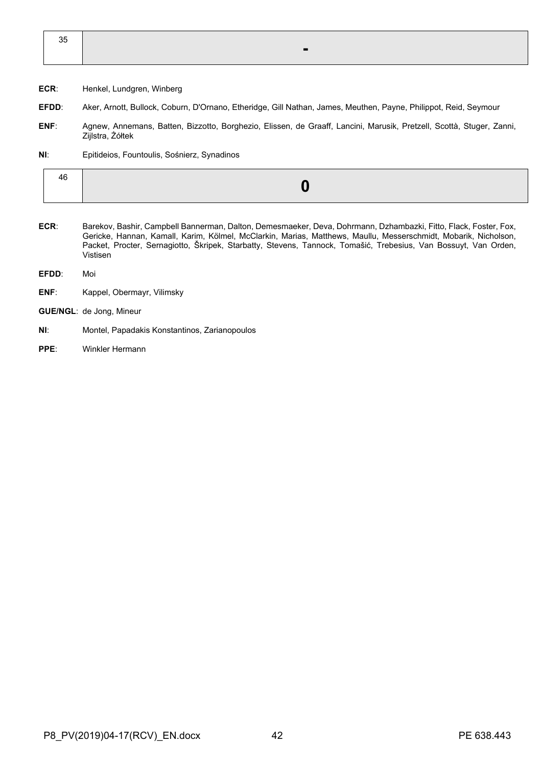| 35 |     |  |
|----|-----|--|
|    | . . |  |
|    |     |  |

- **ECR**: Henkel, Lundgren, Winberg
- **EFDD**: Aker, Arnott, Bullock, Coburn, D'Ornano, Etheridge, Gill Nathan, James, Meuthen, Payne, Philippot, Reid, Seymour
- **ENF**: Agnew, Annemans, Batten, Bizzotto, Borghezio, Elissen, de Graaff, Lancini, Marusik, Pretzell, Scottà, Stuger, Zanni, Zijlstra, Żółtek
- **NI**: Epitideios, Fountoulis, Sośnierz, Synadinos

- **ECR**: Barekov, Bashir, Campbell Bannerman, Dalton, Demesmaeker, Deva, Dohrmann, Dzhambazki, Fitto, Flack, Foster, Fox, Gericke, Hannan, Kamall, Karim, Kölmel, McClarkin, Marias, Matthews, Maullu, Messerschmidt, Mobarik, Nicholson, Packet, Procter, Sernagiotto, Škripek, Starbatty, Stevens, Tannock, Tomašić, Trebesius, Van Bossuyt, Van Orden, Vistisen
- **EFDD**: Moi
- **ENF**: Kappel, Obermayr, Vilimsky
- **GUE/NGL**: de Jong, Mineur
- **NI**: Montel, Papadakis Konstantinos, Zarianopoulos
- **PPE**: Winkler Hermann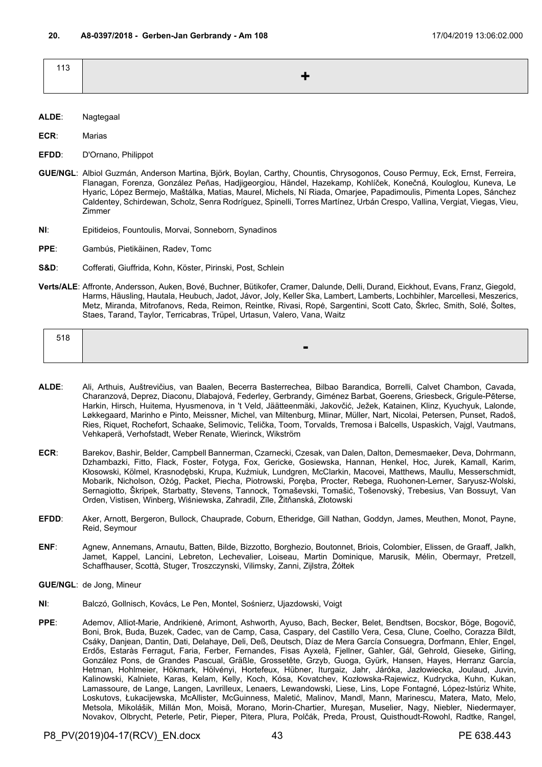| 113 |                              |
|-----|------------------------------|
|     | and the contract of the con- |
|     |                              |

**ECR**: Marias

- **EFDD**: D'Ornano, Philippot
- **GUE/NGL**: Albiol Guzmán, Anderson Martina, Björk, Boylan, Carthy, Chountis, Chrysogonos, Couso Permuy, Eck, Ernst, Ferreira, Flanagan, Forenza, González Peñas, Hadjigeorgiou, Händel, Hazekamp, Kohlíček, Konečná, Kouloglou, Kuneva, Le Hyaric, López Bermejo, Maštálka, Matias, Maurel, Michels, Ní Riada, Omarjee, Papadimoulis, Pimenta Lopes, Sánchez Caldentey, Schirdewan, Scholz, Senra Rodríguez, Spinelli, Torres Martínez, Urbán Crespo, Vallina, Vergiat, Viegas, Vieu, Zimmer
- **NI**: Epitideios, Fountoulis, Morvai, Sonneborn, Synadinos
- **PPE**: Gambús, Pietikäinen, Radev, Tomc
- **S&D**: Cofferati, Giuffrida, Kohn, Köster, Pirinski, Post, Schlein
- **Verts/ALE**: Affronte, Andersson, Auken, Bové, Buchner, Bütikofer, Cramer, Dalunde, Delli, Durand, Eickhout, Evans, Franz, Giegold, Harms, Häusling, Hautala, Heubuch, Jadot, Jávor, Joly, Keller Ska, Lambert, Lamberts, Lochbihler, Marcellesi, Meszerics, Metz, Miranda, Mitrofanovs, Reda, Reimon, Reintke, Rivasi, Ropė, Sargentini, Scott Cato, Škrlec, Smith, Solé, Šoltes, Staes, Tarand, Taylor, Terricabras, Trüpel, Urtasun, Valero, Vana, Waitz

| 518 |                |
|-----|----------------|
|     | $\blacksquare$ |

- **ALDE**: Ali, Arthuis, Auštrevičius, van Baalen, Becerra Basterrechea, Bilbao Barandica, Borrelli, Calvet Chambon, Cavada, Charanzová, Deprez, Diaconu, Dlabajová, Federley, Gerbrandy, Giménez Barbat, Goerens, Griesbeck, Grigule-Pēterse, Harkin, Hirsch, Huitema, Hyusmenova, in 't Veld, Jäätteenmäki, Jakovčić, Ježek, Katainen, Klinz, Kyuchyuk, Lalonde, Løkkegaard, Marinho e Pinto, Meissner, Michel, van Miltenburg, Mlinar, Müller, Nart, Nicolai, Petersen, Punset, Radoš, Ries, Riquet, Rochefort, Schaake, Selimovic, Telička, Toom, Torvalds, Tremosa i Balcells, Uspaskich, Vajgl, Vautmans, Vehkaperä, Verhofstadt, Weber Renate, Wierinck, Wikström
- **ECR**: Barekov, Bashir, Belder, Campbell Bannerman, Czarnecki, Czesak, van Dalen, Dalton, Demesmaeker, Deva, Dohrmann, Dzhambazki, Fitto, Flack, Foster, Fotyga, Fox, Gericke, Gosiewska, Hannan, Henkel, Hoc, Jurek, Kamall, Karim, Kłosowski, Kölmel, Krasnodębski, Krupa, Kuźmiuk, Lundgren, McClarkin, Macovei, Matthews, Maullu, Messerschmidt, Mobarik, Nicholson, Ożóg, Packet, Piecha, Piotrowski, Poręba, Procter, Rebega, Ruohonen-Lerner, Saryusz-Wolski, Sernagiotto, Škripek, Starbatty, Stevens, Tannock, Tomaševski, Tomašić, Tošenovský, Trebesius, Van Bossuyt, Van Orden, Vistisen, Winberg, Wiśniewska, Zahradil, Zīle, Žitňanská, Złotowski
- **EFDD**: Aker, Arnott, Bergeron, Bullock, Chauprade, Coburn, Etheridge, Gill Nathan, Goddyn, James, Meuthen, Monot, Payne, Reid, Seymour
- **ENF**: Agnew, Annemans, Arnautu, Batten, Bilde, Bizzotto, Borghezio, Boutonnet, Briois, Colombier, Elissen, de Graaff, Jalkh, Jamet, Kappel, Lancini, Lebreton, Lechevalier, Loiseau, Martin Dominique, Marusik, Mélin, Obermayr, Pretzell, Schaffhauser, Scottà, Stuger, Troszczynski, Vilimsky, Zanni, Zijlstra, Żółtek
- **GUE/NGL**: de Jong, Mineur
- **NI**: Balczó, Gollnisch, Kovács, Le Pen, Montel, Sośnierz, Ujazdowski, Voigt
- **PPE**: Ademov, Alliot-Marie, Andrikienė, Arimont, Ashworth, Ayuso, Bach, Becker, Belet, Bendtsen, Bocskor, Böge, Bogovič, Boni, Brok, Buda, Buzek, Cadec, van de Camp, Casa, Caspary, del Castillo Vera, Cesa, Clune, Coelho, Corazza Bildt, Csáky, Danjean, Dantin, Dati, Delahaye, Deli, Deß, Deutsch, Díaz de Mera García Consuegra, Dorfmann, Ehler, Engel, Erdős, Estaràs Ferragut, Faria, Ferber, Fernandes, Fisas Ayxelà, Fjellner, Gahler, Gál, Gehrold, Gieseke, Girling, González Pons, de Grandes Pascual, Gräßle, Grossetête, Grzyb, Guoga, Gyürk, Hansen, Hayes, Herranz García, Hetman, Hohlmeier, Hökmark, Hölvényi, Hortefeux, Hübner, Iturgaiz, Jahr, Járóka, Jazłowiecka, Joulaud, Juvin, Kalinowski, Kalniete, Karas, Kelam, Kelly, Koch, Kósa, Kovatchev, Kozłowska-Rajewicz, Kudrycka, Kuhn, Kukan, Lamassoure, de Lange, Langen, Lavrilleux, Lenaers, Lewandowski, Liese, Lins, Lope Fontagné, López-Istúriz White, Loskutovs, Łukacijewska, McAllister, McGuinness, Maletić, Malinov, Mandl, Mann, Marinescu, Matera, Mato, Melo, Metsola, Mikolášik, Millán Mon, Moisă, Morano, Morin-Chartier, Mureşan, Muselier, Nagy, Niebler, Niedermayer, Novakov, Olbrycht, Peterle, Petir, Pieper, Pitera, Plura, Polčák, Preda, Proust, Quisthoudt-Rowohl, Radtke, Rangel,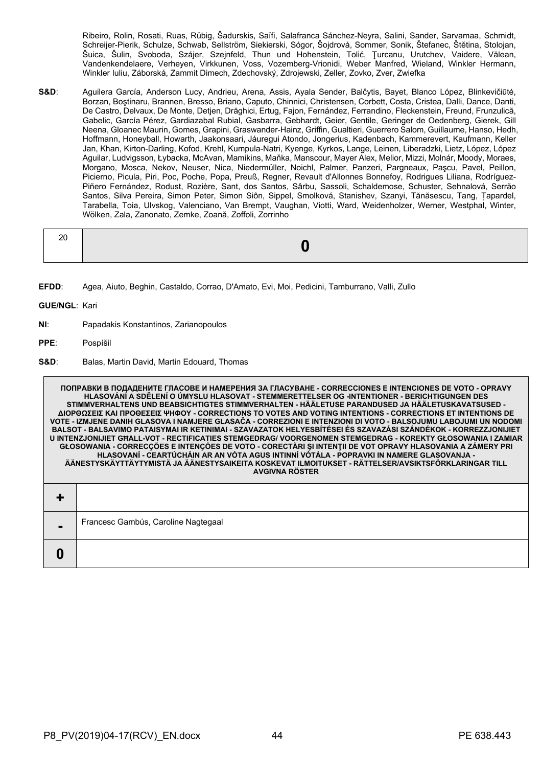Ribeiro, Rolin, Rosati, Ruas, Rübig, Šadurskis, Saïfi, Salafranca Sánchez-Neyra, Salini, Sander, Sarvamaa, Schmidt, Schreijer-Pierik, Schulze, Schwab, Sellström, Siekierski, Sógor, Šojdrová, Sommer, Sonik, Štefanec, Štětina, Stolojan, Šuica, Šulin, Svoboda, Szájer, Szejnfeld, Thun und Hohenstein, Tolić, Ţurcanu, Urutchev, Vaidere, Vălean, Vandenkendelaere, Verheyen, Virkkunen, Voss, Vozemberg-Vrionidi, Weber Manfred, Wieland, Winkler Hermann, Winkler Iuliu, Záborská, Zammit Dimech, Zdechovský, Zdrojewski, Zeller, Zovko, Zver, Zwiefka

**S&D**: Aguilera García, Anderson Lucy, Andrieu, Arena, Assis, Ayala Sender, Balčytis, Bayet, Blanco López, Blinkevičiūtė, Borzan, Boştinaru, Brannen, Bresso, Briano, Caputo, Chinnici, Christensen, Corbett, Costa, Cristea, Dalli, Dance, Danti, De Castro, Delvaux, De Monte, Detjen, Drăghici, Ertug, Fajon, Fernández, Ferrandino, Fleckenstein, Freund, Frunzulică, Gabelic, García Pérez, Gardiazabal Rubial, Gasbarra, Gebhardt, Geier, Gentile, Geringer de Oedenberg, Gierek, Gill Neena, Gloanec Maurin, Gomes, Grapini, Graswander-Hainz, Griffin, Gualtieri, Guerrero Salom, Guillaume, Hanso, Hedh, Hoffmann, Honeyball, Howarth, Jaakonsaari, Jáuregui Atondo, Jongerius, Kadenbach, Kammerevert, Kaufmann, Keller Jan, Khan, Kirton-Darling, Kofod, Krehl, Kumpula-Natri, Kyenge, Kyrkos, Lange, Leinen, Liberadzki, Lietz, López, López Aguilar, Ludvigsson, Łybacka, McAvan, Mamikins, Maňka, Manscour, Mayer Alex, Melior, Mizzi, Molnár, Moody, Moraes, Morgano, Mosca, Nekov, Neuser, Nica, Niedermüller, Noichl, Palmer, Panzeri, Pargneaux, Paşcu, Pavel, Peillon, Picierno, Picula, Piri, Poc, Poche, Popa, Preuß, Regner, Revault d'Allonnes Bonnefoy, Rodrigues Liliana, Rodríguez-Piñero Fernández, Rodust, Rozière, Sant, dos Santos, Sârbu, Sassoli, Schaldemose, Schuster, Sehnalová, Serrão Santos, Silva Pereira, Simon Peter, Simon Siôn, Sippel, Smolková, Stanishev, Szanyi, Tănăsescu, Tang, Țapardel, Tarabella, Toia, Ulvskog, Valenciano, Van Brempt, Vaughan, Viotti, Ward, Weidenholzer, Werner, Westphal, Winter, Wölken, Zala, Zanonato, Zemke, Zoană, Zoffoli, Zorrinho

**EFDD**: Agea, Aiuto, Beghin, Castaldo, Corrao, D'Amato, Evi, Moi, Pedicini, Tamburrano, Valli, Zullo

**GUE/NGL**: Kari

- **NI**: Papadakis Konstantinos, Zarianopoulos
- **PPE**: Pospíšil
- **S&D**: Balas, Martin David, Martin Edouard, Thomas

**ПОПРАВКИ В ПОДАДЕНИТЕ ГЛАСОВЕ И НАМЕРЕНИЯ ЗА ГЛАСУВАНЕ - CORRECCIONES E INTENCIONES DE VOTO - OPRAVY HLASOVÁNÍ A SDĚLENÍ O ÚMYSLU HLASOVAT - STEMMERETTELSER OG -INTENTIONER - BERICHTIGUNGEN DES STIMMVERHALTENS UND BEABSICHTIGTES STIMMVERHALTEN - HÄÄLETUSE PARANDUSED JA HÄÄLETUSKAVATSUSED - ΔΙΟΡΘΩΣΕΙΣ ΚΑΙ ΠΡΟΘΕΣΕΙΣ ΨΗΦΟΥ - CORRECTIONS TO VOTES AND VOTING INTENTIONS - CORRECTIONS ET INTENTIONS DE VOTE - IZMJENE DANIH GLASOVA I NAMJERE GLASAČA - CORREZIONI E INTENZIONI DI VOTO - BALSOJUMU LABOJUMI UN NODOMI BALSOT - BALSAVIMO PATAISYMAI IR KETINIMAI - SZAVAZATOK HELYESBÍTÉSEI ÉS SZAVAZÁSI SZÁNDÉKOK - KORREZZJONIJIET U INTENZJONIJIET GĦALL-VOT - RECTIFICATIES STEMGEDRAG/ VOORGENOMEN STEMGEDRAG - KOREKTY GŁOSOWANIA I ZAMIAR GŁOSOWANIA - CORRECÇÕES E INTENÇÕES DE VOTO - CORECTĂRI ŞI INTENŢII DE VOT OPRAVY HLASOVANIA A ZÁMERY PRI HLASOVANÍ - CEARTÚCHÁIN AR AN VÓTA AGUS INTINNÍ VÓTÁLA - POPRAVKI IN NAMERE GLASOVANJA - ÄÄNESTYSKÄYTTÄYTYMISTÄ JA ÄÄNESTYSAIKEITA KOSKEVAT ILMOITUKSET - RÄTTELSER/AVSIKTSFÖRKLARINGAR TILL AVGIVNA RÖSTER + -** Francesc Gambús, Caroline Nagtegaal **0**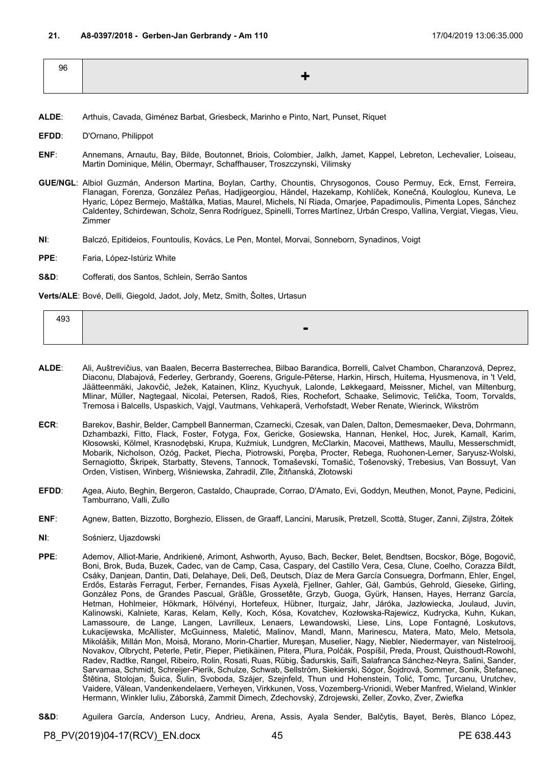| 96 |        |
|----|--------|
|    | 85 H.V |
|    |        |

- **ALDE**: Arthuis, Cavada, Giménez Barbat, Griesbeck, Marinho e Pinto, Nart, Punset, Riquet
- **EFDD**: D'Ornano, Philippot
- **ENF**: Annemans, Arnautu, Bay, Bilde, Boutonnet, Briois, Colombier, Jalkh, Jamet, Kappel, Lebreton, Lechevalier, Loiseau, Martin Dominique, Mélin, Obermayr, Schaffhauser, Troszczynski, Vilimsky
- **GUE/NGL**: Albiol Guzmán, Anderson Martina, Boylan, Carthy, Chountis, Chrysogonos, Couso Permuy, Eck, Ernst, Ferreira, Flanagan, Forenza, González Peñas, Hadjigeorgiou, Händel, Hazekamp, Kohlíček, Konečná, Kouloglou, Kuneva, Le Hyaric, López Bermejo, Maštálka, Matias, Maurel, Michels, Ní Riada, Omarjee, Papadimoulis, Pimenta Lopes, Sánchez Caldentey, Schirdewan, Scholz, Senra Rodríguez, Spinelli, Torres Martínez, Urbán Crespo, Vallina, Vergiat, Viegas, Vieu, Zimmer
- **NI**: Balczó, Epitideios, Fountoulis, Kovács, Le Pen, Montel, Morvai, Sonneborn, Synadinos, Voigt
- **PPE**: Faria, López-Istúriz White
- **S&D**: Cofferati, dos Santos, Schlein, Serrão Santos

**Verts/ALE**: Bové, Delli, Giegold, Jadot, Joly, Metz, Smith, Šoltes, Urtasun

| 493 |  |   |  |  |
|-----|--|---|--|--|
|     |  | - |  |  |

- **ALDE**: Ali, Auštrevičius, van Baalen, Becerra Basterrechea, Bilbao Barandica, Borrelli, Calvet Chambon, Charanzová, Deprez, Diaconu, Dlabajová, Federley, Gerbrandy, Goerens, Grigule-Pēterse, Harkin, Hirsch, Huitema, Hyusmenova, in 't Veld, Jäätteenmäki, Jakovčić, Ježek, Katainen, Klinz, Kyuchyuk, Lalonde, Løkkegaard, Meissner, Michel, van Miltenburg, Mlinar, Müller, Nagtegaal, Nicolai, Petersen, Radoš, Ries, Rochefort, Schaake, Selimovic, Telička, Toom, Torvalds, Tremosa i Balcells, Uspaskich, Vajgl, Vautmans, Vehkaperä, Verhofstadt, Weber Renate, Wierinck, Wikström
- **ECR**: Barekov, Bashir, Belder, Campbell Bannerman, Czarnecki, Czesak, van Dalen, Dalton, Demesmaeker, Deva, Dohrmann, Dzhambazki, Fitto, Flack, Foster, Fotyga, Fox, Gericke, Gosiewska, Hannan, Henkel, Hoc, Jurek, Kamall, Karim, Kłosowski, Kölmel, Krasnodębski, Krupa, Kuźmiuk, Lundgren, McClarkin, Macovei, Matthews, Maullu, Messerschmidt, Mobarik, Nicholson, Ożóg, Packet, Piecha, Piotrowski, Poręba, Procter, Rebega, Ruohonen-Lerner, Saryusz-Wolski, Sernagiotto, Škripek, Starbatty, Stevens, Tannock, Tomaševski, Tomašić, Tošenovský, Trebesius, Van Bossuyt, Van Orden, Vistisen, Winberg, Wiśniewska, Zahradil, Zīle, Žitňanská, Złotowski
- **EFDD**: Agea, Aiuto, Beghin, Bergeron, Castaldo, Chauprade, Corrao, D'Amato, Evi, Goddyn, Meuthen, Monot, Payne, Pedicini, Tamburrano, Valli, Zullo
- **ENF**: Agnew, Batten, Bizzotto, Borghezio, Elissen, de Graaff, Lancini, Marusik, Pretzell, Scottà, Stuger, Zanni, Zijlstra, Żółtek
- **NI**: Sośnierz, Ujazdowski
- **PPE**: Ademov, Alliot-Marie, Andrikienė, Arimont, Ashworth, Ayuso, Bach, Becker, Belet, Bendtsen, Bocskor, Böge, Bogovič, Boni, Brok, Buda, Buzek, Cadec, van de Camp, Casa, Caspary, del Castillo Vera, Cesa, Clune, Coelho, Corazza Bildt, Csáky, Danjean, Dantin, Dati, Delahaye, Deli, Deß, Deutsch, Díaz de Mera García Consuegra, Dorfmann, Ehler, Engel, Erdős, Estaràs Ferragut, Ferber, Fernandes, Fisas Ayxelà, Fjellner, Gahler, Gál, Gambús, Gehrold, Gieseke, Girling, González Pons, de Grandes Pascual, Gräßle, Grossetête, Grzyb, Guoga, Gyürk, Hansen, Hayes, Herranz García, Hetman, Hohlmeier, Hökmark, Hölvényi, Hortefeux, Hübner, Iturgaiz, Jahr, Járóka, Jazłowiecka, Joulaud, Juvin, Kalinowski, Kalniete, Karas, Kelam, Kelly, Koch, Kósa, Kovatchev, Kozłowska-Rajewicz, Kudrycka, Kuhn, Kukan, Lamassoure, de Lange, Langen, Lavrilleux, Lenaers, Lewandowski, Liese, Lins, Lope Fontagné, Loskutovs, Łukacijewska, McAllister, McGuinness, Maletić, Malinov, Mandl, Mann, Marinescu, Matera, Mato, Melo, Metsola, Mikolášik, Millán Mon, Moisă, Morano, Morin-Chartier, Mureşan, Muselier, Nagy, Niebler, Niedermayer, van Nistelrooij, Novakov, Olbrycht, Peterle, Petir, Pieper, Pietikäinen, Pitera, Plura, Polčák, Pospíšil, Preda, Proust, Quisthoudt-Rowohl, Radev, Radtke, Rangel, Ribeiro, Rolin, Rosati, Ruas, Rübig, Šadurskis, Saïfi, Salafranca Sánchez-Neyra, Salini, Sander, Sarvamaa, Schmidt, Schreijer-Pierik, Schulze, Schwab, Sellström, Siekierski, Sógor, Šojdrová, Sommer, Sonik, Štefanec, Štětina, Stolojan, Šuica, Šulin, Svoboda, Szájer, Szejnfeld, Thun und Hohenstein, Tolić, Tomc, Ţurcanu, Urutchev, Vaidere, Vălean, Vandenkendelaere, Verheyen, Virkkunen, Voss, Vozemberg-Vrionidi, Weber Manfred, Wieland, Winkler Hermann, Winkler Iuliu, Záborská, Zammit Dimech, Zdechovský, Zdrojewski, Zeller, Zovko, Zver, Zwiefka
- **S&D**: Aguilera García, Anderson Lucy, Andrieu, Arena, Assis, Ayala Sender, Balčytis, Bayet, Berès, Blanco López,

P8\_PV(2019)04-17(RCV)\_EN.docx 45 45 PE 638.443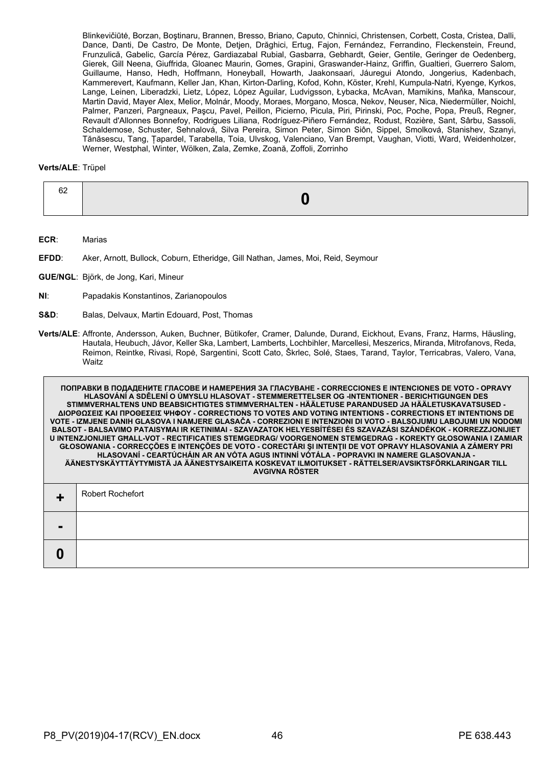Blinkevičiūtė, Borzan, Boştinaru, Brannen, Bresso, Briano, Caputo, Chinnici, Christensen, Corbett, Costa, Cristea, Dalli, Dance, Danti, De Castro, De Monte, Detjen, Drăghici, Ertug, Fajon, Fernández, Ferrandino, Fleckenstein, Freund, Frunzulică, Gabelic, García Pérez, Gardiazabal Rubial, Gasbarra, Gebhardt, Geier, Gentile, Geringer de Oedenberg, Gierek, Gill Neena, Giuffrida, Gloanec Maurin, Gomes, Grapini, Graswander-Hainz, Griffin, Gualtieri, Guerrero Salom, Guillaume, Hanso, Hedh, Hoffmann, Honeyball, Howarth, Jaakonsaari, Jáuregui Atondo, Jongerius, Kadenbach, Kammerevert, Kaufmann, Keller Jan, Khan, Kirton-Darling, Kofod, Kohn, Köster, Krehl, Kumpula-Natri, Kyenge, Kyrkos, Lange, Leinen, Liberadzki, Lietz, López, López Aguilar, Ludvigsson, Łybacka, McAvan, Mamikins, Maňka, Manscour, Martin David, Mayer Alex, Melior, Molnár, Moody, Moraes, Morgano, Mosca, Nekov, Neuser, Nica, Niedermüller, Noichl, Palmer, Panzeri, Pargneaux, Paşcu, Pavel, Peillon, Picierno, Picula, Piri, Pirinski, Poc, Poche, Popa, Preuß, Regner, Revault d'Allonnes Bonnefoy, Rodrigues Liliana, Rodríguez-Piñero Fernández, Rodust, Rozière, Sant, Sârbu, Sassoli, Schaldemose, Schuster, Sehnalová, Silva Pereira, Simon Peter, Simon Siôn, Sippel, Smolková, Stanishev, Szanyi, Tănăsescu, Tang, Țapardel, Tarabella, Toia, Ulvskog, Valenciano, Van Brempt, Vaughan, Viotti, Ward, Weidenholzer, Werner, Westphal, Winter, Wölken, Zala, Zemke, Zoană, Zoffoli, Zorrinho

## **Verts/ALE**: Trüpel

| ີ |  |
|---|--|
|   |  |

**ECR**: Marias

**EFDD**: Aker, Arnott, Bullock, Coburn, Etheridge, Gill Nathan, James, Moi, Reid, Seymour

**GUE/NGL**: Björk, de Jong, Kari, Mineur

- **NI**: Papadakis Konstantinos, Zarianopoulos
- **S&D**: Balas, Delvaux, Martin Edouard, Post, Thomas
- **Verts/ALE**: Affronte, Andersson, Auken, Buchner, Bütikofer, Cramer, Dalunde, Durand, Eickhout, Evans, Franz, Harms, Häusling, Hautala, Heubuch, Jávor, Keller Ska, Lambert, Lamberts, Lochbihler, Marcellesi, Meszerics, Miranda, Mitrofanovs, Reda, Reimon, Reintke, Rivasi, Ropė, Sargentini, Scott Cato, Škrlec, Solé, Staes, Tarand, Taylor, Terricabras, Valero, Vana, Waitz

| ПОПРАВКИ В ПОДАДЕНИТЕ ГЛАСОВЕ И НАМЕРЕНИЯ ЗА ГЛАСУВАНЕ - CORRECCIONES E INTENCIONES DE VOTO - OPRAVY<br>HLASOVÁNÍ A SDĚLENÍ O ÚMYSLU HLASOVAT - STEMMERETTELSER OG -INTENTIONER - BERICHTIGUNGEN DES<br>STIMMVERHALTENS UND BEABSICHTIGTES STIMMVERHALTEN - HÄÄLETUSE PARANDUSED JA HÄÄLETUSKAVATSUSED -<br>ΔΙΟΡΘΩΣΕΙΣ ΚΑΙ ΠΡΟΘΕΣΕΙΣ ΨΗΦΟΥ - CORRECTIONS TO VOTES AND VOTING INTENTIONS - CORRECTIONS ET INTENTIONS DE<br>VOTE - IZMJENE DANIH GLASOVA I NAMJERE GLASAČA - CORREZIONI E INTENZIONI DI VOTO - BALSOJUMU LABOJUMI UN NODOMI<br>BALSOT - BALSAVIMO PATAISYMAI IR KETINIMAI - SZAVAZATOK HELYESBÍTÉSEI ÉS SZAVAZÁSI SZÁNDÉKOK - KORREZZJONIJIET<br>U INTENZJONIJIET GHALL-VOT - RECTIFICATIES STEMGEDRAG/ VOORGENOMEN STEMGEDRAG - KOREKTY GŁOSOWANIA I ZAMIAR<br>GŁOSOWANIA - CORRECÇÕES E INTENÇÕES DE VOTO - CORECTĂRI ȘI INTENȚII DE VOT OPRAVY HLASOVANIA A ZÁMERY PRI<br>HLASOVANÍ - CEARTÚCHÁIN AR AN VÓTA AGUS INTINNÍ VÓTÁLA - POPRAVKI IN NAMERE GLASOVANJA -<br>ÄÄNESTYSKÄYTTÄYTYMISTÄ JA ÄÄNESTYSAIKEITA KOSKEVAT ILMOITUKSET - RÄTTELSER/AVSIKTSFÖRKLARINGAR TILL<br><b>AVGIVNA RÖSTER</b> |
|---------------------------------------------------------------------------------------------------------------------------------------------------------------------------------------------------------------------------------------------------------------------------------------------------------------------------------------------------------------------------------------------------------------------------------------------------------------------------------------------------------------------------------------------------------------------------------------------------------------------------------------------------------------------------------------------------------------------------------------------------------------------------------------------------------------------------------------------------------------------------------------------------------------------------------------------------------------------------------------------------------------------------------------------------------------------------------------------------------------------|
| <b>Robert Rochefort</b>                                                                                                                                                                                                                                                                                                                                                                                                                                                                                                                                                                                                                                                                                                                                                                                                                                                                                                                                                                                                                                                                                             |
|                                                                                                                                                                                                                                                                                                                                                                                                                                                                                                                                                                                                                                                                                                                                                                                                                                                                                                                                                                                                                                                                                                                     |
|                                                                                                                                                                                                                                                                                                                                                                                                                                                                                                                                                                                                                                                                                                                                                                                                                                                                                                                                                                                                                                                                                                                     |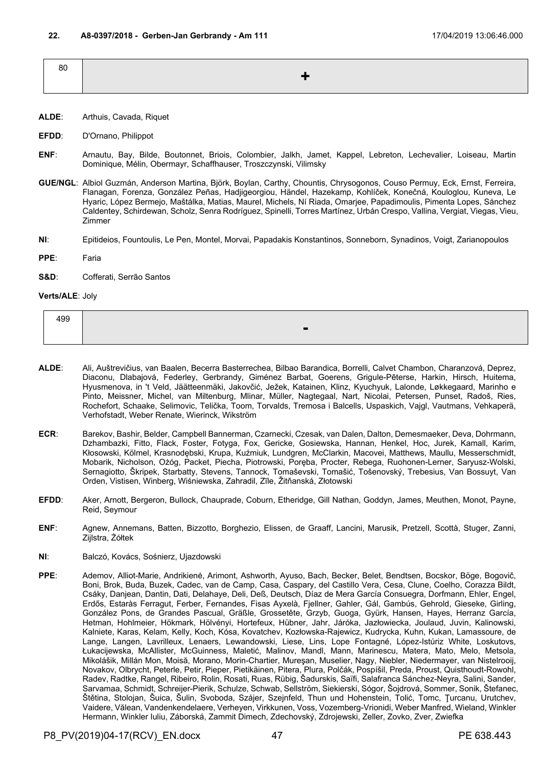| 80 |  |
|----|--|
|    |  |

- **ALDE**: Arthuis, Cavada, Riquet
- **EFDD**: D'Ornano, Philippot
- **ENF**: Arnautu, Bay, Bilde, Boutonnet, Briois, Colombier, Jalkh, Jamet, Kappel, Lebreton, Lechevalier, Loiseau, Martin Dominique, Mélin, Obermayr, Schaffhauser, Troszczynski, Vilimsky
- **GUE/NGL**: Albiol Guzmán, Anderson Martina, Björk, Boylan, Carthy, Chountis, Chrysogonos, Couso Permuy, Eck, Ernst, Ferreira, Flanagan, Forenza, González Peñas, Hadjigeorgiou, Händel, Hazekamp, Kohlíček, Konečná, Kouloglou, Kuneva, Le Hyaric, López Bermejo, Maštálka, Matias, Maurel, Michels, Ní Riada, Omarjee, Papadimoulis, Pimenta Lopes, Sánchez Caldentey, Schirdewan, Scholz, Senra Rodríguez, Spinelli, Torres Martínez, Urbán Crespo, Vallina, Vergiat, Viegas, Vieu, Zimmer
- **NI**: Epitideios, Fountoulis, Le Pen, Montel, Morvai, Papadakis Konstantinos, Sonneborn, Synadinos, Voigt, Zarianopoulos
- **PPE**: Faria
- **S&D**: Cofferati, Serrão Santos

## **Verts/ALE**: Joly

| 499 |        |
|-----|--------|
|     | -<br>- |

- **ALDE**: Ali, Auštrevičius, van Baalen, Becerra Basterrechea, Bilbao Barandica, Borrelli, Calvet Chambon, Charanzová, Deprez, Diaconu, Dlabajová, Federley, Gerbrandy, Giménez Barbat, Goerens, Grigule-Pēterse, Harkin, Hirsch, Huitema, Hyusmenova, in 't Veld, Jäätteenmäki, Jakovčić, Ježek, Katainen, Klinz, Kyuchyuk, Lalonde, Løkkegaard, Marinho e Pinto, Meissner, Michel, van Miltenburg, Mlinar, Müller, Nagtegaal, Nart, Nicolai, Petersen, Punset, Radoš, Ries, Rochefort, Schaake, Selimovic, Telička, Toom, Torvalds, Tremosa i Balcells, Uspaskich, Vajgl, Vautmans, Vehkaperä, Verhofstadt, Weber Renate, Wierinck, Wikström
- **ECR**: Barekov, Bashir, Belder, Campbell Bannerman, Czarnecki, Czesak, van Dalen, Dalton, Demesmaeker, Deva, Dohrmann, Dzhambazki, Fitto, Flack, Foster, Fotyga, Fox, Gericke, Gosiewska, Hannan, Henkel, Hoc, Jurek, Kamall, Karim, Kłosowski, Kölmel, Krasnodębski, Krupa, Kuźmiuk, Lundgren, McClarkin, Macovei, Matthews, Maullu, Messerschmidt, Mobarik, Nicholson, Ożóg, Packet, Piecha, Piotrowski, Poręba, Procter, Rebega, Ruohonen-Lerner, Saryusz-Wolski, Sernagiotto, Škripek, Starbatty, Stevens, Tannock, Tomaševski, Tomašić, Tošenovský, Trebesius, Van Bossuyt, Van Orden, Vistisen, Winberg, Wiśniewska, Zahradil, Zīle, Žitňanská, Złotowski
- **EFDD**: Aker, Arnott, Bergeron, Bullock, Chauprade, Coburn, Etheridge, Gill Nathan, Goddyn, James, Meuthen, Monot, Payne, Reid, Seymour
- **ENF**: Agnew, Annemans, Batten, Bizzotto, Borghezio, Elissen, de Graaff, Lancini, Marusik, Pretzell, Scottà, Stuger, Zanni, Zijlstra, Żółtek
- **NI**: Balczó, Kovács, Sośnierz, Ujazdowski
- **PPE**: Ademov, Alliot-Marie, Andrikienė, Arimont, Ashworth, Ayuso, Bach, Becker, Belet, Bendtsen, Bocskor, Böge, Bogovič, Boni, Brok, Buda, Buzek, Cadec, van de Camp, Casa, Caspary, del Castillo Vera, Cesa, Clune, Coelho, Corazza Bildt, Csáky, Danjean, Dantin, Dati, Delahaye, Deli, Deß, Deutsch, Díaz de Mera García Consuegra, Dorfmann, Ehler, Engel, Erdős, Estaràs Ferragut, Ferber, Fernandes, Fisas Ayxelà, Fjellner, Gahler, Gál, Gambús, Gehrold, Gieseke, Girling, González Pons, de Grandes Pascual, Gräßle, Grossetête, Grzyb, Guoga, Gyürk, Hansen, Hayes, Herranz García, Hetman, Hohlmeier, Hökmark, Hölvényi, Hortefeux, Hübner, Jahr, Járóka, Jazłowiecka, Joulaud, Juvin, Kalinowski, Kalniete, Karas, Kelam, Kelly, Koch, Kósa, Kovatchev, Kozłowska-Rajewicz, Kudrycka, Kuhn, Kukan, Lamassoure, de Lange, Langen, Lavrilleux, Lenaers, Lewandowski, Liese, Lins, Lope Fontagné, López-Istúriz White, Loskutovs, Łukacijewska, McAllister, McGuinness, Maletić, Malinov, Mandl, Mann, Marinescu, Matera, Mato, Melo, Metsola, Mikolášik, Millán Mon, Moisă, Morano, Morin-Chartier, Mureşan, Muselier, Nagy, Niebler, Niedermayer, van Nistelrooij, Novakov, Olbrycht, Peterle, Petir, Pieper, Pietikäinen, Pitera, Plura, Polčák, Pospíšil, Preda, Proust, Quisthoudt-Rowohl, Radev, Radtke, Rangel, Ribeiro, Rolin, Rosati, Ruas, Rübig, Šadurskis, Saïfi, Salafranca Sánchez-Neyra, Salini, Sander, Sarvamaa, Schmidt, Schreijer-Pierik, Schulze, Schwab, Sellström, Siekierski, Sógor, Šojdrová, Sommer, Sonik, Štefanec, Štětina, Stolojan, Šuica, Šulin, Svoboda, Szájer, Szejnfeld, Thun und Hohenstein, Tolić, Tomc, Ţurcanu, Urutchev, Vaidere, Vălean, Vandenkendelaere, Verheyen, Virkkunen, Voss, Vozemberg-Vrionidi, Weber Manfred, Wieland, Winkler Hermann, Winkler Iuliu, Záborská, Zammit Dimech, Zdechovský, Zdrojewski, Zeller, Zovko, Zver, Zwiefka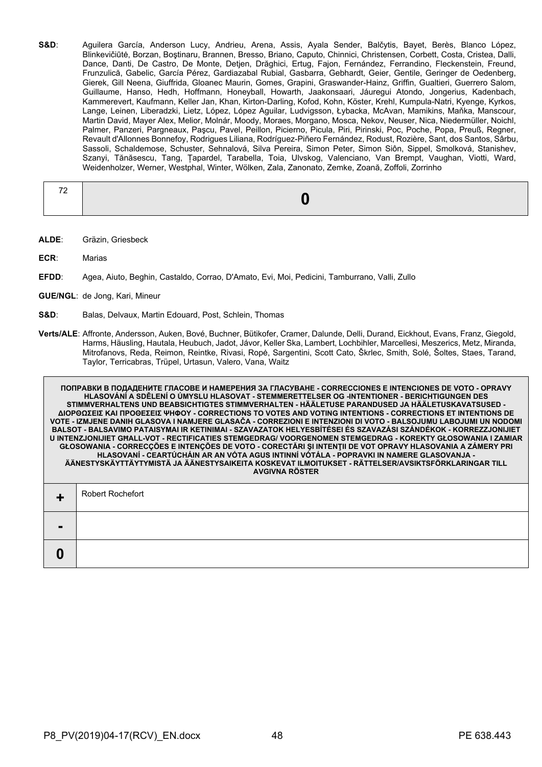**S&D**: Aguilera García, Anderson Lucy, Andrieu, Arena, Assis, Ayala Sender, Balčytis, Bayet, Berès, Blanco López, Blinkevičiūtė, Borzan, Boştinaru, Brannen, Bresso, Briano, Caputo, Chinnici, Christensen, Corbett, Costa, Cristea, Dalli, Dance, Danti, De Castro, De Monte, Detjen, Drăghici, Ertug, Fajon, Fernández, Ferrandino, Fleckenstein, Freund, Frunzulică, Gabelic, García Pérez, Gardiazabal Rubial, Gasbarra, Gebhardt, Geier, Gentile, Geringer de Oedenberg, Gierek, Gill Neena, Giuffrida, Gloanec Maurin, Gomes, Grapini, Graswander-Hainz, Griffin, Gualtieri, Guerrero Salom, Guillaume, Hanso, Hedh, Hoffmann, Honeyball, Howarth, Jaakonsaari, Jáuregui Atondo, Jongerius, Kadenbach, Kammerevert, Kaufmann, Keller Jan, Khan, Kirton-Darling, Kofod, Kohn, Köster, Krehl, Kumpula-Natri, Kyenge, Kyrkos, Lange, Leinen, Liberadzki, Lietz, López, López Aguilar, Ludvigsson, Łybacka, McAvan, Mamikins, Maňka, Manscour, Martin David, Mayer Alex, Melior, Molnár, Moody, Moraes, Morgano, Mosca, Nekov, Neuser, Nica, Niedermüller, Noichl, Palmer, Panzeri, Pargneaux, Paşcu, Pavel, Peillon, Picierno, Picula, Piri, Pirinski, Poc, Poche, Popa, Preuß, Regner, Revault d'Allonnes Bonnefoy, Rodrigues Liliana, Rodríguez-Piñero Fernández, Rodust, Rozière, Sant, dos Santos, Sârbu, Sassoli, Schaldemose, Schuster, Sehnalová, Silva Pereira, Simon Peter, Simon Siôn, Sippel, Smolková, Stanishev, Szanyi, Tănăsescu, Tang, Țapardel, Tarabella, Toia, Ulvskog, Valenciano, Van Brempt, Vaughan, Viotti, Ward, Weidenholzer, Werner, Westphal, Winter, Wölken, Zala, Zanonato, Zemke, Zoană, Zoffoli, Zorrinho

- **ALDE**: Gräzin, Griesbeck
- **ECR**: Marias
- **EFDD**: Agea, Aiuto, Beghin, Castaldo, Corrao, D'Amato, Evi, Moi, Pedicini, Tamburrano, Valli, Zullo
- **GUE/NGL**: de Jong, Kari, Mineur
- **S&D**: Balas, Delvaux, Martin Edouard, Post, Schlein, Thomas
- **Verts/ALE**: Affronte, Andersson, Auken, Bové, Buchner, Bütikofer, Cramer, Dalunde, Delli, Durand, Eickhout, Evans, Franz, Giegold, Harms, Häusling, Hautala, Heubuch, Jadot, Jávor, Keller Ska, Lambert, Lochbihler, Marcellesi, Meszerics, Metz, Miranda, Mitrofanovs, Reda, Reimon, Reintke, Rivasi, Ropė, Sargentini, Scott Cato, Škrlec, Smith, Solé, Šoltes, Staes, Tarand, Taylor, Terricabras, Trüpel, Urtasun, Valero, Vana, Waitz

**ПОПРАВКИ В ПОДАДЕНИТЕ ГЛАСОВЕ И НАМЕРЕНИЯ ЗА ГЛАСУВАНЕ - CORRECCIONES E INTENCIONES DE VOTO - OPRAVY HLASOVÁNÍ A SDĚLENÍ O ÚMYSLU HLASOVAT - STEMMERETTELSER OG -INTENTIONER - BERICHTIGUNGEN DES STIMMVERHALTENS UND BEABSICHTIGTES STIMMVERHALTEN - HÄÄLETUSE PARANDUSED JA HÄÄLETUSKAVATSUSED - ΔΙΟΡΘΩΣΕΙΣ ΚΑΙ ΠΡΟΘΕΣΕΙΣ ΨΗΦΟΥ - CORRECTIONS TO VOTES AND VOTING INTENTIONS - CORRECTIONS ET INTENTIONS DE VOTE - IZMJENE DANIH GLASOVA I NAMJERE GLASAČA - CORREZIONI E INTENZIONI DI VOTO - BALSOJUMU LABOJUMI UN NODOMI BALSOT - BALSAVIMO PATAISYMAI IR KETINIMAI - SZAVAZATOK HELYESBÍTÉSEI ÉS SZAVAZÁSI SZÁNDÉKOK - KORREZZJONIJIET U INTENZJONIJIET GĦALL-VOT - RECTIFICATIES STEMGEDRAG/ VOORGENOMEN STEMGEDRAG - KOREKTY GŁOSOWANIA I ZAMIAR GŁOSOWANIA - CORRECÇÕES E INTENÇÕES DE VOTO - CORECTĂRI ŞI INTENŢII DE VOT OPRAVY HLASOVANIA A ZÁMERY PRI HLASOVANÍ - CEARTÚCHÁIN AR AN VÓTA AGUS INTINNÍ VÓTÁLA - POPRAVKI IN NAMERE GLASOVANJA - ÄÄNESTYSKÄYTTÄYTYMISTÄ JA ÄÄNESTYSAIKEITA KOSKEVAT ILMOITUKSET - RÄTTELSER/AVSIKTSFÖRKLARINGAR TILL AVGIVNA RÖSTER +** Robert Rochefort **- 0**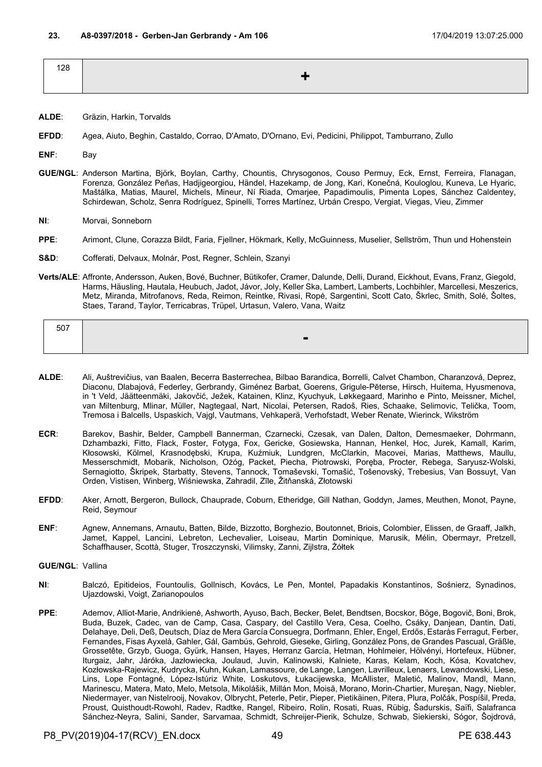| 128 |  |
|-----|--|
|     |  |

- **ALDE**: Gräzin, Harkin, Torvalds
- **EFDD**: Agea, Aiuto, Beghin, Castaldo, Corrao, D'Amato, D'Ornano, Evi, Pedicini, Philippot, Tamburrano, Zullo
- **ENF**: Bay
- **GUE/NGL**: Anderson Martina, Björk, Boylan, Carthy, Chountis, Chrysogonos, Couso Permuy, Eck, Ernst, Ferreira, Flanagan, Forenza, González Peñas, Hadjigeorgiou, Händel, Hazekamp, de Jong, Kari, Konečná, Kouloglou, Kuneva, Le Hyaric, Maštálka, Matias, Maurel, Michels, Mineur, Ní Riada, Omarjee, Papadimoulis, Pimenta Lopes, Sánchez Caldentey, Schirdewan, Scholz, Senra Rodríguez, Spinelli, Torres Martínez, Urbán Crespo, Vergiat, Viegas, Vieu, Zimmer
- **NI**: Morvai, Sonneborn
- **PPE**: Arimont, Clune, Corazza Bildt, Faria, Fjellner, Hökmark, Kelly, McGuinness, Muselier, Sellström, Thun und Hohenstein
- **S&D**: Cofferati, Delvaux, Molnár, Post, Regner, Schlein, Szanyi
- **Verts/ALE**: Affronte, Andersson, Auken, Bové, Buchner, Bütikofer, Cramer, Dalunde, Delli, Durand, Eickhout, Evans, Franz, Giegold, Harms, Häusling, Hautala, Heubuch, Jadot, Jávor, Joly, Keller Ska, Lambert, Lamberts, Lochbihler, Marcellesi, Meszerics, Metz, Miranda, Mitrofanovs, Reda, Reimon, Reintke, Rivasi, Ropė, Sargentini, Scott Cato, Škrlec, Smith, Solé, Šoltes, Staes, Tarand, Taylor, Terricabras, Trüpel, Urtasun, Valero, Vana, Waitz

| 507 |                |
|-----|----------------|
|     | $\blacksquare$ |

- **ALDE**: Ali, Auštrevičius, van Baalen, Becerra Basterrechea, Bilbao Barandica, Borrelli, Calvet Chambon, Charanzová, Deprez, Diaconu, Dlabajová, Federley, Gerbrandy, Giménez Barbat, Goerens, Grigule-Pēterse, Hirsch, Huitema, Hyusmenova, in 't Veld, Jäätteenmäki, Jakovčić, Ježek, Katainen, Klinz, Kyuchyuk, Løkkegaard, Marinho e Pinto, Meissner, Michel, van Miltenburg, Mlinar, Müller, Nagtegaal, Nart, Nicolai, Petersen, Radoš, Ries, Schaake, Selimovic, Telička, Toom, Tremosa i Balcells, Uspaskich, Vajgl, Vautmans, Vehkaperä, Verhofstadt, Weber Renate, Wierinck, Wikström
- **ECR**: Barekov, Bashir, Belder, Campbell Bannerman, Czarnecki, Czesak, van Dalen, Dalton, Demesmaeker, Dohrmann, Dzhambazki, Fitto, Flack, Foster, Fotyga, Fox, Gericke, Gosiewska, Hannan, Henkel, Hoc, Jurek, Kamall, Karim, Kłosowski, Kölmel, Krasnodębski, Krupa, Kuźmiuk, Lundgren, McClarkin, Macovei, Marias, Matthews, Maullu, Messerschmidt, Mobarik, Nicholson, Ożóg, Packet, Piecha, Piotrowski, Poręba, Procter, Rebega, Saryusz-Wolski, Sernagiotto, Škripek, Starbatty, Stevens, Tannock, Tomaševski, Tomašić, Tošenovský, Trebesius, Van Bossuyt, Van Orden, Vistisen, Winberg, Wiśniewska, Zahradil, Zīle, Žitňanská, Złotowski
- **EFDD**: Aker, Arnott, Bergeron, Bullock, Chauprade, Coburn, Etheridge, Gill Nathan, Goddyn, James, Meuthen, Monot, Payne, Reid, Seymour
- **ENF**: Agnew, Annemans, Arnautu, Batten, Bilde, Bizzotto, Borghezio, Boutonnet, Briois, Colombier, Elissen, de Graaff, Jalkh, Jamet, Kappel, Lancini, Lebreton, Lechevalier, Loiseau, Martin Dominique, Marusik, Mélin, Obermayr, Pretzell, Schaffhauser, Scottà, Stuger, Troszczynski, Vilimsky, Zanni, Zijlstra, Żółtek
- **GUE/NGL**: Vallina
- **NI**: Balczó, Epitideios, Fountoulis, Gollnisch, Kovács, Le Pen, Montel, Papadakis Konstantinos, Sośnierz, Synadinos, Ujazdowski, Voigt, Zarianopoulos
- **PPE**: Ademov, Alliot-Marie, Andrikienė, Ashworth, Ayuso, Bach, Becker, Belet, Bendtsen, Bocskor, Böge, Bogovič, Boni, Brok, Buda, Buzek, Cadec, van de Camp, Casa, Caspary, del Castillo Vera, Cesa, Coelho, Csáky, Danjean, Dantin, Dati, Delahaye, Deli, Deß, Deutsch, Díaz de Mera García Consuegra, Dorfmann, Ehler, Engel, Erdős, Estaràs Ferragut, Ferber, Fernandes, Fisas Ayxelà, Gahler, Gál, Gambús, Gehrold, Gieseke, Girling, González Pons, de Grandes Pascual, Gräßle, Grossetête, Grzyb, Guoga, Gyürk, Hansen, Hayes, Herranz García, Hetman, Hohlmeier, Hölvényi, Hortefeux, Hübner, Iturgaiz, Jahr, Járóka, Jazłowiecka, Joulaud, Juvin, Kalinowski, Kalniete, Karas, Kelam, Koch, Kósa, Kovatchev, Kozłowska-Rajewicz, Kudrycka, Kuhn, Kukan, Lamassoure, de Lange, Langen, Lavrilleux, Lenaers, Lewandowski, Liese, Lins, Lope Fontagné, López-Istúriz White, Loskutovs, Łukacijewska, McAllister, Maletić, Malinov, Mandl, Mann, Marinescu, Matera, Mato, Melo, Metsola, Mikolášik, Millán Mon, Moisă, Morano, Morin-Chartier, Mureşan, Nagy, Niebler, Niedermayer, van Nistelrooij, Novakov, Olbrycht, Peterle, Petir, Pieper, Pietikäinen, Pitera, Plura, Polčák, Pospíšil, Preda, Proust, Quisthoudt-Rowohl, Radev, Radtke, Rangel, Ribeiro, Rolin, Rosati, Ruas, Rübig, Šadurskis, Saïfi, Salafranca Sánchez-Neyra, Salini, Sander, Sarvamaa, Schmidt, Schreijer-Pierik, Schulze, Schwab, Siekierski, Sógor, Šojdrová,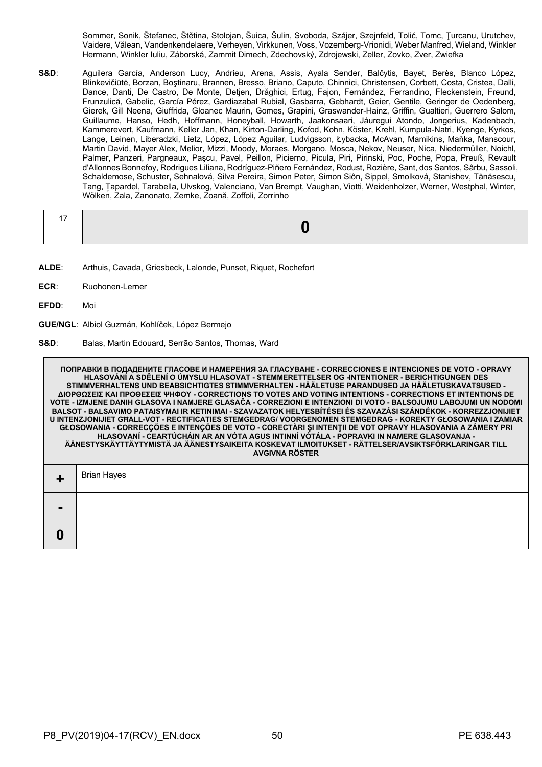Sommer, Sonik, Štefanec, Štětina, Stolojan, Šuica, Šulin, Svoboda, Szájer, Szejnfeld, Tolić, Tomc, Ţurcanu, Urutchev, Vaidere, Vălean, Vandenkendelaere, Verheyen, Virkkunen, Voss, Vozemberg-Vrionidi, Weber Manfred, Wieland, Winkler Hermann, Winkler Iuliu, Záborská, Zammit Dimech, Zdechovský, Zdrojewski, Zeller, Zovko, Zver, Zwiefka

**S&D**: Aguilera García, Anderson Lucy, Andrieu, Arena, Assis, Ayala Sender, Balčytis, Bayet, Berès, Blanco López, Blinkevičiūtė, Borzan, Boştinaru, Brannen, Bresso, Briano, Caputo, Chinnici, Christensen, Corbett, Costa, Cristea, Dalli, Dance, Danti, De Castro, De Monte, Detjen, Drăghici, Ertug, Fajon, Fernández, Ferrandino, Fleckenstein, Freund, Frunzulică, Gabelic, García Pérez, Gardiazabal Rubial, Gasbarra, Gebhardt, Geier, Gentile, Geringer de Oedenberg, Gierek, Gill Neena, Giuffrida, Gloanec Maurin, Gomes, Grapini, Graswander-Hainz, Griffin, Gualtieri, Guerrero Salom, Guillaume, Hanso, Hedh, Hoffmann, Honeyball, Howarth, Jaakonsaari, Jáuregui Atondo, Jongerius, Kadenbach, Kammerevert, Kaufmann, Keller Jan, Khan, Kirton-Darling, Kofod, Kohn, Köster, Krehl, Kumpula-Natri, Kyenge, Kyrkos, Lange, Leinen, Liberadzki, Lietz, López, López Aguilar, Ludvigsson, Łybacka, McAvan, Mamikins, Maňka, Manscour, Martin David, Mayer Alex, Melior, Mizzi, Moody, Moraes, Morgano, Mosca, Nekov, Neuser, Nica, Niedermüller, Noichl, Palmer, Panzeri, Pargneaux, Paşcu, Pavel, Peillon, Picierno, Picula, Piri, Pirinski, Poc, Poche, Popa, Preuß, Revault d'Allonnes Bonnefoy, Rodrigues Liliana, Rodríguez-Piñero Fernández, Rodust, Rozière, Sant, dos Santos, Sârbu, Sassoli, Schaldemose, Schuster, Sehnalová, Silva Pereira, Simon Peter, Simon Siôn, Sippel, Smolková, Stanishev, Tănăsescu, Tang, Țapardel, Tarabella, Ulvskog, Valenciano, Van Brempt, Vaughan, Viotti, Weidenholzer, Werner, Westphal, Winter, Wölken, Zala, Zanonato, Zemke, Zoană, Zoffoli, Zorrinho

- **ALDE**: Arthuis, Cavada, Griesbeck, Lalonde, Punset, Riquet, Rochefort
- **ECR**: Ruohonen-Lerner
- **EFDD**: Moi
- **GUE/NGL**: Albiol Guzmán, Kohlíček, López Bermejo
- **S&D**: Balas, Martin Edouard, Serrão Santos, Thomas, Ward

**ПОПРАВКИ В ПОДАДЕНИТЕ ГЛАСОВЕ И НАМЕРЕНИЯ ЗА ГЛАСУВАНЕ - CORRECCIONES E INTENCIONES DE VOTO - OPRAVY HLASOVÁNÍ A SDĚLENÍ O ÚMYSLU HLASOVAT - STEMMERETTELSER OG -INTENTIONER - BERICHTIGUNGEN DES STIMMVERHALTENS UND BEABSICHTIGTES STIMMVERHALTEN - HÄÄLETUSE PARANDUSED JA HÄÄLETUSKAVATSUSED - ΔΙΟΡΘΩΣΕΙΣ ΚΑΙ ΠΡΟΘΕΣΕΙΣ ΨΗΦΟΥ - CORRECTIONS TO VOTES AND VOTING INTENTIONS - CORRECTIONS ET INTENTIONS DE VOTE - IZMJENE DANIH GLASOVA I NAMJERE GLASAČA - CORREZIONI E INTENZIONI DI VOTO - BALSOJUMU LABOJUMI UN NODOMI BALSOT - BALSAVIMO PATAISYMAI IR KETINIMAI - SZAVAZATOK HELYESBÍTÉSEI ÉS SZAVAZÁSI SZÁNDÉKOK - KORREZZJONIJIET U INTENZJONIJIET GĦALL-VOT - RECTIFICATIES STEMGEDRAG/ VOORGENOMEN STEMGEDRAG - KOREKTY GŁOSOWANIA I ZAMIAR GŁOSOWANIA - CORRECÇÕES E INTENÇÕES DE VOTO - CORECTĂRI ŞI INTENŢII DE VOT OPRAVY HLASOVANIA A ZÁMERY PRI HLASOVANÍ - CEARTÚCHÁIN AR AN VÓTA AGUS INTINNÍ VÓTÁLA - POPRAVKI IN NAMERE GLASOVANJA - ÄÄNESTYSKÄYTTÄYTYMISTÄ JA ÄÄNESTYSAIKEITA KOSKEVAT ILMOITUKSET - RÄTTELSER/AVSIKTSFÖRKLARINGAR TILL AVGIVNA RÖSTER +** Brian Hayes **- 0**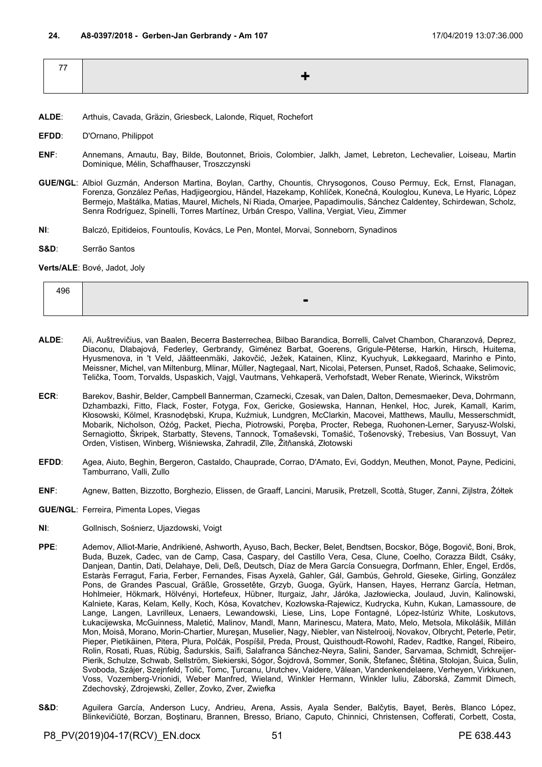| -- |  |
|----|--|
|    |  |
|    |  |

- **ALDE**: Arthuis, Cavada, Gräzin, Griesbeck, Lalonde, Riquet, Rochefort
- **EFDD**: D'Ornano, Philippot
- **ENF**: Annemans, Arnautu, Bay, Bilde, Boutonnet, Briois, Colombier, Jalkh, Jamet, Lebreton, Lechevalier, Loiseau, Martin Dominique, Mélin, Schaffhauser, Troszczynski
- **GUE/NGL**: Albiol Guzmán, Anderson Martina, Boylan, Carthy, Chountis, Chrysogonos, Couso Permuy, Eck, Ernst, Flanagan, Forenza, González Peñas, Hadjigeorgiou, Händel, Hazekamp, Kohlíček, Konečná, Kouloglou, Kuneva, Le Hyaric, López Bermejo, Maštálka, Matias, Maurel, Michels, Ní Riada, Omarjee, Papadimoulis, Sánchez Caldentey, Schirdewan, Scholz, Senra Rodríguez, Spinelli, Torres Martínez, Urbán Crespo, Vallina, Vergiat, Vieu, Zimmer
- **NI**: Balczó, Epitideios, Fountoulis, Kovács, Le Pen, Montel, Morvai, Sonneborn, Synadinos
- **S&D**: Serrão Santos

**Verts/ALE**: Bové, Jadot, Joly

| 496 |                               |
|-----|-------------------------------|
|     | -<br>$\overline{\phantom{0}}$ |

- **ALDE**: Ali, Auštrevičius, van Baalen, Becerra Basterrechea, Bilbao Barandica, Borrelli, Calvet Chambon, Charanzová, Deprez, Diaconu, Dlabajová, Federley, Gerbrandy, Giménez Barbat, Goerens, Grigule-Pēterse, Harkin, Hirsch, Huitema, Hyusmenova, in 't Veld, Jäätteenmäki, Jakovčić, Ježek, Katainen, Klinz, Kyuchyuk, Løkkegaard, Marinho e Pinto, Meissner, Michel, van Miltenburg, Mlinar, Müller, Nagtegaal, Nart, Nicolai, Petersen, Punset, Radoš, Schaake, Selimovic, Telička, Toom, Torvalds, Uspaskich, Vajgl, Vautmans, Vehkaperä, Verhofstadt, Weber Renate, Wierinck, Wikström
- **ECR**: Barekov, Bashir, Belder, Campbell Bannerman, Czarnecki, Czesak, van Dalen, Dalton, Demesmaeker, Deva, Dohrmann, Dzhambazki, Fitto, Flack, Foster, Fotyga, Fox, Gericke, Gosiewska, Hannan, Henkel, Hoc, Jurek, Kamall, Karim, Kłosowski, Kölmel, Krasnodębski, Krupa, Kuźmiuk, Lundgren, McClarkin, Macovei, Matthews, Maullu, Messerschmidt, Mobarik, Nicholson, Ożóg, Packet, Piecha, Piotrowski, Poręba, Procter, Rebega, Ruohonen-Lerner, Saryusz-Wolski, Sernagiotto, Škripek, Starbatty, Stevens, Tannock, Tomaševski, Tomašić, Tošenovský, Trebesius, Van Bossuyt, Van Orden, Vistisen, Winberg, Wiśniewska, Zahradil, Zīle, Žitňanská, Złotowski
- **EFDD**: Agea, Aiuto, Beghin, Bergeron, Castaldo, Chauprade, Corrao, D'Amato, Evi, Goddyn, Meuthen, Monot, Payne, Pedicini, Tamburrano, Valli, Zullo
- **ENF**: Agnew, Batten, Bizzotto, Borghezio, Elissen, de Graaff, Lancini, Marusik, Pretzell, Scottà, Stuger, Zanni, Zijlstra, Żółtek
- **GUE/NGL**: Ferreira, Pimenta Lopes, Viegas
- **NI**: Gollnisch, Sośnierz, Ujazdowski, Voigt
- **PPE**: Ademov, Alliot-Marie, Andrikienė, Ashworth, Ayuso, Bach, Becker, Belet, Bendtsen, Bocskor, Böge, Bogovič, Boni, Brok, Buda, Buzek, Cadec, van de Camp, Casa, Caspary, del Castillo Vera, Cesa, Clune, Coelho, Corazza Bildt, Csáky, Danjean, Dantin, Dati, Delahaye, Deli, Deß, Deutsch, Díaz de Mera García Consuegra, Dorfmann, Ehler, Engel, Erdős, Estaràs Ferragut, Faria, Ferber, Fernandes, Fisas Ayxelà, Gahler, Gál, Gambús, Gehrold, Gieseke, Girling, González Pons, de Grandes Pascual, Gräßle, Grossetête, Grzyb, Guoga, Gyürk, Hansen, Hayes, Herranz García, Hetman, Hohlmeier, Hökmark, Hölvényi, Hortefeux, Hübner, Iturgaiz, Jahr, Járóka, Jazłowiecka, Joulaud, Juvin, Kalinowski, Kalniete, Karas, Kelam, Kelly, Koch, Kósa, Kovatchev, Kozłowska-Rajewicz, Kudrycka, Kuhn, Kukan, Lamassoure, de Lange, Langen, Lavrilleux, Lenaers, Lewandowski, Liese, Lins, Lope Fontagné, López-Istúriz White, Loskutovs, Łukacijewska, McGuinness, Maletić, Malinov, Mandl, Mann, Marinescu, Matera, Mato, Melo, Metsola, Mikolášik, Millán Mon, Moisă, Morano, Morin-Chartier, Mureşan, Muselier, Nagy, Niebler, van Nistelrooij, Novakov, Olbrycht, Peterle, Petir, Pieper, Pietikäinen, Pitera, Plura, Polčák, Pospíšil, Preda, Proust, Quisthoudt-Rowohl, Radev, Radtke, Rangel, Ribeiro, Rolin, Rosati, Ruas, Rübig, Šadurskis, Saïfi, Salafranca Sánchez-Neyra, Salini, Sander, Sarvamaa, Schmidt, Schreijer-Pierik, Schulze, Schwab, Sellström, Siekierski, Sógor, Šojdrová, Sommer, Sonik, Štefanec, Štětina, Stolojan, Šuica, Šulin, Svoboda, Szájer, Szejnfeld, Tolić, Tomc, Ţurcanu, Urutchev, Vaidere, Vălean, Vandenkendelaere, Verheyen, Virkkunen, Voss, Vozemberg-Vrionidi, Weber Manfred, Wieland, Winkler Hermann, Winkler Iuliu, Záborská, Zammit Dimech, Zdechovský, Zdrojewski, Zeller, Zovko, Zver, Zwiefka
- **S&D**: Aguilera García, Anderson Lucy, Andrieu, Arena, Assis, Ayala Sender, Balčytis, Bayet, Berès, Blanco López, Blinkevičiūtė, Borzan, Boştinaru, Brannen, Bresso, Briano, Caputo, Chinnici, Christensen, Cofferati, Corbett, Costa,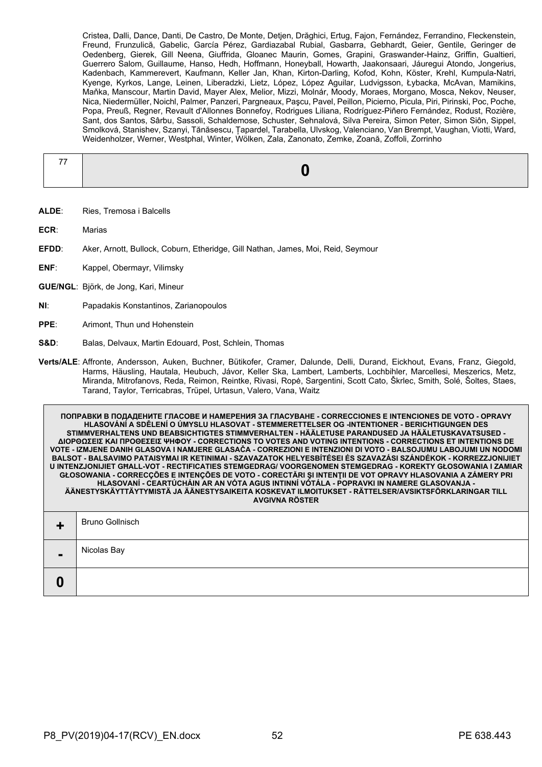Cristea, Dalli, Dance, Danti, De Castro, De Monte, Detjen, Drăghici, Ertug, Fajon, Fernández, Ferrandino, Fleckenstein, Freund, Frunzulică, Gabelic, García Pérez, Gardiazabal Rubial, Gasbarra, Gebhardt, Geier, Gentile, Geringer de Oedenberg, Gierek, Gill Neena, Giuffrida, Gloanec Maurin, Gomes, Grapini, Graswander-Hainz, Griffin, Gualtieri, Guerrero Salom, Guillaume, Hanso, Hedh, Hoffmann, Honeyball, Howarth, Jaakonsaari, Jáuregui Atondo, Jongerius, Kadenbach, Kammerevert, Kaufmann, Keller Jan, Khan, Kirton-Darling, Kofod, Kohn, Köster, Krehl, Kumpula-Natri, Kyenge, Kyrkos, Lange, Leinen, Liberadzki, Lietz, López, López Aguilar, Ludvigsson, Łybacka, McAvan, Mamikins, Maňka, Manscour, Martin David, Mayer Alex, Melior, Mizzi, Molnár, Moody, Moraes, Morgano, Mosca, Nekov, Neuser, Nica, Niedermüller, Noichl, Palmer, Panzeri, Pargneaux, Paşcu, Pavel, Peillon, Picierno, Picula, Piri, Pirinski, Poc, Poche, Popa, Preuß, Regner, Revault d'Allonnes Bonnefoy, Rodrigues Liliana, Rodríguez-Piñero Fernández, Rodust, Rozière, Sant, dos Santos, Sârbu, Sassoli, Schaldemose, Schuster, Sehnalová, Silva Pereira, Simon Peter, Simon Siôn, Sippel, Smolková, Stanishev, Szanyi, Tănăsescu, Țapardel, Tarabella, Ulvskog, Valenciano, Van Brempt, Vaughan, Viotti, Ward, Weidenholzer, Werner, Westphal, Winter, Wölken, Zala, Zanonato, Zemke, Zoană, Zoffoli, Zorrinho

- **ALDE**: Ries, Tremosa i Balcells
- **ECR**: Marias
- **EFDD**: Aker, Arnott, Bullock, Coburn, Etheridge, Gill Nathan, James, Moi, Reid, Seymour
- **ENF:** Kappel, Obermayr, Vilimsky
- **GUE/NGL**: Björk, de Jong, Kari, Mineur
- **NI**: Papadakis Konstantinos, Zarianopoulos
- **PPE:** Arimont, Thun und Hohenstein
- **S&D**: Balas, Delvaux, Martin Edouard, Post, Schlein, Thomas
- **Verts/ALE**: Affronte, Andersson, Auken, Buchner, Bütikofer, Cramer, Dalunde, Delli, Durand, Eickhout, Evans, Franz, Giegold, Harms, Häusling, Hautala, Heubuch, Jávor, Keller Ska, Lambert, Lamberts, Lochbihler, Marcellesi, Meszerics, Metz, Miranda, Mitrofanovs, Reda, Reimon, Reintke, Rivasi, Ropė, Sargentini, Scott Cato, Škrlec, Smith, Solé, Šoltes, Staes, Tarand, Taylor, Terricabras, Trüpel, Urtasun, Valero, Vana, Waitz

**ПОПРАВКИ В ПОДАДЕНИТЕ ГЛАСОВЕ И НАМЕРЕНИЯ ЗА ГЛАСУВАНЕ - CORRECCIONES E INTENCIONES DE VOTO - OPRAVY HLASOVÁNÍ A SDĚLENÍ O ÚMYSLU HLASOVAT - STEMMERETTELSER OG -INTENTIONER - BERICHTIGUNGEN DES STIMMVERHALTENS UND BEABSICHTIGTES STIMMVERHALTEN - HÄÄLETUSE PARANDUSED JA HÄÄLETUSKAVATSUSED - ΔΙΟΡΘΩΣΕΙΣ ΚΑΙ ΠΡΟΘΕΣΕΙΣ ΨΗΦΟΥ - CORRECTIONS TO VOTES AND VOTING INTENTIONS - CORRECTIONS ET INTENTIONS DE VOTE - IZMJENE DANIH GLASOVA I NAMJERE GLASAČA - CORREZIONI E INTENZIONI DI VOTO - BALSOJUMU LABOJUMI UN NODOMI BALSOT - BALSAVIMO PATAISYMAI IR KETINIMAI - SZAVAZATOK HELYESBÍTÉSEI ÉS SZAVAZÁSI SZÁNDÉKOK - KORREZZJONIJIET U INTENZJONIJIET GĦALL-VOT - RECTIFICATIES STEMGEDRAG/ VOORGENOMEN STEMGEDRAG - KOREKTY GŁOSOWANIA I ZAMIAR GŁOSOWANIA - CORRECÇÕES E INTENÇÕES DE VOTO - CORECTĂRI ŞI INTENŢII DE VOT OPRAVY HLASOVANIA A ZÁMERY PRI HLASOVANÍ - CEARTÚCHÁIN AR AN VÓTA AGUS INTINNÍ VÓTÁLA - POPRAVKI IN NAMERE GLASOVANJA - ÄÄNESTYSKÄYTTÄYTYMISTÄ JA ÄÄNESTYSAIKEITA KOSKEVAT ILMOITUKSET - RÄTTELSER/AVSIKTSFÖRKLARINGAR TILL AVGIVNA RÖSTER**

| $\blacksquare$ | Bruno Gollnisch |
|----------------|-----------------|
| $\blacksquare$ | Nicolas Bay     |
|                |                 |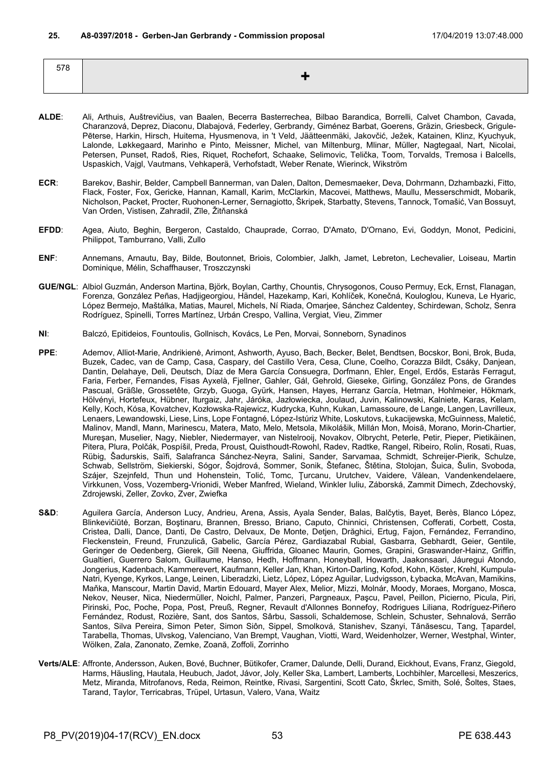| $- - -$<br>__ |  |
|---------------|--|
|               |  |
|               |  |

- **ALDE**: Ali, Arthuis, Auštrevičius, van Baalen, Becerra Basterrechea, Bilbao Barandica, Borrelli, Calvet Chambon, Cavada, Charanzová, Deprez, Diaconu, Dlabajová, Federley, Gerbrandy, Giménez Barbat, Goerens, Gräzin, Griesbeck, Grigule-Pēterse, Harkin, Hirsch, Huitema, Hyusmenova, in 't Veld, Jäätteenmäki, Jakovčić, Ježek, Katainen, Klinz, Kyuchyuk, Lalonde, Løkkegaard, Marinho e Pinto, Meissner, Michel, van Miltenburg, Mlinar, Müller, Nagtegaal, Nart, Nicolai, Petersen, Punset, Radoš, Ries, Riquet, Rochefort, Schaake, Selimovic, Telička, Toom, Torvalds, Tremosa i Balcells, Uspaskich, Vajgl, Vautmans, Vehkaperä, Verhofstadt, Weber Renate, Wierinck, Wikström
- **ECR**: Barekov, Bashir, Belder, Campbell Bannerman, van Dalen, Dalton, Demesmaeker, Deva, Dohrmann, Dzhambazki, Fitto, Flack, Foster, Fox, Gericke, Hannan, Kamall, Karim, McClarkin, Macovei, Matthews, Maullu, Messerschmidt, Mobarik, Nicholson, Packet, Procter, Ruohonen-Lerner, Sernagiotto, Škripek, Starbatty, Stevens, Tannock, Tomašić, Van Bossuyt, Van Orden, Vistisen, Zahradil, Zīle, Žitňanská
- **EFDD**: Agea, Aiuto, Beghin, Bergeron, Castaldo, Chauprade, Corrao, D'Amato, D'Ornano, Evi, Goddyn, Monot, Pedicini, Philippot, Tamburrano, Valli, Zullo
- **ENF**: Annemans, Arnautu, Bay, Bilde, Boutonnet, Briois, Colombier, Jalkh, Jamet, Lebreton, Lechevalier, Loiseau, Martin Dominique, Mélin, Schaffhauser, Troszczynski
- **GUE/NGL**: Albiol Guzmán, Anderson Martina, Björk, Boylan, Carthy, Chountis, Chrysogonos, Couso Permuy, Eck, Ernst, Flanagan, Forenza, González Peñas, Hadjigeorgiou, Händel, Hazekamp, Kari, Kohlíček, Konečná, Kouloglou, Kuneva, Le Hyaric, López Bermejo, Maštálka, Matias, Maurel, Michels, Ní Riada, Omarjee, Sánchez Caldentey, Schirdewan, Scholz, Senra Rodríguez, Spinelli, Torres Martínez, Urbán Crespo, Vallina, Vergiat, Vieu, Zimmer
- **NI**: Balczó, Epitideios, Fountoulis, Gollnisch, Kovács, Le Pen, Morvai, Sonneborn, Synadinos
- **PPE**: Ademov, Alliot-Marie, Andrikienė, Arimont, Ashworth, Ayuso, Bach, Becker, Belet, Bendtsen, Bocskor, Boni, Brok, Buda, Buzek, Cadec, van de Camp, Casa, Caspary, del Castillo Vera, Cesa, Clune, Coelho, Corazza Bildt, Csáky, Danjean, Dantin, Delahaye, Deli, Deutsch, Díaz de Mera García Consuegra, Dorfmann, Ehler, Engel, Erdős, Estaràs Ferragut, Faria, Ferber, Fernandes, Fisas Ayxelà, Fjellner, Gahler, Gál, Gehrold, Gieseke, Girling, González Pons, de Grandes Pascual, Gräßle, Grossetête, Grzyb, Guoga, Gyürk, Hansen, Hayes, Herranz García, Hetman, Hohlmeier, Hökmark, Hölvényi, Hortefeux, Hübner, Iturgaiz, Jahr, Járóka, Jazłowiecka, Joulaud, Juvin, Kalinowski, Kalniete, Karas, Kelam, Kelly, Koch, Kósa, Kovatchev, Kozłowska-Rajewicz, Kudrycka, Kuhn, Kukan, Lamassoure, de Lange, Langen, Lavrilleux, Lenaers, Lewandowski, Liese, Lins, Lope Fontagné, López-Istúriz White, Loskutovs, Łukacijewska, McGuinness, Maletić, Malinov, Mandl, Mann, Marinescu, Matera, Mato, Melo, Metsola, Mikolášik, Millán Mon, Moisă, Morano, Morin-Chartier, Mureşan, Muselier, Nagy, Niebler, Niedermayer, van Nistelrooij, Novakov, Olbrycht, Peterle, Petir, Pieper, Pietikäinen, Pitera, Plura, Polčák, Pospíšil, Preda, Proust, Quisthoudt-Rowohl, Radev, Radtke, Rangel, Ribeiro, Rolin, Rosati, Ruas, Rübig, Šadurskis, Saïfi, Salafranca Sánchez-Neyra, Salini, Sander, Sarvamaa, Schmidt, Schreijer-Pierik, Schulze, Schwab, Sellström, Siekierski, Sógor, Šojdrová, Sommer, Sonik, Štefanec, Štětina, Stolojan, Šuica, Šulin, Svoboda, Szájer, Szejnfeld, Thun und Hohenstein, Tolić, Tomc, Ţurcanu, Urutchev, Vaidere, Vălean, Vandenkendelaere, Virkkunen, Voss, Vozemberg-Vrionidi, Weber Manfred, Wieland, Winkler Iuliu, Záborská, Zammit Dimech, Zdechovský, Zdrojewski, Zeller, Zovko, Zver, Zwiefka
- S&D: Aguilera García, Anderson Lucy, Andrieu, Arena, Assis, Ayala Sender, Balas, Balčytis, Bayet, Berès, Blanco López, Blinkevičiūtė, Borzan, Boştinaru, Brannen, Bresso, Briano, Caputo, Chinnici, Christensen, Cofferati, Corbett, Costa, Cristea, Dalli, Dance, Danti, De Castro, Delvaux, De Monte, Detjen, Drăghici, Ertug, Fajon, Fernández, Ferrandino, Fleckenstein, Freund, Frunzulică, Gabelic, García Pérez, Gardiazabal Rubial, Gasbarra, Gebhardt, Geier, Gentile, Geringer de Oedenberg, Gierek, Gill Neena, Giuffrida, Gloanec Maurin, Gomes, Grapini, Graswander-Hainz, Griffin, Gualtieri, Guerrero Salom, Guillaume, Hanso, Hedh, Hoffmann, Honeyball, Howarth, Jaakonsaari, Jáuregui Atondo, Jongerius, Kadenbach, Kammerevert, Kaufmann, Keller Jan, Khan, Kirton-Darling, Kofod, Kohn, Köster, Krehl, Kumpula-Natri, Kyenge, Kyrkos, Lange, Leinen, Liberadzki, Lietz, López, López Aguilar, Ludvigsson, Łybacka, McAvan, Mamikins, Maňka, Manscour, Martin David, Martin Edouard, Mayer Alex, Melior, Mizzi, Molnár, Moody, Moraes, Morgano, Mosca, Nekov, Neuser, Nica, Niedermüller, Noichl, Palmer, Panzeri, Pargneaux, Paşcu, Pavel, Peillon, Picierno, Picula, Piri, Pirinski, Poc, Poche, Popa, Post, Preuß, Regner, Revault d'Allonnes Bonnefoy, Rodrigues Liliana, Rodríguez-Piñero Fernández, Rodust, Rozière, Sant, dos Santos, Sârbu, Sassoli, Schaldemose, Schlein, Schuster, Sehnalová, Serrão Santos, Silva Pereira, Simon Peter, Simon Siôn, Sippel, Smolková, Stanishev, Szanyi, Tănăsescu, Tang, Țapardel, Tarabella, Thomas, Ulvskog, Valenciano, Van Brempt, Vaughan, Viotti, Ward, Weidenholzer, Werner, Westphal, Winter, Wölken, Zala, Zanonato, Zemke, Zoană, Zoffoli, Zorrinho
- **Verts/ALE**: Affronte, Andersson, Auken, Bové, Buchner, Bütikofer, Cramer, Dalunde, Delli, Durand, Eickhout, Evans, Franz, Giegold, Harms, Häusling, Hautala, Heubuch, Jadot, Jávor, Joly, Keller Ska, Lambert, Lamberts, Lochbihler, Marcellesi, Meszerics, Metz, Miranda, Mitrofanovs, Reda, Reimon, Reintke, Rivasi, Sargentini, Scott Cato, Škrlec, Smith, Solé, Šoltes, Staes, Tarand, Taylor, Terricabras, Trüpel, Urtasun, Valero, Vana, Waitz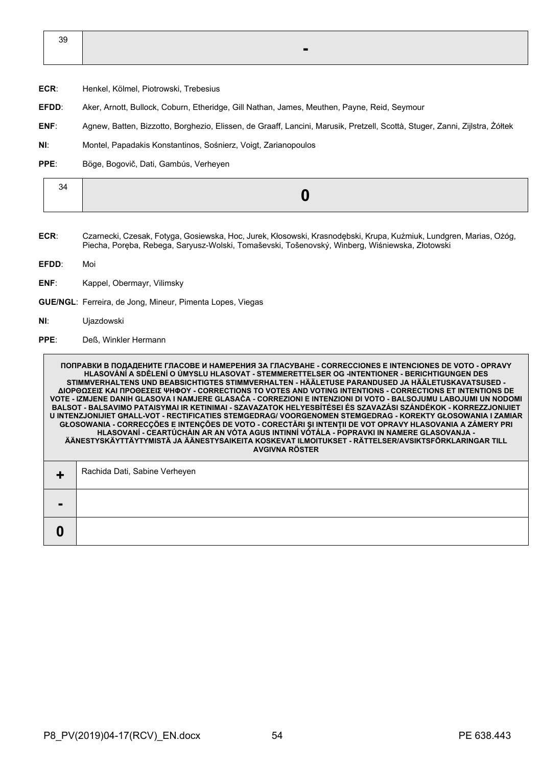| or<br>ັບ |  |
|----------|--|
|          |  |

- **ECR**: Henkel, Kölmel, Piotrowski, Trebesius
- **EFDD**: Aker, Arnott, Bullock, Coburn, Etheridge, Gill Nathan, James, Meuthen, Payne, Reid, Seymour
- **ENF**: Agnew, Batten, Bizzotto, Borghezio, Elissen, de Graaff, Lancini, Marusik, Pretzell, Scottà, Stuger, Zanni, Zijlstra, Żółtek
- **NI**: Montel, Papadakis Konstantinos, Sośnierz, Voigt, Zarianopoulos
- **PPE**: Böge, Bogovič, Dati, Gambús, Verheyen

- **ECR**: Czarnecki, Czesak, Fotyga, Gosiewska, Hoc, Jurek, Kłosowski, Krasnodębski, Krupa, Kuźmiuk, Lundgren, Marias, Ożóg, Piecha, Poręba, Rebega, Saryusz-Wolski, Tomaševski, Tošenovský, Winberg, Wiśniewska, Złotowski
- **EFDD**: Moi
- **ENF**: Kappel, Obermayr, Vilimsky
- **GUE/NGL**: Ferreira, de Jong, Mineur, Pimenta Lopes, Viegas
- **NI**: Ujazdowski
- **PPE**: Deß, Winkler Hermann

**ПОПРАВКИ В ПОДАДЕНИТЕ ГЛАСОВЕ И НАМЕРЕНИЯ ЗА ГЛАСУВАНЕ - CORRECCIONES E INTENCIONES DE VOTO - OPRAVY HLASOVÁNÍ A SDĚLENÍ O ÚMYSLU HLASOVAT - STEMMERETTELSER OG -INTENTIONER - BERICHTIGUNGEN DES STIMMVERHALTENS UND BEABSICHTIGTES STIMMVERHALTEN - HÄÄLETUSE PARANDUSED JA HÄÄLETUSKAVATSUSED - ΔΙΟΡΘΩΣΕΙΣ ΚΑΙ ΠΡΟΘΕΣΕΙΣ ΨΗΦΟΥ - CORRECTIONS TO VOTES AND VOTING INTENTIONS - CORRECTIONS ET INTENTIONS DE VOTE - IZMJENE DANIH GLASOVA I NAMJERE GLASAČA - CORREZIONI E INTENZIONI DI VOTO - BALSOJUMU LABOJUMI UN NODOMI BALSOT - BALSAVIMO PATAISYMAI IR KETINIMAI - SZAVAZATOK HELYESBÍTÉSEI ÉS SZAVAZÁSI SZÁNDÉKOK - KORREZZJONIJIET U INTENZJONIJIET GĦALL-VOT - RECTIFICATIES STEMGEDRAG/ VOORGENOMEN STEMGEDRAG - KOREKTY GŁOSOWANIA I ZAMIAR GŁOSOWANIA - CORRECÇÕES E INTENÇÕES DE VOTO - CORECTĂRI ŞI INTENŢII DE VOT OPRAVY HLASOVANIA A ZÁMERY PRI HLASOVANÍ - CEARTÚCHÁIN AR AN VÓTA AGUS INTINNÍ VÓTÁLA - POPRAVKI IN NAMERE GLASOVANJA - ÄÄNESTYSKÄYTTÄYTYMISTÄ JA ÄÄNESTYSAIKEITA KOSKEVAT ILMOITUKSET - RÄTTELSER/AVSIKTSFÖRKLARINGAR TILL AVGIVNA RÖSTER +** Rachida Dati, Sabine Verheyen **- 0**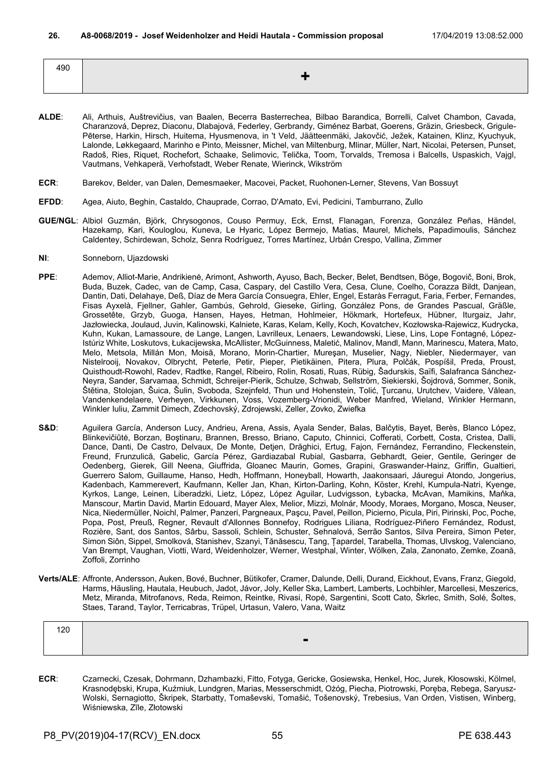| 490 |  |
|-----|--|
|     |  |

- **ALDE**: Ali, Arthuis, Auštrevičius, van Baalen, Becerra Basterrechea, Bilbao Barandica, Borrelli, Calvet Chambon, Cavada, Charanzová, Deprez, Diaconu, Dlabajová, Federley, Gerbrandy, Giménez Barbat, Goerens, Gräzin, Griesbeck, Grigule-Pēterse, Harkin, Hirsch, Huitema, Hyusmenova, in 't Veld, Jäätteenmäki, Jakovčić, Ježek, Katainen, Klinz, Kyuchyuk, Lalonde, Løkkegaard, Marinho e Pinto, Meissner, Michel, van Miltenburg, Mlinar, Müller, Nart, Nicolai, Petersen, Punset, Radoš, Ries, Riquet, Rochefort, Schaake, Selimovic, Telička, Toom, Torvalds, Tremosa i Balcells, Uspaskich, Vajgl, Vautmans, Vehkaperä, Verhofstadt, Weber Renate, Wierinck, Wikström
- **ECR**: Barekov, Belder, van Dalen, Demesmaeker, Macovei, Packet, Ruohonen-Lerner, Stevens, Van Bossuyt
- **EFDD**: Agea, Aiuto, Beghin, Castaldo, Chauprade, Corrao, D'Amato, Evi, Pedicini, Tamburrano, Zullo
- **GUE/NGL**: Albiol Guzmán, Björk, Chrysogonos, Couso Permuy, Eck, Ernst, Flanagan, Forenza, González Peñas, Händel, Hazekamp, Kari, Kouloglou, Kuneva, Le Hyaric, López Bermejo, Matias, Maurel, Michels, Papadimoulis, Sánchez Caldentey, Schirdewan, Scholz, Senra Rodríguez, Torres Martínez, Urbán Crespo, Vallina, Zimmer
- **NI**: Sonneborn, Ujazdowski
- **PPE**: Ademov, Alliot-Marie, Andrikienė, Arimont, Ashworth, Ayuso, Bach, Becker, Belet, Bendtsen, Böge, Bogovič, Boni, Brok, Buda, Buzek, Cadec, van de Camp, Casa, Caspary, del Castillo Vera, Cesa, Clune, Coelho, Corazza Bildt, Danjean, Dantin, Dati, Delahaye, Deß, Díaz de Mera García Consuegra, Ehler, Engel, Estaràs Ferragut, Faria, Ferber, Fernandes, Fisas Ayxelà, Fjellner, Gahler, Gambús, Gehrold, Gieseke, Girling, González Pons, de Grandes Pascual, Gräßle, Grossetête, Grzyb, Guoga, Hansen, Hayes, Hetman, Hohlmeier, Hökmark, Hortefeux, Hübner, Iturgaiz, Jahr, Jazłowiecka, Joulaud, Juvin, Kalinowski, Kalniete, Karas, Kelam, Kelly, Koch, Kovatchev, Kozłowska-Rajewicz, Kudrycka, Kuhn, Kukan, Lamassoure, de Lange, Langen, Lavrilleux, Lenaers, Lewandowski, Liese, Lins, Lope Fontagné, López-Istúriz White, Loskutovs, Łukacijewska, McAllister, McGuinness, Maletić, Malinov, Mandl, Mann, Marinescu, Matera, Mato, Melo, Metsola, Millán Mon, Moisă, Morano, Morin-Chartier, Mureşan, Muselier, Nagy, Niebler, Niedermayer, van Nistelrooij, Novakov, Olbrycht, Peterle, Petir, Pieper, Pietikäinen, Pitera, Plura, Polčák, Pospíšil, Preda, Proust, Quisthoudt-Rowohl, Radev, Radtke, Rangel, Ribeiro, Rolin, Rosati, Ruas, Rübig, Šadurskis, Saïfi, Salafranca Sánchez-Neyra, Sander, Sarvamaa, Schmidt, Schreijer-Pierik, Schulze, Schwab, Sellström, Siekierski, Šojdrová, Sommer, Sonik, Štětina, Stolojan, Šuica, Šulin, Svoboda, Szejnfeld, Thun und Hohenstein, Tolić, Ţurcanu, Urutchev, Vaidere, Vălean, Vandenkendelaere, Verheyen, Virkkunen, Voss, Vozemberg-Vrionidi, Weber Manfred, Wieland, Winkler Hermann, Winkler Iuliu, Zammit Dimech, Zdechovský, Zdrojewski, Zeller, Zovko, Zwiefka
- S&D: Aguilera García, Anderson Lucy, Andrieu, Arena, Assis, Ayala Sender, Balas, Balčytis, Bayet, Berès, Blanco López, Blinkevičiūtė, Borzan, Boştinaru, Brannen, Bresso, Briano, Caputo, Chinnici, Cofferati, Corbett, Costa, Cristea, Dalli, Dance, Danti, De Castro, Delvaux, De Monte, Detjen, Drăghici, Ertug, Fajon, Fernández, Ferrandino, Fleckenstein, Freund, Frunzulică, Gabelic, García Pérez, Gardiazabal Rubial, Gasbarra, Gebhardt, Geier, Gentile, Geringer de Oedenberg, Gierek, Gill Neena, Giuffrida, Gloanec Maurin, Gomes, Grapini, Graswander-Hainz, Griffin, Gualtieri, Guerrero Salom, Guillaume, Hanso, Hedh, Hoffmann, Honeyball, Howarth, Jaakonsaari, Jáuregui Atondo, Jongerius, Kadenbach, Kammerevert, Kaufmann, Keller Jan, Khan, Kirton-Darling, Kohn, Köster, Krehl, Kumpula-Natri, Kyenge, Kyrkos, Lange, Leinen, Liberadzki, Lietz, López, López Aguilar, Ludvigsson, Łybacka, McAvan, Mamikins, Maňka, Manscour, Martin David, Martin Edouard, Mayer Alex, Melior, Mizzi, Molnár, Moody, Moraes, Morgano, Mosca, Neuser, Nica, Niedermüller, Noichl, Palmer, Panzeri, Pargneaux, Paşcu, Pavel, Peillon, Picierno, Picula, Piri, Pirinski, Poc, Poche, Popa, Post, Preuß, Regner, Revault d'Allonnes Bonnefoy, Rodrigues Liliana, Rodríguez-Piñero Fernández, Rodust, Rozière, Sant, dos Santos, Sârbu, Sassoli, Schlein, Schuster, Sehnalová, Serrão Santos, Silva Pereira, Simon Peter, Simon Siôn, Sippel, Smolková, Stanishev, Szanyi, Tănăsescu, Tang, Țapardel, Tarabella, Thomas, Ulvskog, Valenciano, Van Brempt, Vaughan, Viotti, Ward, Weidenholzer, Werner, Westphal, Winter, Wölken, Zala, Zanonato, Zemke, Zoană, Zoffoli, Zorrinho
- **Verts/ALE**: Affronte, Andersson, Auken, Bové, Buchner, Bütikofer, Cramer, Dalunde, Delli, Durand, Eickhout, Evans, Franz, Giegold, Harms, Häusling, Hautala, Heubuch, Jadot, Jávor, Joly, Keller Ska, Lambert, Lamberts, Lochbihler, Marcellesi, Meszerics, Metz, Miranda, Mitrofanovs, Reda, Reimon, Reintke, Rivasi, Ropė, Sargentini, Scott Cato, Škrlec, Smith, Solé, Šoltes, Staes, Tarand, Taylor, Terricabras, Trüpel, Urtasun, Valero, Vana, Waitz

**ECR**: Czarnecki, Czesak, Dohrmann, Dzhambazki, Fitto, Fotyga, Gericke, Gosiewska, Henkel, Hoc, Jurek, Kłosowski, Kölmel, Krasnodębski, Krupa, Kuźmiuk, Lundgren, Marias, Messerschmidt, Ożóg, Piecha, Piotrowski, Poręba, Rebega, Saryusz-Wolski, Sernagiotto, Škripek, Starbatty, Tomaševski, Tomašić, Tošenovský, Trebesius, Van Orden, Vistisen, Winberg, Wiśniewska, Zīle, Złotowski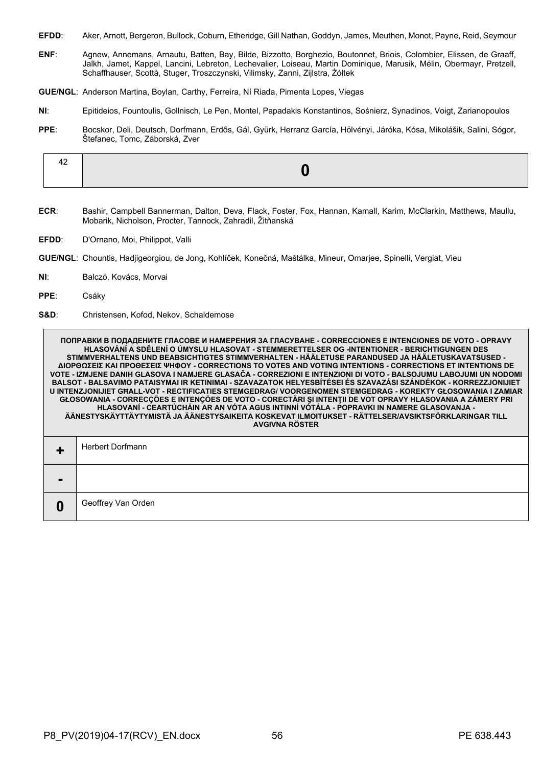- **EFDD**: Aker, Arnott, Bergeron, Bullock, Coburn, Etheridge, Gill Nathan, Goddyn, James, Meuthen, Monot, Payne, Reid, Seymour
- **ENF**: Agnew, Annemans, Arnautu, Batten, Bay, Bilde, Bizzotto, Borghezio, Boutonnet, Briois, Colombier, Elissen, de Graaff, Jalkh, Jamet, Kappel, Lancini, Lebreton, Lechevalier, Loiseau, Martin Dominique, Marusik, Mélin, Obermayr, Pretzell, Schaffhauser, Scottà, Stuger, Troszczynski, Vilimsky, Zanni, Zijlstra, Żółtek
- **GUE/NGL**: Anderson Martina, Boylan, Carthy, Ferreira, Ní Riada, Pimenta Lopes, Viegas
- **NI**: Epitideios, Fountoulis, Gollnisch, Le Pen, Montel, Papadakis Konstantinos, Sośnierz, Synadinos, Voigt, Zarianopoulos
- **PPE**: Bocskor, Deli, Deutsch, Dorfmann, Erdős, Gál, Gyürk, Herranz García, Hölvényi, Járóka, Kósa, Mikolášik, Salini, Sógor, Štefanec, Tomc, Záborská, Zver

- **ECR**: Bashir, Campbell Bannerman, Dalton, Deva, Flack, Foster, Fox, Hannan, Kamall, Karim, McClarkin, Matthews, Maullu, Mobarik, Nicholson, Procter, Tannock, Zahradil, Žitňanská
- **EFDD**: D'Ornano, Moi, Philippot, Valli
- **GUE/NGL**: Chountis, Hadjigeorgiou, de Jong, Kohlíček, Konečná, Maštálka, Mineur, Omarjee, Spinelli, Vergiat, Vieu
- **NI**: Balczó, Kovács, Morvai
- **PPE**: Csáky
- **S&D**: Christensen, Kofod, Nekov, Schaldemose

**ПОПРАВКИ В ПОДАДЕНИТЕ ГЛАСОВЕ И НАМЕРЕНИЯ ЗА ГЛАСУВАНЕ - CORRECCIONES E INTENCIONES DE VOTO - OPRAVY HLASOVÁNÍ A SDĚLENÍ O ÚMYSLU HLASOVAT - STEMMERETTELSER OG -INTENTIONER - BERICHTIGUNGEN DES STIMMVERHALTENS UND BEABSICHTIGTES STIMMVERHALTEN - HÄÄLETUSE PARANDUSED JA HÄÄLETUSKAVATSUSED - ΔΙΟΡΘΩΣΕΙΣ ΚΑΙ ΠΡΟΘΕΣΕΙΣ ΨΗΦΟΥ - CORRECTIONS TO VOTES AND VOTING INTENTIONS - CORRECTIONS ET INTENTIONS DE VOTE - IZMJENE DANIH GLASOVA I NAMJERE GLASAČA - CORREZIONI E INTENZIONI DI VOTO - BALSOJUMU LABOJUMI UN NODOMI BALSOT - BALSAVIMO PATAISYMAI IR KETINIMAI - SZAVAZATOK HELYESBÍTÉSEI ÉS SZAVAZÁSI SZÁNDÉKOK - KORREZZJONIJIET U INTENZJONIJIET GĦALL-VOT - RECTIFICATIES STEMGEDRAG/ VOORGENOMEN STEMGEDRAG - KOREKTY GŁOSOWANIA I ZAMIAR GŁOSOWANIA - CORRECÇÕES E INTENÇÕES DE VOTO - CORECTĂRI ŞI INTENŢII DE VOT OPRAVY HLASOVANIA A ZÁMERY PRI HLASOVANÍ - CEARTÚCHÁIN AR AN VÓTA AGUS INTINNÍ VÓTÁLA - POPRAVKI IN NAMERE GLASOVANJA - ÄÄNESTYSKÄYTTÄYTYMISTÄ JA ÄÄNESTYSAIKEITA KOSKEVAT ILMOITUKSET - RÄTTELSER/AVSIKTSFÖRKLARINGAR TILL AVGIVNA RÖSTER +** Herbert Dorfmann **- 0** Geoffrey Van Orden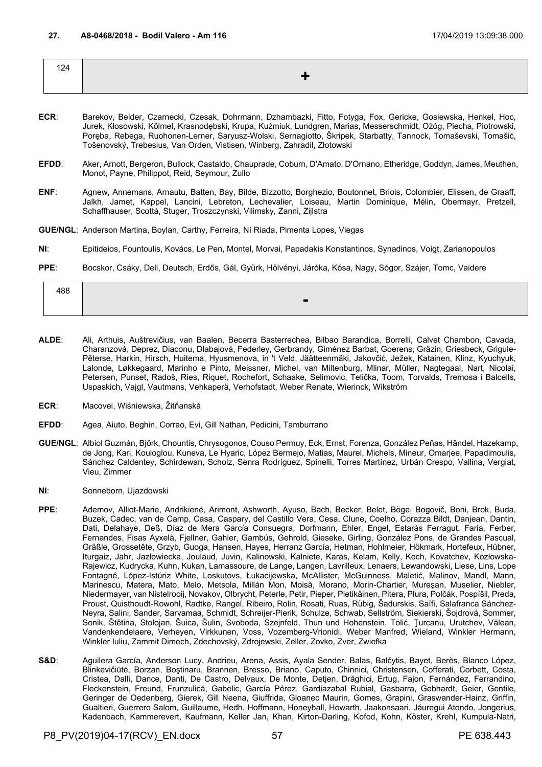| 124 |  |
|-----|--|
|     |  |
|     |  |

- **ECR**: Barekov, Belder, Czarnecki, Czesak, Dohrmann, Dzhambazki, Fitto, Fotyga, Fox, Gericke, Gosiewska, Henkel, Hoc, Jurek, Kłosowski, Kölmel, Krasnodębski, Krupa, Kuźmiuk, Lundgren, Marias, Messerschmidt, Ożóg, Piecha, Piotrowski, Poręba, Rebega, Ruohonen-Lerner, Saryusz-Wolski, Sernagiotto, Škripek, Starbatty, Tannock, Tomaševski, Tomašić, Tošenovský, Trebesius, Van Orden, Vistisen, Winberg, Zahradil, Złotowski
- **EFDD**: Aker, Arnott, Bergeron, Bullock, Castaldo, Chauprade, Coburn, D'Amato, D'Ornano, Etheridge, Goddyn, James, Meuthen, Monot, Payne, Philippot, Reid, Seymour, Zullo
- **ENF**: Agnew, Annemans, Arnautu, Batten, Bay, Bilde, Bizzotto, Borghezio, Boutonnet, Briois, Colombier, Elissen, de Graaff, Jalkh, Jamet, Kappel, Lancini, Lebreton, Lechevalier, Loiseau, Martin Dominique, Mélin, Obermayr, Pretzell, Schaffhauser, Scottà, Stuger, Troszczynski, Vilimsky, Zanni, Zijlstra
- **GUE/NGL**: Anderson Martina, Boylan, Carthy, Ferreira, Ní Riada, Pimenta Lopes, Viegas
- **NI**: Epitideios, Fountoulis, Kovács, Le Pen, Montel, Morvai, Papadakis Konstantinos, Synadinos, Voigt, Zarianopoulos
- **PPE**: Bocskor, Csáky, Deli, Deutsch, Erdős, Gál, Gyürk, Hölvényi, Járóka, Kósa, Nagy, Sógor, Szájer, Tomc, Vaidere

| 488 |                               |
|-----|-------------------------------|
|     | $\overline{\phantom{a}}$<br>- |

- **ALDE**: Ali, Arthuis, Auštrevičius, van Baalen, Becerra Basterrechea, Bilbao Barandica, Borrelli, Calvet Chambon, Cavada, Charanzová, Deprez, Diaconu, Dlabajová, Federley, Gerbrandy, Giménez Barbat, Goerens, Gräzin, Griesbeck, Grigule-Pēterse, Harkin, Hirsch, Huitema, Hyusmenova, in 't Veld, Jäätteenmäki, Jakovčić, Ježek, Katainen, Klinz, Kyuchyuk, Lalonde, Løkkegaard, Marinho e Pinto, Meissner, Michel, van Miltenburg, Mlinar, Müller, Nagtegaal, Nart, Nicolai, Petersen, Punset, Radoš, Ries, Riquet, Rochefort, Schaake, Selimovic, Telička, Toom, Torvalds, Tremosa i Balcells, Uspaskich, Vajgl, Vautmans, Vehkaperä, Verhofstadt, Weber Renate, Wierinck, Wikström
- **ECR**: Macovei, Wiśniewska, Žitňanská
- **EFDD**: Agea, Aiuto, Beghin, Corrao, Evi, Gill Nathan, Pedicini, Tamburrano
- **GUE/NGL**: Albiol Guzmán, Björk, Chountis, Chrysogonos, Couso Permuy, Eck, Ernst, Forenza, González Peñas, Händel, Hazekamp, de Jong, Kari, Kouloglou, Kuneva, Le Hyaric, López Bermejo, Matias, Maurel, Michels, Mineur, Omarjee, Papadimoulis, Sánchez Caldentey, Schirdewan, Scholz, Senra Rodríguez, Spinelli, Torres Martínez, Urbán Crespo, Vallina, Vergiat, Vieu, Zimmer
- **NI**: Sonneborn, Ujazdowski
- **PPE**: Ademov, Alliot-Marie, Andrikienė, Arimont, Ashworth, Ayuso, Bach, Becker, Belet, Böge, Bogovič, Boni, Brok, Buda, Buzek, Cadec, van de Camp, Casa, Caspary, del Castillo Vera, Cesa, Clune, Coelho, Corazza Bildt, Danjean, Dantin, Dati, Delahaye, Deß, Díaz de Mera García Consuegra, Dorfmann, Ehler, Engel, Estaràs Ferragut, Faria, Ferber, Fernandes, Fisas Ayxelà, Fjellner, Gahler, Gambús, Gehrold, Gieseke, Girling, González Pons, de Grandes Pascual, Gräßle, Grossetête, Grzyb, Guoga, Hansen, Hayes, Herranz García, Hetman, Hohlmeier, Hökmark, Hortefeux, Hübner, Iturgaiz, Jahr, Jazłowiecka, Joulaud, Juvin, Kalinowski, Kalniete, Karas, Kelam, Kelly, Koch, Kovatchev, Kozłowska-Rajewicz, Kudrycka, Kuhn, Kukan, Lamassoure, de Lange, Langen, Lavrilleux, Lenaers, Lewandowski, Liese, Lins, Lope Fontagné, López-Istúriz White, Loskutovs, Łukacijewska, McAllister, McGuinness, Maletić, Malinov, Mandl, Mann, Marinescu, Matera, Mato, Melo, Metsola, Millán Mon, Moisă, Morano, Morin-Chartier, Mureşan, Muselier, Niebler, Niedermayer, van Nistelrooij, Novakov, Olbrycht, Peterle, Petir, Pieper, Pietikäinen, Pitera, Plura, Polčák, Pospíšil, Preda, Proust, Quisthoudt-Rowohl, Radtke, Rangel, Ribeiro, Rolin, Rosati, Ruas, Rübig, Šadurskis, Saïfi, Salafranca Sánchez-Neyra, Salini, Sander, Sarvamaa, Schmidt, Schreijer-Pierik, Schulze, Schwab, Sellström, Siekierski, Šojdrová, Sommer, Sonik, Štětina, Stolojan, Šuica, Šulin, Svoboda, Szejnfeld, Thun und Hohenstein, Tolić, Ţurcanu, Urutchev, Vălean, Vandenkendelaere, Verheyen, Virkkunen, Voss, Vozemberg-Vrionidi, Weber Manfred, Wieland, Winkler Hermann, Winkler Iuliu, Zammit Dimech, Zdechovský, Zdrojewski, Zeller, Zovko, Zver, Zwiefka
- S&D: Aguilera García, Anderson Lucy, Andrieu, Arena, Assis, Ayala Sender, Balas, Balčytis, Bayet, Berès, Blanco López, Blinkevičiūtė, Borzan, Boştinaru, Brannen, Bresso, Briano, Caputo, Chinnici, Christensen, Cofferati, Corbett, Costa, Cristea, Dalli, Dance, Danti, De Castro, Delvaux, De Monte, Detjen, Drăghici, Ertug, Fajon, Fernández, Ferrandino, Fleckenstein, Freund, Frunzulică, Gabelic, García Pérez, Gardiazabal Rubial, Gasbarra, Gebhardt, Geier, Gentile, Geringer de Oedenberg, Gierek, Gill Neena, Giuffrida, Gloanec Maurin, Gomes, Grapini, Graswander-Hainz, Griffin, Gualtieri, Guerrero Salom, Guillaume, Hedh, Hoffmann, Honeyball, Howarth, Jaakonsaari, Jáuregui Atondo, Jongerius, Kadenbach, Kammerevert, Kaufmann, Keller Jan, Khan, Kirton-Darling, Kofod, Kohn, Köster, Krehl, Kumpula-Natri,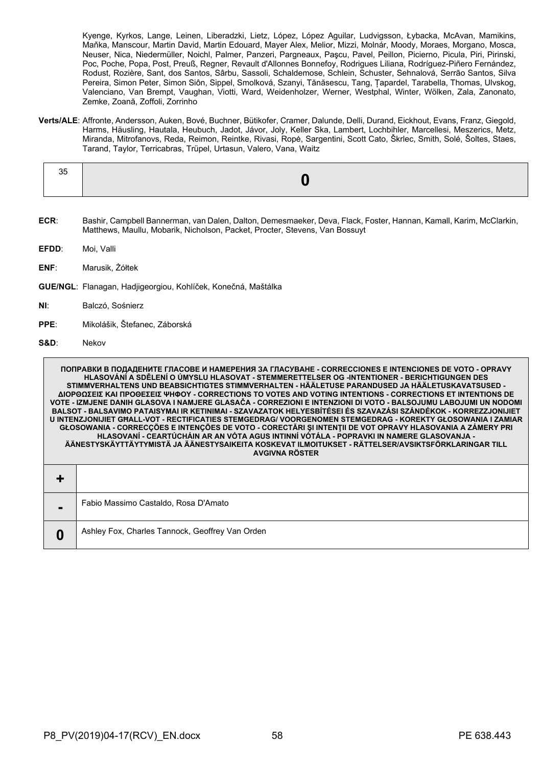Kyenge, Kyrkos, Lange, Leinen, Liberadzki, Lietz, López, López Aguilar, Ludvigsson, Łybacka, McAvan, Mamikins, Maňka, Manscour, Martin David, Martin Edouard, Mayer Alex, Melior, Mizzi, Molnár, Moody, Moraes, Morgano, Mosca, Neuser, Nica, Niedermüller, Noichl, Palmer, Panzeri, Pargneaux, Paşcu, Pavel, Peillon, Picierno, Picula, Piri, Pirinski, Poc, Poche, Popa, Post, Preuß, Regner, Revault d'Allonnes Bonnefoy, Rodrigues Liliana, Rodríguez-Piñero Fernández, Rodust, Rozière, Sant, dos Santos, Sârbu, Sassoli, Schaldemose, Schlein, Schuster, Sehnalová, Serrão Santos, Silva Pereira, Simon Peter, Simon Siôn, Sippel, Smolková, Szanyi, Tănăsescu, Tang, Țapardel, Tarabella, Thomas, Ulvskog, Valenciano, Van Brempt, Vaughan, Viotti, Ward, Weidenholzer, Werner, Westphal, Winter, Wölken, Zala, Zanonato, Zemke, Zoană, Zoffoli, Zorrinho

**Verts/ALE**: Affronte, Andersson, Auken, Bové, Buchner, Bütikofer, Cramer, Dalunde, Delli, Durand, Eickhout, Evans, Franz, Giegold, Harms, Häusling, Hautala, Heubuch, Jadot, Jávor, Joly, Keller Ska, Lambert, Lochbihler, Marcellesi, Meszerics, Metz, Miranda, Mitrofanovs, Reda, Reimon, Reintke, Rivasi, Ropė, Sargentini, Scott Cato, Škrlec, Smith, Solé, Šoltes, Staes, Tarand, Taylor, Terricabras, Trüpel, Urtasun, Valero, Vana, Waitz

**ECR**: Bashir, Campbell Bannerman, van Dalen, Dalton, Demesmaeker, Deva, Flack, Foster, Hannan, Kamall, Karim, McClarkin, Matthews, Maullu, Mobarik, Nicholson, Packet, Procter, Stevens, Van Bossuyt

**EFDD**: Moi, Valli

- **ENF**: Marusik, Żółtek
- **GUE/NGL**: Flanagan, Hadjigeorgiou, Kohlíček, Konečná, Maštálka
- **NI**: Balczó, Sośnierz
- **PPE**: Mikolášik, Štefanec, Záborská
- **S&D**: Nekov

**ПОПРАВКИ В ПОДАДЕНИТЕ ГЛАСОВЕ И НАМЕРЕНИЯ ЗА ГЛАСУВАНЕ - CORRECCIONES E INTENCIONES DE VOTO - OPRAVY HLASOVÁNÍ A SDĚLENÍ O ÚMYSLU HLASOVAT - STEMMERETTELSER OG -INTENTIONER - BERICHTIGUNGEN DES STIMMVERHALTENS UND BEABSICHTIGTES STIMMVERHALTEN - HÄÄLETUSE PARANDUSED JA HÄÄLETUSKAVATSUSED - ΔΙΟΡΘΩΣΕΙΣ ΚΑΙ ΠΡΟΘΕΣΕΙΣ ΨΗΦΟΥ - CORRECTIONS TO VOTES AND VOTING INTENTIONS - CORRECTIONS ET INTENTIONS DE VOTE - IZMJENE DANIH GLASOVA I NAMJERE GLASAČA - CORREZIONI E INTENZIONI DI VOTO - BALSOJUMU LABOJUMI UN NODOMI BALSOT - BALSAVIMO PATAISYMAI IR KETINIMAI - SZAVAZATOK HELYESBÍTÉSEI ÉS SZAVAZÁSI SZÁNDÉKOK - KORREZZJONIJIET U INTENZJONIJIET GĦALL-VOT - RECTIFICATIES STEMGEDRAG/ VOORGENOMEN STEMGEDRAG - KOREKTY GŁOSOWANIA I ZAMIAR GŁOSOWANIA - CORRECÇÕES E INTENÇÕES DE VOTO - CORECTĂRI ŞI INTENŢII DE VOT OPRAVY HLASOVANIA A ZÁMERY PRI HLASOVANÍ - CEARTÚCHÁIN AR AN VÓTA AGUS INTINNÍ VÓTÁLA - POPRAVKI IN NAMERE GLASOVANJA - ÄÄNESTYSKÄYTTÄYTYMISTÄ JA ÄÄNESTYSAIKEITA KOSKEVAT ILMOITUKSET - RÄTTELSER/AVSIKTSFÖRKLARINGAR TILL AVGIVNA RÖSTER + -** Fabio Massimo Castaldo, Rosa D'Amato **0** Ashley Fox, Charles Tannock, Geoffrey Van Orden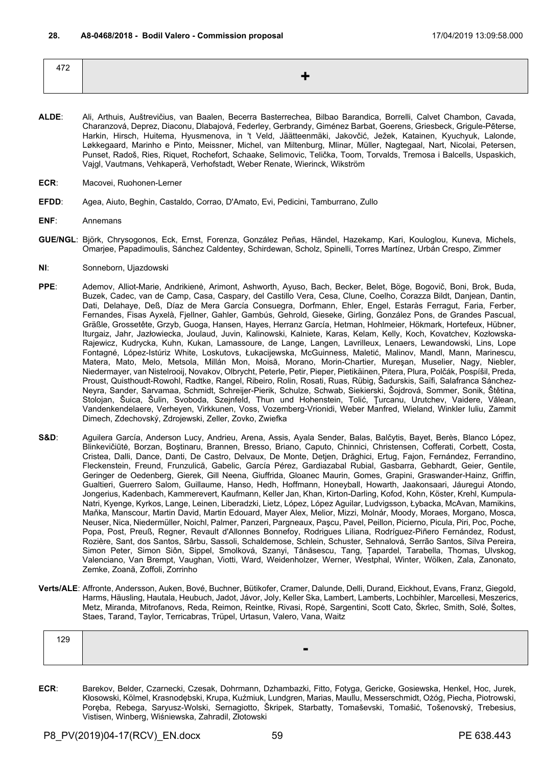| 472 |   |
|-----|---|
|     | - |
|     |   |

- **ALDE**: Ali, Arthuis, Auštrevičius, van Baalen, Becerra Basterrechea, Bilbao Barandica, Borrelli, Calvet Chambon, Cavada, Charanzová, Deprez, Diaconu, Dlabajová, Federley, Gerbrandy, Giménez Barbat, Goerens, Griesbeck, Grigule-Pēterse, Harkin, Hirsch, Huitema, Hyusmenova, in 't Veld, Jäätteenmäki, Jakovčić, Ježek, Katainen, Kyuchyuk, Lalonde, Løkkegaard, Marinho e Pinto, Meissner, Michel, van Miltenburg, Mlinar, Müller, Nagtegaal, Nart, Nicolai, Petersen, Punset, Radoš, Ries, Riquet, Rochefort, Schaake, Selimovic, Telička, Toom, Torvalds, Tremosa i Balcells, Uspaskich, Vajgl, Vautmans, Vehkaperä, Verhofstadt, Weber Renate, Wierinck, Wikström
- **ECR**: Macovei, Ruohonen-Lerner
- **EFDD**: Agea, Aiuto, Beghin, Castaldo, Corrao, D'Amato, Evi, Pedicini, Tamburrano, Zullo
- **ENF**: Annemans
- **GUE/NGL**: Björk, Chrysogonos, Eck, Ernst, Forenza, González Peñas, Händel, Hazekamp, Kari, Kouloglou, Kuneva, Michels, Omarjee, Papadimoulis, Sánchez Caldentey, Schirdewan, Scholz, Spinelli, Torres Martínez, Urbán Crespo, Zimmer
- **NI**: Sonneborn, Ujazdowski
- **PPE**: Ademov, Alliot-Marie, Andrikienė, Arimont, Ashworth, Ayuso, Bach, Becker, Belet, Böge, Bogovič, Boni, Brok, Buda, Buzek, Cadec, van de Camp, Casa, Caspary, del Castillo Vera, Cesa, Clune, Coelho, Corazza Bildt, Danjean, Dantin, Dati, Delahaye, Deß, Díaz de Mera García Consuegra, Dorfmann, Ehler, Engel, Estaràs Ferragut, Faria, Ferber, Fernandes, Fisas Ayxelà, Fjellner, Gahler, Gambús, Gehrold, Gieseke, Girling, González Pons, de Grandes Pascual, Gräßle, Grossetête, Grzyb, Guoga, Hansen, Hayes, Herranz García, Hetman, Hohlmeier, Hökmark, Hortefeux, Hübner, Iturgaiz, Jahr, Jazłowiecka, Joulaud, Juvin, Kalinowski, Kalniete, Karas, Kelam, Kelly, Koch, Kovatchev, Kozłowska-Rajewicz, Kudrycka, Kuhn, Kukan, Lamassoure, de Lange, Langen, Lavrilleux, Lenaers, Lewandowski, Lins, Lope Fontagné, López-Istúriz White, Loskutovs, Łukacijewska, McGuinness, Maletić, Malinov, Mandl, Mann, Marinescu, Matera, Mato, Melo, Metsola, Millán Mon, Moisă, Morano, Morin-Chartier, Mureşan, Muselier, Nagy, Niebler, Niedermayer, van Nistelrooij, Novakov, Olbrycht, Peterle, Petir, Pieper, Pietikäinen, Pitera, Plura, Polčák, Pospíšil, Preda, Proust, Quisthoudt-Rowohl, Radtke, Rangel, Ribeiro, Rolin, Rosati, Ruas, Rübig, Šadurskis, Saïfi, Salafranca Sánchez-Neyra, Sander, Sarvamaa, Schmidt, Schreijer-Pierik, Schulze, Schwab, Siekierski, Šojdrová, Sommer, Sonik, Štětina, Stolojan, Šuica, Šulin, Svoboda, Szejnfeld, Thun und Hohenstein, Tolić, Ţurcanu, Urutchev, Vaidere, Vălean, Vandenkendelaere, Verheyen, Virkkunen, Voss, Vozemberg-Vrionidi, Weber Manfred, Wieland, Winkler Iuliu, Zammit Dimech, Zdechovský, Zdrojewski, Zeller, Zovko, Zwiefka
- S&D: Aguilera García, Anderson Lucy, Andrieu, Arena, Assis, Ayala Sender, Balas, Balčytis, Bayet, Berès, Blanco López, Blinkevičiūtė, Borzan, Boştinaru, Brannen, Bresso, Briano, Caputo, Chinnici, Christensen, Cofferati, Corbett, Costa, Cristea, Dalli, Dance, Danti, De Castro, Delvaux, De Monte, Detjen, Drăghici, Ertug, Fajon, Fernández, Ferrandino, Fleckenstein, Freund, Frunzulică, Gabelic, García Pérez, Gardiazabal Rubial, Gasbarra, Gebhardt, Geier, Gentile, Geringer de Oedenberg, Gierek, Gill Neena, Giuffrida, Gloanec Maurin, Gomes, Grapini, Graswander-Hainz, Griffin, Gualtieri, Guerrero Salom, Guillaume, Hanso, Hedh, Hoffmann, Honeyball, Howarth, Jaakonsaari, Jáuregui Atondo, Jongerius, Kadenbach, Kammerevert, Kaufmann, Keller Jan, Khan, Kirton-Darling, Kofod, Kohn, Köster, Krehl, Kumpula-Natri, Kyenge, Kyrkos, Lange, Leinen, Liberadzki, Lietz, López, López Aguilar, Ludvigsson, Łybacka, McAvan, Mamikins, Maňka, Manscour, Martin David, Martin Edouard, Mayer Alex, Melior, Mizzi, Molnár, Moody, Moraes, Morgano, Mosca, Neuser, Nica, Niedermüller, Noichl, Palmer, Panzeri, Pargneaux, Paşcu, Pavel, Peillon, Picierno, Picula, Piri, Poc, Poche, Popa, Post, Preuß, Regner, Revault d'Allonnes Bonnefoy, Rodrigues Liliana, Rodríguez-Piñero Fernández, Rodust, Rozière, Sant, dos Santos, Sârbu, Sassoli, Schaldemose, Schlein, Schuster, Sehnalová, Serrão Santos, Silva Pereira, Simon Peter, Simon Siôn, Sippel, Smolková, Szanyi, Tănăsescu, Tang, Țapardel, Tarabella, Thomas, Ulvskog, Valenciano, Van Brempt, Vaughan, Viotti, Ward, Weidenholzer, Werner, Westphal, Winter, Wölken, Zala, Zanonato, Zemke, Zoană, Zoffoli, Zorrinho
- **Verts/ALE**: Affronte, Andersson, Auken, Bové, Buchner, Bütikofer, Cramer, Dalunde, Delli, Durand, Eickhout, Evans, Franz, Giegold, Harms, Häusling, Hautala, Heubuch, Jadot, Jávor, Joly, Keller Ska, Lambert, Lamberts, Lochbihler, Marcellesi, Meszerics, Metz, Miranda, Mitrofanovs, Reda, Reimon, Reintke, Rivasi, Ropė, Sargentini, Scott Cato, Škrlec, Smith, Solé, Šoltes, Staes, Tarand, Taylor, Terricabras, Trüpel, Urtasun, Valero, Vana, Waitz

| 129 |     |
|-----|-----|
|     | . . |

**ECR**: Barekov, Belder, Czarnecki, Czesak, Dohrmann, Dzhambazki, Fitto, Fotyga, Gericke, Gosiewska, Henkel, Hoc, Jurek, Kłosowski, Kölmel, Krasnodębski, Krupa, Kuźmiuk, Lundgren, Marias, Maullu, Messerschmidt, Ożóg, Piecha, Piotrowski, Poręba, Rebega, Saryusz-Wolski, Sernagiotto, Škripek, Starbatty, Tomaševski, Tomašić, Tošenovský, Trebesius, Vistisen, Winberg, Wiśniewska, Zahradil, Złotowski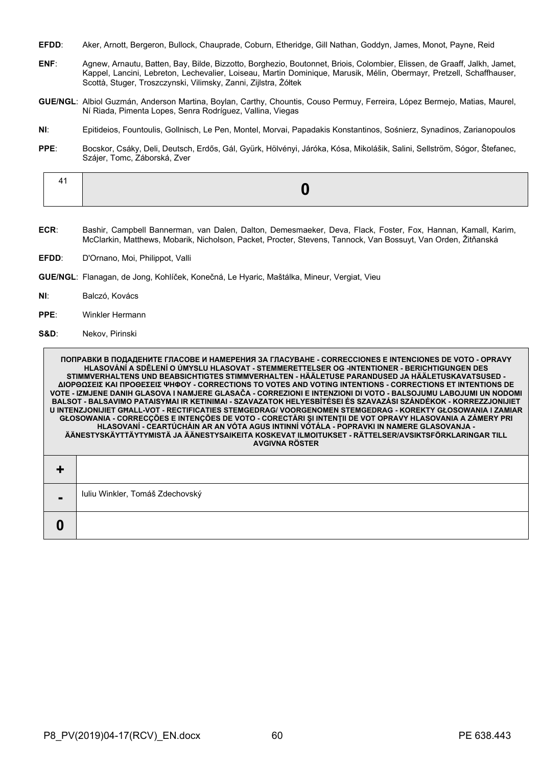- **EFDD**: Aker, Arnott, Bergeron, Bullock, Chauprade, Coburn, Etheridge, Gill Nathan, Goddyn, James, Monot, Payne, Reid
- **ENF**: Agnew, Arnautu, Batten, Bay, Bilde, Bizzotto, Borghezio, Boutonnet, Briois, Colombier, Elissen, de Graaff, Jalkh, Jamet, Kappel, Lancini, Lebreton, Lechevalier, Loiseau, Martin Dominique, Marusik, Mélin, Obermayr, Pretzell, Schaffhauser, Scottà, Stuger, Troszczynski, Vilimsky, Zanni, Zijlstra, Żółtek
- **GUE/NGL**: Albiol Guzmán, Anderson Martina, Boylan, Carthy, Chountis, Couso Permuy, Ferreira, López Bermejo, Matias, Maurel, Ní Riada, Pimenta Lopes, Senra Rodríguez, Vallina, Viegas
- **NI**: Epitideios, Fountoulis, Gollnisch, Le Pen, Montel, Morvai, Papadakis Konstantinos, Sośnierz, Synadinos, Zarianopoulos
- **PPE**: Bocskor, Csáky, Deli, Deutsch, Erdős, Gál, Gyürk, Hölvényi, Járóka, Kósa, Mikolášik, Salini, Sellström, Sógor, Štefanec, Szájer, Tomc, Záborská, Zver

|--|--|

- **ECR**: Bashir, Campbell Bannerman, van Dalen, Dalton, Demesmaeker, Deva, Flack, Foster, Fox, Hannan, Kamall, Karim, McClarkin, Matthews, Mobarik, Nicholson, Packet, Procter, Stevens, Tannock, Van Bossuyt, Van Orden, Žitňanská
- **EFDD**: D'Ornano, Moi, Philippot, Valli
- **GUE/NGL**: Flanagan, de Jong, Kohlíček, Konečná, Le Hyaric, Maštálka, Mineur, Vergiat, Vieu
- **NI**: Balczó, Kovács
- **PPE**: Winkler Hermann
- **S&D**: Nekov, Pirinski

**ПОПРАВКИ В ПОДАДЕНИТЕ ГЛАСОВЕ И НАМЕРЕНИЯ ЗА ГЛАСУВАНЕ - CORRECCIONES E INTENCIONES DE VOTO - OPRAVY HLASOVÁNÍ A SDĚLENÍ O ÚMYSLU HLASOVAT - STEMMERETTELSER OG -INTENTIONER - BERICHTIGUNGEN DES STIMMVERHALTENS UND BEABSICHTIGTES STIMMVERHALTEN - HÄÄLETUSE PARANDUSED JA HÄÄLETUSKAVATSUSED - ΔΙΟΡΘΩΣΕΙΣ ΚΑΙ ΠΡΟΘΕΣΕΙΣ ΨΗΦΟΥ - CORRECTIONS TO VOTES AND VOTING INTENTIONS - CORRECTIONS ET INTENTIONS DE VOTE - IZMJENE DANIH GLASOVA I NAMJERE GLASAČA - CORREZIONI E INTENZIONI DI VOTO - BALSOJUMU LABOJUMI UN NODOMI BALSOT - BALSAVIMO PATAISYMAI IR KETINIMAI - SZAVAZATOK HELYESBÍTÉSEI ÉS SZAVAZÁSI SZÁNDÉKOK - KORREZZJONIJIET U INTENZJONIJIET GĦALL-VOT - RECTIFICATIES STEMGEDRAG/ VOORGENOMEN STEMGEDRAG - KOREKTY GŁOSOWANIA I ZAMIAR GŁOSOWANIA - CORRECÇÕES E INTENÇÕES DE VOTO - CORECTĂRI ŞI INTENŢII DE VOT OPRAVY HLASOVANIA A ZÁMERY PRI HLASOVANÍ - CEARTÚCHÁIN AR AN VÓTA AGUS INTINNÍ VÓTÁLA - POPRAVKI IN NAMERE GLASOVANJA - ÄÄNESTYSKÄYTTÄYTYMISTÄ JA ÄÄNESTYSAIKEITA KOSKEVAT ILMOITUKSET - RÄTTELSER/AVSIKTSFÖRKLARINGAR TILL AVGIVNA RÖSTER +**

| Iuliu Winkler, Tomáš Zdechovský |
|---------------------------------|
|                                 |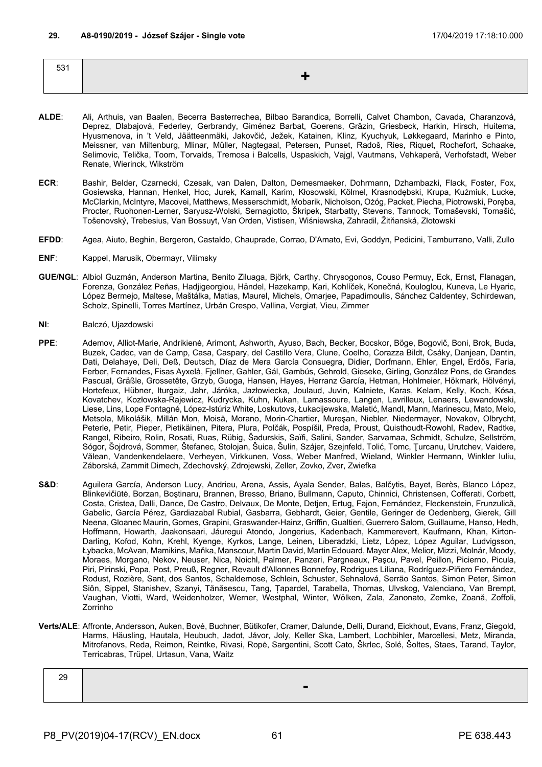| 531 |  |
|-----|--|
|     |  |
|     |  |

- **ALDE**: Ali, Arthuis, van Baalen, Becerra Basterrechea, Bilbao Barandica, Borrelli, Calvet Chambon, Cavada, Charanzová, Deprez, Dlabajová, Federley, Gerbrandy, Giménez Barbat, Goerens, Gräzin, Griesbeck, Harkin, Hirsch, Huitema, Hyusmenova, in 't Veld, Jäätteenmäki, Jakovčić, Ježek, Katainen, Klinz, Kyuchyuk, Løkkegaard, Marinho e Pinto, Meissner, van Miltenburg, Mlinar, Müller, Nagtegaal, Petersen, Punset, Radoš, Ries, Riquet, Rochefort, Schaake, Selimovic, Telička, Toom, Torvalds, Tremosa i Balcells, Uspaskich, Vajgl, Vautmans, Vehkaperä, Verhofstadt, Weber Renate, Wierinck, Wikström
- **ECR**: Bashir, Belder, Czarnecki, Czesak, van Dalen, Dalton, Demesmaeker, Dohrmann, Dzhambazki, Flack, Foster, Fox, Gosiewska, Hannan, Henkel, Hoc, Jurek, Kamall, Karim, Kłosowski, Kölmel, Krasnodębski, Krupa, Kuźmiuk, Lucke, McClarkin, McIntyre, Macovei, Matthews, Messerschmidt, Mobarik, Nicholson, Ożóg, Packet, Piecha, Piotrowski, Poręba, Procter, Ruohonen-Lerner, Saryusz-Wolski, Sernagiotto, Škripek, Starbatty, Stevens, Tannock, Tomaševski, Tomašić, Tošenovský, Trebesius, Van Bossuyt, Van Orden, Vistisen, Wiśniewska, Zahradil, Žitňanská, Złotowski
- **EFDD**: Agea, Aiuto, Beghin, Bergeron, Castaldo, Chauprade, Corrao, D'Amato, Evi, Goddyn, Pedicini, Tamburrano, Valli, Zullo
- **ENF**: Kappel, Marusik, Obermayr, Vilimsky
- **GUE/NGL**: Albiol Guzmán, Anderson Martina, Benito Ziluaga, Björk, Carthy, Chrysogonos, Couso Permuy, Eck, Ernst, Flanagan, Forenza, González Peñas, Hadjigeorgiou, Händel, Hazekamp, Kari, Kohlíček, Konečná, Kouloglou, Kuneva, Le Hyaric, López Bermejo, Maltese, Maštálka, Matias, Maurel, Michels, Omarjee, Papadimoulis, Sánchez Caldentey, Schirdewan, Scholz, Spinelli, Torres Martínez, Urbán Crespo, Vallina, Vergiat, Vieu, Zimmer
- **NI**: Balczó, Ujazdowski
- **PPE**: Ademov, Alliot-Marie, Andrikienė, Arimont, Ashworth, Ayuso, Bach, Becker, Bocskor, Böge, Bogovič, Boni, Brok, Buda, Buzek, Cadec, van de Camp, Casa, Caspary, del Castillo Vera, Clune, Coelho, Corazza Bildt, Csáky, Danjean, Dantin, Dati, Delahaye, Deli, Deß, Deutsch, Díaz de Mera García Consuegra, Didier, Dorfmann, Ehler, Engel, Erdős, Faria, Ferber, Fernandes, Fisas Ayxelà, Fjellner, Gahler, Gál, Gambús, Gehrold, Gieseke, Girling, González Pons, de Grandes Pascual, Gräßle, Grossetête, Grzyb, Guoga, Hansen, Hayes, Herranz García, Hetman, Hohlmeier, Hökmark, Hölvényi, Hortefeux, Hübner, Iturgaiz, Jahr, Járóka, Jazłowiecka, Joulaud, Juvin, Kalniete, Karas, Kelam, Kelly, Koch, Kósa, Kovatchev, Kozłowska-Rajewicz, Kudrycka, Kuhn, Kukan, Lamassoure, Langen, Lavrilleux, Lenaers, Lewandowski, Liese, Lins, Lope Fontagné, López-Istúriz White, Loskutovs, Łukacijewska, Maletić, Mandl, Mann, Marinescu, Mato, Melo, Metsola, Mikolášik, Millán Mon, Moisă, Morano, Morin-Chartier, Mureşan, Niebler, Niedermayer, Novakov, Olbrycht, Peterle, Petir, Pieper, Pietikäinen, Pitera, Plura, Polčák, Pospíšil, Preda, Proust, Quisthoudt-Rowohl, Radev, Radtke, Rangel, Ribeiro, Rolin, Rosati, Ruas, Rübig, Šadurskis, Saïfi, Salini, Sander, Sarvamaa, Schmidt, Schulze, Sellström, Sógor, Šojdrová, Sommer, Štefanec, Stolojan, Šuica, Šulin, Szájer, Szejnfeld, Tolić, Tomc, Ţurcanu, Urutchev, Vaidere, Vălean, Vandenkendelaere, Verheyen, Virkkunen, Voss, Weber Manfred, Wieland, Winkler Hermann, Winkler Iuliu, Záborská, Zammit Dimech, Zdechovský, Zdrojewski, Zeller, Zovko, Zver, Zwiefka
- S&D: Aguilera García, Anderson Lucy, Andrieu, Arena, Assis, Ayala Sender, Balas, Balčytis, Bayet, Berès, Blanco López, Blinkevičiūtė, Borzan, Boştinaru, Brannen, Bresso, Briano, Bullmann, Caputo, Chinnici, Christensen, Cofferati, Corbett, Costa, Cristea, Dalli, Dance, De Castro, Delvaux, De Monte, Detjen, Ertug, Fajon, Fernández, Fleckenstein, Frunzulică, Gabelic, García Pérez, Gardiazabal Rubial, Gasbarra, Gebhardt, Geier, Gentile, Geringer de Oedenberg, Gierek, Gill Neena, Gloanec Maurin, Gomes, Grapini, Graswander-Hainz, Griffin, Gualtieri, Guerrero Salom, Guillaume, Hanso, Hedh, Hoffmann, Howarth, Jaakonsaari, Jáuregui Atondo, Jongerius, Kadenbach, Kammerevert, Kaufmann, Khan, Kirton-Darling, Kofod, Kohn, Krehl, Kyenge, Kyrkos, Lange, Leinen, Liberadzki, Lietz, López, López Aguilar, Ludvigsson, Łybacka, McAvan, Mamikins, Maňka, Manscour, Martin David, Martin Edouard, Mayer Alex, Melior, Mizzi, Molnár, Moody, Moraes, Morgano, Nekov, Neuser, Nica, Noichl, Palmer, Panzeri, Pargneaux, Paşcu, Pavel, Peillon, Picierno, Picula, Piri, Pirinski, Popa, Post, Preuß, Regner, Revault d'Allonnes Bonnefoy, Rodrigues Liliana, Rodríguez-Piñero Fernández, Rodust, Rozière, Sant, dos Santos, Schaldemose, Schlein, Schuster, Sehnalová, Serrão Santos, Simon Peter, Simon Siôn, Sippel, Stanishev, Szanyi, Tănăsescu, Tang, Țapardel, Tarabella, Thomas, Ulvskog, Valenciano, Van Brempt, Vaughan, Viotti, Ward, Weidenholzer, Werner, Westphal, Winter, Wölken, Zala, Zanonato, Zemke, Zoană, Zoffoli, Zorrinho
- **Verts/ALE**: Affronte, Andersson, Auken, Bové, Buchner, Bütikofer, Cramer, Dalunde, Delli, Durand, Eickhout, Evans, Franz, Giegold, Harms, Häusling, Hautala, Heubuch, Jadot, Jávor, Joly, Keller Ska, Lambert, Lochbihler, Marcellesi, Metz, Miranda, Mitrofanovs, Reda, Reimon, Reintke, Rivasi, Ropė, Sargentini, Scott Cato, Škrlec, Solé, Šoltes, Staes, Tarand, Taylor, Terricabras, Trüpel, Urtasun, Vana, Waitz

| 29 |                |
|----|----------------|
|    | $\sim$ $ \sim$ |
|    |                |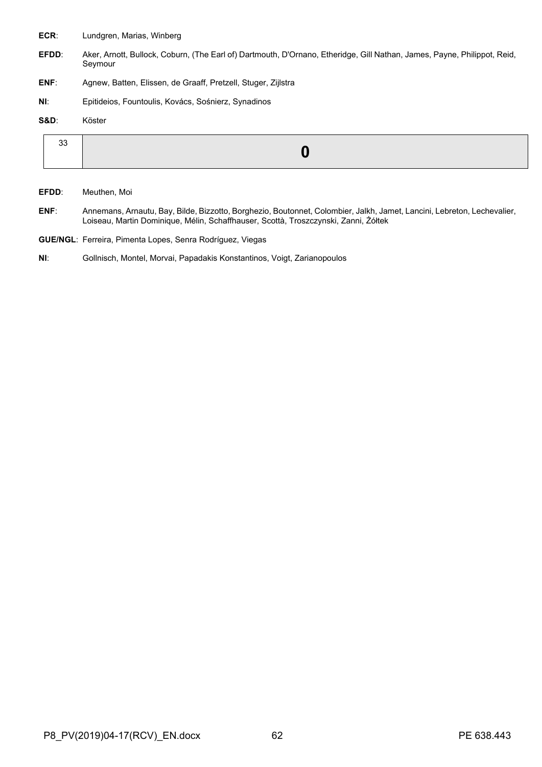- **ECR**: Lundgren, Marias, Winberg
- **EFDD**: Aker, Arnott, Bullock, Coburn, (The Earl of) Dartmouth, D'Ornano, Etheridge, Gill Nathan, James, Payne, Philippot, Reid, Seymour
- **ENF**: Agnew, Batten, Elissen, de Graaff, Pretzell, Stuger, Zijlstra
- **NI**: Epitideios, Fountoulis, Kovács, Sośnierz, Synadinos
- **S&D**: Köster

| ັບ |  |
|----|--|
|    |  |

- **EFDD**: Meuthen, Moi
- **ENF**: Annemans, Arnautu, Bay, Bilde, Bizzotto, Borghezio, Boutonnet, Colombier, Jalkh, Jamet, Lancini, Lebreton, Lechevalier, Loiseau, Martin Dominique, Mélin, Schaffhauser, Scottà, Troszczynski, Zanni, Żółtek
- **GUE/NGL**: Ferreira, Pimenta Lopes, Senra Rodríguez, Viegas
- **NI**: Gollnisch, Montel, Morvai, Papadakis Konstantinos, Voigt, Zarianopoulos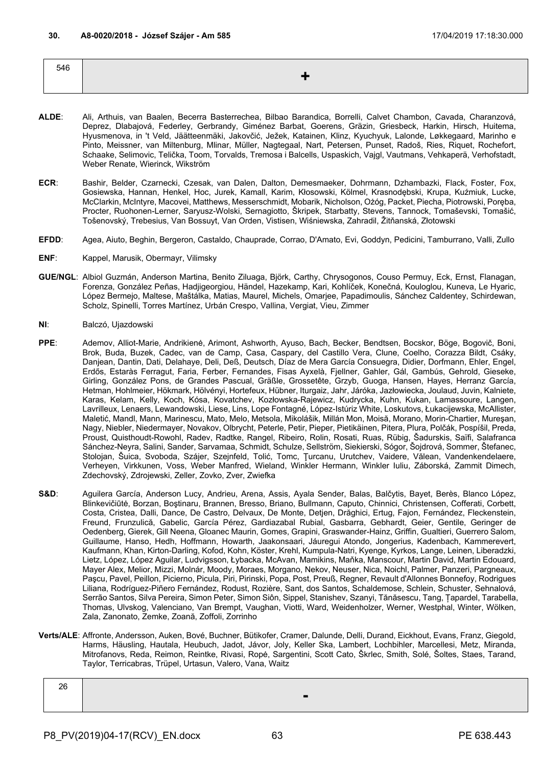| 546 |                    |
|-----|--------------------|
|     | <u>. на с</u><br>_ |
|     |                    |

- **ALDE**: Ali, Arthuis, van Baalen, Becerra Basterrechea, Bilbao Barandica, Borrelli, Calvet Chambon, Cavada, Charanzová, Deprez, Dlabajová, Federley, Gerbrandy, Giménez Barbat, Goerens, Gräzin, Griesbeck, Harkin, Hirsch, Huitema, Hyusmenova, in 't Veld, Jäätteenmäki, Jakovčić, Ježek, Katainen, Klinz, Kyuchyuk, Lalonde, Løkkegaard, Marinho e Pinto, Meissner, van Miltenburg, Mlinar, Müller, Nagtegaal, Nart, Petersen, Punset, Radoš, Ries, Riquet, Rochefort, Schaake, Selimovic, Telička, Toom, Torvalds, Tremosa i Balcells, Uspaskich, Vajgl, Vautmans, Vehkaperä, Verhofstadt, Weber Renate, Wierinck, Wikström
- **ECR**: Bashir, Belder, Czarnecki, Czesak, van Dalen, Dalton, Demesmaeker, Dohrmann, Dzhambazki, Flack, Foster, Fox, Gosiewska, Hannan, Henkel, Hoc, Jurek, Kamall, Karim, Kłosowski, Kölmel, Krasnodębski, Krupa, Kuźmiuk, Lucke, McClarkin, McIntyre, Macovei, Matthews, Messerschmidt, Mobarik, Nicholson, Ożóg, Packet, Piecha, Piotrowski, Poręba, Procter, Ruohonen-Lerner, Saryusz-Wolski, Sernagiotto, Škripek, Starbatty, Stevens, Tannock, Tomaševski, Tomašić, Tošenovský, Trebesius, Van Bossuyt, Van Orden, Vistisen, Wiśniewska, Zahradil, Žitňanská, Złotowski
- **EFDD**: Agea, Aiuto, Beghin, Bergeron, Castaldo, Chauprade, Corrao, D'Amato, Evi, Goddyn, Pedicini, Tamburrano, Valli, Zullo
- **ENF**: Kappel, Marusik, Obermayr, Vilimsky
- **GUE/NGL**: Albiol Guzmán, Anderson Martina, Benito Ziluaga, Björk, Carthy, Chrysogonos, Couso Permuy, Eck, Ernst, Flanagan, Forenza, González Peñas, Hadjigeorgiou, Händel, Hazekamp, Kari, Kohlíček, Konečná, Kouloglou, Kuneva, Le Hyaric, López Bermejo, Maltese, Maštálka, Matias, Maurel, Michels, Omarjee, Papadimoulis, Sánchez Caldentey, Schirdewan, Scholz, Spinelli, Torres Martínez, Urbán Crespo, Vallina, Vergiat, Vieu, Zimmer
- **NI**: Balczó, Ujazdowski
- **PPE**: Ademov, Alliot-Marie, Andrikienė, Arimont, Ashworth, Ayuso, Bach, Becker, Bendtsen, Bocskor, Böge, Bogovič, Boni, Brok, Buda, Buzek, Cadec, van de Camp, Casa, Caspary, del Castillo Vera, Clune, Coelho, Corazza Bildt, Csáky, Danjean, Dantin, Dati, Delahaye, Deli, Deß, Deutsch, Díaz de Mera García Consuegra, Didier, Dorfmann, Ehler, Engel, Erdős, Estaràs Ferragut, Faria, Ferber, Fernandes, Fisas Ayxelà, Fjellner, Gahler, Gál, Gambús, Gehrold, Gieseke, Girling, González Pons, de Grandes Pascual, Gräßle, Grossetête, Grzyb, Guoga, Hansen, Hayes, Herranz García, Hetman, Hohlmeier, Hökmark, Hölvényi, Hortefeux, Hübner, Iturgaiz, Jahr, Járóka, Jazłowiecka, Joulaud, Juvin, Kalniete, Karas, Kelam, Kelly, Koch, Kósa, Kovatchev, Kozłowska-Rajewicz, Kudrycka, Kuhn, Kukan, Lamassoure, Langen, Lavrilleux, Lenaers, Lewandowski, Liese, Lins, Lope Fontagné, López-Istúriz White, Loskutovs, Łukacijewska, McAllister, Maletić, Mandl, Mann, Marinescu, Mato, Melo, Metsola, Mikolášik, Millán Mon, Moisă, Morano, Morin-Chartier, Mureşan, Nagy, Niebler, Niedermayer, Novakov, Olbrycht, Peterle, Petir, Pieper, Pietikäinen, Pitera, Plura, Polčák, Pospíšil, Preda, Proust, Quisthoudt-Rowohl, Radev, Radtke, Rangel, Ribeiro, Rolin, Rosati, Ruas, Rübig, Šadurskis, Saïfi, Salafranca Sánchez-Neyra, Salini, Sander, Sarvamaa, Schmidt, Schulze, Sellström, Siekierski, Sógor, Šojdrová, Sommer, Štefanec, Stolojan, Šuica, Svoboda, Szájer, Szejnfeld, Tolić, Tomc, Ţurcanu, Urutchev, Vaidere, Vălean, Vandenkendelaere, Verheyen, Virkkunen, Voss, Weber Manfred, Wieland, Winkler Hermann, Winkler Iuliu, Záborská, Zammit Dimech, Zdechovský, Zdrojewski, Zeller, Zovko, Zver, Zwiefka
- S&D: Aguilera García, Anderson Lucy, Andrieu, Arena, Assis, Ayala Sender, Balas, Balčytis, Bayet, Berès, Blanco López, Blinkevičiūtė, Borzan, Boştinaru, Brannen, Bresso, Briano, Bullmann, Caputo, Chinnici, Christensen, Cofferati, Corbett, Costa, Cristea, Dalli, Dance, De Castro, Delvaux, De Monte, Detjen, Drăghici, Ertug, Fajon, Fernández, Fleckenstein, Freund, Frunzulică, Gabelic, García Pérez, Gardiazabal Rubial, Gasbarra, Gebhardt, Geier, Gentile, Geringer de Oedenberg, Gierek, Gill Neena, Gloanec Maurin, Gomes, Grapini, Graswander-Hainz, Griffin, Gualtieri, Guerrero Salom, Guillaume, Hanso, Hedh, Hoffmann, Howarth, Jaakonsaari, Jáuregui Atondo, Jongerius, Kadenbach, Kammerevert, Kaufmann, Khan, Kirton-Darling, Kofod, Kohn, Köster, Krehl, Kumpula-Natri, Kyenge, Kyrkos, Lange, Leinen, Liberadzki, Lietz, López, López Aguilar, Ludvigsson, Łybacka, McAvan, Mamikins, Maňka, Manscour, Martin David, Martin Edouard, Mayer Alex, Melior, Mizzi, Molnár, Moody, Moraes, Morgano, Nekov, Neuser, Nica, Noichl, Palmer, Panzeri, Pargneaux, Paşcu, Pavel, Peillon, Picierno, Picula, Piri, Pirinski, Popa, Post, Preuß, Regner, Revault d'Allonnes Bonnefoy, Rodrigues Liliana, Rodríguez-Piñero Fernández, Rodust, Rozière, Sant, dos Santos, Schaldemose, Schlein, Schuster, Sehnalová, Serrão Santos, Silva Pereira, Simon Peter, Simon Siôn, Sippel, Stanishev, Szanyi, Tănăsescu, Tang, Țapardel, Tarabella, Thomas, Ulvskog, Valenciano, Van Brempt, Vaughan, Viotti, Ward, Weidenholzer, Werner, Westphal, Winter, Wölken, Zala, Zanonato, Zemke, Zoană, Zoffoli, Zorrinho
- **Verts/ALE**: Affronte, Andersson, Auken, Bové, Buchner, Bütikofer, Cramer, Dalunde, Delli, Durand, Eickhout, Evans, Franz, Giegold, Harms, Häusling, Hautala, Heubuch, Jadot, Jávor, Joly, Keller Ska, Lambert, Lochbihler, Marcellesi, Metz, Miranda, Mitrofanovs, Reda, Reimon, Reintke, Rivasi, Ropė, Sargentini, Scott Cato, Škrlec, Smith, Solé, Šoltes, Staes, Tarand, Taylor, Terricabras, Trüpel, Urtasun, Valero, Vana, Waitz

| ∠o |  |
|----|--|
|    |  |
|    |  |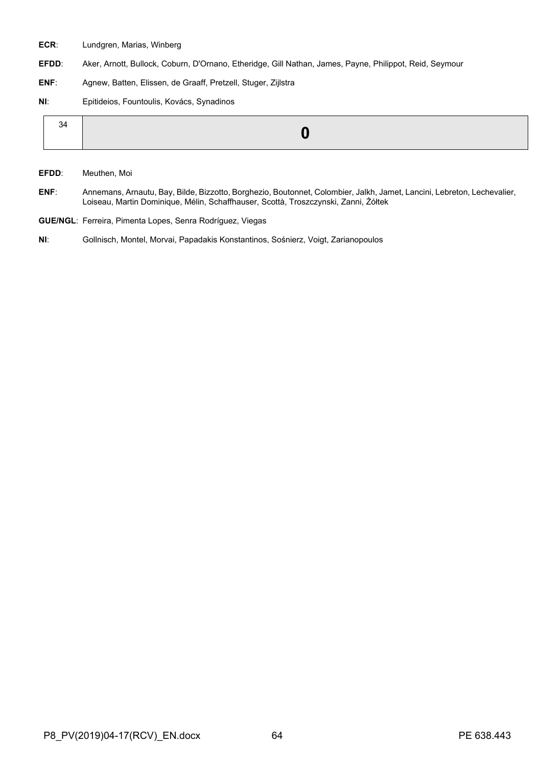- **ECR**: Lundgren, Marias, Winberg
- **EFDD**: Aker, Arnott, Bullock, Coburn, D'Ornano, Etheridge, Gill Nathan, James, Payne, Philippot, Reid, Seymour
- **ENF**: Agnew, Batten, Elissen, de Graaff, Pretzell, Stuger, Zijlstra
- **NI**: Epitideios, Fountoulis, Kovács, Synadinos

| 34 |  |
|----|--|
|    |  |

- **EFDD**: Meuthen, Moi
- **ENF**: Annemans, Arnautu, Bay, Bilde, Bizzotto, Borghezio, Boutonnet, Colombier, Jalkh, Jamet, Lancini, Lebreton, Lechevalier, Loiseau, Martin Dominique, Mélin, Schaffhauser, Scottà, Troszczynski, Zanni, Żółtek
- **GUE/NGL**: Ferreira, Pimenta Lopes, Senra Rodríguez, Viegas
- **NI**: Gollnisch, Montel, Morvai, Papadakis Konstantinos, Sośnierz, Voigt, Zarianopoulos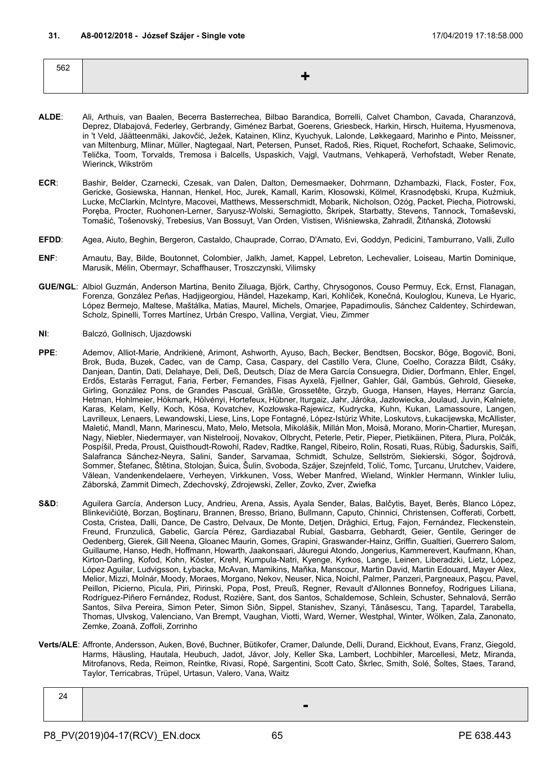| 562 |  |
|-----|--|
|     |  |
|     |  |

- **ALDE**: Ali, Arthuis, van Baalen, Becerra Basterrechea, Bilbao Barandica, Borrelli, Calvet Chambon, Cavada, Charanzová, Deprez, Dlabajová, Federley, Gerbrandy, Giménez Barbat, Goerens, Griesbeck, Harkin, Hirsch, Huitema, Hyusmenova, in 't Veld, Jäätteenmäki, Jakovčić, Ježek, Katainen, Klinz, Kyuchyuk, Lalonde, Løkkegaard, Marinho e Pinto, Meissner, van Miltenburg, Mlinar, Müller, Nagtegaal, Nart, Petersen, Punset, Radoš, Ries, Riquet, Rochefort, Schaake, Selimovic, Telička, Toom, Torvalds, Tremosa i Balcells, Uspaskich, Vajgl, Vautmans, Vehkaperä, Verhofstadt, Weber Renate, Wierinck, Wikström
- **ECR**: Bashir, Belder, Czarnecki, Czesak, van Dalen, Dalton, Demesmaeker, Dohrmann, Dzhambazki, Flack, Foster, Fox, Gericke, Gosiewska, Hannan, Henkel, Hoc, Jurek, Kamall, Karim, Kłosowski, Kölmel, Krasnodębski, Krupa, Kuźmiuk, Lucke, McClarkin, McIntyre, Macovei, Matthews, Messerschmidt, Mobarik, Nicholson, Ożóg, Packet, Piecha, Piotrowski, Poręba, Procter, Ruohonen-Lerner, Saryusz-Wolski, Sernagiotto, Škripek, Starbatty, Stevens, Tannock, Tomaševski, Tomašić, Tošenovský, Trebesius, Van Bossuyt, Van Orden, Vistisen, Wiśniewska, Zahradil, Žitňanská, Złotowski
- **EFDD**: Agea, Aiuto, Beghin, Bergeron, Castaldo, Chauprade, Corrao, D'Amato, Evi, Goddyn, Pedicini, Tamburrano, Valli, Zullo
- **ENF**: Arnautu, Bay, Bilde, Boutonnet, Colombier, Jalkh, Jamet, Kappel, Lebreton, Lechevalier, Loiseau, Martin Dominique, Marusik, Mélin, Obermayr, Schaffhauser, Troszczynski, Vilimsky
- **GUE/NGL**: Albiol Guzmán, Anderson Martina, Benito Ziluaga, Björk, Carthy, Chrysogonos, Couso Permuy, Eck, Ernst, Flanagan, Forenza, González Peñas, Hadjigeorgiou, Händel, Hazekamp, Kari, Kohlíček, Konečná, Kouloglou, Kuneva, Le Hyaric, López Bermejo, Maltese, Maštálka, Matias, Maurel, Michels, Omarjee, Papadimoulis, Sánchez Caldentey, Schirdewan, Scholz, Spinelli, Torres Martínez, Urbán Crespo, Vallina, Vergiat, Vieu, Zimmer
- **NI**: Balczó, Gollnisch, Ujazdowski
- **PPE**: Ademov, Alliot-Marie, Andrikienė, Arimont, Ashworth, Ayuso, Bach, Becker, Bendtsen, Bocskor, Böge, Bogovič, Boni, Brok, Buda, Buzek, Cadec, van de Camp, Casa, Caspary, del Castillo Vera, Clune, Coelho, Corazza Bildt, Csáky, Danjean, Dantin, Dati, Delahaye, Deli, Deß, Deutsch, Díaz de Mera García Consuegra, Didier, Dorfmann, Ehler, Engel, Erdős, Estaràs Ferragut, Faria, Ferber, Fernandes, Fisas Ayxelà, Fjellner, Gahler, Gál, Gambús, Gehrold, Gieseke, Girling, González Pons, de Grandes Pascual, Gräßle, Grossetête, Grzyb, Guoga, Hansen, Hayes, Herranz García, Hetman, Hohlmeier, Hökmark, Hölvényi, Hortefeux, Hübner, Iturgaiz, Jahr, Járóka, Jazłowiecka, Joulaud, Juvin, Kalniete, Karas, Kelam, Kelly, Koch, Kósa, Kovatchev, Kozłowska-Rajewicz, Kudrycka, Kuhn, Kukan, Lamassoure, Langen, Lavrilleux, Lenaers, Lewandowski, Liese, Lins, Lope Fontagné, López-Istúriz White, Loskutovs, Łukacijewska, McAllister, Maletić, Mandl, Mann, Marinescu, Mato, Melo, Metsola, Mikolášik, Millán Mon, Moisă, Morano, Morin-Chartier, Mureşan, Nagy, Niebler, Niedermayer, van Nistelrooij, Novakov, Olbrycht, Peterle, Petir, Pieper, Pietikäinen, Pitera, Plura, Polčák, Pospíšil, Preda, Proust, Quisthoudt-Rowohl, Radev, Radtke, Rangel, Ribeiro, Rolin, Rosati, Ruas, Rübig, Šadurskis, Saïfi, Salafranca Sánchez-Neyra, Salini, Sander, Sarvamaa, Schmidt, Schulze, Sellström, Siekierski, Sógor, Šojdrová, Sommer, Štefanec, Štětina, Stolojan, Šuica, Šulin, Svoboda, Szájer, Szejnfeld, Tolić, Tomc, Ţurcanu, Urutchev, Vaidere, Vălean, Vandenkendelaere, Verheyen, Virkkunen, Voss, Weber Manfred, Wieland, Winkler Hermann, Winkler Iuliu, Záborská, Zammit Dimech, Zdechovský, Zdrojewski, Zeller, Zovko, Zver, Zwiefka
- S&D: Aguilera García, Anderson Lucy, Andrieu, Arena, Assis, Ayala Sender, Balas, Balčytis, Bayet, Berès, Blanco López, Blinkevičiūtė, Borzan, Boştinaru, Brannen, Bresso, Briano, Bullmann, Caputo, Chinnici, Christensen, Cofferati, Corbett, Costa, Cristea, Dalli, Dance, De Castro, Delvaux, De Monte, Detjen, Drăghici, Ertug, Fajon, Fernández, Fleckenstein, Freund, Frunzulică, Gabelic, García Pérez, Gardiazabal Rubial, Gasbarra, Gebhardt, Geier, Gentile, Geringer de Oedenberg, Gierek, Gill Neena, Gloanec Maurin, Gomes, Grapini, Graswander-Hainz, Griffin, Gualtieri, Guerrero Salom, Guillaume, Hanso, Hedh, Hoffmann, Howarth, Jaakonsaari, Jáuregui Atondo, Jongerius, Kammerevert, Kaufmann, Khan, Kirton-Darling, Kofod, Kohn, Köster, Krehl, Kumpula-Natri, Kyenge, Kyrkos, Lange, Leinen, Liberadzki, Lietz, López, López Aguilar, Ludvigsson, Łybacka, McAvan, Mamikins, Maňka, Manscour, Martin David, Martin Edouard, Mayer Alex, Melior, Mizzi, Molnár, Moody, Moraes, Morgano, Nekov, Neuser, Nica, Noichl, Palmer, Panzeri, Pargneaux, Paşcu, Pavel, Peillon, Picierno, Picula, Piri, Pirinski, Popa, Post, Preuß, Regner, Revault d'Allonnes Bonnefoy, Rodrigues Liliana, Rodríguez-Piñero Fernández, Rodust, Rozière, Sant, dos Santos, Schaldemose, Schlein, Schuster, Sehnalová, Serrão Santos, Silva Pereira, Simon Peter, Simon Siôn, Sippel, Stanishev, Szanyi, Tănăsescu, Tang, Țapardel, Tarabella, Thomas, Ulvskog, Valenciano, Van Brempt, Vaughan, Viotti, Ward, Werner, Westphal, Winter, Wölken, Zala, Zanonato, Zemke, Zoană, Zoffoli, Zorrinho
- **Verts/ALE**: Affronte, Andersson, Auken, Bové, Buchner, Bütikofer, Cramer, Dalunde, Delli, Durand, Eickhout, Evans, Franz, Giegold, Harms, Häusling, Hautala, Heubuch, Jadot, Jávor, Joly, Keller Ska, Lambert, Lochbihler, Marcellesi, Metz, Miranda, Mitrofanovs, Reda, Reimon, Reintke, Rivasi, Ropė, Sargentini, Scott Cato, Škrlec, Smith, Solé, Šoltes, Staes, Tarand, Taylor, Terricabras, Trüpel, Urtasun, Valero, Vana, Waitz

| 24 |  |
|----|--|
|    |  |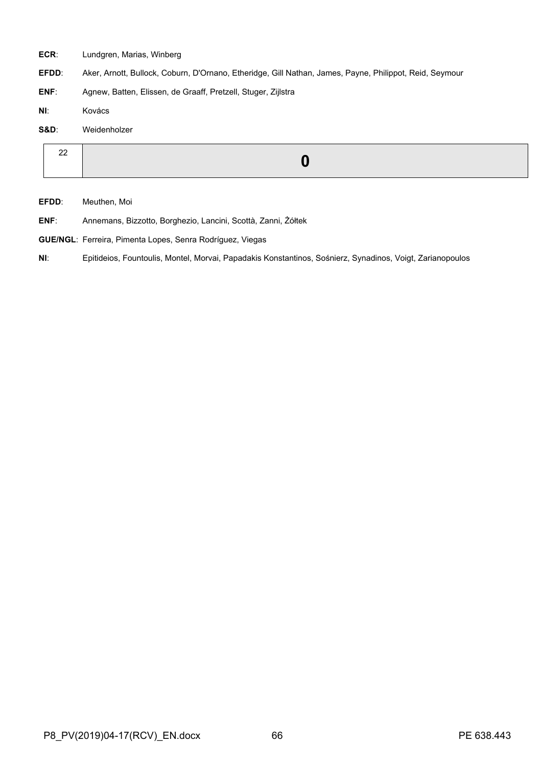- **ECR**: Lundgren, Marias, Winberg
- **EFDD**: Aker, Arnott, Bullock, Coburn, D'Ornano, Etheridge, Gill Nathan, James, Payne, Philippot, Reid, Seymour
- **ENF**: Agnew, Batten, Elissen, de Graaff, Pretzell, Stuger, Zijlstra
- **NI**: Kovács

**S&D**: Weidenholzer

- **EFDD**: Meuthen, Moi
- **ENF**: Annemans, Bizzotto, Borghezio, Lancini, Scottà, Zanni, Żółtek
- **GUE/NGL**: Ferreira, Pimenta Lopes, Senra Rodríguez, Viegas
- **NI**: Epitideios, Fountoulis, Montel, Morvai, Papadakis Konstantinos, Sośnierz, Synadinos, Voigt, Zarianopoulos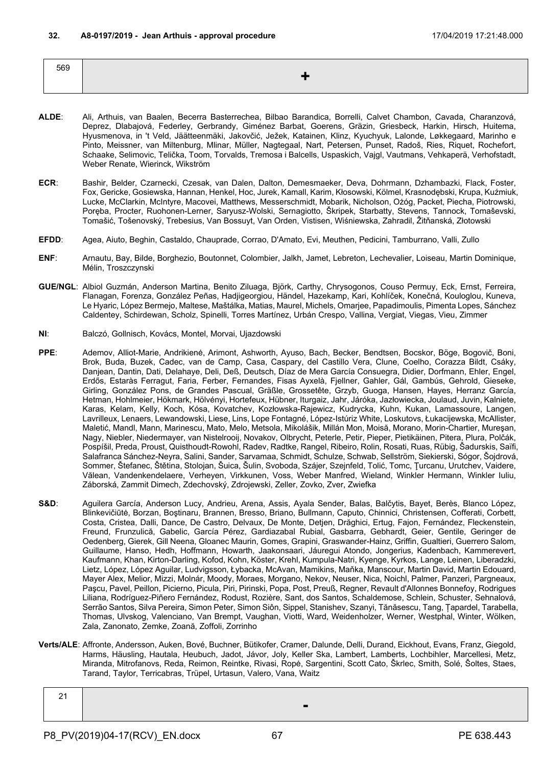| 569 |  |  |
|-----|--|--|
|     |  |  |

- **ALDE**: Ali, Arthuis, van Baalen, Becerra Basterrechea, Bilbao Barandica, Borrelli, Calvet Chambon, Cavada, Charanzová, Deprez, Dlabajová, Federley, Gerbrandy, Giménez Barbat, Goerens, Gräzin, Griesbeck, Harkin, Hirsch, Huitema, Hyusmenova, in 't Veld, Jäätteenmäki, Jakovčić, Ježek, Katainen, Klinz, Kyuchyuk, Lalonde, Løkkegaard, Marinho e Pinto, Meissner, van Miltenburg, Mlinar, Müller, Nagtegaal, Nart, Petersen, Punset, Radoš, Ries, Riquet, Rochefort, Schaake, Selimovic, Telička, Toom, Torvalds, Tremosa i Balcells, Uspaskich, Vajgl, Vautmans, Vehkaperä, Verhofstadt, Weber Renate, Wierinck, Wikström
- **ECR**: Bashir, Belder, Czarnecki, Czesak, van Dalen, Dalton, Demesmaeker, Deva, Dohrmann, Dzhambazki, Flack, Foster, Fox, Gericke, Gosiewska, Hannan, Henkel, Hoc, Jurek, Kamall, Karim, Kłosowski, Kölmel, Krasnodębski, Krupa, Kuźmiuk, Lucke, McClarkin, McIntyre, Macovei, Matthews, Messerschmidt, Mobarik, Nicholson, Ożóg, Packet, Piecha, Piotrowski, Poręba, Procter, Ruohonen-Lerner, Saryusz-Wolski, Sernagiotto, Škripek, Starbatty, Stevens, Tannock, Tomaševski, Tomašić, Tošenovský, Trebesius, Van Bossuyt, Van Orden, Vistisen, Wiśniewska, Zahradil, Žitňanská, Złotowski
- **EFDD**: Agea, Aiuto, Beghin, Castaldo, Chauprade, Corrao, D'Amato, Evi, Meuthen, Pedicini, Tamburrano, Valli, Zullo
- **ENF**: Arnautu, Bay, Bilde, Borghezio, Boutonnet, Colombier, Jalkh, Jamet, Lebreton, Lechevalier, Loiseau, Martin Dominique, Mélin, Troszczynski
- **GUE/NGL**: Albiol Guzmán, Anderson Martina, Benito Ziluaga, Björk, Carthy, Chrysogonos, Couso Permuy, Eck, Ernst, Ferreira, Flanagan, Forenza, González Peñas, Hadjigeorgiou, Händel, Hazekamp, Kari, Kohlíček, Konečná, Kouloglou, Kuneva, Le Hyaric, López Bermejo, Maltese, Maštálka, Matias, Maurel, Michels, Omarjee, Papadimoulis, Pimenta Lopes, Sánchez Caldentey, Schirdewan, Scholz, Spinelli, Torres Martínez, Urbán Crespo, Vallina, Vergiat, Viegas, Vieu, Zimmer
- **NI**: Balczó, Gollnisch, Kovács, Montel, Morvai, Ujazdowski
- **PPE**: Ademov, Alliot-Marie, Andrikienė, Arimont, Ashworth, Ayuso, Bach, Becker, Bendtsen, Bocskor, Böge, Bogovič, Boni, Brok, Buda, Buzek, Cadec, van de Camp, Casa, Caspary, del Castillo Vera, Clune, Coelho, Corazza Bildt, Csáky, Danjean, Dantin, Dati, Delahaye, Deli, Deß, Deutsch, Díaz de Mera García Consuegra, Didier, Dorfmann, Ehler, Engel, Erdős, Estaràs Ferragut, Faria, Ferber, Fernandes, Fisas Ayxelà, Fjellner, Gahler, Gál, Gambús, Gehrold, Gieseke, Girling, González Pons, de Grandes Pascual, Gräßle, Grossetête, Grzyb, Guoga, Hansen, Hayes, Herranz García, Hetman, Hohlmeier, Hökmark, Hölvényi, Hortefeux, Hübner, Iturgaiz, Jahr, Járóka, Jazłowiecka, Joulaud, Juvin, Kalniete, Karas, Kelam, Kelly, Koch, Kósa, Kovatchev, Kozłowska-Rajewicz, Kudrycka, Kuhn, Kukan, Lamassoure, Langen, Lavrilleux, Lenaers, Lewandowski, Liese, Lins, Lope Fontagné, López-Istúriz White, Loskutovs, Łukacijewska, McAllister, Maletić, Mandl, Mann, Marinescu, Mato, Melo, Metsola, Mikolášik, Millán Mon, Moisă, Morano, Morin-Chartier, Mureşan, Nagy, Niebler, Niedermayer, van Nistelrooij, Novakov, Olbrycht, Peterle, Petir, Pieper, Pietikäinen, Pitera, Plura, Polčák, Pospíšil, Preda, Proust, Quisthoudt-Rowohl, Radev, Radtke, Rangel, Ribeiro, Rolin, Rosati, Ruas, Rübig, Šadurskis, Saïfi, Salafranca Sánchez-Neyra, Salini, Sander, Sarvamaa, Schmidt, Schulze, Schwab, Sellström, Siekierski, Sógor, Šojdrová, Sommer, Štefanec, Štětina, Stolojan, Šuica, Šulin, Svoboda, Szájer, Szejnfeld, Tolić, Tomc, Ţurcanu, Urutchev, Vaidere, Vălean, Vandenkendelaere, Verheyen, Virkkunen, Voss, Weber Manfred, Wieland, Winkler Hermann, Winkler Iuliu, Záborská, Zammit Dimech, Zdechovský, Zdrojewski, Zeller, Zovko, Zver, Zwiefka
- S&D: Aguilera García, Anderson Lucy, Andrieu, Arena, Assis, Ayala Sender, Balas, Balčytis, Bayet, Berès, Blanco López, Blinkevičiūtė, Borzan, Boştinaru, Brannen, Bresso, Briano, Bullmann, Caputo, Chinnici, Christensen, Cofferati, Corbett, Costa, Cristea, Dalli, Dance, De Castro, Delvaux, De Monte, Detjen, Drăghici, Ertug, Fajon, Fernández, Fleckenstein, Freund, Frunzulică, Gabelic, García Pérez, Gardiazabal Rubial, Gasbarra, Gebhardt, Geier, Gentile, Geringer de Oedenberg, Gierek, Gill Neena, Gloanec Maurin, Gomes, Grapini, Graswander-Hainz, Griffin, Gualtieri, Guerrero Salom, Guillaume, Hanso, Hedh, Hoffmann, Howarth, Jaakonsaari, Jáuregui Atondo, Jongerius, Kadenbach, Kammerevert, Kaufmann, Khan, Kirton-Darling, Kofod, Kohn, Köster, Krehl, Kumpula-Natri, Kyenge, Kyrkos, Lange, Leinen, Liberadzki, Lietz, López, López Aguilar, Ludvigsson, Łybacka, McAvan, Mamikins, Maňka, Manscour, Martin David, Martin Edouard, Mayer Alex, Melior, Mizzi, Molnár, Moody, Moraes, Morgano, Nekov, Neuser, Nica, Noichl, Palmer, Panzeri, Pargneaux, Paşcu, Pavel, Peillon, Picierno, Picula, Piri, Pirinski, Popa, Post, Preuß, Regner, Revault d'Allonnes Bonnefoy, Rodrigues Liliana, Rodríguez-Piñero Fernández, Rodust, Rozière, Sant, dos Santos, Schaldemose, Schlein, Schuster, Sehnalová, Serrão Santos, Silva Pereira, Simon Peter, Simon Siôn, Sippel, Stanishev, Szanyi, Tănăsescu, Tang, Țapardel, Tarabella, Thomas, Ulvskog, Valenciano, Van Brempt, Vaughan, Viotti, Ward, Weidenholzer, Werner, Westphal, Winter, Wölken, Zala, Zanonato, Zemke, Zoană, Zoffoli, Zorrinho
- **Verts/ALE**: Affronte, Andersson, Auken, Bové, Buchner, Bütikofer, Cramer, Dalunde, Delli, Durand, Eickhout, Evans, Franz, Giegold, Harms, Häusling, Hautala, Heubuch, Jadot, Jávor, Joly, Keller Ska, Lambert, Lamberts, Lochbihler, Marcellesi, Metz, Miranda, Mitrofanovs, Reda, Reimon, Reintke, Rivasi, Ropė, Sargentini, Scott Cato, Škrlec, Smith, Solé, Šoltes, Staes, Tarand, Taylor, Terricabras, Trüpel, Urtasun, Valero, Vana, Waitz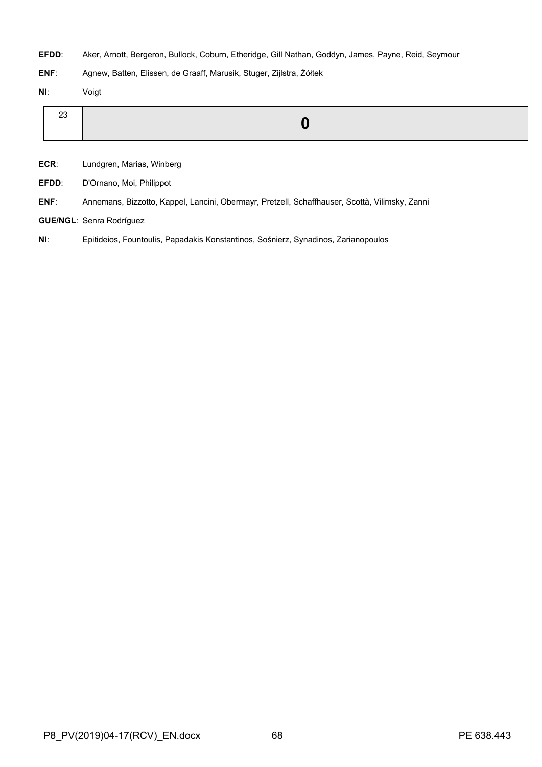**EFDD**: Aker, Arnott, Bergeron, Bullock, Coburn, Etheridge, Gill Nathan, Goddyn, James, Payne, Reid, Seymour

**ENF**: Agnew, Batten, Elissen, de Graaff, Marusik, Stuger, Zijlstra, Żółtek

**NI**: Voigt

|--|--|

**ECR**: Lundgren, Marias, Winberg

**EFDD**: D'Ornano, Moi, Philippot

**ENF**: Annemans, Bizzotto, Kappel, Lancini, Obermayr, Pretzell, Schaffhauser, Scottà, Vilimsky, Zanni

**GUE/NGL**: Senra Rodríguez

**NI**: Epitideios, Fountoulis, Papadakis Konstantinos, Sośnierz, Synadinos, Zarianopoulos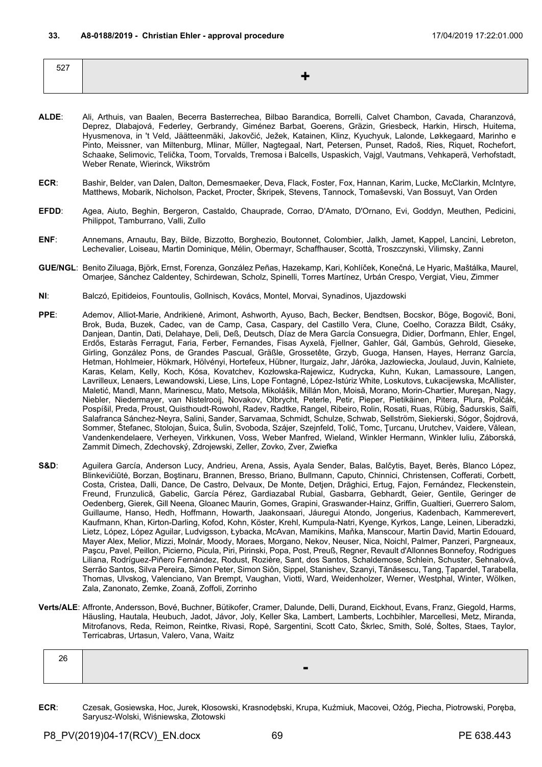| $- - -$<br>$-1$ |  |
|-----------------|--|
|                 |  |
|                 |  |

- **ALDE**: Ali, Arthuis, van Baalen, Becerra Basterrechea, Bilbao Barandica, Borrelli, Calvet Chambon, Cavada, Charanzová, Deprez, Dlabajová, Federley, Gerbrandy, Giménez Barbat, Goerens, Gräzin, Griesbeck, Harkin, Hirsch, Huitema, Hyusmenova, in 't Veld, Jäätteenmäki, Jakovčić, Ježek, Katainen, Klinz, Kyuchyuk, Lalonde, Løkkegaard, Marinho e Pinto, Meissner, van Miltenburg, Mlinar, Müller, Nagtegaal, Nart, Petersen, Punset, Radoš, Ries, Riquet, Rochefort, Schaake, Selimovic, Telička, Toom, Torvalds, Tremosa i Balcells, Uspaskich, Vajgl, Vautmans, Vehkaperä, Verhofstadt, Weber Renate, Wierinck, Wikström
- **ECR**: Bashir, Belder, van Dalen, Dalton, Demesmaeker, Deva, Flack, Foster, Fox, Hannan, Karim, Lucke, McClarkin, McIntyre, Matthews, Mobarik, Nicholson, Packet, Procter, Škripek, Stevens, Tannock, Tomaševski, Van Bossuyt, Van Orden
- **EFDD**: Agea, Aiuto, Beghin, Bergeron, Castaldo, Chauprade, Corrao, D'Amato, D'Ornano, Evi, Goddyn, Meuthen, Pedicini, Philippot, Tamburrano, Valli, Zullo
- **ENF**: Annemans, Arnautu, Bay, Bilde, Bizzotto, Borghezio, Boutonnet, Colombier, Jalkh, Jamet, Kappel, Lancini, Lebreton, Lechevalier, Loiseau, Martin Dominique, Mélin, Obermayr, Schaffhauser, Scottà, Troszczynski, Vilimsky, Zanni
- **GUE/NGL**: Benito Ziluaga, Björk, Ernst, Forenza, González Peñas, Hazekamp, Kari, Kohlíček, Konečná, Le Hyaric, Maštálka, Maurel, Omarjee, Sánchez Caldentey, Schirdewan, Scholz, Spinelli, Torres Martínez, Urbán Crespo, Vergiat, Vieu, Zimmer
- **NI**: Balczó, Epitideios, Fountoulis, Gollnisch, Kovács, Montel, Morvai, Synadinos, Ujazdowski
- **PPE**: Ademov, Alliot-Marie, Andrikienė, Arimont, Ashworth, Ayuso, Bach, Becker, Bendtsen, Bocskor, Böge, Bogovič, Boni, Brok, Buda, Buzek, Cadec, van de Camp, Casa, Caspary, del Castillo Vera, Clune, Coelho, Corazza Bildt, Csáky, Danjean, Dantin, Dati, Delahaye, Deli, Deß, Deutsch, Díaz de Mera García Consuegra, Didier, Dorfmann, Ehler, Engel, Erdős, Estaràs Ferragut, Faria, Ferber, Fernandes, Fisas Ayxelà, Fjellner, Gahler, Gál, Gambús, Gehrold, Gieseke, Girling, González Pons, de Grandes Pascual, Gräßle, Grossetête, Grzyb, Guoga, Hansen, Hayes, Herranz García, Hetman, Hohlmeier, Hökmark, Hölvényi, Hortefeux, Hübner, Iturgaiz, Jahr, Járóka, Jazłowiecka, Joulaud, Juvin, Kalniete, Karas, Kelam, Kelly, Koch, Kósa, Kovatchev, Kozłowska-Rajewicz, Kudrycka, Kuhn, Kukan, Lamassoure, Langen, Lavrilleux, Lenaers, Lewandowski, Liese, Lins, Lope Fontagné, López-Istúriz White, Loskutovs, Łukacijewska, McAllister, Maletić, Mandl, Mann, Marinescu, Mato, Metsola, Mikolášik, Millán Mon, Moisă, Morano, Morin-Chartier, Mureşan, Nagy, Niebler, Niedermayer, van Nistelrooij, Novakov, Olbrycht, Peterle, Petir, Pieper, Pietikäinen, Pitera, Plura, Polčák, Pospíšil, Preda, Proust, Quisthoudt-Rowohl, Radev, Radtke, Rangel, Ribeiro, Rolin, Rosati, Ruas, Rübig, Šadurskis, Saïfi, Salafranca Sánchez-Neyra, Salini, Sander, Sarvamaa, Schmidt, Schulze, Schwab, Sellström, Siekierski, Sógor, Šojdrová, Sommer, Štefanec, Stolojan, Šuica, Šulin, Svoboda, Szájer, Szejnfeld, Tolić, Tomc, Ţurcanu, Urutchev, Vaidere, Vălean, Vandenkendelaere, Verheyen, Virkkunen, Voss, Weber Manfred, Wieland, Winkler Hermann, Winkler Iuliu, Záborská, Zammit Dimech, Zdechovský, Zdrojewski, Zeller, Zovko, Zver, Zwiefka
- S&D: Aguilera García, Anderson Lucy, Andrieu, Arena, Assis, Ayala Sender, Balas, Balčytis, Bayet, Berès, Blanco López, Blinkevičiūtė, Borzan, Boştinaru, Brannen, Bresso, Briano, Bullmann, Caputo, Chinnici, Christensen, Cofferati, Corbett, Costa, Cristea, Dalli, Dance, De Castro, Delvaux, De Monte, Detjen, Drăghici, Ertug, Fajon, Fernández, Fleckenstein, Freund, Frunzulică, Gabelic, García Pérez, Gardiazabal Rubial, Gasbarra, Gebhardt, Geier, Gentile, Geringer de Oedenberg, Gierek, Gill Neena, Gloanec Maurin, Gomes, Grapini, Graswander-Hainz, Griffin, Gualtieri, Guerrero Salom, Guillaume, Hanso, Hedh, Hoffmann, Howarth, Jaakonsaari, Jáuregui Atondo, Jongerius, Kadenbach, Kammerevert, Kaufmann, Khan, Kirton-Darling, Kofod, Kohn, Köster, Krehl, Kumpula-Natri, Kyenge, Kyrkos, Lange, Leinen, Liberadzki, Lietz, López, López Aguilar, Ludvigsson, Łybacka, McAvan, Mamikins, Maňka, Manscour, Martin David, Martin Edouard, Mayer Alex, Melior, Mizzi, Molnár, Moody, Moraes, Morgano, Nekov, Neuser, Nica, Noichl, Palmer, Panzeri, Pargneaux, Paşcu, Pavel, Peillon, Picierno, Picula, Piri, Pirinski, Popa, Post, Preuß, Regner, Revault d'Allonnes Bonnefoy, Rodrigues Liliana, Rodríguez-Piñero Fernández, Rodust, Rozière, Sant, dos Santos, Schaldemose, Schlein, Schuster, Sehnalová, Serrão Santos, Silva Pereira, Simon Peter, Simon Siôn, Sippel, Stanishev, Szanyi, Tănăsescu, Tang, Țapardel, Tarabella, Thomas, Ulvskog, Valenciano, Van Brempt, Vaughan, Viotti, Ward, Weidenholzer, Werner, Westphal, Winter, Wölken, Zala, Zanonato, Zemke, Zoană, Zoffoli, Zorrinho
- **Verts/ALE**: Affronte, Andersson, Bové, Buchner, Bütikofer, Cramer, Dalunde, Delli, Durand, Eickhout, Evans, Franz, Giegold, Harms, Häusling, Hautala, Heubuch, Jadot, Jávor, Joly, Keller Ska, Lambert, Lamberts, Lochbihler, Marcellesi, Metz, Miranda, Mitrofanovs, Reda, Reimon, Reintke, Rivasi, Ropė, Sargentini, Scott Cato, Škrlec, Smith, Solé, Šoltes, Staes, Taylor, Terricabras, Urtasun, Valero, Vana, Waitz

| $\sim$<br>26 |                          |
|--------------|--------------------------|
|              | $\overline{\phantom{a}}$ |

**ECR**: Czesak, Gosiewska, Hoc, Jurek, Kłosowski, Krasnodębski, Krupa, Kuźmiuk, Macovei, Ożóg, Piecha, Piotrowski, Poręba, Saryusz-Wolski, Wiśniewska, Złotowski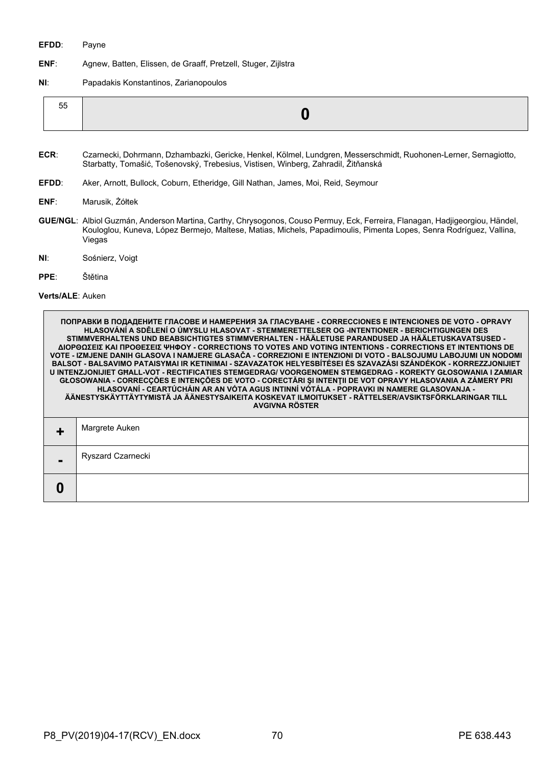## **EFDD**: Payne

- **ENF**: Agnew, Batten, Elissen, de Graaff, Pretzell, Stuger, Zijlstra
- **NI**: Papadakis Konstantinos, Zarianopoulos

| --<br>55 |  |
|----------|--|
|----------|--|

- **ECR**: Czarnecki, Dohrmann, Dzhambazki, Gericke, Henkel, Kölmel, Lundgren, Messerschmidt, Ruohonen-Lerner, Sernagiotto, Starbatty, Tomašić, Tošenovský, Trebesius, Vistisen, Winberg, Zahradil, Žitňanská
- **EFDD**: Aker, Arnott, Bullock, Coburn, Etheridge, Gill Nathan, James, Moi, Reid, Seymour
- **ENF**: Marusik, Żółtek
- **GUE/NGL**: Albiol Guzmán, Anderson Martina, Carthy, Chrysogonos, Couso Permuy, Eck, Ferreira, Flanagan, Hadjigeorgiou, Händel, Kouloglou, Kuneva, López Bermejo, Maltese, Matias, Michels, Papadimoulis, Pimenta Lopes, Senra Rodríguez, Vallina, Viegas
- **NI**: Sośnierz, Voigt
- **PPE**: Štětina

**Verts/ALE**: Auken

| ПОПРАВКИ В ПОДАДЕНИТЕ ГЛАСОВЕ И НАМЕРЕНИЯ ЗА ГЛАСУВАНЕ - CORRECCIONES E INTENCIONES DE VOTO - OPRAVY<br><u> HLASOVÁNÍ A SDĚLENÍ O ÚMYSLU HLASOVAT - STEMMERETTELSER OG -INTENTIONER - BERICHTIGUNGEN DES</u><br>STIMMVERHALTENS UND BEABSICHTIGTES STIMMVERHALTEN - HÄÄLETUSE PARANDUSED JA HÄÄLETUSKAVATSUSED -<br>ΔΙΟΡΘΩΣΕΙΣ ΚΑΙ ΠΡΟΘΕΣΕΙΣ ΨΗΦΟΥ - CORRECTIONS TO VOTES AND VOTING INTENTIONS - CORRECTIONS ET INTENTIONS DE<br>VOTE - IZMJENE DANIH GLASOVA I NAMJERE GLASAČA - CORREZIONI E INTENZIONI DI VOTO - BALSOJUMU LABOJUMI UN NODOMI<br>BALSOT - BALSAVIMO PATAISYMAI IR KETINIMAI - SZAVAZATOK HELYESBÍTÉSEI ÉS SZAVAZÁSI SZÁNDÉKOK - KORREZZJONIJIET<br><u>U INTENZJONIJIET GHALL-VOT - RECTIFICATIES STEMGEDRAG/ VOORGENOMEN STEMGEDRAG - KOREKTY GŁOSOWANIA I ZAMIAR</u><br>GŁOSOWANIA - CORRECÇÕES E INTENÇÕES DE VOTO - CORECTĂRI ȘI INTENȚII DE VOT OPRAVY HLASOVANIA A ZÁMERY PRI<br>HLASOVANÍ - CEARTÚCHÁIN AR AN VÓTA AGUS INTINNÍ VÓTÁLA - POPRAVKI IN NAMERE GLASOVANJA -<br>ÄÄNESTYSKÄYTTÄYTYMISTÄ JA ÄÄNESTYSAIKEITA KOSKEVAT ILMOITUKSET - RÄTTELSER/AVSIKTSFÖRKLARINGAR TILL<br><b>AVGIVNA RÖSTER</b> |
|------------------------------------------------------------------------------------------------------------------------------------------------------------------------------------------------------------------------------------------------------------------------------------------------------------------------------------------------------------------------------------------------------------------------------------------------------------------------------------------------------------------------------------------------------------------------------------------------------------------------------------------------------------------------------------------------------------------------------------------------------------------------------------------------------------------------------------------------------------------------------------------------------------------------------------------------------------------------------------------------------------------------------------------------------------------------------------------------------------------------------------|
| Margrete Auken                                                                                                                                                                                                                                                                                                                                                                                                                                                                                                                                                                                                                                                                                                                                                                                                                                                                                                                                                                                                                                                                                                                     |
| Ryszard Czarnecki                                                                                                                                                                                                                                                                                                                                                                                                                                                                                                                                                                                                                                                                                                                                                                                                                                                                                                                                                                                                                                                                                                                  |
|                                                                                                                                                                                                                                                                                                                                                                                                                                                                                                                                                                                                                                                                                                                                                                                                                                                                                                                                                                                                                                                                                                                                    |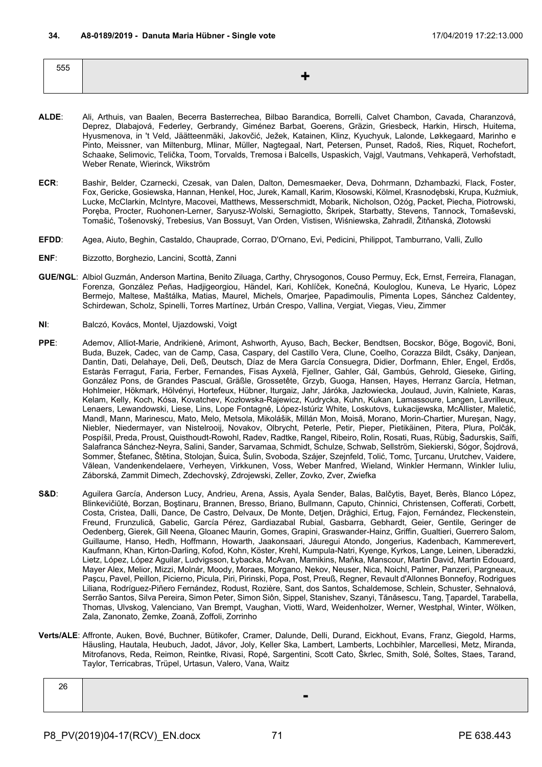| 555 |  |
|-----|--|
|     |  |

- **ALDE**: Ali, Arthuis, van Baalen, Becerra Basterrechea, Bilbao Barandica, Borrelli, Calvet Chambon, Cavada, Charanzová, Deprez, Dlabajová, Federley, Gerbrandy, Giménez Barbat, Goerens, Gräzin, Griesbeck, Harkin, Hirsch, Huitema, Hyusmenova, in 't Veld, Jäätteenmäki, Jakovčić, Ježek, Katainen, Klinz, Kyuchyuk, Lalonde, Løkkegaard, Marinho e Pinto, Meissner, van Miltenburg, Mlinar, Müller, Nagtegaal, Nart, Petersen, Punset, Radoš, Ries, Riquet, Rochefort, Schaake, Selimovic, Telička, Toom, Torvalds, Tremosa i Balcells, Uspaskich, Vajgl, Vautmans, Vehkaperä, Verhofstadt, Weber Renate, Wierinck, Wikström
- **ECR**: Bashir, Belder, Czarnecki, Czesak, van Dalen, Dalton, Demesmaeker, Deva, Dohrmann, Dzhambazki, Flack, Foster, Fox, Gericke, Gosiewska, Hannan, Henkel, Hoc, Jurek, Kamall, Karim, Kłosowski, Kölmel, Krasnodębski, Krupa, Kuźmiuk, Lucke, McClarkin, McIntyre, Macovei, Matthews, Messerschmidt, Mobarik, Nicholson, Ożóg, Packet, Piecha, Piotrowski, Poręba, Procter, Ruohonen-Lerner, Saryusz-Wolski, Sernagiotto, Škripek, Starbatty, Stevens, Tannock, Tomaševski, Tomašić, Tošenovský, Trebesius, Van Bossuyt, Van Orden, Vistisen, Wiśniewska, Zahradil, Žitňanská, Złotowski
- **EFDD**: Agea, Aiuto, Beghin, Castaldo, Chauprade, Corrao, D'Ornano, Evi, Pedicini, Philippot, Tamburrano, Valli, Zullo
- **ENF**: Bizzotto, Borghezio, Lancini, Scottà, Zanni
- **GUE/NGL**: Albiol Guzmán, Anderson Martina, Benito Ziluaga, Carthy, Chrysogonos, Couso Permuy, Eck, Ernst, Ferreira, Flanagan, Forenza, González Peñas, Hadjigeorgiou, Händel, Kari, Kohlíček, Konečná, Kouloglou, Kuneva, Le Hyaric, López Bermejo, Maltese, Maštálka, Matias, Maurel, Michels, Omarjee, Papadimoulis, Pimenta Lopes, Sánchez Caldentey, Schirdewan, Scholz, Spinelli, Torres Martínez, Urbán Crespo, Vallina, Vergiat, Viegas, Vieu, Zimmer
- **NI**: Balczó, Kovács, Montel, Ujazdowski, Voigt
- **PPE**: Ademov, Alliot-Marie, Andrikienė, Arimont, Ashworth, Ayuso, Bach, Becker, Bendtsen, Bocskor, Böge, Bogovič, Boni, Buda, Buzek, Cadec, van de Camp, Casa, Caspary, del Castillo Vera, Clune, Coelho, Corazza Bildt, Csáky, Danjean, Dantin, Dati, Delahaye, Deli, Deß, Deutsch, Díaz de Mera García Consuegra, Didier, Dorfmann, Ehler, Engel, Erdős, Estaràs Ferragut, Faria, Ferber, Fernandes, Fisas Ayxelà, Fjellner, Gahler, Gál, Gambús, Gehrold, Gieseke, Girling, González Pons, de Grandes Pascual, Gräßle, Grossetête, Grzyb, Guoga, Hansen, Hayes, Herranz García, Hetman, Hohlmeier, Hökmark, Hölvényi, Hortefeux, Hübner, Iturgaiz, Jahr, Járóka, Jazłowiecka, Joulaud, Juvin, Kalniete, Karas, Kelam, Kelly, Koch, Kósa, Kovatchev, Kozłowska-Rajewicz, Kudrycka, Kuhn, Kukan, Lamassoure, Langen, Lavrilleux, Lenaers, Lewandowski, Liese, Lins, Lope Fontagné, López-Istúriz White, Loskutovs, Łukacijewska, McAllister, Maletić, Mandl, Mann, Marinescu, Mato, Melo, Metsola, Mikolášik, Millán Mon, Moisă, Morano, Morin-Chartier, Mureşan, Nagy, Niebler, Niedermayer, van Nistelrooij, Novakov, Olbrycht, Peterle, Petir, Pieper, Pietikäinen, Pitera, Plura, Polčák, Pospíšil, Preda, Proust, Quisthoudt-Rowohl, Radev, Radtke, Rangel, Ribeiro, Rolin, Rosati, Ruas, Rübig, Šadurskis, Saïfi, Salafranca Sánchez-Neyra, Salini, Sander, Sarvamaa, Schmidt, Schulze, Schwab, Sellström, Siekierski, Sógor, Šojdrová, Sommer, Štefanec, Štětina, Stolojan, Šuica, Šulin, Svoboda, Szájer, Szejnfeld, Tolić, Tomc, Ţurcanu, Urutchev, Vaidere, Vălean, Vandenkendelaere, Verheyen, Virkkunen, Voss, Weber Manfred, Wieland, Winkler Hermann, Winkler Iuliu, Záborská, Zammit Dimech, Zdechovský, Zdrojewski, Zeller, Zovko, Zver, Zwiefka
- S&D: Aguilera García, Anderson Lucy, Andrieu, Arena, Assis, Ayala Sender, Balas, Balčytis, Bayet, Berès, Blanco López, Blinkevičiūtė, Borzan, Boştinaru, Brannen, Bresso, Briano, Bullmann, Caputo, Chinnici, Christensen, Cofferati, Corbett, Costa, Cristea, Dalli, Dance, De Castro, Delvaux, De Monte, Detjen, Drăghici, Ertug, Fajon, Fernández, Fleckenstein, Freund, Frunzulică, Gabelic, García Pérez, Gardiazabal Rubial, Gasbarra, Gebhardt, Geier, Gentile, Geringer de Oedenberg, Gierek, Gill Neena, Gloanec Maurin, Gomes, Grapini, Graswander-Hainz, Griffin, Gualtieri, Guerrero Salom, Guillaume, Hanso, Hedh, Hoffmann, Howarth, Jaakonsaari, Jáuregui Atondo, Jongerius, Kadenbach, Kammerevert, Kaufmann, Khan, Kirton-Darling, Kofod, Kohn, Köster, Krehl, Kumpula-Natri, Kyenge, Kyrkos, Lange, Leinen, Liberadzki, Lietz, López, López Aguilar, Ludvigsson, Łybacka, McAvan, Mamikins, Maňka, Manscour, Martin David, Martin Edouard, Mayer Alex, Melior, Mizzi, Molnár, Moody, Moraes, Morgano, Nekov, Neuser, Nica, Noichl, Palmer, Panzeri, Pargneaux, Paşcu, Pavel, Peillon, Picierno, Picula, Piri, Pirinski, Popa, Post, Preuß, Regner, Revault d'Allonnes Bonnefoy, Rodrigues Liliana, Rodríguez-Piñero Fernández, Rodust, Rozière, Sant, dos Santos, Schaldemose, Schlein, Schuster, Sehnalová, Serrão Santos, Silva Pereira, Simon Peter, Simon Siôn, Sippel, Stanishev, Szanyi, Tănăsescu, Tang, Țapardel, Tarabella, Thomas, Ulvskog, Valenciano, Van Brempt, Vaughan, Viotti, Ward, Weidenholzer, Werner, Westphal, Winter, Wölken, Zala, Zanonato, Zemke, Zoană, Zoffoli, Zorrinho
- **Verts/ALE**: Affronte, Auken, Bové, Buchner, Bütikofer, Cramer, Dalunde, Delli, Durand, Eickhout, Evans, Franz, Giegold, Harms, Häusling, Hautala, Heubuch, Jadot, Jávor, Joly, Keller Ska, Lambert, Lamberts, Lochbihler, Marcellesi, Metz, Miranda, Mitrofanovs, Reda, Reimon, Reintke, Rivasi, Ropė, Sargentini, Scott Cato, Škrlec, Smith, Solé, Šoltes, Staes, Tarand, Taylor, Terricabras, Trüpel, Urtasun, Valero, Vana, Waitz

| 26 |  |
|----|--|
|    |  |
|    |  |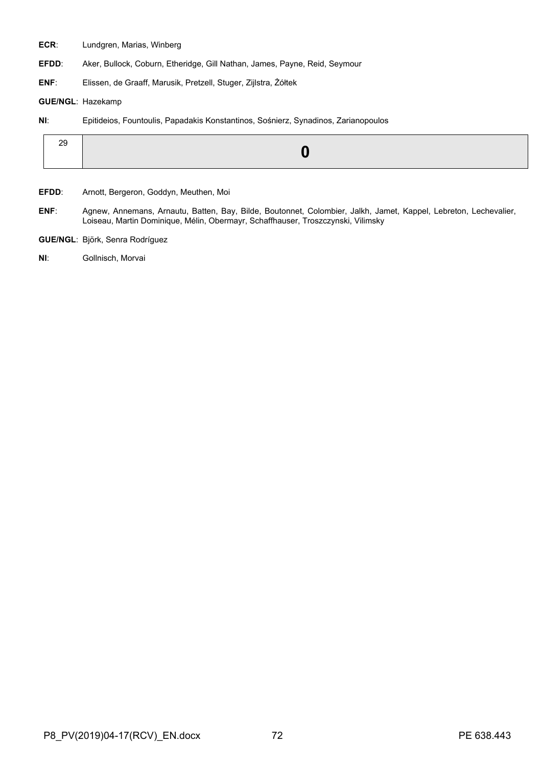**ECR**: Lundgren, Marias, Winberg

**EFDD**: Aker, Bullock, Coburn, Etheridge, Gill Nathan, James, Payne, Reid, Seymour

**ENF**: Elissen, de Graaff, Marusik, Pretzell, Stuger, Zijlstra, Żółtek

## **GUE/NGL**: Hazekamp

**NI**: Epitideios, Fountoulis, Papadakis Konstantinos, Sośnierz, Synadinos, Zarianopoulos

|--|

**EFDD**: Arnott, Bergeron, Goddyn, Meuthen, Moi

- **ENF**: Agnew, Annemans, Arnautu, Batten, Bay, Bilde, Boutonnet, Colombier, Jalkh, Jamet, Kappel, Lebreton, Lechevalier, Loiseau, Martin Dominique, Mélin, Obermayr, Schaffhauser, Troszczynski, Vilimsky
- **GUE/NGL**: Björk, Senra Rodríguez
- **NI**: Gollnisch, Morvai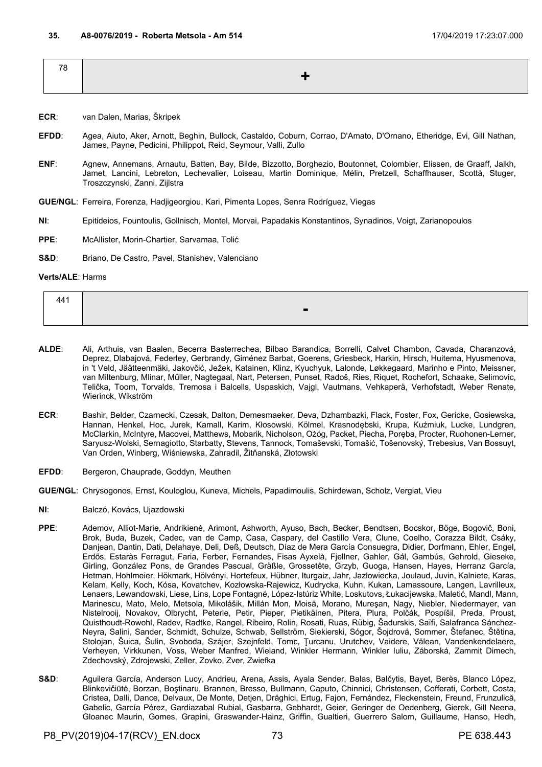| 78 |       |
|----|-------|
|    | ╶╶╋╴╵ |
|    |       |

- **ECR**: van Dalen, Marias, Škripek
- **EFDD**: Agea, Aiuto, Aker, Arnott, Beghin, Bullock, Castaldo, Coburn, Corrao, D'Amato, D'Ornano, Etheridge, Evi, Gill Nathan, James, Payne, Pedicini, Philippot, Reid, Seymour, Valli, Zullo
- **ENF**: Agnew, Annemans, Arnautu, Batten, Bay, Bilde, Bizzotto, Borghezio, Boutonnet, Colombier, Elissen, de Graaff, Jalkh, Jamet, Lancini, Lebreton, Lechevalier, Loiseau, Martin Dominique, Mélin, Pretzell, Schaffhauser, Scottà, Stuger, Troszczynski, Zanni, Zijlstra

**GUE/NGL**: Ferreira, Forenza, Hadjigeorgiou, Kari, Pimenta Lopes, Senra Rodríguez, Viegas

**NI**: Epitideios, Fountoulis, Gollnisch, Montel, Morvai, Papadakis Konstantinos, Synadinos, Voigt, Zarianopoulos

**PPE**: McAllister, Morin-Chartier, Sarvamaa, Tolić

**S&D:** Briano, De Castro, Pavel, Stanishev, Valenciano

#### **Verts/ALE**: Harms

| $\Lambda$ $\Lambda$ 1 |  |
|-----------------------|--|
|                       |  |

- **ALDE**: Ali, Arthuis, van Baalen, Becerra Basterrechea, Bilbao Barandica, Borrelli, Calvet Chambon, Cavada, Charanzová, Deprez, Dlabajová, Federley, Gerbrandy, Giménez Barbat, Goerens, Griesbeck, Harkin, Hirsch, Huitema, Hyusmenova, in 't Veld, Jäätteenmäki, Jakovčić, Ježek, Katainen, Klinz, Kyuchyuk, Lalonde, Løkkegaard, Marinho e Pinto, Meissner, van Miltenburg, Mlinar, Müller, Nagtegaal, Nart, Petersen, Punset, Radoš, Ries, Riquet, Rochefort, Schaake, Selimovic, Telička, Toom, Torvalds, Tremosa i Balcells, Uspaskich, Vajgl, Vautmans, Vehkaperä, Verhofstadt, Weber Renate, Wierinck, Wikström
- **ECR**: Bashir, Belder, Czarnecki, Czesak, Dalton, Demesmaeker, Deva, Dzhambazki, Flack, Foster, Fox, Gericke, Gosiewska, Hannan, Henkel, Hoc, Jurek, Kamall, Karim, Kłosowski, Kölmel, Krasnodębski, Krupa, Kuźmiuk, Lucke, Lundgren, McClarkin, McIntyre, Macovei, Matthews, Mobarik, Nicholson, Ożóg, Packet, Piecha, Poręba, Procter, Ruohonen-Lerner, Saryusz-Wolski, Sernagiotto, Starbatty, Stevens, Tannock, Tomaševski, Tomašić, Tošenovský, Trebesius, Van Bossuyt, Van Orden, Winberg, Wiśniewska, Zahradil, Žitňanská, Złotowski
- **EFDD**: Bergeron, Chauprade, Goddyn, Meuthen
- **GUE/NGL**: Chrysogonos, Ernst, Kouloglou, Kuneva, Michels, Papadimoulis, Schirdewan, Scholz, Vergiat, Vieu
- **NI**: Balczó, Kovács, Ujazdowski
- **PPE**: Ademov, Alliot-Marie, Andrikienė, Arimont, Ashworth, Ayuso, Bach, Becker, Bendtsen, Bocskor, Böge, Bogovič, Boni, Brok, Buda, Buzek, Cadec, van de Camp, Casa, Caspary, del Castillo Vera, Clune, Coelho, Corazza Bildt, Csáky, Danjean, Dantin, Dati, Delahaye, Deli, Deß, Deutsch, Díaz de Mera García Consuegra, Didier, Dorfmann, Ehler, Engel, Erdős, Estaràs Ferragut, Faria, Ferber, Fernandes, Fisas Ayxelà, Fjellner, Gahler, Gál, Gambús, Gehrold, Gieseke, Girling, González Pons, de Grandes Pascual, Gräßle, Grossetête, Grzyb, Guoga, Hansen, Hayes, Herranz García, Hetman, Hohlmeier, Hökmark, Hölvényi, Hortefeux, Hübner, Iturgaiz, Jahr, Jazłowiecka, Joulaud, Juvin, Kalniete, Karas, Kelam, Kelly, Koch, Kósa, Kovatchev, Kozłowska-Rajewicz, Kudrycka, Kuhn, Kukan, Lamassoure, Langen, Lavrilleux, Lenaers, Lewandowski, Liese, Lins, Lope Fontagné, López-Istúriz White, Loskutovs, Łukacijewska, Maletić, Mandl, Mann, Marinescu, Mato, Melo, Metsola, Mikolášik, Millán Mon, Moisă, Morano, Mureşan, Nagy, Niebler, Niedermayer, van Nistelrooij, Novakov, Olbrycht, Peterle, Petir, Pieper, Pietikäinen, Pitera, Plura, Polčák, Pospíšil, Preda, Proust, Quisthoudt-Rowohl, Radev, Radtke, Rangel, Ribeiro, Rolin, Rosati, Ruas, Rübig, Šadurskis, Saïfi, Salafranca Sánchez-Neyra, Salini, Sander, Schmidt, Schulze, Schwab, Sellström, Siekierski, Sógor, Šojdrová, Sommer, Štefanec, Štětina, Stolojan, Šuica, Šulin, Svoboda, Szájer, Szejnfeld, Tomc, Ţurcanu, Urutchev, Vaidere, Vălean, Vandenkendelaere, Verheyen, Virkkunen, Voss, Weber Manfred, Wieland, Winkler Hermann, Winkler Iuliu, Záborská, Zammit Dimech, Zdechovský, Zdrojewski, Zeller, Zovko, Zver, Zwiefka
- S&D: Aguilera García, Anderson Lucy, Andrieu, Arena, Assis, Ayala Sender, Balas, Balčytis, Bayet, Berès, Blanco López, Blinkevičiūtė, Borzan, Boştinaru, Brannen, Bresso, Bullmann, Caputo, Chinnici, Christensen, Cofferati, Corbett, Costa, Cristea, Dalli, Dance, Delvaux, De Monte, Detjen, Drăghici, Ertug, Fajon, Fernández, Fleckenstein, Freund, Frunzulică, Gabelic, García Pérez, Gardiazabal Rubial, Gasbarra, Gebhardt, Geier, Geringer de Oedenberg, Gierek, Gill Neena, Gloanec Maurin, Gomes, Grapini, Graswander-Hainz, Griffin, Gualtieri, Guerrero Salom, Guillaume, Hanso, Hedh,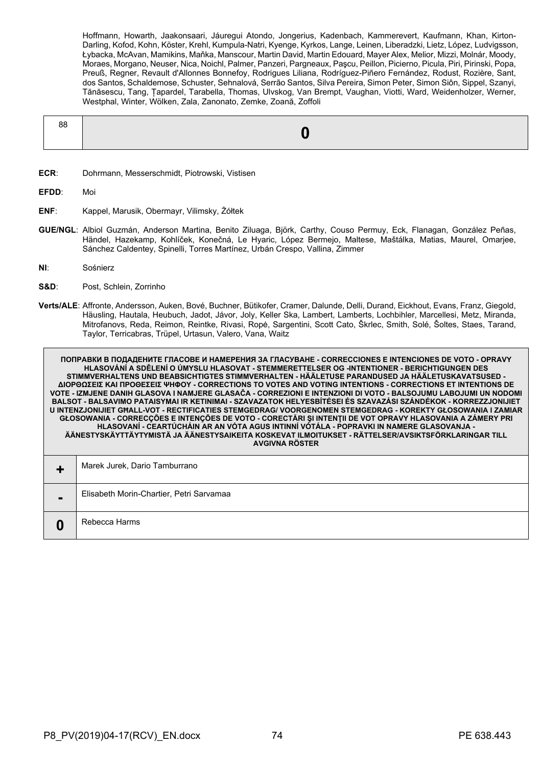Hoffmann, Howarth, Jaakonsaari, Jáuregui Atondo, Jongerius, Kadenbach, Kammerevert, Kaufmann, Khan, Kirton-Darling, Kofod, Kohn, Köster, Krehl, Kumpula-Natri, Kyenge, Kyrkos, Lange, Leinen, Liberadzki, Lietz, López, Ludvigsson, Łybacka, McAvan, Mamikins, Maňka, Manscour, Martin David, Martin Edouard, Mayer Alex, Melior, Mizzi, Molnár, Moody, Moraes, Morgano, Neuser, Nica, Noichl, Palmer, Panzeri, Pargneaux, Paşcu, Peillon, Picierno, Picula, Piri, Pirinski, Popa, Preuß, Regner, Revault d'Allonnes Bonnefoy, Rodrigues Liliana, Rodríguez-Piñero Fernández, Rodust, Rozière, Sant, dos Santos, Schaldemose, Schuster, Sehnalová, Serrão Santos, Silva Pereira, Simon Peter, Simon Siôn, Sippel, Szanyi, Tănăsescu, Tang, Țapardel, Tarabella, Thomas, Ulvskog, Van Brempt, Vaughan, Viotti, Ward, Weidenholzer, Werner, Westphal, Winter, Wölken, Zala, Zanonato, Zemke, Zoană, Zoffoli

| 88 |  |
|----|--|
|    |  |

**ECR**: Dohrmann, Messerschmidt, Piotrowski, Vistisen

**EFDD**: Moi

- **ENF**: Kappel, Marusik, Obermayr, Vilimsky, Żółtek
- **GUE/NGL**: Albiol Guzmán, Anderson Martina, Benito Ziluaga, Björk, Carthy, Couso Permuy, Eck, Flanagan, González Peñas, Händel, Hazekamp, Kohlíček, Konečná, Le Hyaric, López Bermejo, Maltese, Maštálka, Matias, Maurel, Omarjee, Sánchez Caldentey, Spinelli, Torres Martínez, Urbán Crespo, Vallina, Zimmer
- **NI**: Sośnierz
- **S&D**: Post, Schlein, Zorrinho
- **Verts/ALE**: Affronte, Andersson, Auken, Bové, Buchner, Bütikofer, Cramer, Dalunde, Delli, Durand, Eickhout, Evans, Franz, Giegold, Häusling, Hautala, Heubuch, Jadot, Jávor, Joly, Keller Ska, Lambert, Lamberts, Lochbihler, Marcellesi, Metz, Miranda, Mitrofanovs, Reda, Reimon, Reintke, Rivasi, Ropė, Sargentini, Scott Cato, Škrlec, Smith, Solé, Šoltes, Staes, Tarand, Taylor, Terricabras, Trüpel, Urtasun, Valero, Vana, Waitz

**ПОПРАВКИ В ПОДАДЕНИТЕ ГЛАСОВЕ И НАМЕРЕНИЯ ЗА ГЛАСУВАНЕ - CORRECCIONES E INTENCIONES DE VOTO - OPRAVY HLASOVÁNÍ A SDĚLENÍ O ÚMYSLU HLASOVAT - STEMMERETTELSER OG -INTENTIONER - BERICHTIGUNGEN DES STIMMVERHALTENS UND BEABSICHTIGTES STIMMVERHALTEN - HÄÄLETUSE PARANDUSED JA HÄÄLETUSKAVATSUSED - ΔΙΟΡΘΩΣΕΙΣ ΚΑΙ ΠΡΟΘΕΣΕΙΣ ΨΗΦΟΥ - CORRECTIONS TO VOTES AND VOTING INTENTIONS - CORRECTIONS ET INTENTIONS DE VOTE - IZMJENE DANIH GLASOVA I NAMJERE GLASAČA - CORREZIONI E INTENZIONI DI VOTO - BALSOJUMU LABOJUMI UN NODOMI BALSOT - BALSAVIMO PATAISYMAI IR KETINIMAI - SZAVAZATOK HELYESBÍTÉSEI ÉS SZAVAZÁSI SZÁNDÉKOK - KORREZZJONIJIET U INTENZJONIJIET GĦALL-VOT - RECTIFICATIES STEMGEDRAG/ VOORGENOMEN STEMGEDRAG - KOREKTY GŁOSOWANIA I ZAMIAR GŁOSOWANIA - CORRECÇÕES E INTENÇÕES DE VOTO - CORECTĂRI ŞI INTENŢII DE VOT OPRAVY HLASOVANIA A ZÁMERY PRI HLASOVANÍ - CEARTÚCHÁIN AR AN VÓTA AGUS INTINNÍ VÓTÁLA - POPRAVKI IN NAMERE GLASOVANJA - ÄÄNESTYSKÄYTTÄYTYMISTÄ JA ÄÄNESTYSAIKEITA KOSKEVAT ILMOITUKSET - RÄTTELSER/AVSIKTSFÖRKLARINGAR TILL AVGIVNA RÖSTER +** Marek Jurek, Dario Tamburrano

| $\blacksquare$ | Elisabeth Morin-Chartier, Petri Sarvamaa |
|----------------|------------------------------------------|
|                | Rebecca Harms                            |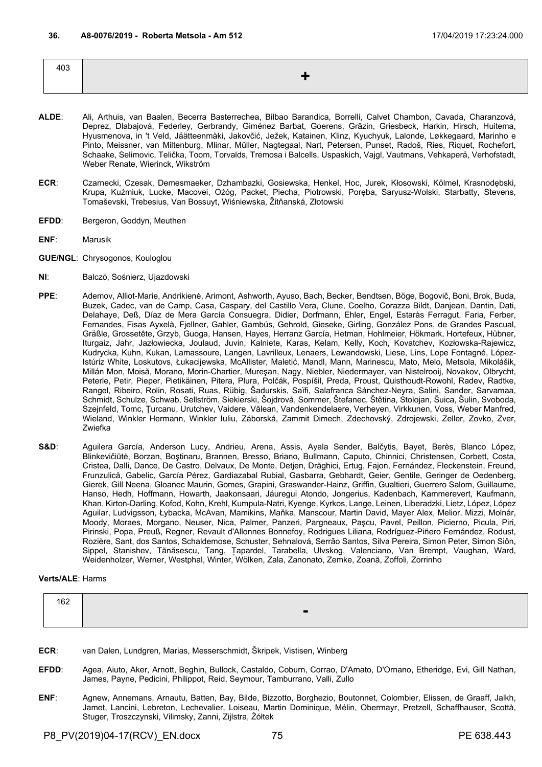| 403 |  |
|-----|--|
|     |  |
|     |  |

- **ALDE**: Ali, Arthuis, van Baalen, Becerra Basterrechea, Bilbao Barandica, Borrelli, Calvet Chambon, Cavada, Charanzová, Deprez, Dlabajová, Federley, Gerbrandy, Giménez Barbat, Goerens, Gräzin, Griesbeck, Harkin, Hirsch, Huitema, Hyusmenova, in 't Veld, Jäätteenmäki, Jakovčić, Ježek, Katainen, Klinz, Kyuchyuk, Lalonde, Løkkegaard, Marinho e Pinto, Meissner, van Miltenburg, Mlinar, Müller, Nagtegaal, Nart, Petersen, Punset, Radoš, Ries, Riquet, Rochefort, Schaake, Selimovic, Telička, Toom, Torvalds, Tremosa i Balcells, Uspaskich, Vajgl, Vautmans, Vehkaperä, Verhofstadt, Weber Renate, Wierinck, Wikström
- **ECR**: Czarnecki, Czesak, Demesmaeker, Dzhambazki, Gosiewska, Henkel, Hoc, Jurek, Kłosowski, Kölmel, Krasnodębski, Krupa, Kuźmiuk, Lucke, Macovei, Ożóg, Packet, Piecha, Piotrowski, Poręba, Saryusz-Wolski, Starbatty, Stevens, Tomaševski, Trebesius, Van Bossuyt, Wiśniewska, Žitňanská, Złotowski
- **EFDD:** Bergeron, Goddyn, Meuthen
- **ENF**: Marusik
- **GUE/NGL**: Chrysogonos, Kouloglou
- **NI**: Balczó, Sośnierz, Ujazdowski
- **PPE**: Ademov, Alliot-Marie, Andrikienė, Arimont, Ashworth, Ayuso, Bach, Becker, Bendtsen, Böge, Bogovič, Boni, Brok, Buda, Buzek, Cadec, van de Camp, Casa, Caspary, del Castillo Vera, Clune, Coelho, Corazza Bildt, Danjean, Dantin, Dati, Delahaye, Deß, Díaz de Mera García Consuegra, Didier, Dorfmann, Ehler, Engel, Estaràs Ferragut, Faria, Ferber, Fernandes, Fisas Ayxelà, Fjellner, Gahler, Gambús, Gehrold, Gieseke, Girling, González Pons, de Grandes Pascual, Gräßle, Grossetête, Grzyb, Guoga, Hansen, Hayes, Herranz García, Hetman, Hohlmeier, Hökmark, Hortefeux, Hübner, Iturgaiz, Jahr, Jazłowiecka, Joulaud, Juvin, Kalniete, Karas, Kelam, Kelly, Koch, Kovatchev, Kozłowska-Rajewicz, Kudrycka, Kuhn, Kukan, Lamassoure, Langen, Lavrilleux, Lenaers, Lewandowski, Liese, Lins, Lope Fontagné, López-Istúriz White, Loskutovs, Łukacijewska, McAllister, Maletić, Mandl, Mann, Marinescu, Mato, Melo, Metsola, Mikolášik, Millán Mon, Moisă, Morano, Morin-Chartier, Mureşan, Nagy, Niebler, Niedermayer, van Nistelrooij, Novakov, Olbrycht, Peterle, Petir, Pieper, Pietikäinen, Pitera, Plura, Polčák, Pospíšil, Preda, Proust, Quisthoudt-Rowohl, Radev, Radtke, Rangel, Ribeiro, Rolin, Rosati, Ruas, Rübig, Šadurskis, Saïfi, Salafranca Sánchez-Neyra, Salini, Sander, Sarvamaa, Schmidt, Schulze, Schwab, Sellström, Siekierski, Šojdrová, Sommer, Štefanec, Štětina, Stolojan, Šuica, Šulin, Svoboda, Szejnfeld, Tomc, Ţurcanu, Urutchev, Vaidere, Vălean, Vandenkendelaere, Verheyen, Virkkunen, Voss, Weber Manfred, Wieland, Winkler Hermann, Winkler Iuliu, Záborská, Zammit Dimech, Zdechovský, Zdrojewski, Zeller, Zovko, Zver, Zwiefka
- **S&D**: Aguilera García, Anderson Lucy, Andrieu, Arena, Assis, Ayala Sender, Balčytis, Bayet, Berès, Blanco López, Blinkevičiūtė, Borzan, Boştinaru, Brannen, Bresso, Briano, Bullmann, Caputo, Chinnici, Christensen, Corbett, Costa, Cristea, Dalli, Dance, De Castro, Delvaux, De Monte, Detjen, Drăghici, Ertug, Fajon, Fernández, Fleckenstein, Freund, Frunzulică, Gabelic, García Pérez, Gardiazabal Rubial, Gasbarra, Gebhardt, Geier, Gentile, Geringer de Oedenberg, Gierek, Gill Neena, Gloanec Maurin, Gomes, Grapini, Graswander-Hainz, Griffin, Gualtieri, Guerrero Salom, Guillaume, Hanso, Hedh, Hoffmann, Howarth, Jaakonsaari, Jáuregui Atondo, Jongerius, Kadenbach, Kammerevert, Kaufmann, Khan, Kirton-Darling, Kofod, Kohn, Krehl, Kumpula-Natri, Kyenge, Kyrkos, Lange, Leinen, Liberadzki, Lietz, López, López Aguilar, Ludvigsson, Łybacka, McAvan, Mamikins, Maňka, Manscour, Martin David, Mayer Alex, Melior, Mizzi, Molnár, Moody, Moraes, Morgano, Neuser, Nica, Palmer, Panzeri, Pargneaux, Paşcu, Pavel, Peillon, Picierno, Picula, Piri, Pirinski, Popa, Preuß, Regner, Revault d'Allonnes Bonnefoy, Rodrigues Liliana, Rodríguez-Piñero Fernández, Rodust, Rozière, Sant, dos Santos, Schaldemose, Schuster, Sehnalová, Serrão Santos, Silva Pereira, Simon Peter, Simon Siôn, Sippel, Stanishev, Tănăsescu, Tang, Țapardel, Tarabella, Ulvskog, Valenciano, Van Brempt, Vaughan, Ward, Weidenholzer, Werner, Westphal, Winter, Wölken, Zala, Zanonato, Zemke, Zoană, Zoffoli, Zorrinho

# **Verts/ALE**: Harms

| 162 |   |
|-----|---|
|     | - |

- **ECR**: van Dalen, Lundgren, Marias, Messerschmidt, Škripek, Vistisen, Winberg
- **EFDD**: Agea, Aiuto, Aker, Arnott, Beghin, Bullock, Castaldo, Coburn, Corrao, D'Amato, D'Ornano, Etheridge, Evi, Gill Nathan, James, Payne, Pedicini, Philippot, Reid, Seymour, Tamburrano, Valli, Zullo
- **ENF**: Agnew, Annemans, Arnautu, Batten, Bay, Bilde, Bizzotto, Borghezio, Boutonnet, Colombier, Elissen, de Graaff, Jalkh, Jamet, Lancini, Lebreton, Lechevalier, Loiseau, Martin Dominique, Mélin, Obermayr, Pretzell, Schaffhauser, Scottà, Stuger, Troszczynski, Vilimsky, Zanni, Zijlstra, Żółtek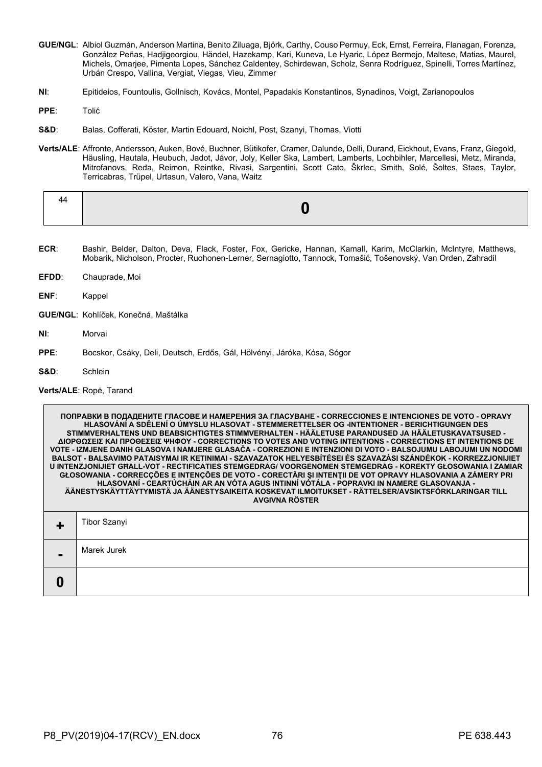- **GUE/NGL**: Albiol Guzmán, Anderson Martina, Benito Ziluaga, Björk, Carthy, Couso Permuy, Eck, Ernst, Ferreira, Flanagan, Forenza, González Peñas, Hadjigeorgiou, Händel, Hazekamp, Kari, Kuneva, Le Hyaric, López Bermejo, Maltese, Matias, Maurel, Michels, Omarjee, Pimenta Lopes, Sánchez Caldentey, Schirdewan, Scholz, Senra Rodríguez, Spinelli, Torres Martínez, Urbán Crespo, Vallina, Vergiat, Viegas, Vieu, Zimmer
- **NI**: Epitideios, Fountoulis, Gollnisch, Kovács, Montel, Papadakis Konstantinos, Synadinos, Voigt, Zarianopoulos
- **PPE**: Tolić
- **S&D**: Balas, Cofferati, Köster, Martin Edouard, Noichl, Post, Szanyi, Thomas, Viotti
- **Verts/ALE**: Affronte, Andersson, Auken, Bové, Buchner, Bütikofer, Cramer, Dalunde, Delli, Durand, Eickhout, Evans, Franz, Giegold, Häusling, Hautala, Heubuch, Jadot, Jávor, Joly, Keller Ska, Lambert, Lamberts, Lochbihler, Marcellesi, Metz, Miranda, Mitrofanovs, Reda, Reimon, Reintke, Rivasi, Sargentini, Scott Cato, Škrlec, Smith, Solé, Šoltes, Staes, Taylor, Terricabras, Trüpel, Urtasun, Valero, Vana, Waitz

| . |  |
|---|--|
|   |  |

- **ECR**: Bashir, Belder, Dalton, Deva, Flack, Foster, Fox, Gericke, Hannan, Kamall, Karim, McClarkin, McIntyre, Matthews, Mobarik, Nicholson, Procter, Ruohonen-Lerner, Sernagiotto, Tannock, Tomašić, Tošenovský, Van Orden, Zahradil
- **EFDD**: Chauprade, Moi
- **ENF**: Kappel
- **GUE/NGL**: Kohlíček, Konečná, Maštálka
- **NI**: Morvai
- **PPE**: Bocskor, Csáky, Deli, Deutsch, Erdős, Gál, Hölvényi, Járóka, Kósa, Sógor
- **S&D**: Schlein

#### **Verts/ALE**: Ropė, Tarand

**ПОПРАВКИ В ПОДАДЕНИТЕ ГЛАСОВЕ И НАМЕРЕНИЯ ЗА ГЛАСУВАНЕ - CORRECCIONES E INTENCIONES DE VOTO - OPRAVY HLASOVÁNÍ A SDĚLENÍ O ÚMYSLU HLASOVAT - STEMMERETTELSER OG -INTENTIONER - BERICHTIGUNGEN DES STIMMVERHALTENS UND BEABSICHTIGTES STIMMVERHALTEN - HÄÄLETUSE PARANDUSED JA HÄÄLETUSKAVATSUSED - ΔΙΟΡΘΩΣΕΙΣ ΚΑΙ ΠΡΟΘΕΣΕΙΣ ΨΗΦΟΥ - CORRECTIONS TO VOTES AND VOTING INTENTIONS - CORRECTIONS ET INTENTIONS DE VOTE - IZMJENE DANIH GLASOVA I NAMJERE GLASAČA - CORREZIONI E INTENZIONI DI VOTO - BALSOJUMU LABOJUMI UN NODOMI BALSOT - BALSAVIMO PATAISYMAI IR KETINIMAI - SZAVAZATOK HELYESBÍTÉSEI ÉS SZAVAZÁSI SZÁNDÉKOK - KORREZZJONIJIET U INTENZJONIJIET GĦALL-VOT - RECTIFICATIES STEMGEDRAG/ VOORGENOMEN STEMGEDRAG - KOREKTY GŁOSOWANIA I ZAMIAR GŁOSOWANIA - CORRECÇÕES E INTENÇÕES DE VOTO - CORECTĂRI ŞI INTENŢII DE VOT OPRAVY HLASOVANIA A ZÁMERY PRI HLASOVANÍ - CEARTÚCHÁIN AR AN VÓTA AGUS INTINNÍ VÓTÁLA - POPRAVKI IN NAMERE GLASOVANJA - ÄÄNESTYSKÄYTTÄYTYMISTÄ JA ÄÄNESTYSAIKEITA KOSKEVAT ILMOITUKSET - RÄTTELSER/AVSIKTSFÖRKLARINGAR TILL AVGIVNA RÖSTER +** Tibor Szanyi **-** Marek Jurek **0**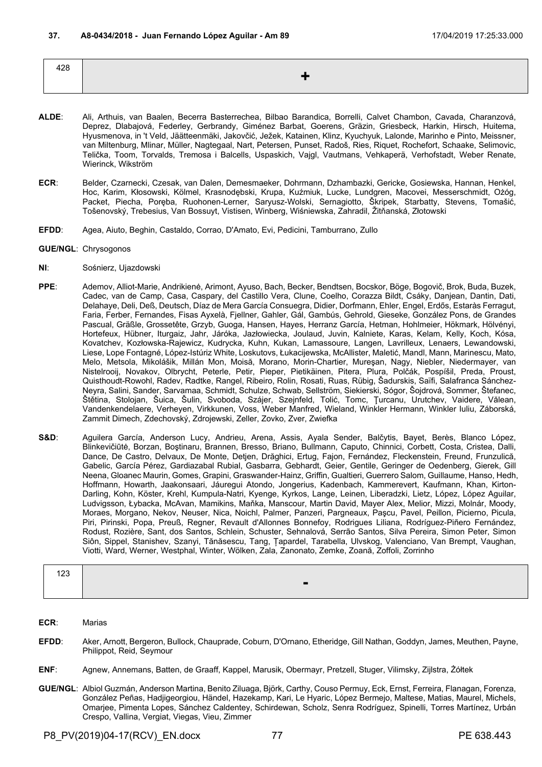| 428 |                          |
|-----|--------------------------|
|     | $\overline{\phantom{a}}$ |
|     |                          |

- **ALDE**: Ali, Arthuis, van Baalen, Becerra Basterrechea, Bilbao Barandica, Borrelli, Calvet Chambon, Cavada, Charanzová, Deprez, Dlabajová, Federley, Gerbrandy, Giménez Barbat, Goerens, Gräzin, Griesbeck, Harkin, Hirsch, Huitema, Hyusmenova, in 't Veld, Jäätteenmäki, Jakovčić, Ježek, Katainen, Klinz, Kyuchyuk, Lalonde, Marinho e Pinto, Meissner, van Miltenburg, Mlinar, Müller, Nagtegaal, Nart, Petersen, Punset, Radoš, Ries, Riquet, Rochefort, Schaake, Selimovic, Telička, Toom, Torvalds, Tremosa i Balcells, Uspaskich, Vajgl, Vautmans, Vehkaperä, Verhofstadt, Weber Renate, Wierinck, Wikström
- **ECR**: Belder, Czarnecki, Czesak, van Dalen, Demesmaeker, Dohrmann, Dzhambazki, Gericke, Gosiewska, Hannan, Henkel, Hoc, Karim, Kłosowski, Kölmel, Krasnodębski, Krupa, Kuźmiuk, Lucke, Lundgren, Macovei, Messerschmidt, Ożóg, Packet, Piecha, Poręba, Ruohonen-Lerner, Saryusz-Wolski, Sernagiotto, Škripek, Starbatty, Stevens, Tomašić, Tošenovský, Trebesius, Van Bossuyt, Vistisen, Winberg, Wiśniewska, Zahradil, Žitňanská, Złotowski
- **EFDD**: Agea, Aiuto, Beghin, Castaldo, Corrao, D'Amato, Evi, Pedicini, Tamburrano, Zullo
- **GUE/NGL**: Chrysogonos
- **NI**: Sośnierz, Ujazdowski
- **PPE**: Ademov, Alliot-Marie, Andrikienė, Arimont, Ayuso, Bach, Becker, Bendtsen, Bocskor, Böge, Bogovič, Brok, Buda, Buzek, Cadec, van de Camp, Casa, Caspary, del Castillo Vera, Clune, Coelho, Corazza Bildt, Csáky, Danjean, Dantin, Dati, Delahaye, Deli, Deß, Deutsch, Díaz de Mera García Consuegra, Didier, Dorfmann, Ehler, Engel, Erdős, Estaràs Ferragut, Faria, Ferber, Fernandes, Fisas Ayxelà, Fjellner, Gahler, Gál, Gambús, Gehrold, Gieseke, González Pons, de Grandes Pascual, Gräßle, Grossetête, Grzyb, Guoga, Hansen, Hayes, Herranz García, Hetman, Hohlmeier, Hökmark, Hölvényi, Hortefeux, Hübner, Iturgaiz, Jahr, Járóka, Jazłowiecka, Joulaud, Juvin, Kalniete, Karas, Kelam, Kelly, Koch, Kósa, Kovatchev, Kozłowska-Rajewicz, Kudrycka, Kuhn, Kukan, Lamassoure, Langen, Lavrilleux, Lenaers, Lewandowski, Liese, Lope Fontagné, López-Istúriz White, Loskutovs, Łukacijewska, McAllister, Maletić, Mandl, Mann, Marinescu, Mato, Melo, Metsola, Mikolášik, Millán Mon, Moisă, Morano, Morin-Chartier, Mureşan, Nagy, Niebler, Niedermayer, van Nistelrooij, Novakov, Olbrycht, Peterle, Petir, Pieper, Pietikäinen, Pitera, Plura, Polčák, Pospíšil, Preda, Proust, Quisthoudt-Rowohl, Radev, Radtke, Rangel, Ribeiro, Rolin, Rosati, Ruas, Rübig, Šadurskis, Saïfi, Salafranca Sánchez-Neyra, Salini, Sander, Sarvamaa, Schmidt, Schulze, Schwab, Sellström, Siekierski, Sógor, Šojdrová, Sommer, Štefanec, Štětina, Stolojan, Šuica, Šulin, Svoboda, Szájer, Szejnfeld, Tolić, Tomc, Ţurcanu, Urutchev, Vaidere, Vălean, Vandenkendelaere, Verheyen, Virkkunen, Voss, Weber Manfred, Wieland, Winkler Hermann, Winkler Iuliu, Záborská, Zammit Dimech, Zdechovský, Zdrojewski, Zeller, Zovko, Zver, Zwiefka
- **S&D**: Aguilera García, Anderson Lucy, Andrieu, Arena, Assis, Ayala Sender, Balčytis, Bayet, Berès, Blanco López, Blinkevičiūtė, Borzan, Boştinaru, Brannen, Bresso, Briano, Bullmann, Caputo, Chinnici, Corbett, Costa, Cristea, Dalli, Dance, De Castro, Delvaux, De Monte, Detjen, Drăghici, Ertug, Fajon, Fernández, Fleckenstein, Freund, Frunzulică, Gabelic, García Pérez, Gardiazabal Rubial, Gasbarra, Gebhardt, Geier, Gentile, Geringer de Oedenberg, Gierek, Gill Neena, Gloanec Maurin, Gomes, Grapini, Graswander-Hainz, Griffin, Gualtieri, Guerrero Salom, Guillaume, Hanso, Hedh, Hoffmann, Howarth, Jaakonsaari, Jáuregui Atondo, Jongerius, Kadenbach, Kammerevert, Kaufmann, Khan, Kirton-Darling, Kohn, Köster, Krehl, Kumpula-Natri, Kyenge, Kyrkos, Lange, Leinen, Liberadzki, Lietz, López, López Aguilar, Ludvigsson, Łybacka, McAvan, Mamikins, Maňka, Manscour, Martin David, Mayer Alex, Melior, Mizzi, Molnár, Moody, Moraes, Morgano, Nekov, Neuser, Nica, Noichl, Palmer, Panzeri, Pargneaux, Paşcu, Pavel, Peillon, Picierno, Picula, Piri, Pirinski, Popa, Preuß, Regner, Revault d'Allonnes Bonnefoy, Rodrigues Liliana, Rodríguez-Piñero Fernández, Rodust, Rozière, Sant, dos Santos, Schlein, Schuster, Sehnalová, Serrão Santos, Silva Pereira, Simon Peter, Simon Siôn, Sippel, Stanishev, Szanyi, Tănăsescu, Tang, Țapardel, Tarabella, Ulvskog, Valenciano, Van Brempt, Vaughan, Viotti, Ward, Werner, Westphal, Winter, Wölken, Zala, Zanonato, Zemke, Zoană, Zoffoli, Zorrinho

| $\sim$<br>$\sim$ |                |
|------------------|----------------|
|                  | $\blacksquare$ |

- **ECR**: Marias
- **EFDD**: Aker, Arnott, Bergeron, Bullock, Chauprade, Coburn, D'Ornano, Etheridge, Gill Nathan, Goddyn, James, Meuthen, Payne, Philippot, Reid, Seymour
- **ENF**: Agnew, Annemans, Batten, de Graaff, Kappel, Marusik, Obermayr, Pretzell, Stuger, Vilimsky, Zijlstra, Żółtek
- **GUE/NGL**: Albiol Guzmán, Anderson Martina, Benito Ziluaga, Björk, Carthy, Couso Permuy, Eck, Ernst, Ferreira, Flanagan, Forenza, González Peñas, Hadjigeorgiou, Händel, Hazekamp, Kari, Le Hyaric, López Bermejo, Maltese, Matias, Maurel, Michels, Omarjee, Pimenta Lopes, Sánchez Caldentey, Schirdewan, Scholz, Senra Rodríguez, Spinelli, Torres Martínez, Urbán Crespo, Vallina, Vergiat, Viegas, Vieu, Zimmer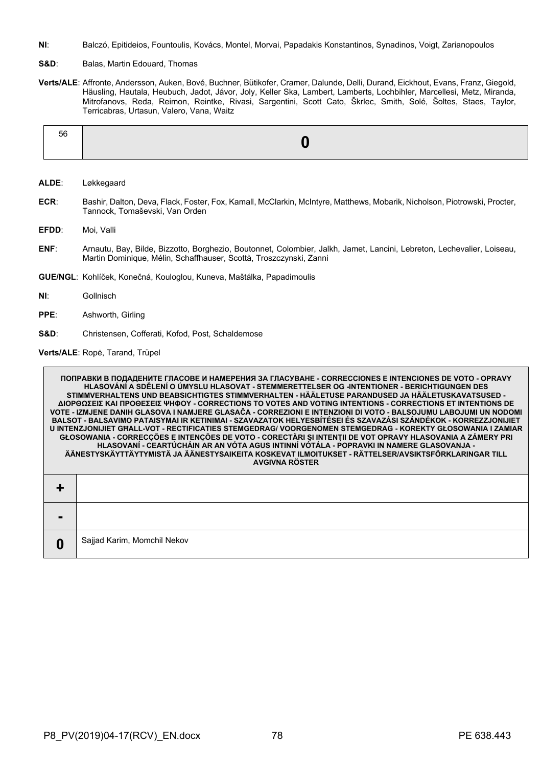- **NI**: Balczó, Epitideios, Fountoulis, Kovács, Montel, Morvai, Papadakis Konstantinos, Synadinos, Voigt, Zarianopoulos
- S&D: Balas, Martin Edouard, Thomas
- **Verts/ALE**: Affronte, Andersson, Auken, Bové, Buchner, Bütikofer, Cramer, Dalunde, Delli, Durand, Eickhout, Evans, Franz, Giegold, Häusling, Hautala, Heubuch, Jadot, Jávor, Joly, Keller Ska, Lambert, Lamberts, Lochbihler, Marcellesi, Metz, Miranda, Mitrofanovs, Reda, Reimon, Reintke, Rivasi, Sargentini, Scott Cato, Škrlec, Smith, Solé, Šoltes, Staes, Taylor, Terricabras, Urtasun, Valero, Vana, Waitz

| 56 |
|----|
|----|

- **ALDE**: Løkkegaard
- **ECR**: Bashir, Dalton, Deva, Flack, Foster, Fox, Kamall, McClarkin, McIntyre, Matthews, Mobarik, Nicholson, Piotrowski, Procter, Tannock, Tomaševski, Van Orden
- **EFDD**: Moi, Valli
- **ENF**: Arnautu, Bay, Bilde, Bizzotto, Borghezio, Boutonnet, Colombier, Jalkh, Jamet, Lancini, Lebreton, Lechevalier, Loiseau, Martin Dominique, Mélin, Schaffhauser, Scottà, Troszczynski, Zanni
- **GUE/NGL**: Kohlíček, Konečná, Kouloglou, Kuneva, Maštálka, Papadimoulis
- **NI**: Gollnisch

Г

- **PPE**: Ashworth, Girling
- **S&D**: Christensen, Cofferati, Kofod, Post, Schaldemose

**Verts/ALE**: Ropė, Tarand, Trüpel

|   | ПОПРАВКИ В ПОДАДЕНИТЕ ГЛАСОВЕ И НАМЕРЕНИЯ ЗА ГЛАСУВАНЕ - CORRECCIONES Е INTENCIONES DE VOTO - OPRAVY<br>HLASOVÁNÍ A SDĚLENÍ O ÚMYSLU HLASOVAT - STEMMERETTELSER OG -INTENTIONER - BERICHTIGUNGEN DES<br>STIMMVERHALTENS UND BEABSICHTIGTES STIMMVERHALTEN - HÄÄLETUSE PARANDUSED JA HÄÄLETUSKAVATSUSED -<br>ΔΙΟΡΘΩΣΕΙΣ ΚΑΙ ΠΡΟΘΕΣΕΙΣ ΨΗΦΟΥ - CORRECTIONS TO VOTES AND VOTING INTENTIONS - CORRECTIONS ET INTENTIONS DE<br>VOTE - IZMJENE DANIH GLASOVA I NAMJERE GLASAČA - CORREZIONI E INTENZIONI DI VOTO - BALSOJUMU LABOJUMI UN NODOMI<br>BALSOT - BALSAVIMO PATAISYMAI IR KETINIMAI - SZAVAZATOK HELYESBÍTÉSEI ÉS SZAVAZÁSI SZÁNDÉKOK - KORREZZJONIJIET<br>U INTENZJONIJIET GHALL-VOT - RECTIFICATIES STEMGEDRAG/ VOORGENOMEN STEMGEDRAG - KOREKTY GŁOSOWANIA I ZAMIAR<br>GŁOSOWANIA - CORRECÇÕES E INTENÇÕES DE VOTO - CORECTĂRI ȘI INTENȚII DE VOT OPRAVY HLASOVANIA A ZÁMERY PRI<br>HLASOVANÍ - CEARTÚCHÁIN AR AN VÓTA AGUS INTINNÍ VÓTÁLA - POPRAVKI IN NAMERE GLASOVANJA -<br>ÄÄNESTYSKÄYTTÄYTYMISTÄ JA ÄÄNESTYSAIKEITA KOSKEVAT ILMOITUKSET - RÄTTELSER/AVSIKTSFÖRKLARINGAR TILL<br><b>AVGIVNA RÖSTER</b> |
|---|---------------------------------------------------------------------------------------------------------------------------------------------------------------------------------------------------------------------------------------------------------------------------------------------------------------------------------------------------------------------------------------------------------------------------------------------------------------------------------------------------------------------------------------------------------------------------------------------------------------------------------------------------------------------------------------------------------------------------------------------------------------------------------------------------------------------------------------------------------------------------------------------------------------------------------------------------------------------------------------------------------------------------------------------------------------------------------------------------------------------|
|   |                                                                                                                                                                                                                                                                                                                                                                                                                                                                                                                                                                                                                                                                                                                                                                                                                                                                                                                                                                                                                                                                                                                     |
|   |                                                                                                                                                                                                                                                                                                                                                                                                                                                                                                                                                                                                                                                                                                                                                                                                                                                                                                                                                                                                                                                                                                                     |
| 0 | Sajjad Karim, Momchil Nekov                                                                                                                                                                                                                                                                                                                                                                                                                                                                                                                                                                                                                                                                                                                                                                                                                                                                                                                                                                                                                                                                                         |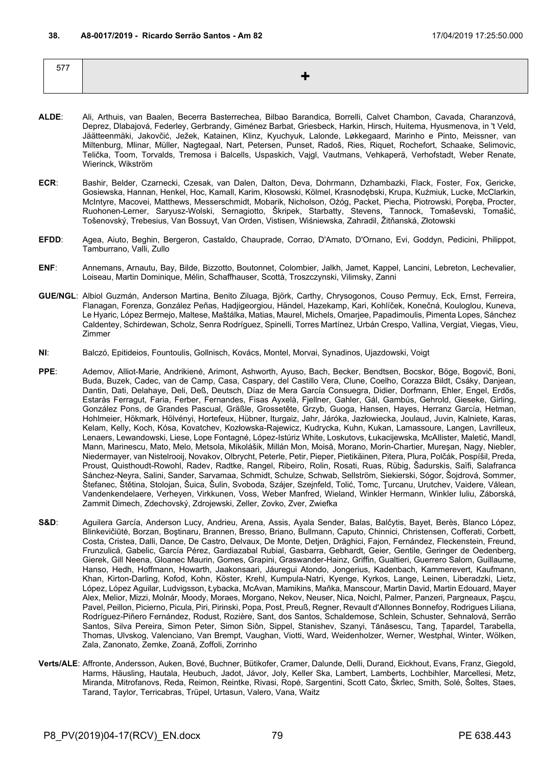577 **+**

- **ALDE**: Ali, Arthuis, van Baalen, Becerra Basterrechea, Bilbao Barandica, Borrelli, Calvet Chambon, Cavada, Charanzová, Deprez, Dlabajová, Federley, Gerbrandy, Giménez Barbat, Griesbeck, Harkin, Hirsch, Huitema, Hyusmenova, in 't Veld, Jäätteenmäki, Jakovčić, Ježek, Katainen, Klinz, Kyuchyuk, Lalonde, Løkkegaard, Marinho e Pinto, Meissner, van Miltenburg, Mlinar, Müller, Nagtegaal, Nart, Petersen, Punset, Radoš, Ries, Riquet, Rochefort, Schaake, Selimovic, Telička, Toom, Torvalds, Tremosa i Balcells, Uspaskich, Vajgl, Vautmans, Vehkaperä, Verhofstadt, Weber Renate, Wierinck, Wikström
- **ECR**: Bashir, Belder, Czarnecki, Czesak, van Dalen, Dalton, Deva, Dohrmann, Dzhambazki, Flack, Foster, Fox, Gericke, Gosiewska, Hannan, Henkel, Hoc, Kamall, Karim, Kłosowski, Kölmel, Krasnodębski, Krupa, Kuźmiuk, Lucke, McClarkin, McIntyre, Macovei, Matthews, Messerschmidt, Mobarik, Nicholson, Ożóg, Packet, Piecha, Piotrowski, Poręba, Procter, Ruohonen-Lerner, Saryusz-Wolski, Sernagiotto, Škripek, Starbatty, Stevens, Tannock, Tomaševski, Tomašić, Tošenovský, Trebesius, Van Bossuyt, Van Orden, Vistisen, Wiśniewska, Zahradil, Žitňanská, Złotowski
- **EFDD**: Agea, Aiuto, Beghin, Bergeron, Castaldo, Chauprade, Corrao, D'Amato, D'Ornano, Evi, Goddyn, Pedicini, Philippot, Tamburrano, Valli, Zullo
- **ENF**: Annemans, Arnautu, Bay, Bilde, Bizzotto, Boutonnet, Colombier, Jalkh, Jamet, Kappel, Lancini, Lebreton, Lechevalier, Loiseau, Martin Dominique, Mélin, Schaffhauser, Scottà, Troszczynski, Vilimsky, Zanni
- **GUE/NGL**: Albiol Guzmán, Anderson Martina, Benito Ziluaga, Björk, Carthy, Chrysogonos, Couso Permuy, Eck, Ernst, Ferreira, Flanagan, Forenza, González Peñas, Hadjigeorgiou, Händel, Hazekamp, Kari, Kohlíček, Konečná, Kouloglou, Kuneva, Le Hyaric, López Bermejo, Maltese, Maštálka, Matias, Maurel, Michels, Omarjee, Papadimoulis, Pimenta Lopes, Sánchez Caldentey, Schirdewan, Scholz, Senra Rodríguez, Spinelli, Torres Martínez, Urbán Crespo, Vallina, Vergiat, Viegas, Vieu, Zimmer
- **NI**: Balczó, Epitideios, Fountoulis, Gollnisch, Kovács, Montel, Morvai, Synadinos, Ujazdowski, Voigt
- **PPE**: Ademov, Alliot-Marie, Andrikienė, Arimont, Ashworth, Ayuso, Bach, Becker, Bendtsen, Bocskor, Böge, Bogovič, Boni, Buda, Buzek, Cadec, van de Camp, Casa, Caspary, del Castillo Vera, Clune, Coelho, Corazza Bildt, Csáky, Danjean, Dantin, Dati, Delahaye, Deli, Deß, Deutsch, Díaz de Mera García Consuegra, Didier, Dorfmann, Ehler, Engel, Erdős, Estaràs Ferragut, Faria, Ferber, Fernandes, Fisas Ayxelà, Fjellner, Gahler, Gál, Gambús, Gehrold, Gieseke, Girling, González Pons, de Grandes Pascual, Gräßle, Grossetête, Grzyb, Guoga, Hansen, Hayes, Herranz García, Hetman, Hohlmeier, Hökmark, Hölvényi, Hortefeux, Hübner, Iturgaiz, Jahr, Járóka, Jazłowiecka, Joulaud, Juvin, Kalniete, Karas, Kelam, Kelly, Koch, Kósa, Kovatchev, Kozłowska-Rajewicz, Kudrycka, Kuhn, Kukan, Lamassoure, Langen, Lavrilleux, Lenaers, Lewandowski, Liese, Lope Fontagné, López-Istúriz White, Loskutovs, Łukacijewska, McAllister, Maletić, Mandl, Mann, Marinescu, Mato, Melo, Metsola, Mikolášik, Millán Mon, Moisă, Morano, Morin-Chartier, Mureşan, Nagy, Niebler, Niedermayer, van Nistelrooij, Novakov, Olbrycht, Peterle, Petir, Pieper, Pietikäinen, Pitera, Plura, Polčák, Pospíšil, Preda, Proust, Quisthoudt-Rowohl, Radev, Radtke, Rangel, Ribeiro, Rolin, Rosati, Ruas, Rübig, Šadurskis, Saïfi, Salafranca Sánchez-Neyra, Salini, Sander, Sarvamaa, Schmidt, Schulze, Schwab, Sellström, Siekierski, Sógor, Šojdrová, Sommer, Štefanec, Štětina, Stolojan, Šuica, Šulin, Svoboda, Szájer, Szejnfeld, Tolić, Tomc, Ţurcanu, Urutchev, Vaidere, Vălean, Vandenkendelaere, Verheyen, Virkkunen, Voss, Weber Manfred, Wieland, Winkler Hermann, Winkler Iuliu, Záborská, Zammit Dimech, Zdechovský, Zdrojewski, Zeller, Zovko, Zver, Zwiefka
- S&D: Aguilera García, Anderson Lucy, Andrieu, Arena, Assis, Ayala Sender, Balas, Balčytis, Bayet, Berès, Blanco López, Blinkevičiūtė, Borzan, Boştinaru, Brannen, Bresso, Briano, Bullmann, Caputo, Chinnici, Christensen, Cofferati, Corbett, Costa, Cristea, Dalli, Dance, De Castro, Delvaux, De Monte, Detjen, Drăghici, Fajon, Fernández, Fleckenstein, Freund, Frunzulică, Gabelic, García Pérez, Gardiazabal Rubial, Gasbarra, Gebhardt, Geier, Gentile, Geringer de Oedenberg, Gierek, Gill Neena, Gloanec Maurin, Gomes, Grapini, Graswander-Hainz, Griffin, Gualtieri, Guerrero Salom, Guillaume, Hanso, Hedh, Hoffmann, Howarth, Jaakonsaari, Jáuregui Atondo, Jongerius, Kadenbach, Kammerevert, Kaufmann, Khan, Kirton-Darling, Kofod, Kohn, Köster, Krehl, Kumpula-Natri, Kyenge, Kyrkos, Lange, Leinen, Liberadzki, Lietz, López, López Aguilar, Ludvigsson, Łybacka, McAvan, Mamikins, Maňka, Manscour, Martin David, Martin Edouard, Mayer Alex, Melior, Mizzi, Molnár, Moody, Moraes, Morgano, Nekov, Neuser, Nica, Noichl, Palmer, Panzeri, Pargneaux, Paşcu, Pavel, Peillon, Picierno, Picula, Piri, Pirinski, Popa, Post, Preuß, Regner, Revault d'Allonnes Bonnefoy, Rodrigues Liliana, Rodríguez-Piñero Fernández, Rodust, Rozière, Sant, dos Santos, Schaldemose, Schlein, Schuster, Sehnalová, Serrão Santos, Silva Pereira, Simon Peter, Simon Siôn, Sippel, Stanishev, Szanyi, Tănăsescu, Tang, Țapardel, Tarabella, Thomas, Ulvskog, Valenciano, Van Brempt, Vaughan, Viotti, Ward, Weidenholzer, Werner, Westphal, Winter, Wölken, Zala, Zanonato, Zemke, Zoană, Zoffoli, Zorrinho
- **Verts/ALE**: Affronte, Andersson, Auken, Bové, Buchner, Bütikofer, Cramer, Dalunde, Delli, Durand, Eickhout, Evans, Franz, Giegold, Harms, Häusling, Hautala, Heubuch, Jadot, Jávor, Joly, Keller Ska, Lambert, Lamberts, Lochbihler, Marcellesi, Metz, Miranda, Mitrofanovs, Reda, Reimon, Reintke, Rivasi, Ropė, Sargentini, Scott Cato, Škrlec, Smith, Solé, Šoltes, Staes, Tarand, Taylor, Terricabras, Trüpel, Urtasun, Valero, Vana, Waitz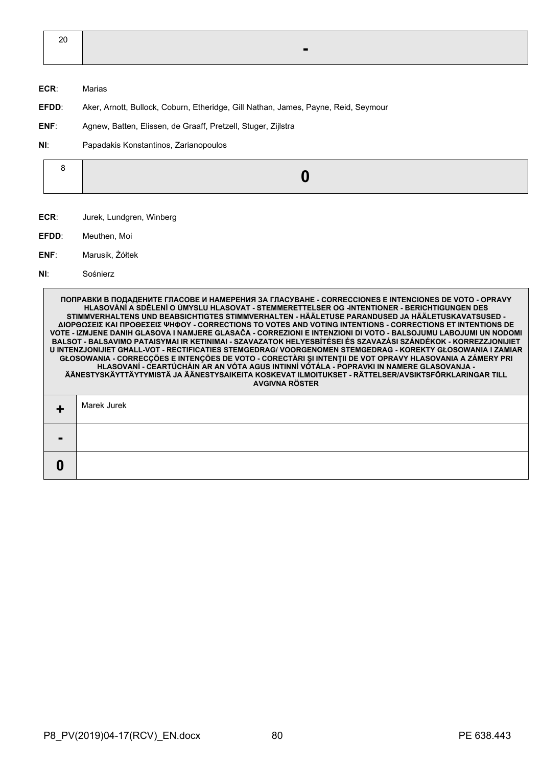| 20 |                |  |
|----|----------------|--|
|    | $\blacksquare$ |  |

- **ECR**: Marias
- **EFDD**: Aker, Arnott, Bullock, Coburn, Etheridge, Gill Nathan, James, Payne, Reid, Seymour
- **ENF**: Agnew, Batten, Elissen, de Graaff, Pretzell, Stuger, Zijlstra
- **NI**: Papadakis Konstantinos, Zarianopoulos

|--|--|

- **ECR**: Jurek, Lundgren, Winberg
- **EFDD**: Meuthen, Moi
- **ENF**: Marusik, Żółtek
- **NI**: Sośnierz

**ПОПРАВКИ В ПОДАДЕНИТЕ ГЛАСОВЕ И НАМЕРЕНИЯ ЗА ГЛАСУВАНЕ - CORRECCIONES E INTENCIONES DE VOTO - OPRAVY HLASOVÁNÍ A SDĚLENÍ O ÚMYSLU HLASOVAT - STEMMERETTELSER OG -INTENTIONER - BERICHTIGUNGEN DES STIMMVERHALTENS UND BEABSICHTIGTES STIMMVERHALTEN - HÄÄLETUSE PARANDUSED JA HÄÄLETUSKAVATSUSED - ΔΙΟΡΘΩΣΕΙΣ ΚΑΙ ΠΡΟΘΕΣΕΙΣ ΨΗΦΟΥ - CORRECTIONS TO VOTES AND VOTING INTENTIONS - CORRECTIONS ET INTENTIONS DE VOTE - IZMJENE DANIH GLASOVA I NAMJERE GLASAČA - CORREZIONI E INTENZIONI DI VOTO - BALSOJUMU LABOJUMI UN NODOMI BALSOT - BALSAVIMO PATAISYMAI IR KETINIMAI - SZAVAZATOK HELYESBÍTÉSEI ÉS SZAVAZÁSI SZÁNDÉKOK - KORREZZJONIJIET U INTENZJONIJIET GĦALL-VOT - RECTIFICATIES STEMGEDRAG/ VOORGENOMEN STEMGEDRAG - KOREKTY GŁOSOWANIA I ZAMIAR GŁOSOWANIA - CORRECÇÕES E INTENÇÕES DE VOTO - CORECTĂRI ŞI INTENŢII DE VOT OPRAVY HLASOVANIA A ZÁMERY PRI HLASOVANÍ - CEARTÚCHÁIN AR AN VÓTA AGUS INTINNÍ VÓTÁLA - POPRAVKI IN NAMERE GLASOVANJA - ÄÄNESTYSKÄYTTÄYTYMISTÄ JA ÄÄNESTYSAIKEITA KOSKEVAT ILMOITUKSET - RÄTTELSER/AVSIKTSFÖRKLARINGAR TILL AVGIVNA RÖSTER +** Marek Jurek **- 0**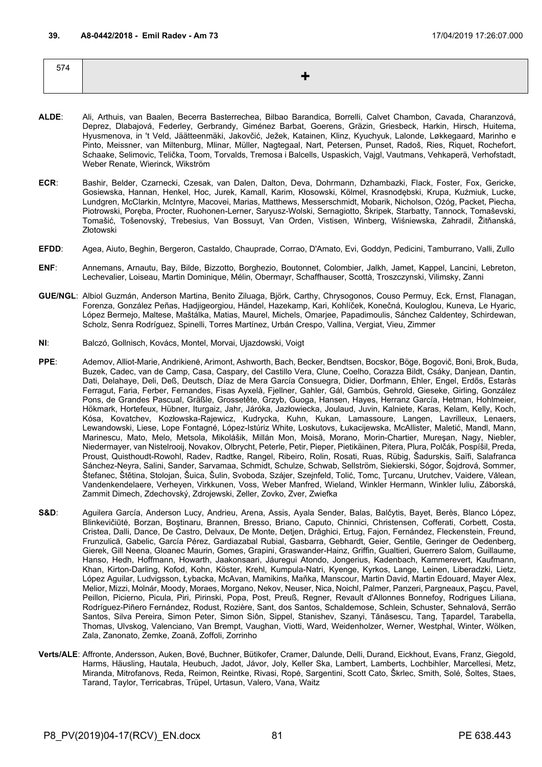| 574 |  |
|-----|--|
|     |  |
|     |  |

- **ALDE**: Ali, Arthuis, van Baalen, Becerra Basterrechea, Bilbao Barandica, Borrelli, Calvet Chambon, Cavada, Charanzová, Deprez, Dlabajová, Federley, Gerbrandy, Giménez Barbat, Goerens, Gräzin, Griesbeck, Harkin, Hirsch, Huitema, Hyusmenova, in 't Veld, Jäätteenmäki, Jakovčić, Ježek, Katainen, Klinz, Kyuchyuk, Lalonde, Løkkegaard, Marinho e Pinto, Meissner, van Miltenburg, Mlinar, Müller, Nagtegaal, Nart, Petersen, Punset, Radoš, Ries, Riquet, Rochefort, Schaake, Selimovic, Telička, Toom, Torvalds, Tremosa i Balcells, Uspaskich, Vajgl, Vautmans, Vehkaperä, Verhofstadt, Weber Renate, Wierinck, Wikström
- **ECR**: Bashir, Belder, Czarnecki, Czesak, van Dalen, Dalton, Deva, Dohrmann, Dzhambazki, Flack, Foster, Fox, Gericke, Gosiewska, Hannan, Henkel, Hoc, Jurek, Kamall, Karim, Kłosowski, Kölmel, Krasnodębski, Krupa, Kuźmiuk, Lucke, Lundgren, McClarkin, McIntyre, Macovei, Marias, Matthews, Messerschmidt, Mobarik, Nicholson, Ożóg, Packet, Piecha, Piotrowski, Poręba, Procter, Ruohonen-Lerner, Saryusz-Wolski, Sernagiotto, Škripek, Starbatty, Tannock, Tomaševski, Tomašić, Tošenovský, Trebesius, Van Bossuyt, Van Orden, Vistisen, Winberg, Wiśniewska, Zahradil, Žitňanská, Złotowski
- **EFDD**: Agea, Aiuto, Beghin, Bergeron, Castaldo, Chauprade, Corrao, D'Amato, Evi, Goddyn, Pedicini, Tamburrano, Valli, Zullo
- **ENF**: Annemans, Arnautu, Bay, Bilde, Bizzotto, Borghezio, Boutonnet, Colombier, Jalkh, Jamet, Kappel, Lancini, Lebreton, Lechevalier, Loiseau, Martin Dominique, Mélin, Obermayr, Schaffhauser, Scottà, Troszczynski, Vilimsky, Zanni
- **GUE/NGL**: Albiol Guzmán, Anderson Martina, Benito Ziluaga, Björk, Carthy, Chrysogonos, Couso Permuy, Eck, Ernst, Flanagan, Forenza, González Peñas, Hadjigeorgiou, Händel, Hazekamp, Kari, Kohlíček, Konečná, Kouloglou, Kuneva, Le Hyaric, López Bermejo, Maltese, Maštálka, Matias, Maurel, Michels, Omarjee, Papadimoulis, Sánchez Caldentey, Schirdewan, Scholz, Senra Rodríguez, Spinelli, Torres Martínez, Urbán Crespo, Vallina, Vergiat, Vieu, Zimmer
- **NI**: Balczó, Gollnisch, Kovács, Montel, Morvai, Ujazdowski, Voigt
- **PPE**: Ademov, Alliot-Marie, Andrikienė, Arimont, Ashworth, Bach, Becker, Bendtsen, Bocskor, Böge, Bogovič, Boni, Brok, Buda, Buzek, Cadec, van de Camp, Casa, Caspary, del Castillo Vera, Clune, Coelho, Corazza Bildt, Csáky, Danjean, Dantin, Dati, Delahaye, Deli, Deß, Deutsch, Díaz de Mera García Consuegra, Didier, Dorfmann, Ehler, Engel, Erdős, Estaràs Ferragut, Faria, Ferber, Fernandes, Fisas Ayxelà, Fjellner, Gahler, Gál, Gambús, Gehrold, Gieseke, Girling, González Pons, de Grandes Pascual, Gräßle, Grossetête, Grzyb, Guoga, Hansen, Hayes, Herranz García, Hetman, Hohlmeier, Hökmark, Hortefeux, Hübner, Iturgaiz, Jahr, Járóka, Jazłowiecka, Joulaud, Juvin, Kalniete, Karas, Kelam, Kelly, Koch, Kósa, Kovatchev, Kozłowska-Rajewicz, Kudrycka, Kuhn, Kukan, Lamassoure, Langen, Lavrilleux, Lenaers, Lewandowski, Liese, Lope Fontagné, López-Istúriz White, Loskutovs, Łukacijewska, McAllister, Maletić, Mandl, Mann, Marinescu, Mato, Melo, Metsola, Mikolášik, Millán Mon, Moisă, Morano, Morin-Chartier, Mureşan, Nagy, Niebler, Niedermayer, van Nistelrooij, Novakov, Olbrycht, Peterle, Petir, Pieper, Pietikäinen, Pitera, Plura, Polčák, Pospíšil, Preda, Proust, Quisthoudt-Rowohl, Radev, Radtke, Rangel, Ribeiro, Rolin, Rosati, Ruas, Rübig, Šadurskis, Saïfi, Salafranca Sánchez-Neyra, Salini, Sander, Sarvamaa, Schmidt, Schulze, Schwab, Sellström, Siekierski, Sógor, Šojdrová, Sommer, Štefanec, Štětina, Stolojan, Šuica, Šulin, Svoboda, Szájer, Szejnfeld, Tolić, Tomc, Ţurcanu, Urutchev, Vaidere, Vălean, Vandenkendelaere, Verheyen, Virkkunen, Voss, Weber Manfred, Wieland, Winkler Hermann, Winkler Iuliu, Záborská, Zammit Dimech, Zdechovský, Zdrojewski, Zeller, Zovko, Zver, Zwiefka
- S&D: Aguilera García, Anderson Lucy, Andrieu, Arena, Assis, Ayala Sender, Balas, Balčytis, Bayet, Berès, Blanco López, Blinkevičiūtė, Borzan, Boştinaru, Brannen, Bresso, Briano, Caputo, Chinnici, Christensen, Cofferati, Corbett, Costa, Cristea, Dalli, Dance, De Castro, Delvaux, De Monte, Detjen, Drăghici, Ertug, Fajon, Fernández, Fleckenstein, Freund, Frunzulică, Gabelic, García Pérez, Gardiazabal Rubial, Gasbarra, Gebhardt, Geier, Gentile, Geringer de Oedenberg, Gierek, Gill Neena, Gloanec Maurin, Gomes, Grapini, Graswander-Hainz, Griffin, Gualtieri, Guerrero Salom, Guillaume, Hanso, Hedh, Hoffmann, Howarth, Jaakonsaari, Jáuregui Atondo, Jongerius, Kadenbach, Kammerevert, Kaufmann, Khan, Kirton-Darling, Kofod, Kohn, Köster, Krehl, Kumpula-Natri, Kyenge, Kyrkos, Lange, Leinen, Liberadzki, Lietz, López Aguilar, Ludvigsson, Łybacka, McAvan, Mamikins, Maňka, Manscour, Martin David, Martin Edouard, Mayer Alex, Melior, Mizzi, Molnár, Moody, Moraes, Morgano, Nekov, Neuser, Nica, Noichl, Palmer, Panzeri, Pargneaux, Paşcu, Pavel, Peillon, Picierno, Picula, Piri, Pirinski, Popa, Post, Preuß, Regner, Revault d'Allonnes Bonnefoy, Rodrigues Liliana, Rodríguez-Piñero Fernández, Rodust, Rozière, Sant, dos Santos, Schaldemose, Schlein, Schuster, Sehnalová, Serrão Santos, Silva Pereira, Simon Peter, Simon Siôn, Sippel, Stanishev, Szanyi, Tănăsescu, Tang, Țapardel, Tarabella, Thomas, Ulvskog, Valenciano, Van Brempt, Vaughan, Viotti, Ward, Weidenholzer, Werner, Westphal, Winter, Wölken, Zala, Zanonato, Zemke, Zoană, Zoffoli, Zorrinho
- **Verts/ALE**: Affronte, Andersson, Auken, Bové, Buchner, Bütikofer, Cramer, Dalunde, Delli, Durand, Eickhout, Evans, Franz, Giegold, Harms, Häusling, Hautala, Heubuch, Jadot, Jávor, Joly, Keller Ska, Lambert, Lamberts, Lochbihler, Marcellesi, Metz, Miranda, Mitrofanovs, Reda, Reimon, Reintke, Rivasi, Ropė, Sargentini, Scott Cato, Škrlec, Smith, Solé, Šoltes, Staes, Tarand, Taylor, Terricabras, Trüpel, Urtasun, Valero, Vana, Waitz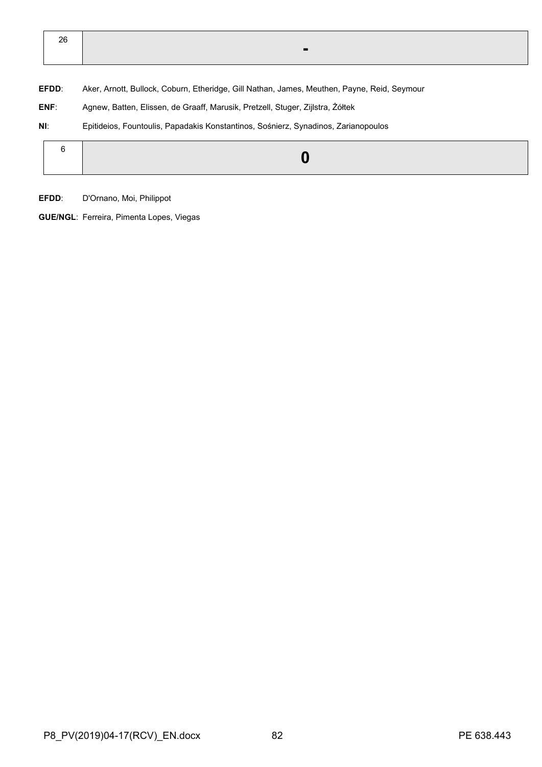| 26 |  |
|----|--|
|    |  |

**EFDD**: Aker, Arnott, Bullock, Coburn, Etheridge, Gill Nathan, James, Meuthen, Payne, Reid, Seymour

- **ENF**: Agnew, Batten, Elissen, de Graaff, Marusik, Pretzell, Stuger, Zijlstra, Żółtek
- **NI**: Epitideios, Fountoulis, Papadakis Konstantinos, Sośnierz, Synadinos, Zarianopoulos

|--|--|

**EFDD**: D'Ornano, Moi, Philippot

**GUE/NGL**: Ferreira, Pimenta Lopes, Viegas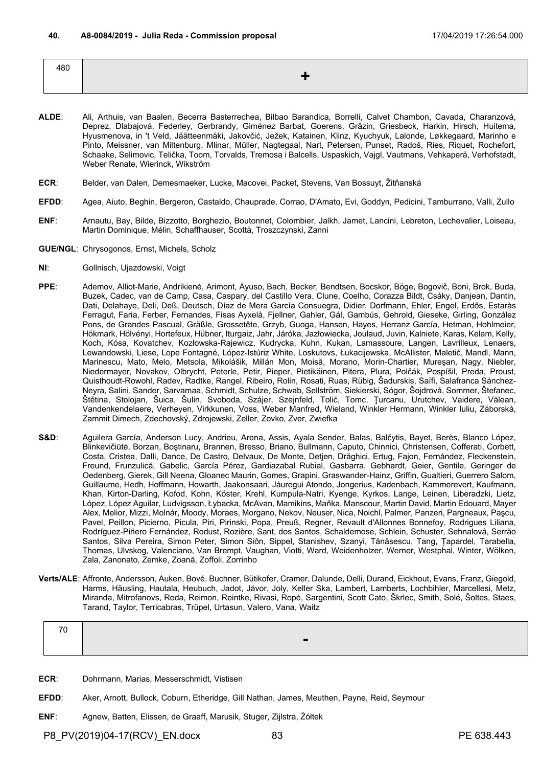| 100<br>40U |  |
|------------|--|
|            |  |
|            |  |

- **ALDE**: Ali, Arthuis, van Baalen, Becerra Basterrechea, Bilbao Barandica, Borrelli, Calvet Chambon, Cavada, Charanzová, Deprez, Dlabajová, Federley, Gerbrandy, Giménez Barbat, Goerens, Gräzin, Griesbeck, Harkin, Hirsch, Huitema, Hyusmenova, in 't Veld, Jäätteenmäki, Jakovčić, Ježek, Katainen, Klinz, Kyuchyuk, Lalonde, Løkkegaard, Marinho e Pinto, Meissner, van Miltenburg, Mlinar, Müller, Nagtegaal, Nart, Petersen, Punset, Radoš, Ries, Riquet, Rochefort, Schaake, Selimovic, Telička, Toom, Torvalds, Tremosa i Balcells, Uspaskich, Vajgl, Vautmans, Vehkaperä, Verhofstadt, Weber Renate, Wierinck, Wikström
- **ECR**: Belder, van Dalen, Demesmaeker, Lucke, Macovei, Packet, Stevens, Van Bossuyt, Žitňanská
- **EFDD**: Agea, Aiuto, Beghin, Bergeron, Castaldo, Chauprade, Corrao, D'Amato, Evi, Goddyn, Pedicini, Tamburrano, Valli, Zullo
- **ENF**: Arnautu, Bay, Bilde, Bizzotto, Borghezio, Boutonnet, Colombier, Jalkh, Jamet, Lancini, Lebreton, Lechevalier, Loiseau, Martin Dominique, Mélin, Schaffhauser, Scottà, Troszczynski, Zanni
- **GUE/NGL**: Chrysogonos, Ernst, Michels, Scholz
- **NI**: Gollnisch, Ujazdowski, Voigt
- **PPE**: Ademov, Alliot-Marie, Andrikienė, Arimont, Ayuso, Bach, Becker, Bendtsen, Bocskor, Böge, Bogovič, Boni, Brok, Buda, Buzek, Cadec, van de Camp, Casa, Caspary, del Castillo Vera, Clune, Coelho, Corazza Bildt, Csáky, Danjean, Dantin, Dati, Delahaye, Deli, Deß, Deutsch, Díaz de Mera García Consuegra, Didier, Dorfmann, Ehler, Engel, Erdős, Estaràs Ferragut, Faria, Ferber, Fernandes, Fisas Ayxelà, Fjellner, Gahler, Gál, Gambús, Gehrold, Gieseke, Girling, González Pons, de Grandes Pascual, Gräßle, Grossetête, Grzyb, Guoga, Hansen, Hayes, Herranz García, Hetman, Hohlmeier, Hökmark, Hölvényi, Hortefeux, Hübner, Iturgaiz, Jahr, Járóka, Jazłowiecka, Joulaud, Juvin, Kalniete, Karas, Kelam, Kelly, Koch, Kósa, Kovatchev, Kozłowska-Rajewicz, Kudrycka, Kuhn, Kukan, Lamassoure, Langen, Lavrilleux, Lenaers, Lewandowski, Liese, Lope Fontagné, López-Istúriz White, Loskutovs, Łukacijewska, McAllister, Maletić, Mandl, Mann, Marinescu, Mato, Melo, Metsola, Mikolášik, Millán Mon, Moisă, Morano, Morin-Chartier, Mureşan, Nagy, Niebler, Niedermayer, Novakov, Olbrycht, Peterle, Petir, Pieper, Pietikäinen, Pitera, Plura, Polčák, Pospíšil, Preda, Proust, Quisthoudt-Rowohl, Radev, Radtke, Rangel, Ribeiro, Rolin, Rosati, Ruas, Rübig, Šadurskis, Saïfi, Salafranca Sánchez-Neyra, Salini, Sander, Sarvamaa, Schmidt, Schulze, Schwab, Sellström, Siekierski, Sógor, Šojdrová, Sommer, Štefanec, Štětina, Stolojan, Šuica, Šulin, Svoboda, Szájer, Szejnfeld, Tolić, Tomc, Ţurcanu, Urutchev, Vaidere, Vălean, Vandenkendelaere, Verheyen, Virkkunen, Voss, Weber Manfred, Wieland, Winkler Hermann, Winkler Iuliu, Záborská, Zammit Dimech, Zdechovský, Zdrojewski, Zeller, Zovko, Zver, Zwiefka
- S&D: Aguilera García, Anderson Lucy, Andrieu, Arena, Assis, Ayala Sender, Balas, Balčytis, Bayet, Berès, Blanco López, Blinkevičiūtė, Borzan, Boştinaru, Brannen, Bresso, Briano, Bullmann, Caputo, Chinnici, Christensen, Cofferati, Corbett, Costa, Cristea, Dalli, Dance, De Castro, Delvaux, De Monte, Detjen, Drăghici, Ertug, Fajon, Fernández, Fleckenstein, Freund, Frunzulică, Gabelic, García Pérez, Gardiazabal Rubial, Gasbarra, Gebhardt, Geier, Gentile, Geringer de Oedenberg, Gierek, Gill Neena, Gloanec Maurin, Gomes, Grapini, Graswander-Hainz, Griffin, Gualtieri, Guerrero Salom, Guillaume, Hedh, Hoffmann, Howarth, Jaakonsaari, Jáuregui Atondo, Jongerius, Kadenbach, Kammerevert, Kaufmann, Khan, Kirton-Darling, Kofod, Kohn, Köster, Krehl, Kumpula-Natri, Kyenge, Kyrkos, Lange, Leinen, Liberadzki, Lietz, López, López Aguilar, Ludvigsson, Łybacka, McAvan, Mamikins, Maňka, Manscour, Martin David, Martin Edouard, Mayer Alex, Melior, Mizzi, Molnár, Moody, Moraes, Morgano, Nekov, Neuser, Nica, Noichl, Palmer, Panzeri, Pargneaux, Paşcu, Pavel, Peillon, Picierno, Picula, Piri, Pirinski, Popa, Preuß, Regner, Revault d'Allonnes Bonnefoy, Rodrigues Liliana, Rodríguez-Piñero Fernández, Rodust, Rozière, Sant, dos Santos, Schaldemose, Schlein, Schuster, Sehnalová, Serrão Santos, Silva Pereira, Simon Peter, Simon Siôn, Sippel, Stanishev, Szanyi, Tănăsescu, Tang, Țapardel, Tarabella, Thomas, Ulvskog, Valenciano, Van Brempt, Vaughan, Viotti, Ward, Weidenholzer, Werner, Westphal, Winter, Wölken, Zala, Zanonato, Zemke, Zoană, Zoffoli, Zorrinho
- **Verts/ALE**: Affronte, Andersson, Auken, Bové, Buchner, Bütikofer, Cramer, Dalunde, Delli, Durand, Eickhout, Evans, Franz, Giegold, Harms, Häusling, Hautala, Heubuch, Jadot, Jávor, Joly, Keller Ska, Lambert, Lamberts, Lochbihler, Marcellesi, Metz, Miranda, Mitrofanovs, Reda, Reimon, Reintke, Rivasi, Ropė, Sargentini, Scott Cato, Škrlec, Smith, Solé, Šoltes, Staes, Tarand, Taylor, Terricabras, Trüpel, Urtasun, Valero, Vana, Waitz

| $\overline{\phantom{a}}$ |        |
|--------------------------|--------|
|                          | $\sim$ |

- **ECR**: Dohrmann, Marias, Messerschmidt, Vistisen
- **EFDD**: Aker, Arnott, Bullock, Coburn, Etheridge, Gill Nathan, James, Meuthen, Payne, Reid, Seymour
- **ENF**: Agnew, Batten, Elissen, de Graaff, Marusik, Stuger, Zijlstra, Żółtek

P8\_PV(2019)04-17(RCV)\_EN.docx 83 PE 638.443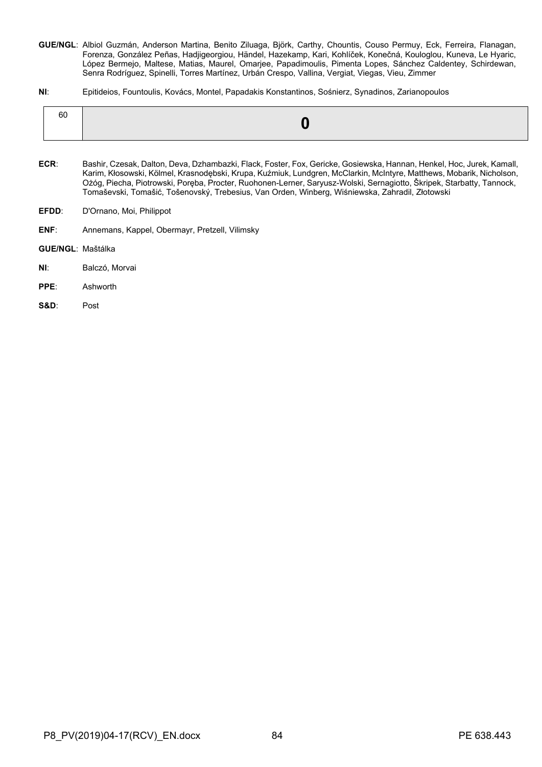- **GUE/NGL**: Albiol Guzmán, Anderson Martina, Benito Ziluaga, Björk, Carthy, Chountis, Couso Permuy, Eck, Ferreira, Flanagan, Forenza, González Peñas, Hadjigeorgiou, Händel, Hazekamp, Kari, Kohlíček, Konečná, Kouloglou, Kuneva, Le Hyaric, López Bermejo, Maltese, Matias, Maurel, Omarjee, Papadimoulis, Pimenta Lopes, Sánchez Caldentey, Schirdewan, Senra Rodríguez, Spinelli, Torres Martínez, Urbán Crespo, Vallina, Vergiat, Viegas, Vieu, Zimmer
- **NI**: Epitideios, Fountoulis, Kovács, Montel, Papadakis Konstantinos, Sośnierz, Synadinos, Zarianopoulos

| -60 |  |
|-----|--|
|     |  |

- **ECR**: Bashir, Czesak, Dalton, Deva, Dzhambazki, Flack, Foster, Fox, Gericke, Gosiewska, Hannan, Henkel, Hoc, Jurek, Kamall, Karim, Kłosowski, Kölmel, Krasnodębski, Krupa, Kuźmiuk, Lundgren, McClarkin, McIntyre, Matthews, Mobarik, Nicholson, Ożóg, Piecha, Piotrowski, Poręba, Procter, Ruohonen-Lerner, Saryusz-Wolski, Sernagiotto, Škripek, Starbatty, Tannock, Tomaševski, Tomašić, Tošenovský, Trebesius, Van Orden, Winberg, Wiśniewska, Zahradil, Złotowski
- **EFDD**: D'Ornano, Moi, Philippot
- **ENF**: Annemans, Kappel, Obermayr, Pretzell, Vilimsky
- **GUE/NGL**: Maštálka
- **NI**: Balczó, Morvai
- **PPE**: Ashworth
- **S&D**: Post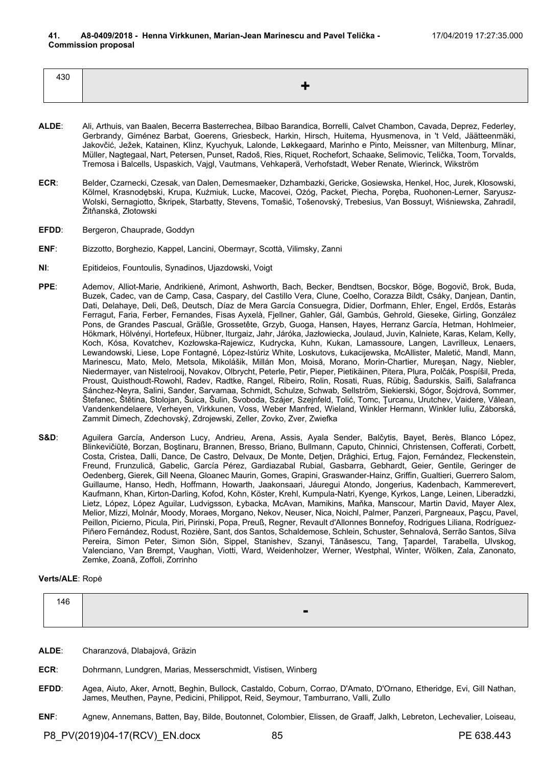| 430 |  |
|-----|--|

- **ALDE**: Ali, Arthuis, van Baalen, Becerra Basterrechea, Bilbao Barandica, Borrelli, Calvet Chambon, Cavada, Deprez, Federley, Gerbrandy, Giménez Barbat, Goerens, Griesbeck, Harkin, Hirsch, Huitema, Hyusmenova, in 't Veld, Jäätteenmäki, Jakovčić, Ježek, Katainen, Klinz, Kyuchyuk, Lalonde, Løkkegaard, Marinho e Pinto, Meissner, van Miltenburg, Mlinar, Müller, Nagtegaal, Nart, Petersen, Punset, Radoš, Ries, Riquet, Rochefort, Schaake, Selimovic, Telička, Toom, Torvalds, Tremosa i Balcells, Uspaskich, Vajgl, Vautmans, Vehkaperä, Verhofstadt, Weber Renate, Wierinck, Wikström
- **ECR**: Belder, Czarnecki, Czesak, van Dalen, Demesmaeker, Dzhambazki, Gericke, Gosiewska, Henkel, Hoc, Jurek, Kłosowski, Kölmel, Krasnodębski, Krupa, Kuźmiuk, Lucke, Macovei, Ożóg, Packet, Piecha, Poręba, Ruohonen-Lerner, Saryusz-Wolski, Sernagiotto, Škripek, Starbatty, Stevens, Tomašić, Tošenovský, Trebesius, Van Bossuyt, Wiśniewska, Zahradil, Žitňanská, Złotowski
- **EFDD:** Bergeron, Chauprade, Goddyn
- **ENF**: Bizzotto, Borghezio, Kappel, Lancini, Obermayr, Scottà, Vilimsky, Zanni
- **NI**: Epitideios, Fountoulis, Synadinos, Ujazdowski, Voigt
- **PPE**: Ademov, Alliot-Marie, Andrikienė, Arimont, Ashworth, Bach, Becker, Bendtsen, Bocskor, Böge, Bogovič, Brok, Buda, Buzek, Cadec, van de Camp, Casa, Caspary, del Castillo Vera, Clune, Coelho, Corazza Bildt, Csáky, Danjean, Dantin, Dati, Delahaye, Deli, Deß, Deutsch, Díaz de Mera García Consuegra, Didier, Dorfmann, Ehler, Engel, Erdős, Estaràs Ferragut, Faria, Ferber, Fernandes, Fisas Ayxelà, Fjellner, Gahler, Gál, Gambús, Gehrold, Gieseke, Girling, González Pons, de Grandes Pascual, Gräßle, Grossetête, Grzyb, Guoga, Hansen, Hayes, Herranz García, Hetman, Hohlmeier, Hökmark, Hölvényi, Hortefeux, Hübner, Iturgaiz, Jahr, Járóka, Jazłowiecka, Joulaud, Juvin, Kalniete, Karas, Kelam, Kelly, Koch, Kósa, Kovatchev, Kozłowska-Rajewicz, Kudrycka, Kuhn, Kukan, Lamassoure, Langen, Lavrilleux, Lenaers, Lewandowski, Liese, Lope Fontagné, López-Istúriz White, Loskutovs, Łukacijewska, McAllister, Maletić, Mandl, Mann, Marinescu, Mato, Melo, Metsola, Mikolášik, Millán Mon, Moisă, Morano, Morin-Chartier, Mureşan, Nagy, Niebler, Niedermayer, van Nistelrooij, Novakov, Olbrycht, Peterle, Petir, Pieper, Pietikäinen, Pitera, Plura, Polčák, Pospíšil, Preda, Proust, Quisthoudt-Rowohl, Radev, Radtke, Rangel, Ribeiro, Rolin, Rosati, Ruas, Rübig, Šadurskis, Saïfi, Salafranca Sánchez-Neyra, Salini, Sander, Sarvamaa, Schmidt, Schulze, Schwab, Sellström, Siekierski, Sógor, Šojdrová, Sommer, Štefanec, Štětina, Stolojan, Šuica, Šulin, Svoboda, Szájer, Szejnfeld, Tolić, Tomc, Ţurcanu, Urutchev, Vaidere, Vălean, Vandenkendelaere, Verheyen, Virkkunen, Voss, Weber Manfred, Wieland, Winkler Hermann, Winkler Iuliu, Záborská, Zammit Dimech, Zdechovský, Zdrojewski, Zeller, Zovko, Zver, Zwiefka
- **S&D**: Aguilera García, Anderson Lucy, Andrieu, Arena, Assis, Ayala Sender, Balčytis, Bayet, Berès, Blanco López, Blinkevičiūtė, Borzan, Boştinaru, Brannen, Bresso, Briano, Bullmann, Caputo, Chinnici, Christensen, Cofferati, Corbett, Costa, Cristea, Dalli, Dance, De Castro, Delvaux, De Monte, Detjen, Drăghici, Ertug, Fajon, Fernández, Fleckenstein, Freund, Frunzulică, Gabelic, García Pérez, Gardiazabal Rubial, Gasbarra, Gebhardt, Geier, Gentile, Geringer de Oedenberg, Gierek, Gill Neena, Gloanec Maurin, Gomes, Grapini, Graswander-Hainz, Griffin, Gualtieri, Guerrero Salom, Guillaume, Hanso, Hedh, Hoffmann, Howarth, Jaakonsaari, Jáuregui Atondo, Jongerius, Kadenbach, Kammerevert, Kaufmann, Khan, Kirton-Darling, Kofod, Kohn, Köster, Krehl, Kumpula-Natri, Kyenge, Kyrkos, Lange, Leinen, Liberadzki, Lietz, López, López Aguilar, Ludvigsson, Łybacka, McAvan, Mamikins, Maňka, Manscour, Martin David, Mayer Alex, Melior, Mizzi, Molnár, Moody, Moraes, Morgano, Nekov, Neuser, Nica, Noichl, Palmer, Panzeri, Pargneaux, Paşcu, Pavel, Peillon, Picierno, Picula, Piri, Pirinski, Popa, Preuß, Regner, Revault d'Allonnes Bonnefoy, Rodrigues Liliana, Rodríguez-Piñero Fernández, Rodust, Rozière, Sant, dos Santos, Schaldemose, Schlein, Schuster, Sehnalová, Serrão Santos, Silva Pereira, Simon Peter, Simon Siôn, Sippel, Stanishev, Szanyi, Tănăsescu, Tang, Țapardel, Tarabella, Ulvskog, Valenciano, Van Brempt, Vaughan, Viotti, Ward, Weidenholzer, Werner, Westphal, Winter, Wölken, Zala, Zanonato, Zemke, Zoană, Zoffoli, Zorrinho

## **Verts/ALE**: Ropė

| 146 |                |
|-----|----------------|
|     | $\blacksquare$ |

- **ALDE**: Charanzová, Dlabajová, Gräzin
- **ECR**: Dohrmann, Lundgren, Marias, Messerschmidt, Vistisen, Winberg
- **EFDD**: Agea, Aiuto, Aker, Arnott, Beghin, Bullock, Castaldo, Coburn, Corrao, D'Amato, D'Ornano, Etheridge, Evi, Gill Nathan, James, Meuthen, Payne, Pedicini, Philippot, Reid, Seymour, Tamburrano, Valli, Zullo
- **ENF**: Agnew, Annemans, Batten, Bay, Bilde, Boutonnet, Colombier, Elissen, de Graaff, Jalkh, Lebreton, Lechevalier, Loiseau,

P8\_PV(2019)04-17(RCV)\_EN.docx 85 PE 638.443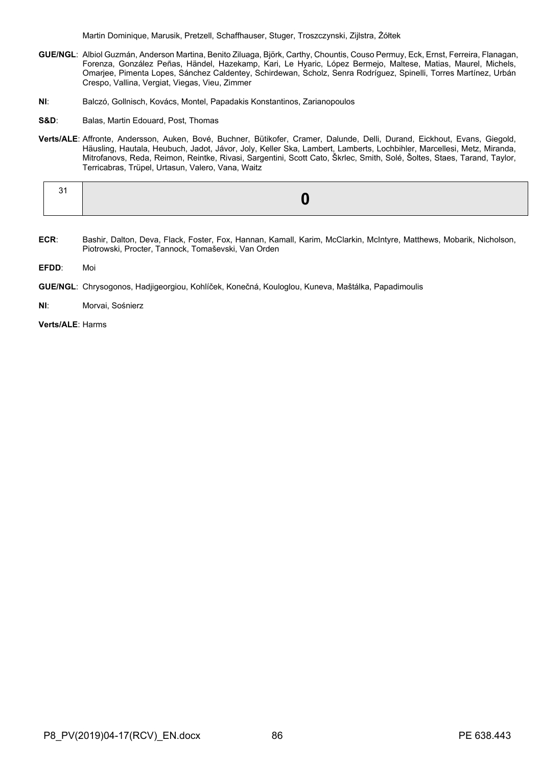Martin Dominique, Marusik, Pretzell, Schaffhauser, Stuger, Troszczynski, Zijlstra, Żółtek

- **GUE/NGL**: Albiol Guzmán, Anderson Martina, Benito Ziluaga, Björk, Carthy, Chountis, Couso Permuy, Eck, Ernst, Ferreira, Flanagan, Forenza, González Peñas, Händel, Hazekamp, Kari, Le Hyaric, López Bermejo, Maltese, Matias, Maurel, Michels, Omarjee, Pimenta Lopes, Sánchez Caldentey, Schirdewan, Scholz, Senra Rodríguez, Spinelli, Torres Martínez, Urbán Crespo, Vallina, Vergiat, Viegas, Vieu, Zimmer
- **NI**: Balczó, Gollnisch, Kovács, Montel, Papadakis Konstantinos, Zarianopoulos
- **S&D**: Balas, Martin Edouard, Post, Thomas
- **Verts/ALE**: Affronte, Andersson, Auken, Bové, Buchner, Bütikofer, Cramer, Dalunde, Delli, Durand, Eickhout, Evans, Giegold, Häusling, Hautala, Heubuch, Jadot, Jávor, Joly, Keller Ska, Lambert, Lamberts, Lochbihler, Marcellesi, Metz, Miranda, Mitrofanovs, Reda, Reimon, Reintke, Rivasi, Sargentini, Scott Cato, Škrlec, Smith, Solé, Šoltes, Staes, Tarand, Taylor, Terricabras, Trüpel, Urtasun, Valero, Vana, Waitz

- **ECR**: Bashir, Dalton, Deva, Flack, Foster, Fox, Hannan, Kamall, Karim, McClarkin, McIntyre, Matthews, Mobarik, Nicholson, Piotrowski, Procter, Tannock, Tomaševski, Van Orden
- **EFDD**: Moi
- **GUE/NGL**: Chrysogonos, Hadjigeorgiou, Kohlíček, Konečná, Kouloglou, Kuneva, Maštálka, Papadimoulis
- **NI**: Morvai, Sośnierz
- **Verts/ALE**: Harms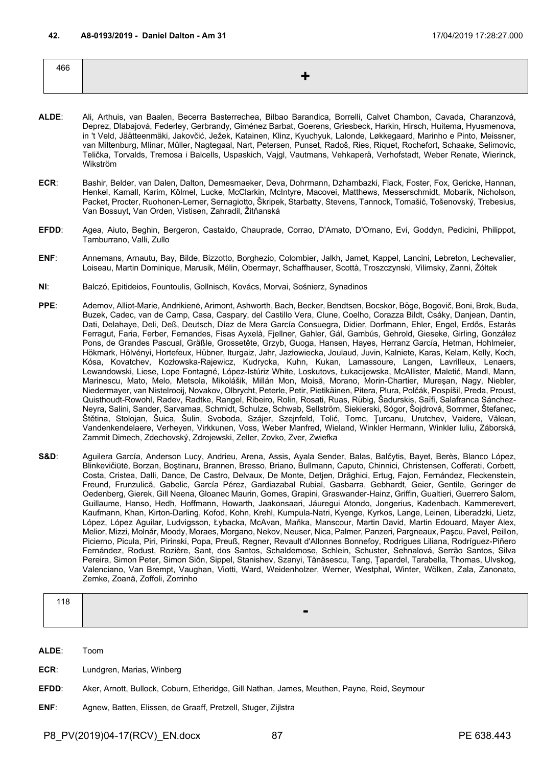| 466 |  |
|-----|--|
|     |  |
|     |  |

- **ALDE**: Ali, Arthuis, van Baalen, Becerra Basterrechea, Bilbao Barandica, Borrelli, Calvet Chambon, Cavada, Charanzová, Deprez, Dlabajová, Federley, Gerbrandy, Giménez Barbat, Goerens, Griesbeck, Harkin, Hirsch, Huitema, Hyusmenova, in 't Veld, Jäätteenmäki, Jakovčić, Ježek, Katainen, Klinz, Kyuchyuk, Lalonde, Løkkegaard, Marinho e Pinto, Meissner, van Miltenburg, Mlinar, Müller, Nagtegaal, Nart, Petersen, Punset, Radoš, Ries, Riquet, Rochefort, Schaake, Selimovic, Telička, Torvalds, Tremosa i Balcells, Uspaskich, Vajgl, Vautmans, Vehkaperä, Verhofstadt, Weber Renate, Wierinck, Wikström
- **ECR**: Bashir, Belder, van Dalen, Dalton, Demesmaeker, Deva, Dohrmann, Dzhambazki, Flack, Foster, Fox, Gericke, Hannan, Henkel, Kamall, Karim, Kölmel, Lucke, McClarkin, McIntyre, Macovei, Matthews, Messerschmidt, Mobarik, Nicholson, Packet, Procter, Ruohonen-Lerner, Sernagiotto, Škripek, Starbatty, Stevens, Tannock, Tomašić, Tošenovský, Trebesius, Van Bossuyt, Van Orden, Vistisen, Zahradil, Žitňanská
- **EFDD**: Agea, Aiuto, Beghin, Bergeron, Castaldo, Chauprade, Corrao, D'Amato, D'Ornano, Evi, Goddyn, Pedicini, Philippot, Tamburrano, Valli, Zullo
- **ENF**: Annemans, Arnautu, Bay, Bilde, Bizzotto, Borghezio, Colombier, Jalkh, Jamet, Kappel, Lancini, Lebreton, Lechevalier, Loiseau, Martin Dominique, Marusik, Mélin, Obermayr, Schaffhauser, Scottà, Troszczynski, Vilimsky, Zanni, Żółtek
- **NI**: Balczó, Epitideios, Fountoulis, Gollnisch, Kovács, Morvai, Sośnierz, Synadinos
- **PPE**: Ademov, Alliot-Marie, Andrikienė, Arimont, Ashworth, Bach, Becker, Bendtsen, Bocskor, Böge, Bogovič, Boni, Brok, Buda, Buzek, Cadec, van de Camp, Casa, Caspary, del Castillo Vera, Clune, Coelho, Corazza Bildt, Csáky, Danjean, Dantin, Dati, Delahaye, Deli, Deß, Deutsch, Díaz de Mera García Consuegra, Didier, Dorfmann, Ehler, Engel, Erdős, Estaràs Ferragut, Faria, Ferber, Fernandes, Fisas Ayxelà, Fjellner, Gahler, Gál, Gambús, Gehrold, Gieseke, Girling, González Pons, de Grandes Pascual, Gräßle, Grossetête, Grzyb, Guoga, Hansen, Hayes, Herranz García, Hetman, Hohlmeier, Hökmark, Hölvényi, Hortefeux, Hübner, Iturgaiz, Jahr, Jazłowiecka, Joulaud, Juvin, Kalniete, Karas, Kelam, Kelly, Koch, Kósa, Kovatchev, Kozłowska-Rajewicz, Kudrycka, Kuhn, Kukan, Lamassoure, Langen, Lavrilleux, Lenaers, Lewandowski, Liese, Lope Fontagné, López-Istúriz White, Loskutovs, Łukacijewska, McAllister, Maletić, Mandl, Mann, Marinescu, Mato, Melo, Metsola, Mikolášik, Millán Mon, Moisă, Morano, Morin-Chartier, Mureşan, Nagy, Niebler, Niedermayer, van Nistelrooij, Novakov, Olbrycht, Peterle, Petir, Pietikäinen, Pitera, Plura, Polčák, Pospíšil, Preda, Proust, Quisthoudt-Rowohl, Radev, Radtke, Rangel, Ribeiro, Rolin, Rosati, Ruas, Rübig, Šadurskis, Saïfi, Salafranca Sánchez-Neyra, Salini, Sander, Sarvamaa, Schmidt, Schulze, Schwab, Sellström, Siekierski, Sógor, Šojdrová, Sommer, Štefanec, Štětina, Stolojan, Šuica, Šulin, Svoboda, Szájer, Szejnfeld, Tolić, Tomc, Ţurcanu, Urutchev, Vaidere, Vălean, Vandenkendelaere, Verheyen, Virkkunen, Voss, Weber Manfred, Wieland, Winkler Hermann, Winkler Iuliu, Záborská, Zammit Dimech, Zdechovský, Zdrojewski, Zeller, Zovko, Zver, Zwiefka
- S&D: Aguilera García, Anderson Lucy, Andrieu, Arena, Assis, Ayala Sender, Balas, Balčytis, Bayet, Berès, Blanco López, Blinkevičiūtė, Borzan, Boştinaru, Brannen, Bresso, Briano, Bullmann, Caputo, Chinnici, Christensen, Cofferati, Corbett, Costa, Cristea, Dalli, Dance, De Castro, Delvaux, De Monte, Detjen, Drăghici, Ertug, Fajon, Fernández, Fleckenstein, Freund, Frunzulică, Gabelic, García Pérez, Gardiazabal Rubial, Gasbarra, Gebhardt, Geier, Gentile, Geringer de Oedenberg, Gierek, Gill Neena, Gloanec Maurin, Gomes, Grapini, Graswander-Hainz, Griffin, Gualtieri, Guerrero Salom, Guillaume, Hanso, Hedh, Hoffmann, Howarth, Jaakonsaari, Jáuregui Atondo, Jongerius, Kadenbach, Kammerevert, Kaufmann, Khan, Kirton-Darling, Kofod, Kohn, Krehl, Kumpula-Natri, Kyenge, Kyrkos, Lange, Leinen, Liberadzki, Lietz, López, López Aguilar, Ludvigsson, Łybacka, McAvan, Maňka, Manscour, Martin David, Martin Edouard, Mayer Alex, Melior, Mizzi, Molnár, Moody, Moraes, Morgano, Nekov, Neuser, Nica, Palmer, Panzeri, Pargneaux, Paşcu, Pavel, Peillon, Picierno, Picula, Piri, Pirinski, Popa, Preuß, Regner, Revault d'Allonnes Bonnefoy, Rodrigues Liliana, Rodríguez-Piñero Fernández, Rodust, Rozière, Sant, dos Santos, Schaldemose, Schlein, Schuster, Sehnalová, Serrão Santos, Silva Pereira, Simon Peter, Simon Siôn, Sippel, Stanishev, Szanyi, Tănăsescu, Tang, Țapardel, Tarabella, Thomas, Ulvskog, Valenciano, Van Brempt, Vaughan, Viotti, Ward, Weidenholzer, Werner, Westphal, Winter, Wölken, Zala, Zanonato, Zemke, Zoană, Zoffoli, Zorrinho

| 118 |                |  |
|-----|----------------|--|
|     | $\blacksquare$ |  |

**ALDE**: Toom

- **ECR**: Lundgren, Marias, Winberg
- **EFDD**: Aker, Arnott, Bullock, Coburn, Etheridge, Gill Nathan, James, Meuthen, Payne, Reid, Seymour
- **ENF**: Agnew, Batten, Elissen, de Graaff, Pretzell, Stuger, Zijlstra

P8\_PV(2019)04-17(RCV)\_EN.docx 87 PE 638.443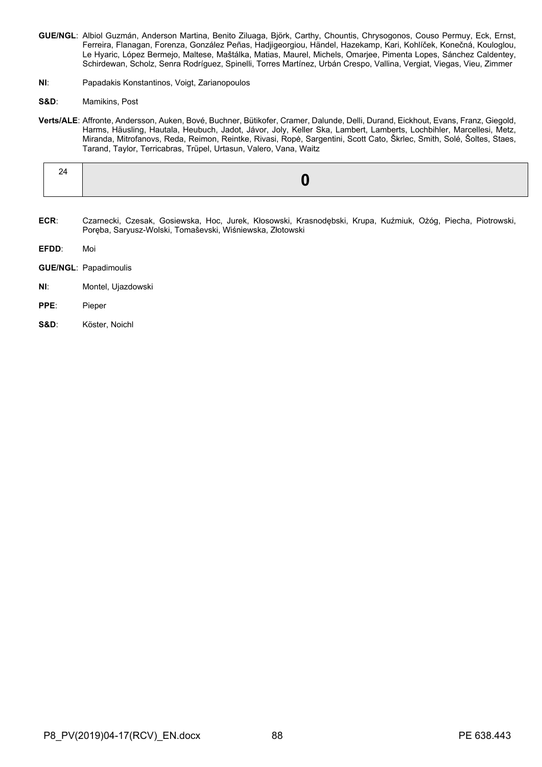- **GUE/NGL**: Albiol Guzmán, Anderson Martina, Benito Ziluaga, Björk, Carthy, Chountis, Chrysogonos, Couso Permuy, Eck, Ernst, Ferreira, Flanagan, Forenza, González Peñas, Hadjigeorgiou, Händel, Hazekamp, Kari, Kohlíček, Konečná, Kouloglou, Le Hyaric, López Bermejo, Maltese, Maštálka, Matias, Maurel, Michels, Omarjee, Pimenta Lopes, Sánchez Caldentey, Schirdewan, Scholz, Senra Rodríguez, Spinelli, Torres Martínez, Urbán Crespo, Vallina, Vergiat, Viegas, Vieu, Zimmer
- **NI**: Papadakis Konstantinos, Voigt, Zarianopoulos
- **S&D**: Mamikins, Post
- **Verts/ALE**: Affronte, Andersson, Auken, Bové, Buchner, Bütikofer, Cramer, Dalunde, Delli, Durand, Eickhout, Evans, Franz, Giegold, Harms, Häusling, Hautala, Heubuch, Jadot, Jávor, Joly, Keller Ska, Lambert, Lamberts, Lochbihler, Marcellesi, Metz, Miranda, Mitrofanovs, Reda, Reimon, Reintke, Rivasi, Ropė, Sargentini, Scott Cato, Škrlec, Smith, Solé, Šoltes, Staes, Tarand, Taylor, Terricabras, Trüpel, Urtasun, Valero, Vana, Waitz

- **ECR**: Czarnecki, Czesak, Gosiewska, Hoc, Jurek, Kłosowski, Krasnodębski, Krupa, Kuźmiuk, Ożóg, Piecha, Piotrowski, Poręba, Saryusz-Wolski, Tomaševski, Wiśniewska, Złotowski
- **EFDD**: Moi
- **GUE/NGL**: Papadimoulis
- **NI:** Montel, Ujazdowski
- **PPE**: Pieper
- **S&D**: Köster, Noichl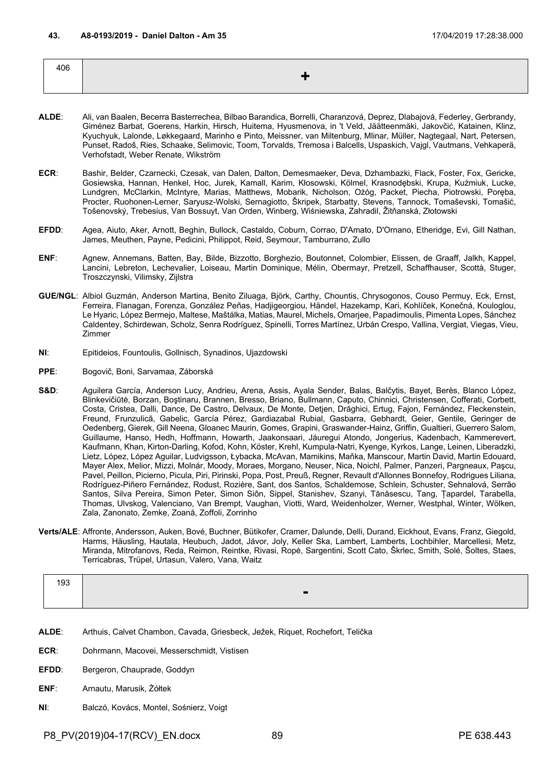| 406 |    |
|-----|----|
|     | -- |
|     |    |

- **ALDE**: Ali, van Baalen, Becerra Basterrechea, Bilbao Barandica, Borrelli, Charanzová, Deprez, Dlabajová, Federley, Gerbrandy, Giménez Barbat, Goerens, Harkin, Hirsch, Huitema, Hyusmenova, in 't Veld, Jäätteenmäki, Jakovčić, Katainen, Klinz, Kyuchyuk, Lalonde, Løkkegaard, Marinho e Pinto, Meissner, van Miltenburg, Mlinar, Müller, Nagtegaal, Nart, Petersen, Punset, Radoš, Ries, Schaake, Selimovic, Toom, Torvalds, Tremosa i Balcells, Uspaskich, Vajgl, Vautmans, Vehkaperä, Verhofstadt, Weber Renate, Wikström
- **ECR**: Bashir, Belder, Czarnecki, Czesak, van Dalen, Dalton, Demesmaeker, Deva, Dzhambazki, Flack, Foster, Fox, Gericke, Gosiewska, Hannan, Henkel, Hoc, Jurek, Kamall, Karim, Kłosowski, Kölmel, Krasnodębski, Krupa, Kuźmiuk, Lucke, Lundgren, McClarkin, McIntyre, Marias, Matthews, Mobarik, Nicholson, Ożóg, Packet, Piecha, Piotrowski, Poręba, Procter, Ruohonen-Lerner, Saryusz-Wolski, Sernagiotto, Škripek, Starbatty, Stevens, Tannock, Tomaševski, Tomašić, Tošenovský, Trebesius, Van Bossuyt, Van Orden, Winberg, Wiśniewska, Zahradil, Žitňanská, Złotowski
- **EFDD**: Agea, Aiuto, Aker, Arnott, Beghin, Bullock, Castaldo, Coburn, Corrao, D'Amato, D'Ornano, Etheridge, Evi, Gill Nathan, James, Meuthen, Payne, Pedicini, Philippot, Reid, Seymour, Tamburrano, Zullo
- **ENF**: Agnew, Annemans, Batten, Bay, Bilde, Bizzotto, Borghezio, Boutonnet, Colombier, Elissen, de Graaff, Jalkh, Kappel, Lancini, Lebreton, Lechevalier, Loiseau, Martin Dominique, Mélin, Obermayr, Pretzell, Schaffhauser, Scottà, Stuger, Troszczynski, Vilimsky, Zijlstra
- **GUE/NGL**: Albiol Guzmán, Anderson Martina, Benito Ziluaga, Björk, Carthy, Chountis, Chrysogonos, Couso Permuy, Eck, Ernst, Ferreira, Flanagan, Forenza, González Peñas, Hadjigeorgiou, Händel, Hazekamp, Kari, Kohlíček, Konečná, Kouloglou, Le Hyaric, López Bermejo, Maltese, Maštálka, Matias, Maurel, Michels, Omarjee, Papadimoulis, Pimenta Lopes, Sánchez Caldentey, Schirdewan, Scholz, Senra Rodríguez, Spinelli, Torres Martínez, Urbán Crespo, Vallina, Vergiat, Viegas, Vieu, Zimmer
- **NI**: Epitideios, Fountoulis, Gollnisch, Synadinos, Ujazdowski
- **PPE**: Bogovič, Boni, Sarvamaa, Záborská
- S&D: Aguilera García, Anderson Lucy, Andrieu, Arena, Assis, Ayala Sender, Balas, Balčytis, Bayet, Berès, Blanco López, Blinkevičiūtė, Borzan, Boştinaru, Brannen, Bresso, Briano, Bullmann, Caputo, Chinnici, Christensen, Cofferati, Corbett, Costa, Cristea, Dalli, Dance, De Castro, Delvaux, De Monte, Detjen, Drăghici, Ertug, Fajon, Fernández, Fleckenstein, Freund, Frunzulică, Gabelic, García Pérez, Gardiazabal Rubial, Gasbarra, Gebhardt, Geier, Gentile, Geringer de Oedenberg, Gierek, Gill Neena, Gloanec Maurin, Gomes, Grapini, Graswander-Hainz, Griffin, Gualtieri, Guerrero Salom, Guillaume, Hanso, Hedh, Hoffmann, Howarth, Jaakonsaari, Jáuregui Atondo, Jongerius, Kadenbach, Kammerevert, Kaufmann, Khan, Kirton-Darling, Kofod, Kohn, Köster, Krehl, Kumpula-Natri, Kyenge, Kyrkos, Lange, Leinen, Liberadzki, Lietz, López, López Aguilar, Ludvigsson, Łybacka, McAvan, Mamikins, Maňka, Manscour, Martin David, Martin Edouard, Mayer Alex, Melior, Mizzi, Molnár, Moody, Moraes, Morgano, Neuser, Nica, Noichl, Palmer, Panzeri, Pargneaux, Paşcu, Pavel, Peillon, Picierno, Picula, Piri, Pirinski, Popa, Post, Preuß, Regner, Revault d'Allonnes Bonnefoy, Rodrigues Liliana, Rodríguez-Piñero Fernández, Rodust, Rozière, Sant, dos Santos, Schaldemose, Schlein, Schuster, Sehnalová, Serrão Santos, Silva Pereira, Simon Peter, Simon Siôn, Sippel, Stanishev, Szanyi, Tănăsescu, Tang, Țapardel, Tarabella, Thomas, Ulvskog, Valenciano, Van Brempt, Vaughan, Viotti, Ward, Weidenholzer, Werner, Westphal, Winter, Wölken, Zala, Zanonato, Zemke, Zoană, Zoffoli, Zorrinho
- **Verts/ALE**: Affronte, Andersson, Auken, Bové, Buchner, Bütikofer, Cramer, Dalunde, Delli, Durand, Eickhout, Evans, Franz, Giegold, Harms, Häusling, Hautala, Heubuch, Jadot, Jávor, Joly, Keller Ska, Lambert, Lamberts, Lochbihler, Marcellesi, Metz, Miranda, Mitrofanovs, Reda, Reimon, Reintke, Rivasi, Ropė, Sargentini, Scott Cato, Škrlec, Smith, Solé, Šoltes, Staes, Terricabras, Trüpel, Urtasun, Valero, Vana, Waitz

| 193 |       |
|-----|-------|
|     | -<br> |

- **ALDE**: Arthuis, Calvet Chambon, Cavada, Griesbeck, Ježek, Riquet, Rochefort, Telička
- **ECR**: Dohrmann, Macovei, Messerschmidt, Vistisen
- **EFDD:** Bergeron, Chauprade, Goddyn
- **ENF**: Arnautu, Marusik, Żółtek
- **NI**: Balczó, Kovács, Montel, Sośnierz, Voigt

P8\_PV(2019)04-17(RCV)\_EN.docx 89 PE 638.443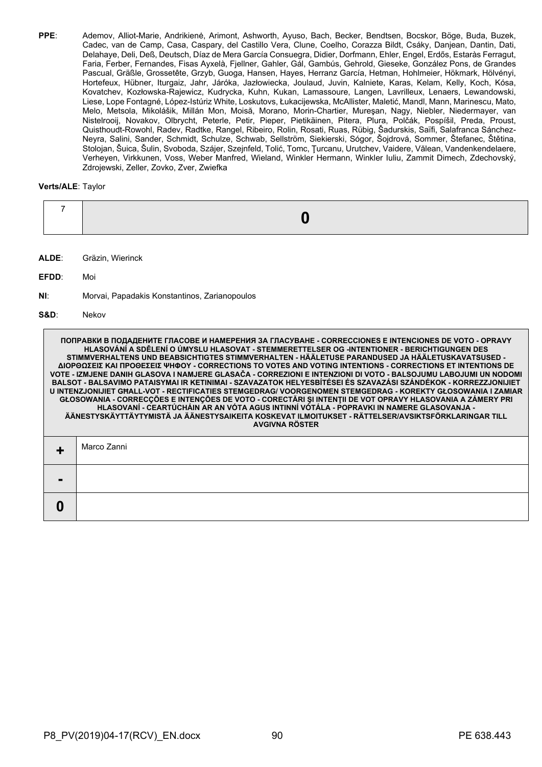**PPE**: Ademov, Alliot-Marie, Andrikienė, Arimont, Ashworth, Ayuso, Bach, Becker, Bendtsen, Bocskor, Böge, Buda, Buzek, Cadec, van de Camp, Casa, Caspary, del Castillo Vera, Clune, Coelho, Corazza Bildt, Csáky, Danjean, Dantin, Dati, Delahaye, Deli, Deß, Deutsch, Díaz de Mera García Consuegra, Didier, Dorfmann, Ehler, Engel, Erdős, Estaràs Ferragut, Faria, Ferber, Fernandes, Fisas Ayxelà, Fjellner, Gahler, Gál, Gambús, Gehrold, Gieseke, González Pons, de Grandes Pascual, Gräßle, Grossetête, Grzyb, Guoga, Hansen, Hayes, Herranz García, Hetman, Hohlmeier, Hökmark, Hölvényi, Hortefeux, Hübner, Iturgaiz, Jahr, Járóka, Jazłowiecka, Joulaud, Juvin, Kalniete, Karas, Kelam, Kelly, Koch, Kósa, Kovatchev, Kozłowska-Rajewicz, Kudrycka, Kuhn, Kukan, Lamassoure, Langen, Lavrilleux, Lenaers, Lewandowski, Liese, Lope Fontagné, López-Istúriz White, Loskutovs, Łukacijewska, McAllister, Maletić, Mandl, Mann, Marinescu, Mato, Melo, Metsola, Mikolášik, Millán Mon, Moisă, Morano, Morin-Chartier, Mureşan, Nagy, Niebler, Niedermayer, van Nistelrooij, Novakov, Olbrycht, Peterle, Petir, Pieper, Pietikäinen, Pitera, Plura, Polčák, Pospíšil, Preda, Proust, Quisthoudt-Rowohl, Radev, Radtke, Rangel, Ribeiro, Rolin, Rosati, Ruas, Rübig, Šadurskis, Saïfi, Salafranca Sánchez-Neyra, Salini, Sander, Schmidt, Schulze, Schwab, Sellström, Siekierski, Sógor, Šojdrová, Sommer, Štefanec, Štětina, Stolojan, Šuica, Šulin, Svoboda, Szájer, Szejnfeld, Tolić, Tomc, Ţurcanu, Urutchev, Vaidere, Vălean, Vandenkendelaere, Verheyen, Virkkunen, Voss, Weber Manfred, Wieland, Winkler Hermann, Winkler Iuliu, Zammit Dimech, Zdechovský, Zdrojewski, Zeller, Zovko, Zver, Zwiefka

### **Verts/ALE**: Taylor

- **ALDE**: Gräzin, Wierinck
- **EFDD**: Moi
- **NI**: Morvai, Papadakis Konstantinos, Zarianopoulos

#### **S&D**: Nekov

| ПОПРАВКИ В ПОДАДЕНИТЕ ГЛАСОВЕ И НАМЕРЕНИЯ ЗА ГЛАСУВАНЕ - CORRECCIONES E INTENCIONES DE VOTO - OPRAVY<br>HLASOVÁNÍ A SDĚLENÍ O ÚMYSLU HLASOVAT - STEMMERETTELSER OG -INTENTIONER - BERICHTIGUNGEN DES<br>STIMMVERHALTENS UND BEABSICHTIGTES STIMMVERHALTEN - HÄÄLETUSE PARANDUSED JA HÄÄLETUSKAVATSUSED -<br>ΔΙΟΡΘΩΣΕΙΣ ΚΑΙ ΠΡΟΘΕΣΕΙΣ ΨΗΦΟΥ - CORRECTIONS TO VOTES AND VOTING INTENTIONS - CORRECTIONS ET INTENTIONS DE<br>VOTE - IZMJENE DANIH GLASOVA I NAMJERE GLASAČA - CORREZIONI E INTENZIONI DI VOTO - BALSOJUMU LABOJUMI UN NODOMI<br>BALSOT - BALSAVIMO PATAISYMAI IR KETINIMAI - SZAVAZATOK HELYESBÍTÉSEI ÉS SZAVAZÁSI SZÁNDÉKOK - KORREZZJONIJIET<br>U INTENZJONIJIET GHALL-VOT - RECTIFICATIES STEMGEDRAG/ VOORGENOMEN STEMGEDRAG - KOREKTY GŁOSOWANIA I ZAMIAR<br>GŁOSOWANIA - CORRECÇÕES E INTENÇÕES DE VOTO - CORECTĂRI ȘI INTENȚII DE VOT OPRAVY HLASOVANIA A ZÁMERY PRI<br>HLASOVANÍ - CEARTÚCHÁIN AR AN VÓTA AGUS INTINNÍ VÓTÁLA - POPRAVKI IN NAMERE GLASOVANJA -<br>ÄÄNESTYSKÄYTTÄYTYMISTÄ JA ÄÄNESTYSAIKEITA KOSKEVAT ILMOITUKSET - RÄTTELSER/AVSIKTSFÖRKLARINGAR TILL<br><b>AVGIVNA RÖSTER</b> |             |
|---------------------------------------------------------------------------------------------------------------------------------------------------------------------------------------------------------------------------------------------------------------------------------------------------------------------------------------------------------------------------------------------------------------------------------------------------------------------------------------------------------------------------------------------------------------------------------------------------------------------------------------------------------------------------------------------------------------------------------------------------------------------------------------------------------------------------------------------------------------------------------------------------------------------------------------------------------------------------------------------------------------------------------------------------------------------------------------------------------------------|-------------|
|                                                                                                                                                                                                                                                                                                                                                                                                                                                                                                                                                                                                                                                                                                                                                                                                                                                                                                                                                                                                                                                                                                                     | Marco Zanni |
|                                                                                                                                                                                                                                                                                                                                                                                                                                                                                                                                                                                                                                                                                                                                                                                                                                                                                                                                                                                                                                                                                                                     |             |
|                                                                                                                                                                                                                                                                                                                                                                                                                                                                                                                                                                                                                                                                                                                                                                                                                                                                                                                                                                                                                                                                                                                     |             |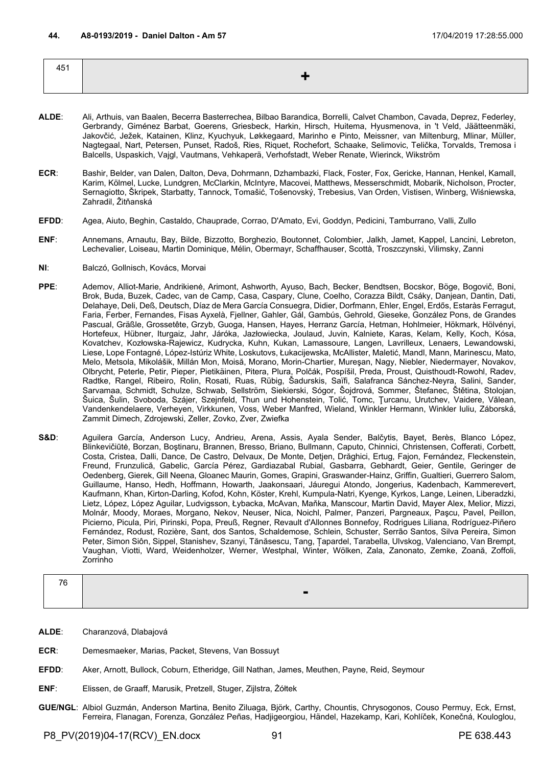| 451 |      |
|-----|------|
|     | ≍ ≢∖ |
|     |      |

- **ALDE**: Ali, Arthuis, van Baalen, Becerra Basterrechea, Bilbao Barandica, Borrelli, Calvet Chambon, Cavada, Deprez, Federley, Gerbrandy, Giménez Barbat, Goerens, Griesbeck, Harkin, Hirsch, Huitema, Hyusmenova, in 't Veld, Jäätteenmäki, Jakovčić, Ježek, Katainen, Klinz, Kyuchyuk, Løkkegaard, Marinho e Pinto, Meissner, van Miltenburg, Mlinar, Müller, Nagtegaal, Nart, Petersen, Punset, Radoš, Ries, Riquet, Rochefort, Schaake, Selimovic, Telička, Torvalds, Tremosa i Balcells, Uspaskich, Vajgl, Vautmans, Vehkaperä, Verhofstadt, Weber Renate, Wierinck, Wikström
- **ECR**: Bashir, Belder, van Dalen, Dalton, Deva, Dohrmann, Dzhambazki, Flack, Foster, Fox, Gericke, Hannan, Henkel, Kamall, Karim, Kölmel, Lucke, Lundgren, McClarkin, McIntyre, Macovei, Matthews, Messerschmidt, Mobarik, Nicholson, Procter, Sernagiotto, Škripek, Starbatty, Tannock, Tomašić, Tošenovský, Trebesius, Van Orden, Vistisen, Winberg, Wiśniewska, Zahradil, Žitňanská
- **EFDD**: Agea, Aiuto, Beghin, Castaldo, Chauprade, Corrao, D'Amato, Evi, Goddyn, Pedicini, Tamburrano, Valli, Zullo
- **ENF**: Annemans, Arnautu, Bay, Bilde, Bizzotto, Borghezio, Boutonnet, Colombier, Jalkh, Jamet, Kappel, Lancini, Lebreton, Lechevalier, Loiseau, Martin Dominique, Mélin, Obermayr, Schaffhauser, Scottà, Troszczynski, Vilimsky, Zanni
- **NI**: Balczó, Gollnisch, Kovács, Morvai
- **PPE**: Ademov, Alliot-Marie, Andrikienė, Arimont, Ashworth, Ayuso, Bach, Becker, Bendtsen, Bocskor, Böge, Bogovič, Boni, Brok, Buda, Buzek, Cadec, van de Camp, Casa, Caspary, Clune, Coelho, Corazza Bildt, Csáky, Danjean, Dantin, Dati, Delahaye, Deli, Deß, Deutsch, Díaz de Mera García Consuegra, Didier, Dorfmann, Ehler, Engel, Erdős, Estaràs Ferragut, Faria, Ferber, Fernandes, Fisas Ayxelà, Fjellner, Gahler, Gál, Gambús, Gehrold, Gieseke, González Pons, de Grandes Pascual, Gräßle, Grossetête, Grzyb, Guoga, Hansen, Hayes, Herranz García, Hetman, Hohlmeier, Hökmark, Hölvényi, Hortefeux, Hübner, Iturgaiz, Jahr, Járóka, Jazłowiecka, Joulaud, Juvin, Kalniete, Karas, Kelam, Kelly, Koch, Kósa, Kovatchev, Kozłowska-Rajewicz, Kudrycka, Kuhn, Kukan, Lamassoure, Langen, Lavrilleux, Lenaers, Lewandowski, Liese, Lope Fontagné, López-Istúriz White, Loskutovs, Łukacijewska, McAllister, Maletić, Mandl, Mann, Marinescu, Mato, Melo, Metsola, Mikolášik, Millán Mon, Moisă, Morano, Morin-Chartier, Mureşan, Nagy, Niebler, Niedermayer, Novakov, Olbrycht, Peterle, Petir, Pieper, Pietikäinen, Pitera, Plura, Polčák, Pospíšil, Preda, Proust, Quisthoudt-Rowohl, Radev, Radtke, Rangel, Ribeiro, Rolin, Rosati, Ruas, Rübig, Šadurskis, Saïfi, Salafranca Sánchez-Neyra, Salini, Sander, Sarvamaa, Schmidt, Schulze, Schwab, Sellström, Siekierski, Sógor, Šojdrová, Sommer, Štefanec, Štětina, Stolojan, Šuica, Šulin, Svoboda, Szájer, Szejnfeld, Thun und Hohenstein, Tolić, Tomc, Ţurcanu, Urutchev, Vaidere, Vălean, Vandenkendelaere, Verheyen, Virkkunen, Voss, Weber Manfred, Wieland, Winkler Hermann, Winkler Iuliu, Záborská, Zammit Dimech, Zdrojewski, Zeller, Zovko, Zver, Zwiefka
- **S&D**: Aguilera García, Anderson Lucy, Andrieu, Arena, Assis, Ayala Sender, Balčytis, Bayet, Berès, Blanco López, Blinkevičiūtė, Borzan, Boştinaru, Brannen, Bresso, Briano, Bullmann, Caputo, Chinnici, Christensen, Cofferati, Corbett, Costa, Cristea, Dalli, Dance, De Castro, Delvaux, De Monte, Detjen, Drăghici, Ertug, Fajon, Fernández, Fleckenstein, Freund, Frunzulică, Gabelic, García Pérez, Gardiazabal Rubial, Gasbarra, Gebhardt, Geier, Gentile, Geringer de Oedenberg, Gierek, Gill Neena, Gloanec Maurin, Gomes, Grapini, Graswander-Hainz, Griffin, Gualtieri, Guerrero Salom, Guillaume, Hanso, Hedh, Hoffmann, Howarth, Jaakonsaari, Jáuregui Atondo, Jongerius, Kadenbach, Kammerevert, Kaufmann, Khan, Kirton-Darling, Kofod, Kohn, Köster, Krehl, Kumpula-Natri, Kyenge, Kyrkos, Lange, Leinen, Liberadzki, Lietz, López, López Aguilar, Ludvigsson, Łybacka, McAvan, Maňka, Manscour, Martin David, Mayer Alex, Melior, Mizzi, Molnár, Moody, Moraes, Morgano, Nekov, Neuser, Nica, Noichl, Palmer, Panzeri, Pargneaux, Paşcu, Pavel, Peillon, Picierno, Picula, Piri, Pirinski, Popa, Preuß, Regner, Revault d'Allonnes Bonnefoy, Rodrigues Liliana, Rodríguez-Piñero Fernández, Rodust, Rozière, Sant, dos Santos, Schaldemose, Schlein, Schuster, Serrão Santos, Silva Pereira, Simon Peter, Simon Siôn, Sippel, Stanishev, Szanyi, Tănăsescu, Tang, Țapardel, Tarabella, Ulvskog, Valenciano, Van Brempt, Vaughan, Viotti, Ward, Weidenholzer, Werner, Westphal, Winter, Wölken, Zala, Zanonato, Zemke, Zoană, Zoffoli, Zorrinho

| 7C |   |
|----|---|
|    | - |

- **ALDE**: Charanzová, Dlabajová
- **ECR**: Demesmaeker, Marias, Packet, Stevens, Van Bossuyt
- **EFDD**: Aker, Arnott, Bullock, Coburn, Etheridge, Gill Nathan, James, Meuthen, Payne, Reid, Seymour
- **ENF**: Elissen, de Graaff, Marusik, Pretzell, Stuger, Zijlstra, Żółtek
- **GUE/NGL**: Albiol Guzmán, Anderson Martina, Benito Ziluaga, Björk, Carthy, Chountis, Chrysogonos, Couso Permuy, Eck, Ernst, Ferreira, Flanagan, Forenza, González Peñas, Hadjigeorgiou, Händel, Hazekamp, Kari, Kohlíček, Konečná, Kouloglou,

P8\_PV(2019)04-17(RCV)\_EN.docx 91 PE 638.443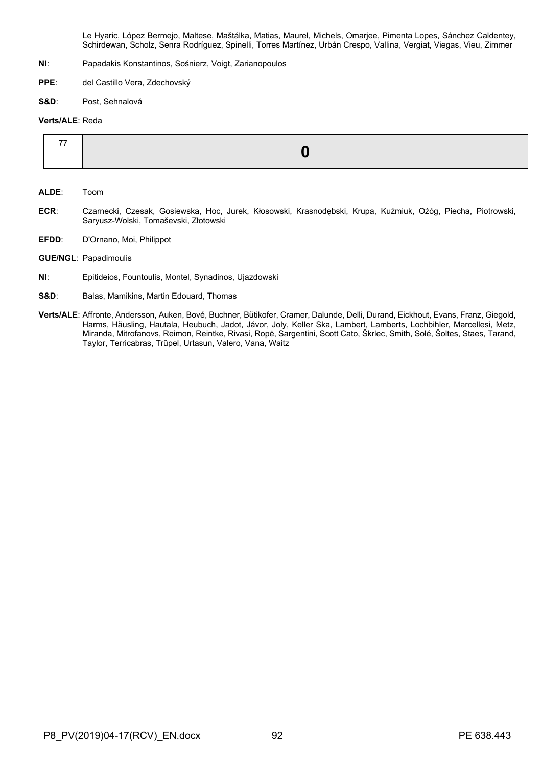Le Hyaric, López Bermejo, Maltese, Maštálka, Matias, Maurel, Michels, Omarjee, Pimenta Lopes, Sánchez Caldentey, Schirdewan, Scholz, Senra Rodríguez, Spinelli, Torres Martínez, Urbán Crespo, Vallina, Vergiat, Viegas, Vieu, Zimmer

- **NI**: Papadakis Konstantinos, Sośnierz, Voigt, Zarianopoulos
- **PPE**: del Castillo Vera, Zdechovský
- **S&D**: Post, Sehnalová

#### **Verts/ALE**: Reda

| $- -$ |  |
|-------|--|
|       |  |

- **ALDE**: Toom
- **ECR**: Czarnecki, Czesak, Gosiewska, Hoc, Jurek, Kłosowski, Krasnodębski, Krupa, Kuźmiuk, Ożóg, Piecha, Piotrowski, Saryusz-Wolski, Tomaševski, Złotowski
- **EFDD**: D'Ornano, Moi, Philippot
- **GUE/NGL**: Papadimoulis
- **NI**: Epitideios, Fountoulis, Montel, Synadinos, Ujazdowski
- **S&D**: Balas, Mamikins, Martin Edouard, Thomas
- **Verts/ALE**: Affronte, Andersson, Auken, Bové, Buchner, Bütikofer, Cramer, Dalunde, Delli, Durand, Eickhout, Evans, Franz, Giegold, Harms, Häusling, Hautala, Heubuch, Jadot, Jávor, Joly, Keller Ska, Lambert, Lamberts, Lochbihler, Marcellesi, Metz, Miranda, Mitrofanovs, Reimon, Reintke, Rivasi, Ropė, Sargentini, Scott Cato, Škrlec, Smith, Solé, Šoltes, Staes, Tarand, Taylor, Terricabras, Trüpel, Urtasun, Valero, Vana, Waitz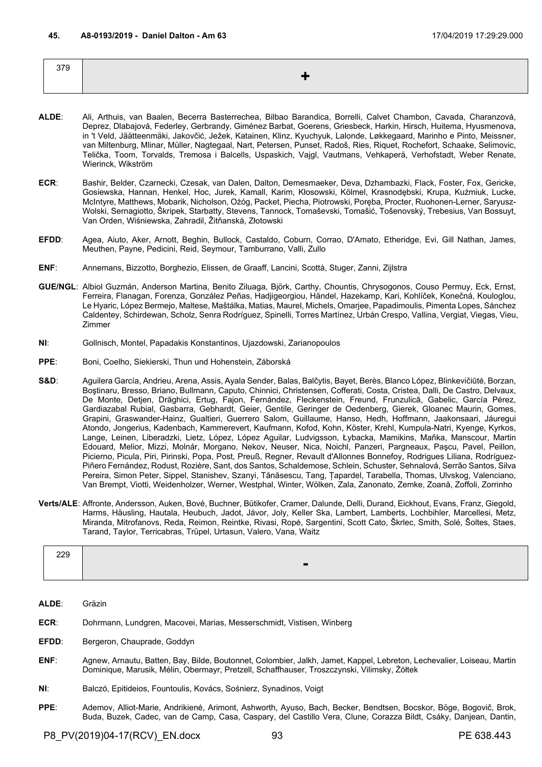| 379 |  |
|-----|--|
|     |  |
|     |  |

- **ALDE**: Ali, Arthuis, van Baalen, Becerra Basterrechea, Bilbao Barandica, Borrelli, Calvet Chambon, Cavada, Charanzová, Deprez, Dlabajová, Federley, Gerbrandy, Giménez Barbat, Goerens, Griesbeck, Harkin, Hirsch, Huitema, Hyusmenova, in 't Veld, Jäätteenmäki, Jakovčić, Ježek, Katainen, Klinz, Kyuchyuk, Lalonde, Løkkegaard, Marinho e Pinto, Meissner, van Miltenburg, Mlinar, Müller, Nagtegaal, Nart, Petersen, Punset, Radoš, Ries, Riquet, Rochefort, Schaake, Selimovic, Telička, Toom, Torvalds, Tremosa i Balcells, Uspaskich, Vajgl, Vautmans, Vehkaperä, Verhofstadt, Weber Renate, Wierinck, Wikström
- **ECR**: Bashir, Belder, Czarnecki, Czesak, van Dalen, Dalton, Demesmaeker, Deva, Dzhambazki, Flack, Foster, Fox, Gericke, Gosiewska, Hannan, Henkel, Hoc, Jurek, Kamall, Karim, Kłosowski, Kölmel, Krasnodębski, Krupa, Kuźmiuk, Lucke, McIntyre, Matthews, Mobarik, Nicholson, Ożóg, Packet, Piecha, Piotrowski, Poręba, Procter, Ruohonen-Lerner, Saryusz-Wolski, Sernagiotto, Škripek, Starbatty, Stevens, Tannock, Tomaševski, Tomašić, Tošenovský, Trebesius, Van Bossuyt, Van Orden, Wiśniewska, Zahradil, Žitňanská, Złotowski
- **EFDD**: Agea, Aiuto, Aker, Arnott, Beghin, Bullock, Castaldo, Coburn, Corrao, D'Amato, Etheridge, Evi, Gill Nathan, James, Meuthen, Payne, Pedicini, Reid, Seymour, Tamburrano, Valli, Zullo
- **ENF**: Annemans, Bizzotto, Borghezio, Elissen, de Graaff, Lancini, Scottà, Stuger, Zanni, Zijlstra
- **GUE/NGL**: Albiol Guzmán, Anderson Martina, Benito Ziluaga, Björk, Carthy, Chountis, Chrysogonos, Couso Permuy, Eck, Ernst, Ferreira, Flanagan, Forenza, González Peñas, Hadjigeorgiou, Händel, Hazekamp, Kari, Kohlíček, Konečná, Kouloglou, Le Hyaric, López Bermejo, Maltese, Maštálka, Matias, Maurel, Michels, Omarjee, Papadimoulis, Pimenta Lopes, Sánchez Caldentey, Schirdewan, Scholz, Senra Rodríguez, Spinelli, Torres Martínez, Urbán Crespo, Vallina, Vergiat, Viegas, Vieu, Zimmer
- **NI**: Gollnisch, Montel, Papadakis Konstantinos, Ujazdowski, Zarianopoulos
- **PPE**: Boni, Coelho, Siekierski, Thun und Hohenstein, Záborská
- S&D: Aguilera García, Andrieu, Arena, Assis, Ayala Sender, Balas, Balčytis, Bayet, Berès, Blanco López, Blinkevičiūtė, Borzan, Boştinaru, Bresso, Briano, Bullmann, Caputo, Chinnici, Christensen, Cofferati, Costa, Cristea, Dalli, De Castro, Delvaux, De Monte, Detjen, Drăghici, Ertug, Fajon, Fernández, Fleckenstein, Freund, Frunzulică, Gabelic, García Pérez, Gardiazabal Rubial, Gasbarra, Gebhardt, Geier, Gentile, Geringer de Oedenberg, Gierek, Gloanec Maurin, Gomes, Grapini, Graswander-Hainz, Gualtieri, Guerrero Salom, Guillaume, Hanso, Hedh, Hoffmann, Jaakonsaari, Jáuregui Atondo, Jongerius, Kadenbach, Kammerevert, Kaufmann, Kofod, Kohn, Köster, Krehl, Kumpula-Natri, Kyenge, Kyrkos, Lange, Leinen, Liberadzki, Lietz, López, López Aguilar, Ludvigsson, Łybacka, Mamikins, Maňka, Manscour, Martin Edouard, Melior, Mizzi, Molnár, Morgano, Nekov, Neuser, Nica, Noichl, Panzeri, Pargneaux, Paşcu, Pavel, Peillon, Picierno, Picula, Piri, Pirinski, Popa, Post, Preuß, Regner, Revault d'Allonnes Bonnefoy, Rodrigues Liliana, Rodríguez-Piñero Fernández, Rodust, Rozière, Sant, dos Santos, Schaldemose, Schlein, Schuster, Sehnalová, Serrão Santos, Silva Pereira, Simon Peter, Sippel, Stanishev, Szanyi, Tănăsescu, Tang, Țapardel, Tarabella, Thomas, Ulvskog, Valenciano, Van Brempt, Viotti, Weidenholzer, Werner, Westphal, Winter, Wölken, Zala, Zanonato, Zemke, Zoană, Zoffoli, Zorrinho
- **Verts/ALE**: Affronte, Andersson, Auken, Bové, Buchner, Bütikofer, Cramer, Dalunde, Delli, Durand, Eickhout, Evans, Franz, Giegold, Harms, Häusling, Hautala, Heubuch, Jadot, Jávor, Joly, Keller Ska, Lambert, Lamberts, Lochbihler, Marcellesi, Metz, Miranda, Mitrofanovs, Reda, Reimon, Reintke, Rivasi, Ropė, Sargentini, Scott Cato, Škrlec, Smith, Solé, Šoltes, Staes, Tarand, Taylor, Terricabras, Trüpel, Urtasun, Valero, Vana, Waitz

| חרר<br>$- - -$ |  |
|----------------|--|
|                |  |

**ALDE**: Gräzin

- **ECR**: Dohrmann, Lundgren, Macovei, Marias, Messerschmidt, Vistisen, Winberg
- **EFDD:** Bergeron, Chauprade, Goddyn
- **ENF**: Agnew, Arnautu, Batten, Bay, Bilde, Boutonnet, Colombier, Jalkh, Jamet, Kappel, Lebreton, Lechevalier, Loiseau, Martin Dominique, Marusik, Mélin, Obermayr, Pretzell, Schaffhauser, Troszczynski, Vilimsky, Żółtek
- **NI**: Balczó, Epitideios, Fountoulis, Kovács, Sośnierz, Synadinos, Voigt
- **PPE**: Ademov, Alliot-Marie, Andrikienė, Arimont, Ashworth, Ayuso, Bach, Becker, Bendtsen, Bocskor, Böge, Bogovič, Brok, Buda, Buzek, Cadec, van de Camp, Casa, Caspary, del Castillo Vera, Clune, Corazza Bildt, Csáky, Danjean, Dantin,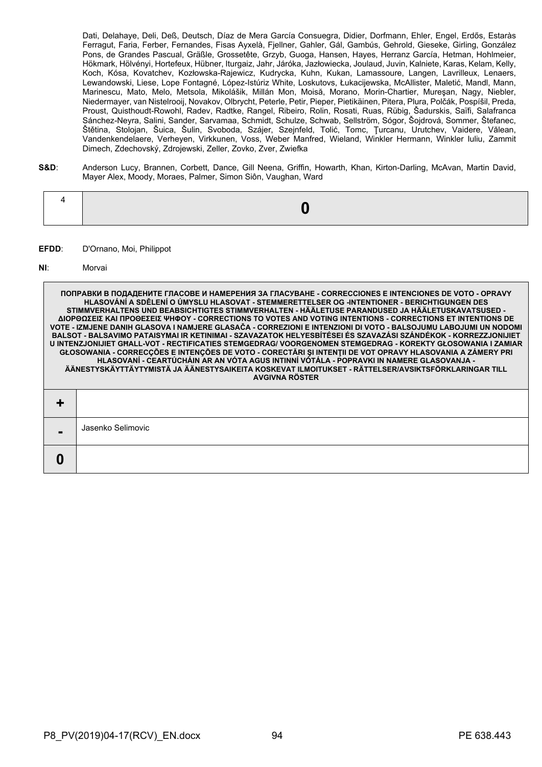Dati, Delahaye, Deli, Deß, Deutsch, Díaz de Mera García Consuegra, Didier, Dorfmann, Ehler, Engel, Erdős, Estaràs Ferragut, Faria, Ferber, Fernandes, Fisas Ayxelà, Fjellner, Gahler, Gál, Gambús, Gehrold, Gieseke, Girling, González Pons, de Grandes Pascual, Gräßle, Grossetête, Grzyb, Guoga, Hansen, Hayes, Herranz García, Hetman, Hohlmeier, Hökmark, Hölvényi, Hortefeux, Hübner, Iturgaiz, Jahr, Járóka, Jazłowiecka, Joulaud, Juvin, Kalniete, Karas, Kelam, Kelly, Koch, Kósa, Kovatchev, Kozłowska-Rajewicz, Kudrycka, Kuhn, Kukan, Lamassoure, Langen, Lavrilleux, Lenaers, Lewandowski, Liese, Lope Fontagné, López-Istúriz White, Loskutovs, Łukacijewska, McAllister, Maletić, Mandl, Mann, Marinescu, Mato, Melo, Metsola, Mikolášik, Millán Mon, Moisă, Morano, Morin-Chartier, Mureşan, Nagy, Niebler, Niedermayer, van Nistelrooij, Novakov, Olbrycht, Peterle, Petir, Pieper, Pietikäinen, Pitera, Plura, Polčák, Pospíšil, Preda, Proust, Quisthoudt-Rowohl, Radev, Radtke, Rangel, Ribeiro, Rolin, Rosati, Ruas, Rübig, Šadurskis, Saïfi, Salafranca Sánchez-Neyra, Salini, Sander, Sarvamaa, Schmidt, Schulze, Schwab, Sellström, Sógor, Šojdrová, Sommer, Štefanec, Štětina, Stolojan, Šuica, Šulin, Svoboda, Szájer, Szejnfeld, Tolić, Tomc, Ţurcanu, Urutchev, Vaidere, Vălean, Vandenkendelaere, Verheyen, Virkkunen, Voss, Weber Manfred, Wieland, Winkler Hermann, Winkler Iuliu, Zammit Dimech, Zdechovský, Zdrojewski, Zeller, Zovko, Zver, Zwiefka

**S&D**: Anderson Lucy, Brannen, Corbett, Dance, Gill Neena, Griffin, Howarth, Khan, Kirton-Darling, McAvan, Martin David, Mayer Alex, Moody, Moraes, Palmer, Simon Siôn, Vaughan, Ward

### **EFDD**: D'Ornano, Moi, Philippot

#### **NI**: Morvai

|   | ПОПРАВКИ В ПОДАДЕНИТЕ ГЛАСОВЕ И НАМЕРЕНИЯ ЗА ГЛАСУВАНЕ - CORRECCIONES Е INTENCIONES DE VOTO - OPRAVY<br>HLASOVÁNÍ A SDĚLENÍ O ÚMYSLU HLASOVAT - STEMMERETTELSER OG -INTENTIONER - BERICHTIGUNGEN DES<br>STIMMVERHALTENS UND BEABSICHTIGTES STIMMVERHALTEN - HÄÄLETUSE PARANDUSED JA HÄÄLETUSKAVATSUSED -<br>ΔΙΟΡΘΩΣΕΙΣ ΚΑΙ ΠΡΟΘΕΣΕΙΣ ΨΗΦΟΥ - CORRECTIONS TO VOTES AND VOTING INTENTIONS - CORRECTIONS ET INTENTIONS DE<br>VOTE - IZMJENE DANIH GLASOVA I NAMJERE GLASAČA - CORREZIONI E INTENZIONI DI VOTO - BALSOJUMU LABOJUMI UN NODOMI<br>BALSOT - BALSAVIMO PATAISYMAI IR KETINIMAI - SZAVAZATOK HELYESBÍTÉSEI ÉS SZAVAZÁSI SZÁNDÉKOK - KORREZZJONIJIET<br>U INTENZJONIJIET GHALL-VOT - RECTIFICATIES STEMGEDRAG/ VOORGENOMEN STEMGEDRAG - KOREKTY GŁOSOWANIA I ZAMIAR<br>GŁOSOWANIA - CORRECÇÕES E INTENÇÕES DE VOTO - CORECTĂRI ȘI INTENȚII DE VOT OPRAVY HLASOVANIA A ZÁMERY PRI<br>HLASOVANÍ - CEARTÚCHÁIN AR AN VÓTA AGUS INTINNÍ VÓTÁLA - POPRAVKI IN NAMERE GLASOVANJA -<br>ÄÄNESTYSKÄYTTÄYTYMISTÄ JA ÄÄNESTYSAIKEITA KOSKEVAT ILMOITUKSET - RÄTTELSER/AVSIKTSFÖRKLARINGAR TILL<br><b>AVGIVNA RÖSTER</b> |
|---|---------------------------------------------------------------------------------------------------------------------------------------------------------------------------------------------------------------------------------------------------------------------------------------------------------------------------------------------------------------------------------------------------------------------------------------------------------------------------------------------------------------------------------------------------------------------------------------------------------------------------------------------------------------------------------------------------------------------------------------------------------------------------------------------------------------------------------------------------------------------------------------------------------------------------------------------------------------------------------------------------------------------------------------------------------------------------------------------------------------------|
|   |                                                                                                                                                                                                                                                                                                                                                                                                                                                                                                                                                                                                                                                                                                                                                                                                                                                                                                                                                                                                                                                                                                                     |
|   | Jasenko Selimovic                                                                                                                                                                                                                                                                                                                                                                                                                                                                                                                                                                                                                                                                                                                                                                                                                                                                                                                                                                                                                                                                                                   |
| 0 |                                                                                                                                                                                                                                                                                                                                                                                                                                                                                                                                                                                                                                                                                                                                                                                                                                                                                                                                                                                                                                                                                                                     |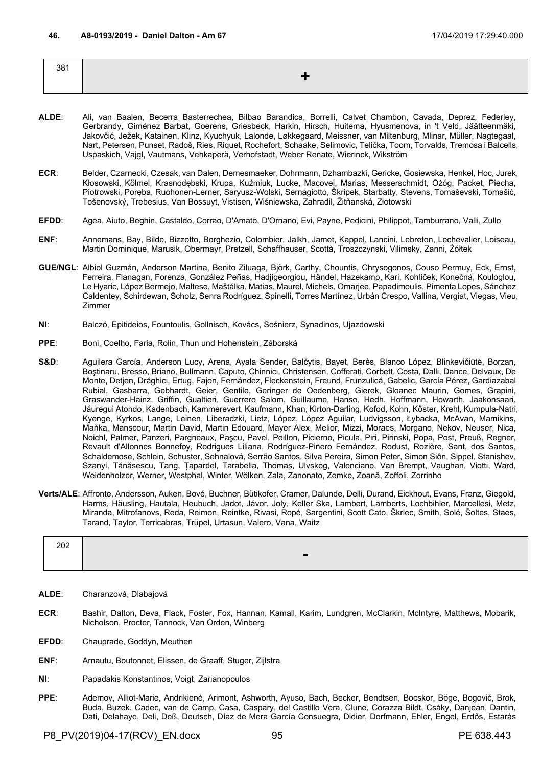| 381 |  |
|-----|--|
|     |  |
|     |  |

- **ALDE**: Ali, van Baalen, Becerra Basterrechea, Bilbao Barandica, Borrelli, Calvet Chambon, Cavada, Deprez, Federley, Gerbrandy, Giménez Barbat, Goerens, Griesbeck, Harkin, Hirsch, Huitema, Hyusmenova, in 't Veld, Jäätteenmäki, Jakovčić, Ježek, Katainen, Klinz, Kyuchyuk, Lalonde, Løkkegaard, Meissner, van Miltenburg, Mlinar, Müller, Nagtegaal, Nart, Petersen, Punset, Radoš, Ries, Riquet, Rochefort, Schaake, Selimovic, Telička, Toom, Torvalds, Tremosa i Balcells, Uspaskich, Vajgl, Vautmans, Vehkaperä, Verhofstadt, Weber Renate, Wierinck, Wikström
- **ECR**: Belder, Czarnecki, Czesak, van Dalen, Demesmaeker, Dohrmann, Dzhambazki, Gericke, Gosiewska, Henkel, Hoc, Jurek, Kłosowski, Kölmel, Krasnodębski, Krupa, Kuźmiuk, Lucke, Macovei, Marias, Messerschmidt, Ożóg, Packet, Piecha, Piotrowski, Poręba, Ruohonen-Lerner, Saryusz-Wolski, Sernagiotto, Škripek, Starbatty, Stevens, Tomaševski, Tomašić, Tošenovský, Trebesius, Van Bossuyt, Vistisen, Wiśniewska, Zahradil, Žitňanská, Złotowski
- **EFDD**: Agea, Aiuto, Beghin, Castaldo, Corrao, D'Amato, D'Ornano, Evi, Payne, Pedicini, Philippot, Tamburrano, Valli, Zullo
- **ENF**: Annemans, Bay, Bilde, Bizzotto, Borghezio, Colombier, Jalkh, Jamet, Kappel, Lancini, Lebreton, Lechevalier, Loiseau, Martin Dominique, Marusik, Obermayr, Pretzell, Schaffhauser, Scottà, Troszczynski, Vilimsky, Zanni, Żółtek
- **GUE/NGL**: Albiol Guzmán, Anderson Martina, Benito Ziluaga, Björk, Carthy, Chountis, Chrysogonos, Couso Permuy, Eck, Ernst, Ferreira, Flanagan, Forenza, González Peñas, Hadjigeorgiou, Händel, Hazekamp, Kari, Kohlíček, Konečná, Kouloglou, Le Hyaric, López Bermejo, Maltese, Maštálka, Matias, Maurel, Michels, Omarjee, Papadimoulis, Pimenta Lopes, Sánchez Caldentey, Schirdewan, Scholz, Senra Rodríguez, Spinelli, Torres Martínez, Urbán Crespo, Vallina, Vergiat, Viegas, Vieu, Zimmer
- **NI**: Balczó, Epitideios, Fountoulis, Gollnisch, Kovács, Sośnierz, Synadinos, Ujazdowski
- **PPE**: Boni, Coelho, Faria, Rolin, Thun und Hohenstein, Záborská
- **S&D**: Aguilera García, Anderson Lucy, Arena, Ayala Sender, Balčytis, Bayet, Berès, Blanco López, Blinkevičiūtė, Borzan, Boştinaru, Bresso, Briano, Bullmann, Caputo, Chinnici, Christensen, Cofferati, Corbett, Costa, Dalli, Dance, Delvaux, De Monte, Detjen, Drăghici, Ertug, Fajon, Fernández, Fleckenstein, Freund, Frunzulică, Gabelic, García Pérez, Gardiazabal Rubial, Gasbarra, Gebhardt, Geier, Gentile, Geringer de Oedenberg, Gierek, Gloanec Maurin, Gomes, Grapini, Graswander-Hainz, Griffin, Gualtieri, Guerrero Salom, Guillaume, Hanso, Hedh, Hoffmann, Howarth, Jaakonsaari, Jáuregui Atondo, Kadenbach, Kammerevert, Kaufmann, Khan, Kirton-Darling, Kofod, Kohn, Köster, Krehl, Kumpula-Natri, Kyenge, Kyrkos, Lange, Leinen, Liberadzki, Lietz, López, López Aguilar, Ludvigsson, Łybacka, McAvan, Mamikins, Maňka, Manscour, Martin David, Martin Edouard, Mayer Alex, Melior, Mizzi, Moraes, Morgano, Nekov, Neuser, Nica, Noichl, Palmer, Panzeri, Pargneaux, Paşcu, Pavel, Peillon, Picierno, Picula, Piri, Pirinski, Popa, Post, Preuß, Regner, Revault d'Allonnes Bonnefoy, Rodrigues Liliana, Rodríguez-Piñero Fernández, Rodust, Rozière, Sant, dos Santos, Schaldemose, Schlein, Schuster, Sehnalová, Serrão Santos, Silva Pereira, Simon Peter, Simon Siôn, Sippel, Stanishev, Szanyi, Tănăsescu, Tang, Țapardel, Tarabella, Thomas, Ulvskog, Valenciano, Van Brempt, Vaughan, Viotti, Ward, Weidenholzer, Werner, Westphal, Winter, Wölken, Zala, Zanonato, Zemke, Zoană, Zoffoli, Zorrinho
- **Verts/ALE**: Affronte, Andersson, Auken, Bové, Buchner, Bütikofer, Cramer, Dalunde, Delli, Durand, Eickhout, Evans, Franz, Giegold, Harms, Häusling, Hautala, Heubuch, Jadot, Jávor, Joly, Keller Ska, Lambert, Lamberts, Lochbihler, Marcellesi, Metz, Miranda, Mitrofanovs, Reda, Reimon, Reintke, Rivasi, Ropė, Sargentini, Scott Cato, Škrlec, Smith, Solé, Šoltes, Staes, Tarand, Taylor, Terricabras, Trüpel, Urtasun, Valero, Vana, Waitz

| $- - -$ |  |
|---------|--|
|         |  |

- **ALDE**: Charanzová, Dlabajová
- **ECR**: Bashir, Dalton, Deva, Flack, Foster, Fox, Hannan, Kamall, Karim, Lundgren, McClarkin, McIntyre, Matthews, Mobarik, Nicholson, Procter, Tannock, Van Orden, Winberg
- **EFDD**: Chauprade, Goddyn, Meuthen
- **ENF**: Arnautu, Boutonnet, Elissen, de Graaff, Stuger, Zijlstra
- **NI**: Papadakis Konstantinos, Voigt, Zarianopoulos
- **PPE**: Ademov, Alliot-Marie, Andrikienė, Arimont, Ashworth, Ayuso, Bach, Becker, Bendtsen, Bocskor, Böge, Bogovič, Brok, Buda, Buzek, Cadec, van de Camp, Casa, Caspary, del Castillo Vera, Clune, Corazza Bildt, Csáky, Danjean, Dantin, Dati, Delahaye, Deli, Deß, Deutsch, Díaz de Mera García Consuegra, Didier, Dorfmann, Ehler, Engel, Erdős, Estaràs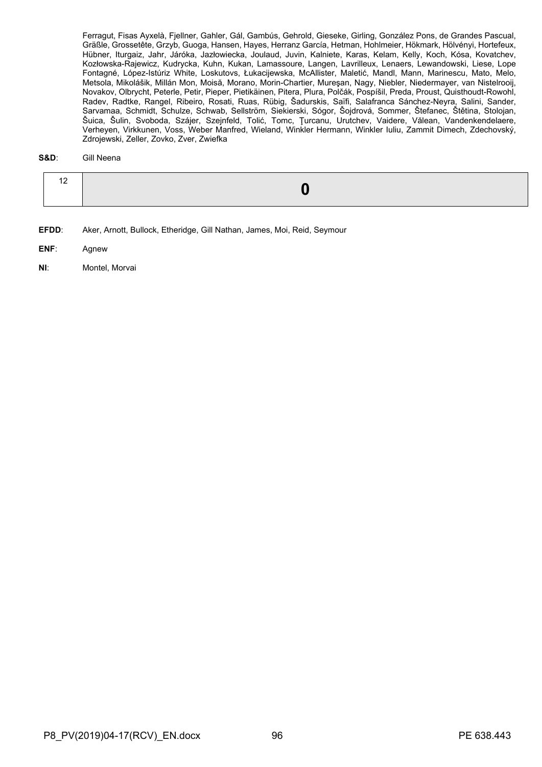Ferragut, Fisas Ayxelà, Fjellner, Gahler, Gál, Gambús, Gehrold, Gieseke, Girling, González Pons, de Grandes Pascual, Gräßle, Grossetête, Grzyb, Guoga, Hansen, Hayes, Herranz García, Hetman, Hohlmeier, Hökmark, Hölvényi, Hortefeux, Hübner, Iturgaiz, Jahr, Járóka, Jazłowiecka, Joulaud, Juvin, Kalniete, Karas, Kelam, Kelly, Koch, Kósa, Kovatchev, Kozłowska-Rajewicz, Kudrycka, Kuhn, Kukan, Lamassoure, Langen, Lavrilleux, Lenaers, Lewandowski, Liese, Lope Fontagné, López-Istúriz White, Loskutovs, Łukacijewska, McAllister, Maletić, Mandl, Mann, Marinescu, Mato, Melo, Metsola, Mikolášik, Millán Mon, Moisă, Morano, Morin-Chartier, Mureşan, Nagy, Niebler, Niedermayer, van Nistelrooij, Novakov, Olbrycht, Peterle, Petir, Pieper, Pietikäinen, Pitera, Plura, Polčák, Pospíšil, Preda, Proust, Quisthoudt-Rowohl, Radev, Radtke, Rangel, Ribeiro, Rosati, Ruas, Rübig, Šadurskis, Saïfi, Salafranca Sánchez-Neyra, Salini, Sander, Sarvamaa, Schmidt, Schulze, Schwab, Sellström, Siekierski, Sógor, Šojdrová, Sommer, Štefanec, Štětina, Stolojan, Šuica, Šulin, Svoboda, Szájer, Szejnfeld, Tolić, Tomc, Ţurcanu, Urutchev, Vaidere, Vălean, Vandenkendelaere, Verheyen, Virkkunen, Voss, Weber Manfred, Wieland, Winkler Hermann, Winkler Iuliu, Zammit Dimech, Zdechovský, Zdrojewski, Zeller, Zovko, Zver, Zwiefka

#### **S&D**: Gill Neena

|--|--|

**EFDD**: Aker, Arnott, Bullock, Etheridge, Gill Nathan, James, Moi, Reid, Seymour

**ENF**: Agnew

**NI**: Montel, Morvai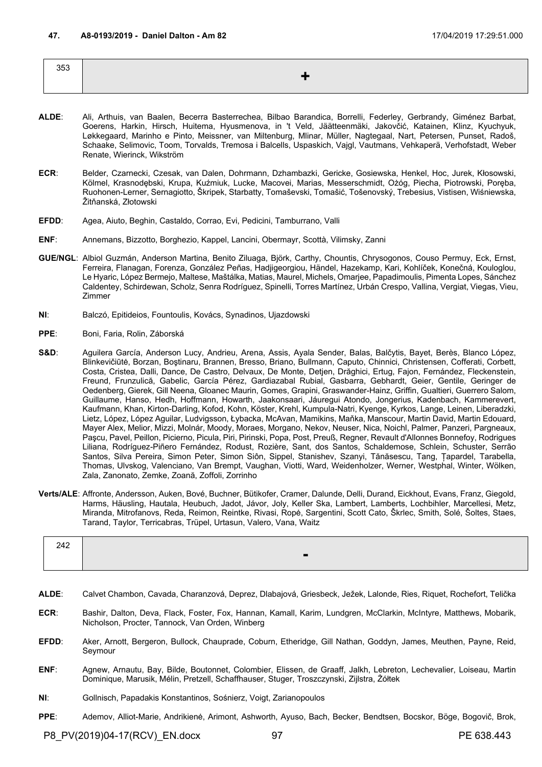| 353 |                                |
|-----|--------------------------------|
|     | --<br>$\overline{\phantom{a}}$ |
|     |                                |

- **ALDE**: Ali, Arthuis, van Baalen, Becerra Basterrechea, Bilbao Barandica, Borrelli, Federley, Gerbrandy, Giménez Barbat, Goerens, Harkin, Hirsch, Huitema, Hyusmenova, in 't Veld, Jäätteenmäki, Jakovčić, Katainen, Klinz, Kyuchyuk, Løkkegaard, Marinho e Pinto, Meissner, van Miltenburg, Mlinar, Müller, Nagtegaal, Nart, Petersen, Punset, Radoš, Schaake, Selimovic, Toom, Torvalds, Tremosa i Balcells, Uspaskich, Vajgl, Vautmans, Vehkaperä, Verhofstadt, Weber Renate, Wierinck, Wikström
- **ECR**: Belder, Czarnecki, Czesak, van Dalen, Dohrmann, Dzhambazki, Gericke, Gosiewska, Henkel, Hoc, Jurek, Kłosowski, Kölmel, Krasnodębski, Krupa, Kuźmiuk, Lucke, Macovei, Marias, Messerschmidt, Ożóg, Piecha, Piotrowski, Poręba, Ruohonen-Lerner, Sernagiotto, Škripek, Starbatty, Tomaševski, Tomašić, Tošenovský, Trebesius, Vistisen, Wiśniewska, Žitňanská, Złotowski
- **EFDD**: Agea, Aiuto, Beghin, Castaldo, Corrao, Evi, Pedicini, Tamburrano, Valli
- **ENF**: Annemans, Bizzotto, Borghezio, Kappel, Lancini, Obermayr, Scottà, Vilimsky, Zanni
- **GUE/NGL**: Albiol Guzmán, Anderson Martina, Benito Ziluaga, Björk, Carthy, Chountis, Chrysogonos, Couso Permuy, Eck, Ernst, Ferreira, Flanagan, Forenza, González Peñas, Hadjigeorgiou, Händel, Hazekamp, Kari, Kohlíček, Konečná, Kouloglou, Le Hyaric, López Bermejo, Maltese, Maštálka, Matias, Maurel, Michels, Omarjee, Papadimoulis, Pimenta Lopes, Sánchez Caldentey, Schirdewan, Scholz, Senra Rodríguez, Spinelli, Torres Martínez, Urbán Crespo, Vallina, Vergiat, Viegas, Vieu, Zimmer
- **NI**: Balczó, Epitideios, Fountoulis, Kovács, Synadinos, Ujazdowski
- **PPE**: Boni, Faria, Rolin, Záborská
- S&D: Aguilera García, Anderson Lucy, Andrieu, Arena, Assis, Ayala Sender, Balas, Balčytis, Bayet, Berès, Blanco López, Blinkevičiūtė, Borzan, Boştinaru, Brannen, Bresso, Briano, Bullmann, Caputo, Chinnici, Christensen, Cofferati, Corbett, Costa, Cristea, Dalli, Dance, De Castro, Delvaux, De Monte, Detjen, Drăghici, Ertug, Fajon, Fernández, Fleckenstein, Freund, Frunzulică, Gabelic, García Pérez, Gardiazabal Rubial, Gasbarra, Gebhardt, Geier, Gentile, Geringer de Oedenberg, Gierek, Gill Neena, Gloanec Maurin, Gomes, Grapini, Graswander-Hainz, Griffin, Gualtieri, Guerrero Salom, Guillaume, Hanso, Hedh, Hoffmann, Howarth, Jaakonsaari, Jáuregui Atondo, Jongerius, Kadenbach, Kammerevert, Kaufmann, Khan, Kirton-Darling, Kofod, Kohn, Köster, Krehl, Kumpula-Natri, Kyenge, Kyrkos, Lange, Leinen, Liberadzki, Lietz, López, López Aguilar, Ludvigsson, Łybacka, McAvan, Mamikins, Maňka, Manscour, Martin David, Martin Edouard, Mayer Alex, Melior, Mizzi, Molnár, Moody, Moraes, Morgano, Nekov, Neuser, Nica, Noichl, Palmer, Panzeri, Pargneaux, Paşcu, Pavel, Peillon, Picierno, Picula, Piri, Pirinski, Popa, Post, Preuß, Regner, Revault d'Allonnes Bonnefoy, Rodrigues Liliana, Rodríguez-Piñero Fernández, Rodust, Rozière, Sant, dos Santos, Schaldemose, Schlein, Schuster, Serrão Santos, Silva Pereira, Simon Peter, Simon Siôn, Sippel, Stanishev, Szanyi, Tănăsescu, Tang, Țapardel, Tarabella, Thomas, Ulvskog, Valenciano, Van Brempt, Vaughan, Viotti, Ward, Weidenholzer, Werner, Westphal, Winter, Wölken, Zala, Zanonato, Zemke, Zoană, Zoffoli, Zorrinho
- **Verts/ALE**: Affronte, Andersson, Auken, Bové, Buchner, Bütikofer, Cramer, Dalunde, Delli, Durand, Eickhout, Evans, Franz, Giegold, Harms, Häusling, Hautala, Heubuch, Jadot, Jávor, Joly, Keller Ska, Lambert, Lamberts, Lochbihler, Marcellesi, Metz, Miranda, Mitrofanovs, Reda, Reimon, Reintke, Rivasi, Ropė, Sargentini, Scott Cato, Škrlec, Smith, Solé, Šoltes, Staes, Tarand, Taylor, Terricabras, Trüpel, Urtasun, Valero, Vana, Waitz

| $\blacksquare$ |  |
|----------------|--|

- **ALDE**: Calvet Chambon, Cavada, Charanzová, Deprez, Dlabajová, Griesbeck, Ježek, Lalonde, Ries, Riquet, Rochefort, Telička
- **ECR**: Bashir, Dalton, Deva, Flack, Foster, Fox, Hannan, Kamall, Karim, Lundgren, McClarkin, McIntyre, Matthews, Mobarik, Nicholson, Procter, Tannock, Van Orden, Winberg
- **EFDD**: Aker, Arnott, Bergeron, Bullock, Chauprade, Coburn, Etheridge, Gill Nathan, Goddyn, James, Meuthen, Payne, Reid, Seymour
- **ENF**: Agnew, Arnautu, Bay, Bilde, Boutonnet, Colombier, Elissen, de Graaff, Jalkh, Lebreton, Lechevalier, Loiseau, Martin Dominique, Marusik, Mélin, Pretzell, Schaffhauser, Stuger, Troszczynski, Zijlstra, Żółtek
- **NI**: Gollnisch, Papadakis Konstantinos, Sośnierz, Voigt, Zarianopoulos
- **PPE**: Ademov, Alliot-Marie, Andrikienė, Arimont, Ashworth, Ayuso, Bach, Becker, Bendtsen, Bocskor, Böge, Bogovič, Brok,

P8\_PV(2019)04-17(RCV)\_EN.docx 97 PE 638.443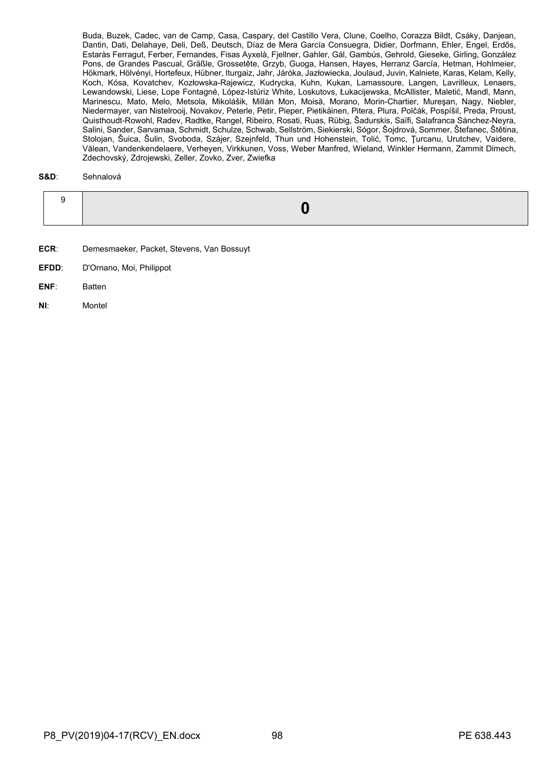Buda, Buzek, Cadec, van de Camp, Casa, Caspary, del Castillo Vera, Clune, Coelho, Corazza Bildt, Csáky, Danjean, Dantin, Dati, Delahaye, Deli, Deß, Deutsch, Díaz de Mera García Consuegra, Didier, Dorfmann, Ehler, Engel, Erdős, Estaràs Ferragut, Ferber, Fernandes, Fisas Ayxelà, Fjellner, Gahler, Gál, Gambús, Gehrold, Gieseke, Girling, González Pons, de Grandes Pascual, Gräßle, Grossetête, Grzyb, Guoga, Hansen, Hayes, Herranz García, Hetman, Hohlmeier, Hökmark, Hölvényi, Hortefeux, Hübner, Iturgaiz, Jahr, Járóka, Jazłowiecka, Joulaud, Juvin, Kalniete, Karas, Kelam, Kelly, Koch, Kósa, Kovatchev, Kozłowska-Rajewicz, Kudrycka, Kuhn, Kukan, Lamassoure, Langen, Lavrilleux, Lenaers, Lewandowski, Liese, Lope Fontagné, López-Istúriz White, Loskutovs, Łukacijewska, McAllister, Maletić, Mandl, Mann, Marinescu, Mato, Melo, Metsola, Mikolášik, Millán Mon, Moisă, Morano, Morin-Chartier, Mureşan, Nagy, Niebler, Niedermayer, van Nistelrooij, Novakov, Peterle, Petir, Pieper, Pietikäinen, Pitera, Plura, Polčák, Pospíšil, Preda, Proust, Quisthoudt-Rowohl, Radev, Radtke, Rangel, Ribeiro, Rosati, Ruas, Rübig, Šadurskis, Saïfi, Salafranca Sánchez-Neyra, Salini, Sander, Sarvamaa, Schmidt, Schulze, Schwab, Sellström, Siekierski, Sógor, Šojdrová, Sommer, Štefanec, Štětina, Stolojan, Šuica, Šulin, Svoboda, Szájer, Szejnfeld, Thun und Hohenstein, Tolić, Tomc, Ţurcanu, Urutchev, Vaidere, Vălean, Vandenkendelaere, Verheyen, Virkkunen, Voss, Weber Manfred, Wieland, Winkler Hermann, Zammit Dimech, Zdechovský, Zdrojewski, Zeller, Zovko, Zver, Zwiefka

## **S&D**: Sehnalová

- **ECR**: Demesmaeker, Packet, Stevens, Van Bossuyt
- **EFDD**: D'Ornano, Moi, Philippot
- **ENF**: Batten
- **NI**: Montel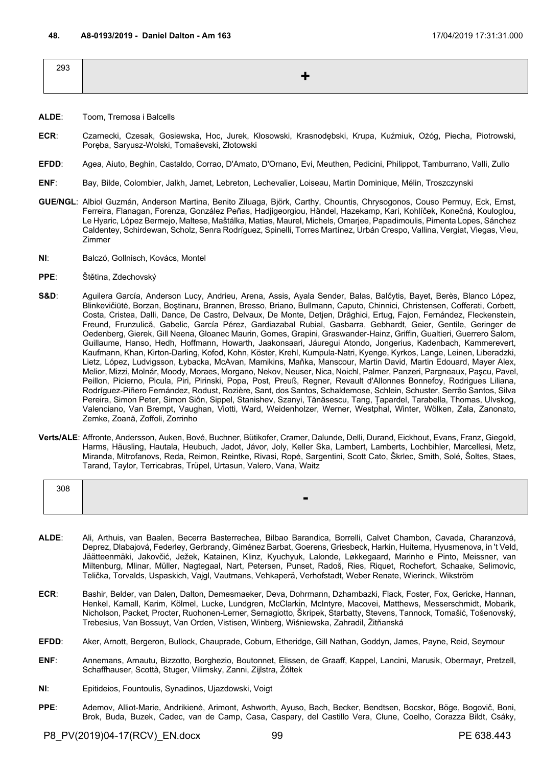| 293 |  |
|-----|--|
|     |  |
|     |  |

- **ALDE**: Toom, Tremosa i Balcells
- **ECR**: Czarnecki, Czesak, Gosiewska, Hoc, Jurek, Kłosowski, Krasnodębski, Krupa, Kuźmiuk, Ożóg, Piecha, Piotrowski, Poręba, Saryusz-Wolski, Tomaševski, Złotowski
- **EFDD**: Agea, Aiuto, Beghin, Castaldo, Corrao, D'Amato, D'Ornano, Evi, Meuthen, Pedicini, Philippot, Tamburrano, Valli, Zullo
- **ENF**: Bay, Bilde, Colombier, Jalkh, Jamet, Lebreton, Lechevalier, Loiseau, Martin Dominique, Mélin, Troszczynski
- **GUE/NGL**: Albiol Guzmán, Anderson Martina, Benito Ziluaga, Björk, Carthy, Chountis, Chrysogonos, Couso Permuy, Eck, Ernst, Ferreira, Flanagan, Forenza, González Peñas, Hadjigeorgiou, Händel, Hazekamp, Kari, Kohlíček, Konečná, Kouloglou, Le Hyaric, López Bermejo, Maltese, Maštálka, Matias, Maurel, Michels, Omarjee, Papadimoulis, Pimenta Lopes, Sánchez Caldentey, Schirdewan, Scholz, Senra Rodríguez, Spinelli, Torres Martínez, Urbán Crespo, Vallina, Vergiat, Viegas, Vieu, Zimmer
- **NI**: Balczó, Gollnisch, Kovács, Montel
- **PPE**: Štětina, Zdechovský
- S&D: Aguilera García, Anderson Lucy, Andrieu, Arena, Assis, Ayala Sender, Balas, Balčytis, Bayet, Berès, Blanco López, Blinkevičiūtė, Borzan, Boştinaru, Brannen, Bresso, Briano, Bullmann, Caputo, Chinnici, Christensen, Cofferati, Corbett, Costa, Cristea, Dalli, Dance, De Castro, Delvaux, De Monte, Detjen, Drăghici, Ertug, Fajon, Fernández, Fleckenstein, Freund, Frunzulică, Gabelic, García Pérez, Gardiazabal Rubial, Gasbarra, Gebhardt, Geier, Gentile, Geringer de Oedenberg, Gierek, Gill Neena, Gloanec Maurin, Gomes, Grapini, Graswander-Hainz, Griffin, Gualtieri, Guerrero Salom, Guillaume, Hanso, Hedh, Hoffmann, Howarth, Jaakonsaari, Jáuregui Atondo, Jongerius, Kadenbach, Kammerevert, Kaufmann, Khan, Kirton-Darling, Kofod, Kohn, Köster, Krehl, Kumpula-Natri, Kyenge, Kyrkos, Lange, Leinen, Liberadzki, Lietz, López, Ludvigsson, Łybacka, McAvan, Mamikins, Maňka, Manscour, Martin David, Martin Edouard, Mayer Alex, Melior, Mizzi, Molnár, Moody, Moraes, Morgano, Nekov, Neuser, Nica, Noichl, Palmer, Panzeri, Pargneaux, Paşcu, Pavel, Peillon, Picierno, Picula, Piri, Pirinski, Popa, Post, Preuß, Regner, Revault d'Allonnes Bonnefoy, Rodrigues Liliana, Rodríguez-Piñero Fernández, Rodust, Rozière, Sant, dos Santos, Schaldemose, Schlein, Schuster, Serrão Santos, Silva Pereira, Simon Peter, Simon Siôn, Sippel, Stanishev, Szanyi, Tănăsescu, Tang, Țapardel, Tarabella, Thomas, Ulvskog, Valenciano, Van Brempt, Vaughan, Viotti, Ward, Weidenholzer, Werner, Westphal, Winter, Wölken, Zala, Zanonato, Zemke, Zoană, Zoffoli, Zorrinho
- **Verts/ALE**: Affronte, Andersson, Auken, Bové, Buchner, Bütikofer, Cramer, Dalunde, Delli, Durand, Eickhout, Evans, Franz, Giegold, Harms, Häusling, Hautala, Heubuch, Jadot, Jávor, Joly, Keller Ska, Lambert, Lamberts, Lochbihler, Marcellesi, Metz, Miranda, Mitrofanovs, Reda, Reimon, Reintke, Rivasi, Ropė, Sargentini, Scott Cato, Škrlec, Smith, Solé, Šoltes, Staes, Tarand, Taylor, Terricabras, Trüpel, Urtasun, Valero, Vana, Waitz

| 308 |                |
|-----|----------------|
|     | $\blacksquare$ |
|     |                |

- **ALDE**: Ali, Arthuis, van Baalen, Becerra Basterrechea, Bilbao Barandica, Borrelli, Calvet Chambon, Cavada, Charanzová, Deprez, Dlabajová, Federley, Gerbrandy, Giménez Barbat, Goerens, Griesbeck, Harkin, Huitema, Hyusmenova, in 't Veld, Jäätteenmäki, Jakovčić, Ježek, Katainen, Klinz, Kyuchyuk, Lalonde, Løkkegaard, Marinho e Pinto, Meissner, van Miltenburg, Mlinar, Müller, Nagtegaal, Nart, Petersen, Punset, Radoš, Ries, Riquet, Rochefort, Schaake, Selimovic, Telička, Torvalds, Uspaskich, Vajgl, Vautmans, Vehkaperä, Verhofstadt, Weber Renate, Wierinck, Wikström
- **ECR**: Bashir, Belder, van Dalen, Dalton, Demesmaeker, Deva, Dohrmann, Dzhambazki, Flack, Foster, Fox, Gericke, Hannan, Henkel, Kamall, Karim, Kölmel, Lucke, Lundgren, McClarkin, McIntyre, Macovei, Matthews, Messerschmidt, Mobarik, Nicholson, Packet, Procter, Ruohonen-Lerner, Sernagiotto, Škripek, Starbatty, Stevens, Tannock, Tomašić, Tošenovský, Trebesius, Van Bossuyt, Van Orden, Vistisen, Winberg, Wiśniewska, Zahradil, Žitňanská
- **EFDD**: Aker, Arnott, Bergeron, Bullock, Chauprade, Coburn, Etheridge, Gill Nathan, Goddyn, James, Payne, Reid, Seymour
- **ENF**: Annemans, Arnautu, Bizzotto, Borghezio, Boutonnet, Elissen, de Graaff, Kappel, Lancini, Marusik, Obermayr, Pretzell, Schaffhauser, Scottà, Stuger, Vilimsky, Zanni, Zijlstra, Żółtek
- **NI**: Epitideios, Fountoulis, Synadinos, Ujazdowski, Voigt
- **PPE**: Ademov, Alliot-Marie, Andrikienė, Arimont, Ashworth, Ayuso, Bach, Becker, Bendtsen, Bocskor, Böge, Bogovič, Boni, Brok, Buda, Buzek, Cadec, van de Camp, Casa, Caspary, del Castillo Vera, Clune, Coelho, Corazza Bildt, Csáky,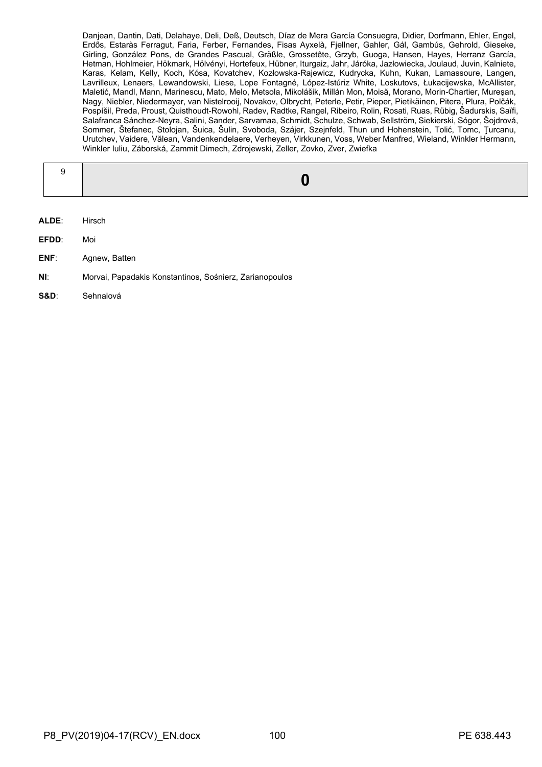Danjean, Dantin, Dati, Delahaye, Deli, Deß, Deutsch, Díaz de Mera García Consuegra, Didier, Dorfmann, Ehler, Engel, Erdős, Estaràs Ferragut, Faria, Ferber, Fernandes, Fisas Ayxelà, Fjellner, Gahler, Gál, Gambús, Gehrold, Gieseke, Girling, González Pons, de Grandes Pascual, Gräßle, Grossetête, Grzyb, Guoga, Hansen, Hayes, Herranz García, Hetman, Hohlmeier, Hökmark, Hölvényi, Hortefeux, Hübner, Iturgaiz, Jahr, Járóka, Jazłowiecka, Joulaud, Juvin, Kalniete, Karas, Kelam, Kelly, Koch, Kósa, Kovatchev, Kozłowska-Rajewicz, Kudrycka, Kuhn, Kukan, Lamassoure, Langen, Lavrilleux, Lenaers, Lewandowski, Liese, Lope Fontagné, López-Istúriz White, Loskutovs, Łukacijewska, McAllister, Maletić, Mandl, Mann, Marinescu, Mato, Melo, Metsola, Mikolášik, Millán Mon, Moisă, Morano, Morin-Chartier, Mureşan, Nagy, Niebler, Niedermayer, van Nistelrooij, Novakov, Olbrycht, Peterle, Petir, Pieper, Pietikäinen, Pitera, Plura, Polčák, Pospíšil, Preda, Proust, Quisthoudt-Rowohl, Radev, Radtke, Rangel, Ribeiro, Rolin, Rosati, Ruas, Rübig, Šadurskis, Saïfi, Salafranca Sánchez-Neyra, Salini, Sander, Sarvamaa, Schmidt, Schulze, Schwab, Sellström, Siekierski, Sógor, Šojdrová, Sommer, Štefanec, Stolojan, Šuica, Šulin, Svoboda, Szájer, Szejnfeld, Thun und Hohenstein, Tolić, Tomc, Ţurcanu, Urutchev, Vaidere, Vălean, Vandenkendelaere, Verheyen, Virkkunen, Voss, Weber Manfred, Wieland, Winkler Hermann, Winkler Iuliu, Záborská, Zammit Dimech, Zdrojewski, Zeller, Zovko, Zver, Zwiefka

- **ALDE**: Hirsch
- **EFDD**: Moi
- **ENF**: Agnew, Batten
- **NI**: Morvai, Papadakis Konstantinos, Sośnierz, Zarianopoulos
- **S&D**: Sehnalová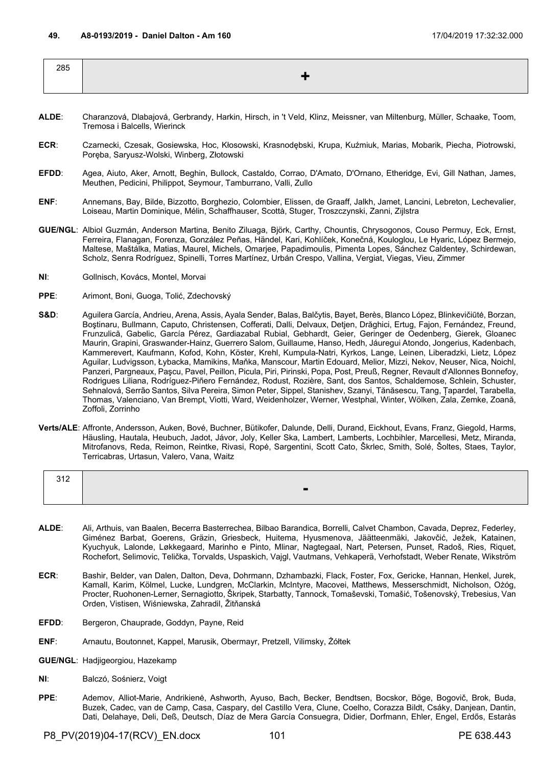- **ALDE**: Charanzová, Dlabajová, Gerbrandy, Harkin, Hirsch, in 't Veld, Klinz, Meissner, van Miltenburg, Müller, Schaake, Toom, Tremosa i Balcells, Wierinck
- **ECR**: Czarnecki, Czesak, Gosiewska, Hoc, Kłosowski, Krasnodębski, Krupa, Kuźmiuk, Marias, Mobarik, Piecha, Piotrowski, Poręba, Saryusz-Wolski, Winberg, Złotowski
- **EFDD**: Agea, Aiuto, Aker, Arnott, Beghin, Bullock, Castaldo, Corrao, D'Amato, D'Ornano, Etheridge, Evi, Gill Nathan, James, Meuthen, Pedicini, Philippot, Seymour, Tamburrano, Valli, Zullo
- **ENF**: Annemans, Bay, Bilde, Bizzotto, Borghezio, Colombier, Elissen, de Graaff, Jalkh, Jamet, Lancini, Lebreton, Lechevalier, Loiseau, Martin Dominique, Mélin, Schaffhauser, Scottà, Stuger, Troszczynski, Zanni, Zijlstra
- **GUE/NGL**: Albiol Guzmán, Anderson Martina, Benito Ziluaga, Björk, Carthy, Chountis, Chrysogonos, Couso Permuy, Eck, Ernst, Ferreira, Flanagan, Forenza, González Peñas, Händel, Kari, Kohlíček, Konečná, Kouloglou, Le Hyaric, López Bermejo, Maltese, Maštálka, Matias, Maurel, Michels, Omarjee, Papadimoulis, Pimenta Lopes, Sánchez Caldentey, Schirdewan, Scholz, Senra Rodríguez, Spinelli, Torres Martínez, Urbán Crespo, Vallina, Vergiat, Viegas, Vieu, Zimmer
- **NI**: Gollnisch, Kovács, Montel, Morvai
- **PPE**: Arimont, Boni, Guoga, Tolić, Zdechovský
- S&D: Aguilera García, Andrieu, Arena, Assis, Ayala Sender, Balas, Balčytis, Bayet, Berès, Blanco López, Blinkevičiūtė, Borzan, Boştinaru, Bullmann, Caputo, Christensen, Cofferati, Dalli, Delvaux, Detjen, Drăghici, Ertug, Fajon, Fernández, Freund, Frunzulică, Gabelic, García Pérez, Gardiazabal Rubial, Gebhardt, Geier, Geringer de Oedenberg, Gierek, Gloanec Maurin, Grapini, Graswander-Hainz, Guerrero Salom, Guillaume, Hanso, Hedh, Jáuregui Atondo, Jongerius, Kadenbach, Kammerevert, Kaufmann, Kofod, Kohn, Köster, Krehl, Kumpula-Natri, Kyrkos, Lange, Leinen, Liberadzki, Lietz, López Aguilar, Ludvigsson, Łybacka, Mamikins, Maňka, Manscour, Martin Edouard, Melior, Mizzi, Nekov, Neuser, Nica, Noichl, Panzeri, Pargneaux, Paşcu, Pavel, Peillon, Picula, Piri, Pirinski, Popa, Post, Preuß, Regner, Revault d'Allonnes Bonnefoy, Rodrigues Liliana, Rodríguez-Piñero Fernández, Rodust, Rozière, Sant, dos Santos, Schaldemose, Schlein, Schuster, Sehnalová, Serrão Santos, Silva Pereira, Simon Peter, Sippel, Stanishev, Szanyi, Tănăsescu, Tang, Țapardel, Tarabella, Thomas, Valenciano, Van Brempt, Viotti, Ward, Weidenholzer, Werner, Westphal, Winter, Wölken, Zala, Zemke, Zoană, Zoffoli, Zorrinho
- **Verts/ALE**: Affronte, Andersson, Auken, Bové, Buchner, Bütikofer, Dalunde, Delli, Durand, Eickhout, Evans, Franz, Giegold, Harms, Häusling, Hautala, Heubuch, Jadot, Jávor, Joly, Keller Ska, Lambert, Lamberts, Lochbihler, Marcellesi, Metz, Miranda, Mitrofanovs, Reda, Reimon, Reintke, Rivasi, Ropė, Sargentini, Scott Cato, Škrlec, Smith, Solé, Šoltes, Staes, Taylor, Terricabras, Urtasun, Valero, Vana, Waitz

| 240<br>ے ا ت |                |  |
|--------------|----------------|--|
|              | $\blacksquare$ |  |

- **ALDE**: Ali, Arthuis, van Baalen, Becerra Basterrechea, Bilbao Barandica, Borrelli, Calvet Chambon, Cavada, Deprez, Federley, Giménez Barbat, Goerens, Gräzin, Griesbeck, Huitema, Hyusmenova, Jäätteenmäki, Jakovčić, Ježek, Katainen, Kyuchyuk, Lalonde, Løkkegaard, Marinho e Pinto, Mlinar, Nagtegaal, Nart, Petersen, Punset, Radoš, Ries, Riquet, Rochefort, Selimovic, Telička, Torvalds, Uspaskich, Vajgl, Vautmans, Vehkaperä, Verhofstadt, Weber Renate, Wikström
- **ECR**: Bashir, Belder, van Dalen, Dalton, Deva, Dohrmann, Dzhambazki, Flack, Foster, Fox, Gericke, Hannan, Henkel, Jurek, Kamall, Karim, Kölmel, Lucke, Lundgren, McClarkin, McIntyre, Macovei, Matthews, Messerschmidt, Nicholson, Ożóg, Procter, Ruohonen-Lerner, Sernagiotto, Škripek, Starbatty, Tannock, Tomaševski, Tomašić, Tošenovský, Trebesius, Van Orden, Vistisen, Wiśniewska, Zahradil, Žitňanská
- **EFDD**: Bergeron, Chauprade, Goddyn, Payne, Reid
- **ENF**: Arnautu, Boutonnet, Kappel, Marusik, Obermayr, Pretzell, Vilimsky, Żółtek
- **GUE/NGL**: Hadjigeorgiou, Hazekamp
- **NI**: Balczó, Sośnierz, Voigt
- **PPE**: Ademov, Alliot-Marie, Andrikienė, Ashworth, Ayuso, Bach, Becker, Bendtsen, Bocskor, Böge, Bogovič, Brok, Buda, Buzek, Cadec, van de Camp, Casa, Caspary, del Castillo Vera, Clune, Coelho, Corazza Bildt, Csáky, Danjean, Dantin, Dati, Delahaye, Deli, Deß, Deutsch, Díaz de Mera García Consuegra, Didier, Dorfmann, Ehler, Engel, Erdős, Estaràs

P8\_PV(2019)04-17(RCV)\_EN.docx 101 101 PE 638.443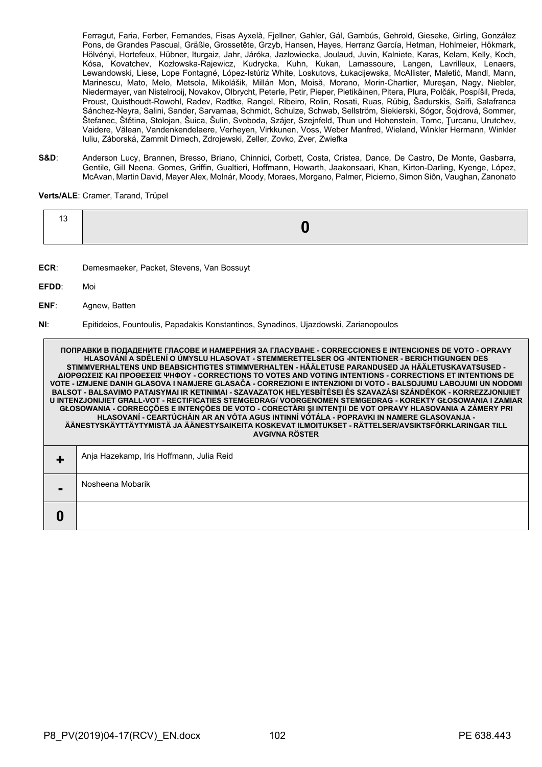Ferragut, Faria, Ferber, Fernandes, Fisas Ayxelà, Fjellner, Gahler, Gál, Gambús, Gehrold, Gieseke, Girling, González Pons, de Grandes Pascual, Gräßle, Grossetête, Grzyb, Hansen, Hayes, Herranz García, Hetman, Hohlmeier, Hökmark, Hölvényi, Hortefeux, Hübner, Iturgaiz, Jahr, Járóka, Jazłowiecka, Joulaud, Juvin, Kalniete, Karas, Kelam, Kelly, Koch, Kósa, Kovatchev, Kozłowska-Rajewicz, Kudrycka, Kuhn, Kukan, Lamassoure, Langen, Lavrilleux, Lenaers, Lewandowski, Liese, Lope Fontagné, López-Istúriz White, Loskutovs, Łukacijewska, McAllister, Maletić, Mandl, Mann, Marinescu, Mato, Melo, Metsola, Mikolášik, Millán Mon, Moisă, Morano, Morin-Chartier, Mureşan, Nagy, Niebler, Niedermayer, van Nistelrooij, Novakov, Olbrycht, Peterle, Petir, Pieper, Pietikäinen, Pitera, Plura, Polčák, Pospíšil, Preda, Proust, Quisthoudt-Rowohl, Radev, Radtke, Rangel, Ribeiro, Rolin, Rosati, Ruas, Rübig, Šadurskis, Saïfi, Salafranca Sánchez-Neyra, Salini, Sander, Sarvamaa, Schmidt, Schulze, Schwab, Sellström, Siekierski, Sógor, Šojdrová, Sommer, Štefanec, Štětina, Stolojan, Šuica, Šulin, Svoboda, Szájer, Szejnfeld, Thun und Hohenstein, Tomc, Ţurcanu, Urutchev, Vaidere, Vălean, Vandenkendelaere, Verheyen, Virkkunen, Voss, Weber Manfred, Wieland, Winkler Hermann, Winkler Iuliu, Záborská, Zammit Dimech, Zdrojewski, Zeller, Zovko, Zver, Zwiefka

**S&D**: Anderson Lucy, Brannen, Bresso, Briano, Chinnici, Corbett, Costa, Cristea, Dance, De Castro, De Monte, Gasbarra, Gentile, Gill Neena, Gomes, Griffin, Gualtieri, Hoffmann, Howarth, Jaakonsaari, Khan, Kirton-Darling, Kyenge, López, McAvan, Martin David, Mayer Alex, Molnár, Moody, Moraes, Morgano, Palmer, Picierno, Simon Siôn, Vaughan, Zanonato

**Verts/ALE**: Cramer, Tarand, Trüpel

|--|

- **ECR**: Demesmaeker, Packet, Stevens, Van Bossuyt
- **EFDD**: Moi
- **ENF**: Agnew, Batten

**NI**: Epitideios, Fountoulis, Papadakis Konstantinos, Synadinos, Ujazdowski, Zarianopoulos

**ПОПРАВКИ В ПОДАДЕНИТЕ ГЛАСОВЕ И НАМЕРЕНИЯ ЗА ГЛАСУВАНЕ - CORRECCIONES E INTENCIONES DE VOTO - OPRAVY HLASOVÁNÍ A SDĚLENÍ O ÚMYSLU HLASOVAT - STEMMERETTELSER OG -INTENTIONER - BERICHTIGUNGEN DES STIMMVERHALTENS UND BEABSICHTIGTES STIMMVERHALTEN - HÄÄLETUSE PARANDUSED JA HÄÄLETUSKAVATSUSED - ΔΙΟΡΘΩΣΕΙΣ ΚΑΙ ΠΡΟΘΕΣΕΙΣ ΨΗΦΟΥ - CORRECTIONS TO VOTES AND VOTING INTENTIONS - CORRECTIONS ET INTENTIONS DE VOTE - IZMJENE DANIH GLASOVA I NAMJERE GLASAČA - CORREZIONI E INTENZIONI DI VOTO - BALSOJUMU LABOJUMI UN NODOMI BALSOT - BALSAVIMO PATAISYMAI IR KETINIMAI - SZAVAZATOK HELYESBÍTÉSEI ÉS SZAVAZÁSI SZÁNDÉKOK - KORREZZJONIJIET U INTENZJONIJIET GĦALL-VOT - RECTIFICATIES STEMGEDRAG/ VOORGENOMEN STEMGEDRAG - KOREKTY GŁOSOWANIA I ZAMIAR GŁOSOWANIA - CORRECÇÕES E INTENÇÕES DE VOTO - CORECTĂRI ŞI INTENŢII DE VOT OPRAVY HLASOVANIA A ZÁMERY PRI HLASOVANÍ - CEARTÚCHÁIN AR AN VÓTA AGUS INTINNÍ VÓTÁLA - POPRAVKI IN NAMERE GLASOVANJA - ÄÄNESTYSKÄYTTÄYTYMISTÄ JA ÄÄNESTYSAIKEITA KOSKEVAT ILMOITUKSET - RÄTTELSER/AVSIKTSFÖRKLARINGAR TILL AVGIVNA RÖSTER +** Anja Hazekamp, Iris Hoffmann, Julia Reid **-** Nosheena Mobarik **0**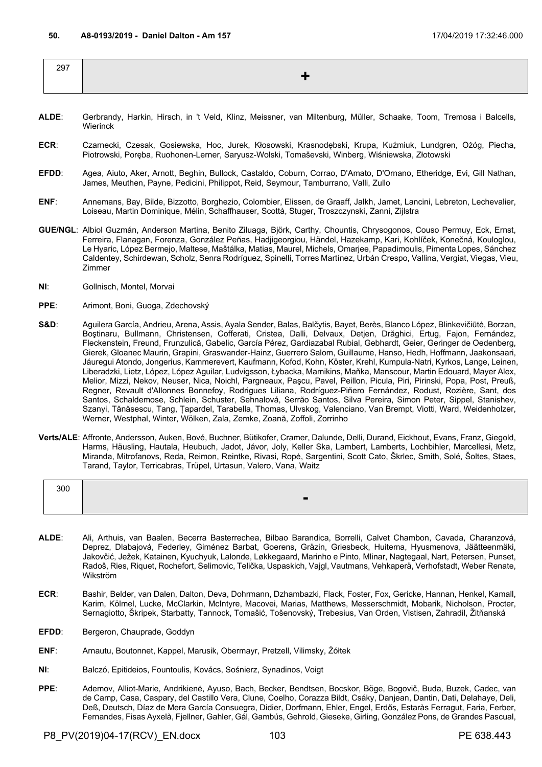| 297 |  |
|-----|--|
|     |  |

- **ALDE**: Gerbrandy, Harkin, Hirsch, in 't Veld, Klinz, Meissner, van Miltenburg, Müller, Schaake, Toom, Tremosa i Balcells, Wierinck
- **ECR**: Czarnecki, Czesak, Gosiewska, Hoc, Jurek, Kłosowski, Krasnodębski, Krupa, Kuźmiuk, Lundgren, Ożóg, Piecha, Piotrowski, Poręba, Ruohonen-Lerner, Saryusz-Wolski, Tomaševski, Winberg, Wiśniewska, Złotowski
- **EFDD**: Agea, Aiuto, Aker, Arnott, Beghin, Bullock, Castaldo, Coburn, Corrao, D'Amato, D'Ornano, Etheridge, Evi, Gill Nathan, James, Meuthen, Payne, Pedicini, Philippot, Reid, Seymour, Tamburrano, Valli, Zullo
- **ENF**: Annemans, Bay, Bilde, Bizzotto, Borghezio, Colombier, Elissen, de Graaff, Jalkh, Jamet, Lancini, Lebreton, Lechevalier, Loiseau, Martin Dominique, Mélin, Schaffhauser, Scottà, Stuger, Troszczynski, Zanni, Zijlstra
- **GUE/NGL**: Albiol Guzmán, Anderson Martina, Benito Ziluaga, Björk, Carthy, Chountis, Chrysogonos, Couso Permuy, Eck, Ernst, Ferreira, Flanagan, Forenza, González Peñas, Hadjigeorgiou, Händel, Hazekamp, Kari, Kohlíček, Konečná, Kouloglou, Le Hyaric, López Bermejo, Maltese, Maštálka, Matias, Maurel, Michels, Omarjee, Papadimoulis, Pimenta Lopes, Sánchez Caldentey, Schirdewan, Scholz, Senra Rodríguez, Spinelli, Torres Martínez, Urbán Crespo, Vallina, Vergiat, Viegas, Vieu, Zimmer
- **NI**: Gollnisch, Montel, Morvai
- **PPE**: Arimont, Boni, Guoga, Zdechovský
- S&D: Aguilera García, Andrieu, Arena, Assis, Ayala Sender, Balas, Balčytis, Bayet, Berès, Blanco López, Blinkevičiūtė, Borzan, Boştinaru, Bullmann, Christensen, Cofferati, Cristea, Dalli, Delvaux, Detjen, Drăghici, Ertug, Fajon, Fernández, Fleckenstein, Freund, Frunzulică, Gabelic, García Pérez, Gardiazabal Rubial, Gebhardt, Geier, Geringer de Oedenberg, Gierek, Gloanec Maurin, Grapini, Graswander-Hainz, Guerrero Salom, Guillaume, Hanso, Hedh, Hoffmann, Jaakonsaari, Jáuregui Atondo, Jongerius, Kammerevert, Kaufmann, Kofod, Kohn, Köster, Krehl, Kumpula-Natri, Kyrkos, Lange, Leinen, Liberadzki, Lietz, López, López Aguilar, Ludvigsson, Łybacka, Mamikins, Maňka, Manscour, Martin Edouard, Mayer Alex, Melior, Mizzi, Nekov, Neuser, Nica, Noichl, Pargneaux, Paşcu, Pavel, Peillon, Picula, Piri, Pirinski, Popa, Post, Preuß, Regner, Revault d'Allonnes Bonnefoy, Rodrigues Liliana, Rodríguez-Piñero Fernández, Rodust, Rozière, Sant, dos Santos, Schaldemose, Schlein, Schuster, Sehnalová, Serrão Santos, Silva Pereira, Simon Peter, Sippel, Stanishev, Szanyi, Tănăsescu, Tang, Țapardel, Tarabella, Thomas, Ulvskog, Valenciano, Van Brempt, Viotti, Ward, Weidenholzer, Werner, Westphal, Winter, Wölken, Zala, Zemke, Zoană, Zoffoli, Zorrinho
- **Verts/ALE**: Affronte, Andersson, Auken, Bové, Buchner, Bütikofer, Cramer, Dalunde, Delli, Durand, Eickhout, Evans, Franz, Giegold, Harms, Häusling, Hautala, Heubuch, Jadot, Jávor, Joly, Keller Ska, Lambert, Lamberts, Lochbihler, Marcellesi, Metz, Miranda, Mitrofanovs, Reda, Reimon, Reintke, Rivasi, Ropė, Sargentini, Scott Cato, Škrlec, Smith, Solé, Šoltes, Staes, Tarand, Taylor, Terricabras, Trüpel, Urtasun, Valero, Vana, Waitz

| 300 |                |
|-----|----------------|
|     | $\blacksquare$ |
|     |                |

- **ALDE**: Ali, Arthuis, van Baalen, Becerra Basterrechea, Bilbao Barandica, Borrelli, Calvet Chambon, Cavada, Charanzová, Deprez, Dlabajová, Federley, Giménez Barbat, Goerens, Gräzin, Griesbeck, Huitema, Hyusmenova, Jäätteenmäki, Jakovčić, Ježek, Katainen, Kyuchyuk, Lalonde, Løkkegaard, Marinho e Pinto, Mlinar, Nagtegaal, Nart, Petersen, Punset, Radoš, Ries, Riquet, Rochefort, Selimovic, Telička, Uspaskich, Vajgl, Vautmans, Vehkaperä, Verhofstadt, Weber Renate, Wikström
- **ECR**: Bashir, Belder, van Dalen, Dalton, Deva, Dohrmann, Dzhambazki, Flack, Foster, Fox, Gericke, Hannan, Henkel, Kamall, Karim, Kölmel, Lucke, McClarkin, McIntyre, Macovei, Marias, Matthews, Messerschmidt, Mobarik, Nicholson, Procter, Sernagiotto, Škripek, Starbatty, Tannock, Tomašić, Tošenovský, Trebesius, Van Orden, Vistisen, Zahradil, Žitňanská
- EFDD: Bergeron, Chauprade, Goddyn
- **ENF**: Arnautu, Boutonnet, Kappel, Marusik, Obermayr, Pretzell, Vilimsky, Żółtek
- **NI**: Balczó, Epitideios, Fountoulis, Kovács, Sośnierz, Synadinos, Voigt
- **PPE**: Ademov, Alliot-Marie, Andrikienė, Ayuso, Bach, Becker, Bendtsen, Bocskor, Böge, Bogovič, Buda, Buzek, Cadec, van de Camp, Casa, Caspary, del Castillo Vera, Clune, Coelho, Corazza Bildt, Csáky, Danjean, Dantin, Dati, Delahaye, Deli, Deß, Deutsch, Díaz de Mera García Consuegra, Didier, Dorfmann, Ehler, Engel, Erdős, Estaràs Ferragut, Faria, Ferber, Fernandes, Fisas Ayxelà, Fjellner, Gahler, Gál, Gambús, Gehrold, Gieseke, Girling, González Pons, de Grandes Pascual,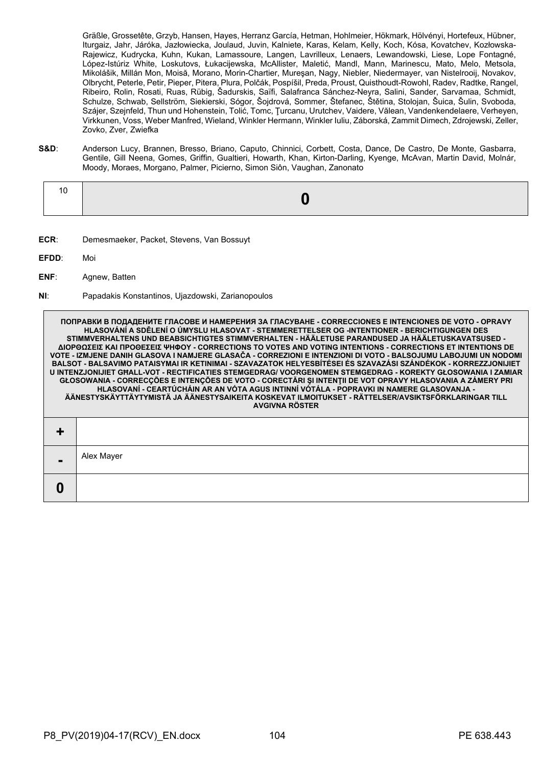Gräßle, Grossetête, Grzyb, Hansen, Hayes, Herranz García, Hetman, Hohlmeier, Hökmark, Hölvényi, Hortefeux, Hübner, Iturgaiz, Jahr, Járóka, Jazłowiecka, Joulaud, Juvin, Kalniete, Karas, Kelam, Kelly, Koch, Kósa, Kovatchev, Kozłowska-Rajewicz, Kudrycka, Kuhn, Kukan, Lamassoure, Langen, Lavrilleux, Lenaers, Lewandowski, Liese, Lope Fontagné, López-Istúriz White, Loskutovs, Łukacijewska, McAllister, Maletić, Mandl, Mann, Marinescu, Mato, Melo, Metsola, Mikolášik, Millán Mon, Moisă, Morano, Morin-Chartier, Mureşan, Nagy, Niebler, Niedermayer, van Nistelrooij, Novakov, Olbrycht, Peterle, Petir, Pieper, Pitera, Plura, Polčák, Pospíšil, Preda, Proust, Quisthoudt-Rowohl, Radev, Radtke, Rangel, Ribeiro, Rolin, Rosati, Ruas, Rübig, Šadurskis, Saïfi, Salafranca Sánchez-Neyra, Salini, Sander, Sarvamaa, Schmidt, Schulze, Schwab, Sellström, Siekierski, Sógor, Šojdrová, Sommer, Štefanec, Štětina, Stolojan, Šuica, Šulin, Svoboda, Szájer, Szejnfeld, Thun und Hohenstein, Tolić, Tomc, Ţurcanu, Urutchev, Vaidere, Vălean, Vandenkendelaere, Verheyen, Virkkunen, Voss, Weber Manfred, Wieland, Winkler Hermann, Winkler Iuliu, Záborská, Zammit Dimech, Zdrojewski, Zeller, Zovko, Zver, Zwiefka

**S&D**: Anderson Lucy, Brannen, Bresso, Briano, Caputo, Chinnici, Corbett, Costa, Dance, De Castro, De Monte, Gasbarra, Gentile, Gill Neena, Gomes, Griffin, Gualtieri, Howarth, Khan, Kirton-Darling, Kyenge, McAvan, Martin David, Molnár, Moody, Moraes, Morgano, Palmer, Picierno, Simon Siôn, Vaughan, Zanonato

|--|--|

- **ECR**: Demesmaeker, Packet, Stevens, Van Bossuyt
- **EFDD**: Moi

**0**

- **ENF**: Agnew, Batten
- **NI**: Papadakis Konstantinos, Ujazdowski, Zarianopoulos

**ПОПРАВКИ В ПОДАДЕНИТЕ ГЛАСОВЕ И НАМЕРЕНИЯ ЗА ГЛАСУВАНЕ - CORRECCIONES E INTENCIONES DE VOTO - OPRAVY HLASOVÁNÍ A SDĚLENÍ O ÚMYSLU HLASOVAT - STEMMERETTELSER OG -INTENTIONER - BERICHTIGUNGEN DES STIMMVERHALTENS UND BEABSICHTIGTES STIMMVERHALTEN - HÄÄLETUSE PARANDUSED JA HÄÄLETUSKAVATSUSED - ΔΙΟΡΘΩΣΕΙΣ ΚΑΙ ΠΡΟΘΕΣΕΙΣ ΨΗΦΟΥ - CORRECTIONS TO VOTES AND VOTING INTENTIONS - CORRECTIONS ET INTENTIONS DE VOTE - IZMJENE DANIH GLASOVA I NAMJERE GLASAČA - CORREZIONI E INTENZIONI DI VOTO - BALSOJUMU LABOJUMI UN NODOMI BALSOT - BALSAVIMO PATAISYMAI IR KETINIMAI - SZAVAZATOK HELYESBÍTÉSEI ÉS SZAVAZÁSI SZÁNDÉKOK - KORREZZJONIJIET U INTENZJONIJIET GĦALL-VOT - RECTIFICATIES STEMGEDRAG/ VOORGENOMEN STEMGEDRAG - KOREKTY GŁOSOWANIA I ZAMIAR GŁOSOWANIA - CORRECÇÕES E INTENÇÕES DE VOTO - CORECTĂRI ŞI INTENŢII DE VOT OPRAVY HLASOVANIA A ZÁMERY PRI HLASOVANÍ - CEARTÚCHÁIN AR AN VÓTA AGUS INTINNÍ VÓTÁLA - POPRAVKI IN NAMERE GLASOVANJA - ÄÄNESTYSKÄYTTÄYTYMISTÄ JA ÄÄNESTYSAIKEITA KOSKEVAT ILMOITUKSET - RÄTTELSER/AVSIKTSFÖRKLARINGAR TILL AVGIVNA RÖSTER + -** Alex Mayer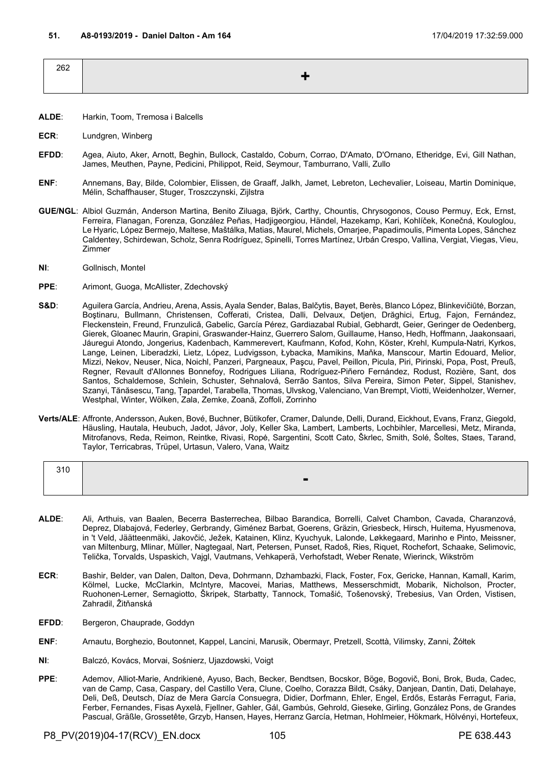| 262 |  |
|-----|--|
|     |  |
|     |  |

- **ALDE**: Harkin, Toom, Tremosa i Balcells
- **ECR**: Lundgren, Winberg
- **EFDD**: Agea, Aiuto, Aker, Arnott, Beghin, Bullock, Castaldo, Coburn, Corrao, D'Amato, D'Ornano, Etheridge, Evi, Gill Nathan, James, Meuthen, Payne, Pedicini, Philippot, Reid, Seymour, Tamburrano, Valli, Zullo
- **ENF**: Annemans, Bay, Bilde, Colombier, Elissen, de Graaff, Jalkh, Jamet, Lebreton, Lechevalier, Loiseau, Martin Dominique, Mélin, Schaffhauser, Stuger, Troszczynski, Zijlstra
- **GUE/NGL**: Albiol Guzmán, Anderson Martina, Benito Ziluaga, Björk, Carthy, Chountis, Chrysogonos, Couso Permuy, Eck, Ernst, Ferreira, Flanagan, Forenza, González Peñas, Hadjigeorgiou, Händel, Hazekamp, Kari, Kohlíček, Konečná, Kouloglou, Le Hyaric, López Bermejo, Maltese, Maštálka, Matias, Maurel, Michels, Omarjee, Papadimoulis, Pimenta Lopes, Sánchez Caldentey, Schirdewan, Scholz, Senra Rodríguez, Spinelli, Torres Martínez, Urbán Crespo, Vallina, Vergiat, Viegas, Vieu, Zimmer
- **NI**: Gollnisch, Montel
- **PPE**: Arimont, Guoga, McAllister, Zdechovský
- S&D: Aguilera García, Andrieu, Arena, Assis, Ayala Sender, Balas, Balčytis, Bayet, Berès, Blanco López, Blinkevičiūtė, Borzan, Bostinaru, Bullmann, Christensen, Cofferati, Cristea, Dalli, Delvaux, Detjen, Drăghici, Ertug, Fajon, Fernández, Fleckenstein, Freund, Frunzulică, Gabelic, García Pérez, Gardiazabal Rubial, Gebhardt, Geier, Geringer de Oedenberg, Gierek, Gloanec Maurin, Grapini, Graswander-Hainz, Guerrero Salom, Guillaume, Hanso, Hedh, Hoffmann, Jaakonsaari, Jáuregui Atondo, Jongerius, Kadenbach, Kammerevert, Kaufmann, Kofod, Kohn, Köster, Krehl, Kumpula-Natri, Kyrkos, Lange, Leinen, Liberadzki, Lietz, López, Ludvigsson, Łybacka, Mamikins, Maňka, Manscour, Martin Edouard, Melior, Mizzi, Nekov, Neuser, Nica, Noichl, Panzeri, Pargneaux, Paşcu, Pavel, Peillon, Picula, Piri, Pirinski, Popa, Post, Preuß, Regner, Revault d'Allonnes Bonnefoy, Rodrigues Liliana, Rodríguez-Piñero Fernández, Rodust, Rozière, Sant, dos Santos, Schaldemose, Schlein, Schuster, Sehnalová, Serrão Santos, Silva Pereira, Simon Peter, Sippel, Stanishev, Szanyi, Tănăsescu, Tang, Țapardel, Tarabella, Thomas, Ulvskog, Valenciano, Van Brempt, Viotti, Weidenholzer, Werner, Westphal, Winter, Wölken, Zala, Zemke, Zoană, Zoffoli, Zorrinho
- **Verts/ALE**: Affronte, Andersson, Auken, Bové, Buchner, Bütikofer, Cramer, Dalunde, Delli, Durand, Eickhout, Evans, Franz, Giegold, Häusling, Hautala, Heubuch, Jadot, Jávor, Joly, Keller Ska, Lambert, Lamberts, Lochbihler, Marcellesi, Metz, Miranda, Mitrofanovs, Reda, Reimon, Reintke, Rivasi, Ropė, Sargentini, Scott Cato, Škrlec, Smith, Solé, Šoltes, Staes, Tarand, Taylor, Terricabras, Trüpel, Urtasun, Valero, Vana, Waitz

| $\sim$ . $\sim$<br>ں ر ب |  |
|--------------------------|--|
|                          |  |
|                          |  |

- **ALDE**: Ali, Arthuis, van Baalen, Becerra Basterrechea, Bilbao Barandica, Borrelli, Calvet Chambon, Cavada, Charanzová, Deprez, Dlabajová, Federley, Gerbrandy, Giménez Barbat, Goerens, Gräzin, Griesbeck, Hirsch, Huitema, Hyusmenova, in 't Veld, Jäätteenmäki, Jakovčić, Ježek, Katainen, Klinz, Kyuchyuk, Lalonde, Løkkegaard, Marinho e Pinto, Meissner, van Miltenburg, Mlinar, Müller, Nagtegaal, Nart, Petersen, Punset, Radoš, Ries, Riquet, Rochefort, Schaake, Selimovic, Telička, Torvalds, Uspaskich, Vajgl, Vautmans, Vehkaperä, Verhofstadt, Weber Renate, Wierinck, Wikström
- **ECR**: Bashir, Belder, van Dalen, Dalton, Deva, Dohrmann, Dzhambazki, Flack, Foster, Fox, Gericke, Hannan, Kamall, Karim, Kölmel, Lucke, McClarkin, McIntyre, Macovei, Marias, Matthews, Messerschmidt, Mobarik, Nicholson, Procter, Ruohonen-Lerner, Sernagiotto, Škripek, Starbatty, Tannock, Tomašić, Tošenovský, Trebesius, Van Orden, Vistisen, Zahradil, Žitňanská
- EFDD: Bergeron, Chauprade, Goddyn
- **ENF**: Arnautu, Borghezio, Boutonnet, Kappel, Lancini, Marusik, Obermayr, Pretzell, Scottà, Vilimsky, Zanni, Żółtek
- **NI**: Balczó, Kovács, Morvai, Sośnierz, Ujazdowski, Voigt
- **PPE**: Ademov, Alliot-Marie, Andrikienė, Ayuso, Bach, Becker, Bendtsen, Bocskor, Böge, Bogovič, Boni, Brok, Buda, Cadec, van de Camp, Casa, Caspary, del Castillo Vera, Clune, Coelho, Corazza Bildt, Csáky, Danjean, Dantin, Dati, Delahaye, Deli, Deß, Deutsch, Díaz de Mera García Consuegra, Didier, Dorfmann, Ehler, Engel, Erdős, Estaràs Ferragut, Faria, Ferber, Fernandes, Fisas Ayxelà, Fjellner, Gahler, Gál, Gambús, Gehrold, Gieseke, Girling, González Pons, de Grandes Pascual, Gräßle, Grossetête, Grzyb, Hansen, Hayes, Herranz García, Hetman, Hohlmeier, Hökmark, Hölvényi, Hortefeux,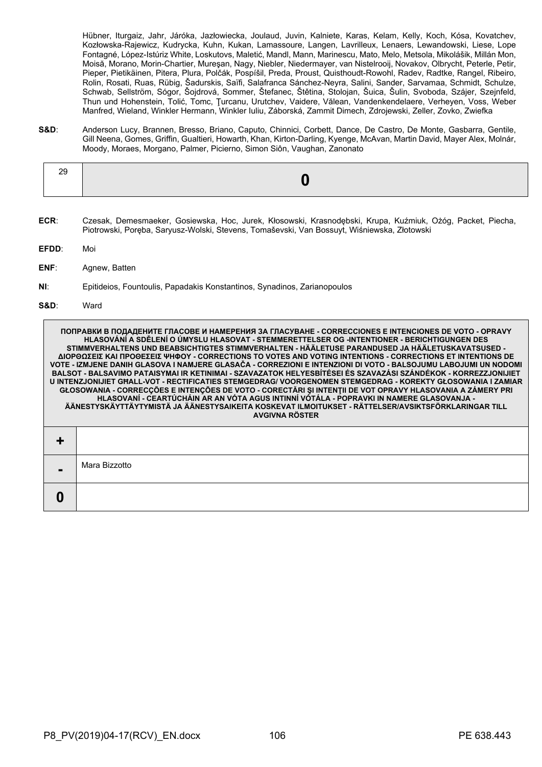Hübner, Iturgaiz, Jahr, Járóka, Jazłowiecka, Joulaud, Juvin, Kalniete, Karas, Kelam, Kelly, Koch, Kósa, Kovatchev, Kozłowska-Rajewicz, Kudrycka, Kuhn, Kukan, Lamassoure, Langen, Lavrilleux, Lenaers, Lewandowski, Liese, Lope Fontagné, López-Istúriz White, Loskutovs, Maletić, Mandl, Mann, Marinescu, Mato, Melo, Metsola, Mikolášik, Millán Mon, Moisă, Morano, Morin-Chartier, Mureşan, Nagy, Niebler, Niedermayer, van Nistelrooij, Novakov, Olbrycht, Peterle, Petir, Pieper, Pietikäinen, Pitera, Plura, Polčák, Pospíšil, Preda, Proust, Quisthoudt-Rowohl, Radev, Radtke, Rangel, Ribeiro, Rolin, Rosati, Ruas, Rübig, Šadurskis, Saïfi, Salafranca Sánchez-Neyra, Salini, Sander, Sarvamaa, Schmidt, Schulze, Schwab, Sellström, Sógor, Šojdrová, Sommer, Štefanec, Štětina, Stolojan, Šuica, Šulin, Svoboda, Szájer, Szejnfeld, Thun und Hohenstein, Tolić, Tomc, Ţurcanu, Urutchev, Vaidere, Vălean, Vandenkendelaere, Verheyen, Voss, Weber Manfred, Wieland, Winkler Hermann, Winkler Iuliu, Záborská, Zammit Dimech, Zdrojewski, Zeller, Zovko, Zwiefka

**S&D**: Anderson Lucy, Brannen, Bresso, Briano, Caputo, Chinnici, Corbett, Dance, De Castro, De Monte, Gasbarra, Gentile, Gill Neena, Gomes, Griffin, Gualtieri, Howarth, Khan, Kirton-Darling, Kyenge, McAvan, Martin David, Mayer Alex, Molnár, Moody, Moraes, Morgano, Palmer, Picierno, Simon Siôn, Vaughan, Zanonato

- **ECR**: Czesak, Demesmaeker, Gosiewska, Hoc, Jurek, Kłosowski, Krasnodębski, Krupa, Kuźmiuk, Ożóg, Packet, Piecha, Piotrowski, Poręba, Saryusz-Wolski, Stevens, Tomaševski, Van Bossuyt, Wiśniewska, Złotowski
- **EFDD**: Moi
- **ENF**: Agnew, Batten
- **NI**: Epitideios, Fountoulis, Papadakis Konstantinos, Synadinos, Zarianopoulos
- **S&D**: Ward

**0**

**ПОПРАВКИ В ПОДАДЕНИТЕ ГЛАСОВЕ И НАМЕРЕНИЯ ЗА ГЛАСУВАНЕ - CORRECCIONES E INTENCIONES DE VOTO - OPRAVY HLASOVÁNÍ A SDĚLENÍ O ÚMYSLU HLASOVAT - STEMMERETTELSER OG -INTENTIONER - BERICHTIGUNGEN DES STIMMVERHALTENS UND BEABSICHTIGTES STIMMVERHALTEN - HÄÄLETUSE PARANDUSED JA HÄÄLETUSKAVATSUSED - ΔΙΟΡΘΩΣΕΙΣ ΚΑΙ ΠΡΟΘΕΣΕΙΣ ΨΗΦΟΥ - CORRECTIONS TO VOTES AND VOTING INTENTIONS - CORRECTIONS ET INTENTIONS DE VOTE - IZMJENE DANIH GLASOVA I NAMJERE GLASAČA - CORREZIONI E INTENZIONI DI VOTO - BALSOJUMU LABOJUMI UN NODOMI BALSOT - BALSAVIMO PATAISYMAI IR KETINIMAI - SZAVAZATOK HELYESBÍTÉSEI ÉS SZAVAZÁSI SZÁNDÉKOK - KORREZZJONIJIET U INTENZJONIJIET GĦALL-VOT - RECTIFICATIES STEMGEDRAG/ VOORGENOMEN STEMGEDRAG - KOREKTY GŁOSOWANIA I ZAMIAR GŁOSOWANIA - CORRECÇÕES E INTENÇÕES DE VOTO - CORECTĂRI ŞI INTENŢII DE VOT OPRAVY HLASOVANIA A ZÁMERY PRI HLASOVANÍ - CEARTÚCHÁIN AR AN VÓTA AGUS INTINNÍ VÓTÁLA - POPRAVKI IN NAMERE GLASOVANJA - ÄÄNESTYSKÄYTTÄYTYMISTÄ JA ÄÄNESTYSAIKEITA KOSKEVAT ILMOITUKSET - RÄTTELSER/AVSIKTSFÖRKLARINGAR TILL AVGIVNA RÖSTER + -** Mara Bizzotto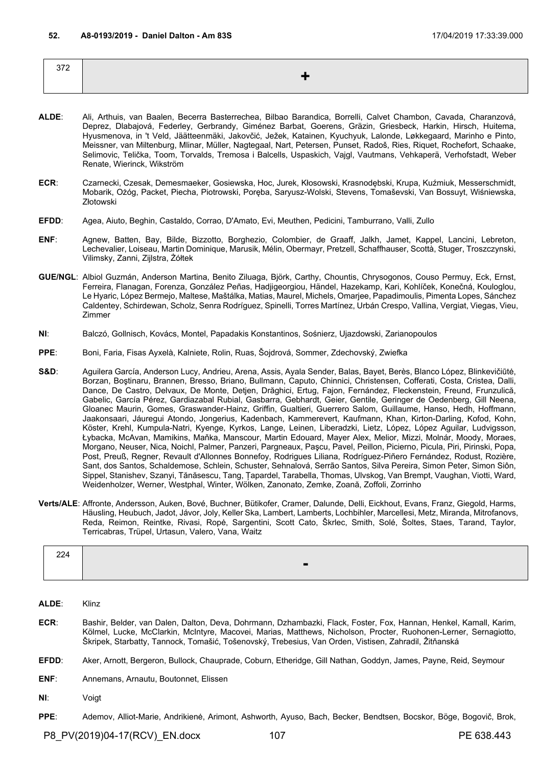| 372<br>ے بن |                                |
|-------------|--------------------------------|
|             | --<br>$\overline{\phantom{a}}$ |
|             |                                |

- **ALDE**: Ali, Arthuis, van Baalen, Becerra Basterrechea, Bilbao Barandica, Borrelli, Calvet Chambon, Cavada, Charanzová, Deprez, Dlabajová, Federley, Gerbrandy, Giménez Barbat, Goerens, Gräzin, Griesbeck, Harkin, Hirsch, Huitema, Hyusmenova, in 't Veld, Jäätteenmäki, Jakovčić, Ježek, Katainen, Kyuchyuk, Lalonde, Løkkegaard, Marinho e Pinto, Meissner, van Miltenburg, Mlinar, Müller, Nagtegaal, Nart, Petersen, Punset, Radoš, Ries, Riquet, Rochefort, Schaake, Selimovic, Telička, Toom, Torvalds, Tremosa i Balcells, Uspaskich, Vajgl, Vautmans, Vehkaperä, Verhofstadt, Weber Renate, Wierinck, Wikström
- **ECR**: Czarnecki, Czesak, Demesmaeker, Gosiewska, Hoc, Jurek, Kłosowski, Krasnodębski, Krupa, Kuźmiuk, Messerschmidt, Mobarik, Ożóg, Packet, Piecha, Piotrowski, Poręba, Saryusz-Wolski, Stevens, Tomaševski, Van Bossuyt, Wiśniewska, Złotowski
- **EFDD**: Agea, Aiuto, Beghin, Castaldo, Corrao, D'Amato, Evi, Meuthen, Pedicini, Tamburrano, Valli, Zullo
- **ENF**: Agnew, Batten, Bay, Bilde, Bizzotto, Borghezio, Colombier, de Graaff, Jalkh, Jamet, Kappel, Lancini, Lebreton, Lechevalier, Loiseau, Martin Dominique, Marusik, Mélin, Obermayr, Pretzell, Schaffhauser, Scottà, Stuger, Troszczynski, Vilimsky, Zanni, Zijlstra, Żółtek
- **GUE/NGL**: Albiol Guzmán, Anderson Martina, Benito Ziluaga, Björk, Carthy, Chountis, Chrysogonos, Couso Permuy, Eck, Ernst, Ferreira, Flanagan, Forenza, González Peñas, Hadjigeorgiou, Händel, Hazekamp, Kari, Kohlíček, Konečná, Kouloglou, Le Hyaric, López Bermejo, Maltese, Maštálka, Matias, Maurel, Michels, Omarjee, Papadimoulis, Pimenta Lopes, Sánchez Caldentey, Schirdewan, Scholz, Senra Rodríguez, Spinelli, Torres Martínez, Urbán Crespo, Vallina, Vergiat, Viegas, Vieu, Zimmer
- **NI**: Balczó, Gollnisch, Kovács, Montel, Papadakis Konstantinos, Sośnierz, Ujazdowski, Zarianopoulos
- **PPE**: Boni, Faria, Fisas Ayxelà, Kalniete, Rolin, Ruas, Šojdrová, Sommer, Zdechovský, Zwiefka
- **S&D**: Aguilera García, Anderson Lucy, Andrieu, Arena, Assis, Ayala Sender, Balas, Bayet, Berès, Blanco López, Blinkevičiūtė, Borzan, Boştinaru, Brannen, Bresso, Briano, Bullmann, Caputo, Chinnici, Christensen, Cofferati, Costa, Cristea, Dalli, Dance, De Castro, Delvaux, De Monte, Detjen, Drăghici, Ertug, Fajon, Fernández, Fleckenstein, Freund, Frunzulică, Gabelic, García Pérez, Gardiazabal Rubial, Gasbarra, Gebhardt, Geier, Gentile, Geringer de Oedenberg, Gill Neena, Gloanec Maurin, Gomes, Graswander-Hainz, Griffin, Gualtieri, Guerrero Salom, Guillaume, Hanso, Hedh, Hoffmann, Jaakonsaari, Jáuregui Atondo, Jongerius, Kadenbach, Kammerevert, Kaufmann, Khan, Kirton-Darling, Kofod, Kohn, Köster, Krehl, Kumpula-Natri, Kyenge, Kyrkos, Lange, Leinen, Liberadzki, Lietz, López, López Aguilar, Ludvigsson, Łybacka, McAvan, Mamikins, Maňka, Manscour, Martin Edouard, Mayer Alex, Melior, Mizzi, Molnár, Moody, Moraes, Morgano, Neuser, Nica, Noichl, Palmer, Panzeri, Pargneaux, Paşcu, Pavel, Peillon, Picierno, Picula, Piri, Pirinski, Popa, Post, Preuß, Regner, Revault d'Allonnes Bonnefoy, Rodrigues Liliana, Rodríguez-Piñero Fernández, Rodust, Rozière, Sant, dos Santos, Schaldemose, Schlein, Schuster, Sehnalová, Serrão Santos, Silva Pereira, Simon Peter, Simon Siôn, Sippel, Stanishev, Szanyi, Tănăsescu, Tang, Țapardel, Tarabella, Thomas, Ulvskog, Van Brempt, Vaughan, Viotti, Ward, Weidenholzer, Werner, Westphal, Winter, Wölken, Zanonato, Zemke, Zoană, Zoffoli, Zorrinho
- **Verts/ALE**: Affronte, Andersson, Auken, Bové, Buchner, Bütikofer, Cramer, Dalunde, Delli, Eickhout, Evans, Franz, Giegold, Harms, Häusling, Heubuch, Jadot, Jávor, Joly, Keller Ska, Lambert, Lamberts, Lochbihler, Marcellesi, Metz, Miranda, Mitrofanovs, Reda, Reimon, Reintke, Rivasi, Ropė, Sargentini, Scott Cato, Škrlec, Smith, Solé, Šoltes, Staes, Tarand, Taylor, Terricabras, Trüpel, Urtasun, Valero, Vana, Waitz

| $\sim$<br>.,,<br>- - -<br>⊷ |   |
|-----------------------------|---|
|                             | п |

**ALDE**: Klinz

- **ECR**: Bashir, Belder, van Dalen, Dalton, Deva, Dohrmann, Dzhambazki, Flack, Foster, Fox, Hannan, Henkel, Kamall, Karim, Kölmel, Lucke, McClarkin, McIntyre, Macovei, Marias, Matthews, Nicholson, Procter, Ruohonen-Lerner, Sernagiotto, Škripek, Starbatty, Tannock, Tomašić, Tošenovský, Trebesius, Van Orden, Vistisen, Zahradil, Žitňanská
- **EFDD**: Aker, Arnott, Bergeron, Bullock, Chauprade, Coburn, Etheridge, Gill Nathan, Goddyn, James, Payne, Reid, Seymour
- **ENF**: Annemans, Arnautu, Boutonnet, Elissen
- **NI**: Voigt
- **PPE**: Ademov, Alliot-Marie, Andrikienė, Arimont, Ashworth, Ayuso, Bach, Becker, Bendtsen, Bocskor, Böge, Bogovič, Brok,

P8\_PV(2019)04-17(RCV)\_EN.docx 107 107 PE 638.443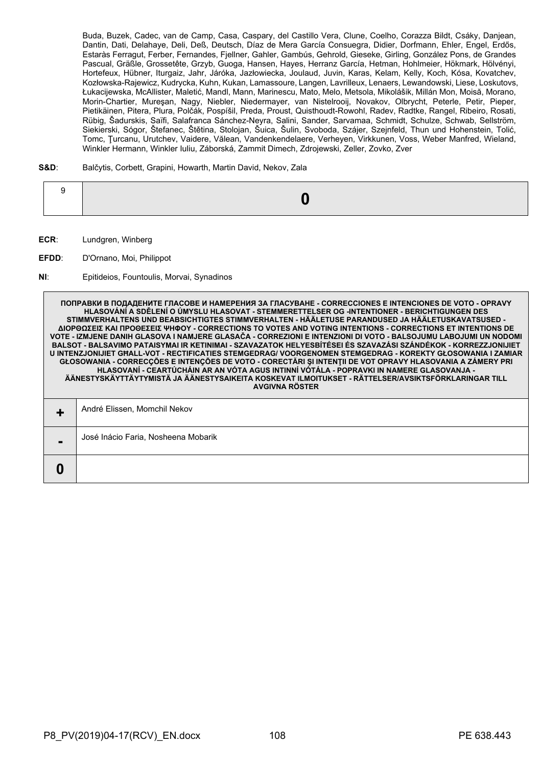Buda, Buzek, Cadec, van de Camp, Casa, Caspary, del Castillo Vera, Clune, Coelho, Corazza Bildt, Csáky, Danjean, Dantin, Dati, Delahaye, Deli, Deß, Deutsch, Díaz de Mera García Consuegra, Didier, Dorfmann, Ehler, Engel, Erdős, Estaràs Ferragut, Ferber, Fernandes, Fjellner, Gahler, Gambús, Gehrold, Gieseke, Girling, González Pons, de Grandes Pascual, Gräßle, Grossetête, Grzyb, Guoga, Hansen, Hayes, Herranz García, Hetman, Hohlmeier, Hökmark, Hölvényi, Hortefeux, Hübner, Iturgaiz, Jahr, Járóka, Jazłowiecka, Joulaud, Juvin, Karas, Kelam, Kelly, Koch, Kósa, Kovatchev, Kozłowska-Rajewicz, Kudrycka, Kuhn, Kukan, Lamassoure, Langen, Lavrilleux, Lenaers, Lewandowski, Liese, Loskutovs, Łukacijewska, McAllister, Maletić, Mandl, Mann, Marinescu, Mato, Melo, Metsola, Mikolášik, Millán Mon, Moisă, Morano, Morin-Chartier, Mureşan, Nagy, Niebler, Niedermayer, van Nistelrooij, Novakov, Olbrycht, Peterle, Petir, Pieper, Pietikäinen, Pitera, Plura, Polčák, Pospíšil, Preda, Proust, Quisthoudt-Rowohl, Radev, Radtke, Rangel, Ribeiro, Rosati, Rübig, Šadurskis, Saïfi, Salafranca Sánchez-Neyra, Salini, Sander, Sarvamaa, Schmidt, Schulze, Schwab, Sellström, Siekierski, Sógor, Štefanec, Štětina, Stolojan, Šuica, Šulin, Svoboda, Szájer, Szejnfeld, Thun und Hohenstein, Tolić, Tomc, Ţurcanu, Urutchev, Vaidere, Vălean, Vandenkendelaere, Verheyen, Virkkunen, Voss, Weber Manfred, Wieland, Winkler Hermann, Winkler Iuliu, Záborská, Zammit Dimech, Zdrojewski, Zeller, Zovko, Zver

#### **S&D**: Balčytis, Corbett, Grapini, Howarth, Martin David, Nekov, Zala

|--|--|--|--|

- **ECR**: Lundgren, Winberg
- **EFDD**: D'Ornano, Moi, Philippot
- **NI**: Epitideios, Fountoulis, Morvai, Synadinos

**ПОПРАВКИ В ПОДАДЕНИТЕ ГЛАСОВЕ И НАМЕРЕНИЯ ЗА ГЛАСУВАНЕ - CORRECCIONES E INTENCIONES DE VOTO - OPRAVY HLASOVÁNÍ A SDĚLENÍ O ÚMYSLU HLASOVAT - STEMMERETTELSER OG -INTENTIONER - BERICHTIGUNGEN DES STIMMVERHALTENS UND BEABSICHTIGTES STIMMVERHALTEN - HÄÄLETUSE PARANDUSED JA HÄÄLETUSKAVATSUSED - ΔΙΟΡΘΩΣΕΙΣ ΚΑΙ ΠΡΟΘΕΣΕΙΣ ΨΗΦΟΥ - CORRECTIONS TO VOTES AND VOTING INTENTIONS - CORRECTIONS ET INTENTIONS DE VOTE - IZMJENE DANIH GLASOVA I NAMJERE GLASAČA - CORREZIONI E INTENZIONI DI VOTO - BALSOJUMU LABOJUMI UN NODOMI BALSOT - BALSAVIMO PATAISYMAI IR KETINIMAI - SZAVAZATOK HELYESBÍTÉSEI ÉS SZAVAZÁSI SZÁNDÉKOK - KORREZZJONIJIET U INTENZJONIJIET GĦALL-VOT - RECTIFICATIES STEMGEDRAG/ VOORGENOMEN STEMGEDRAG - KOREKTY GŁOSOWANIA I ZAMIAR GŁOSOWANIA - CORRECÇÕES E INTENÇÕES DE VOTO - CORECTĂRI ŞI INTENŢII DE VOT OPRAVY HLASOVANIA A ZÁMERY PRI HLASOVANÍ - CEARTÚCHÁIN AR AN VÓTA AGUS INTINNÍ VÓTÁLA - POPRAVKI IN NAMERE GLASOVANJA - ÄÄNESTYSKÄYTTÄYTYMISTÄ JA ÄÄNESTYSAIKEITA KOSKEVAT ILMOITUKSET - RÄTTELSER/AVSIKTSFÖRKLARINGAR TILL AVGIVNA RÖSTER +** André Elissen, Momchil Nekov **-** José Inácio Faria, Nosheena Mobarik **0**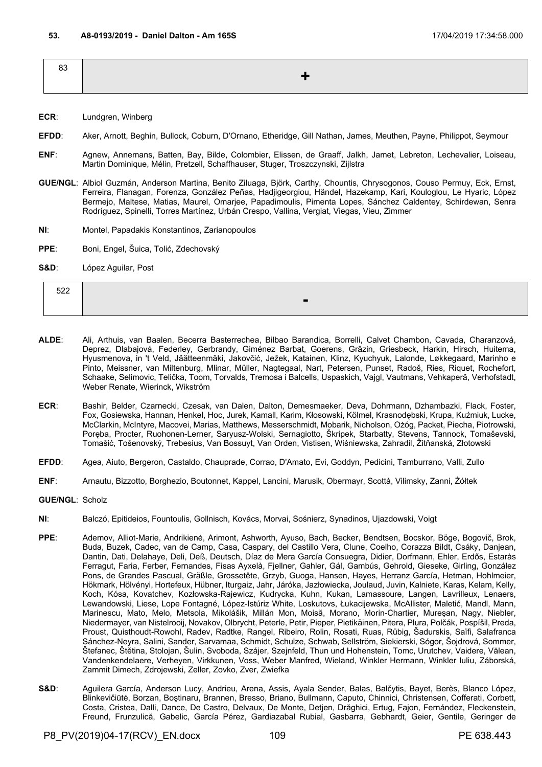| 83 |     |
|----|-----|
|    | ▔▟▖ |
|    |     |

- **ECR**: Lundgren, Winberg
- **EFDD**: Aker, Arnott, Beghin, Bullock, Coburn, D'Ornano, Etheridge, Gill Nathan, James, Meuthen, Payne, Philippot, Seymour
- **ENF**: Agnew, Annemans, Batten, Bay, Bilde, Colombier, Elissen, de Graaff, Jalkh, Jamet, Lebreton, Lechevalier, Loiseau, Martin Dominique, Mélin, Pretzell, Schaffhauser, Stuger, Troszczynski, Zijlstra
- **GUE/NGL**: Albiol Guzmán, Anderson Martina, Benito Ziluaga, Björk, Carthy, Chountis, Chrysogonos, Couso Permuy, Eck, Ernst, Ferreira, Flanagan, Forenza, González Peñas, Hadjigeorgiou, Händel, Hazekamp, Kari, Kouloglou, Le Hyaric, López Bermejo, Maltese, Matias, Maurel, Omarjee, Papadimoulis, Pimenta Lopes, Sánchez Caldentey, Schirdewan, Senra Rodríguez, Spinelli, Torres Martínez, Urbán Crespo, Vallina, Vergiat, Viegas, Vieu, Zimmer
- **NI**: Montel, Papadakis Konstantinos, Zarianopoulos
- **PPE**: Boni, Engel, Šuica, Tolić, Zdechovský
- **S&D**: López Aguilar, Post

| ---<br>the company of the company of |  |
|--------------------------------------|--|
|                                      |  |

- **ALDE**: Ali, Arthuis, van Baalen, Becerra Basterrechea, Bilbao Barandica, Borrelli, Calvet Chambon, Cavada, Charanzová, Deprez, Dlabajová, Federley, Gerbrandy, Giménez Barbat, Goerens, Gräzin, Griesbeck, Harkin, Hirsch, Huitema, Hyusmenova, in 't Veld, Jäätteenmäki, Jakovčić, Ježek, Katainen, Klinz, Kyuchyuk, Lalonde, Løkkegaard, Marinho e Pinto, Meissner, van Miltenburg, Mlinar, Müller, Nagtegaal, Nart, Petersen, Punset, Radoš, Ries, Riquet, Rochefort, Schaake, Selimovic, Telička, Toom, Torvalds, Tremosa i Balcells, Uspaskich, Vajgl, Vautmans, Vehkaperä, Verhofstadt, Weber Renate, Wierinck, Wikström
- **ECR**: Bashir, Belder, Czarnecki, Czesak, van Dalen, Dalton, Demesmaeker, Deva, Dohrmann, Dzhambazki, Flack, Foster, Fox, Gosiewska, Hannan, Henkel, Hoc, Jurek, Kamall, Karim, Kłosowski, Kölmel, Krasnodębski, Krupa, Kuźmiuk, Lucke, McClarkin, McIntyre, Macovei, Marias, Matthews, Messerschmidt, Mobarik, Nicholson, Ożóg, Packet, Piecha, Piotrowski, Poręba, Procter, Ruohonen-Lerner, Saryusz-Wolski, Sernagiotto, Škripek, Starbatty, Stevens, Tannock, Tomaševski, Tomašić, Tošenovský, Trebesius, Van Bossuyt, Van Orden, Vistisen, Wiśniewska, Zahradil, Žitňanská, Złotowski
- **EFDD**: Agea, Aiuto, Bergeron, Castaldo, Chauprade, Corrao, D'Amato, Evi, Goddyn, Pedicini, Tamburrano, Valli, Zullo
- **ENF**: Arnautu, Bizzotto, Borghezio, Boutonnet, Kappel, Lancini, Marusik, Obermayr, Scottà, Vilimsky, Zanni, Żółtek
- **GUE/NGL**: Scholz
- **NI**: Balczó, Epitideios, Fountoulis, Gollnisch, Kovács, Morvai, Sośnierz, Synadinos, Ujazdowski, Voigt
- **PPE**: Ademov, Alliot-Marie, Andrikienė, Arimont, Ashworth, Ayuso, Bach, Becker, Bendtsen, Bocskor, Böge, Bogovič, Brok, Buda, Buzek, Cadec, van de Camp, Casa, Caspary, del Castillo Vera, Clune, Coelho, Corazza Bildt, Csáky, Danjean, Dantin, Dati, Delahaye, Deli, Deß, Deutsch, Díaz de Mera García Consuegra, Didier, Dorfmann, Ehler, Erdős, Estaràs Ferragut, Faria, Ferber, Fernandes, Fisas Ayxelà, Fjellner, Gahler, Gál, Gambús, Gehrold, Gieseke, Girling, González Pons, de Grandes Pascual, Gräßle, Grossetête, Grzyb, Guoga, Hansen, Hayes, Herranz García, Hetman, Hohlmeier, Hökmark, Hölvényi, Hortefeux, Hübner, Iturgaiz, Jahr, Járóka, Jazłowiecka, Joulaud, Juvin, Kalniete, Karas, Kelam, Kelly, Koch, Kósa, Kovatchev, Kozłowska-Rajewicz, Kudrycka, Kuhn, Kukan, Lamassoure, Langen, Lavrilleux, Lenaers, Lewandowski, Liese, Lope Fontagné, López-Istúriz White, Loskutovs, Łukacijewska, McAllister, Maletić, Mandl, Mann, Marinescu, Mato, Melo, Metsola, Mikolášik, Millán Mon, Moisă, Morano, Morin-Chartier, Mureşan, Nagy, Niebler, Niedermayer, van Nistelrooij, Novakov, Olbrycht, Peterle, Petir, Pieper, Pietikäinen, Pitera, Plura, Polčák, Pospíšil, Preda, Proust, Quisthoudt-Rowohl, Radev, Radtke, Rangel, Ribeiro, Rolin, Rosati, Ruas, Rübig, Šadurskis, Saïfi, Salafranca Sánchez-Neyra, Salini, Sander, Sarvamaa, Schmidt, Schulze, Schwab, Sellström, Siekierski, Sógor, Šojdrová, Sommer, Štefanec, Štětina, Stolojan, Šulin, Svoboda, Szájer, Szejnfeld, Thun und Hohenstein, Tomc, Urutchev, Vaidere, Vălean, Vandenkendelaere, Verheyen, Virkkunen, Voss, Weber Manfred, Wieland, Winkler Hermann, Winkler Iuliu, Záborská, Zammit Dimech, Zdrojewski, Zeller, Zovko, Zver, Zwiefka
- S&D: Aguilera García, Anderson Lucy, Andrieu, Arena, Assis, Ayala Sender, Balas, Balčytis, Bayet, Berès, Blanco López, Blinkevičiūtė, Borzan, Boştinaru, Brannen, Bresso, Briano, Bullmann, Caputo, Chinnici, Christensen, Cofferati, Corbett, Costa, Cristea, Dalli, Dance, De Castro, Delvaux, De Monte, Detjen, Drăghici, Ertug, Fajon, Fernández, Fleckenstein, Freund, Frunzulică, Gabelic, García Pérez, Gardiazabal Rubial, Gasbarra, Gebhardt, Geier, Gentile, Geringer de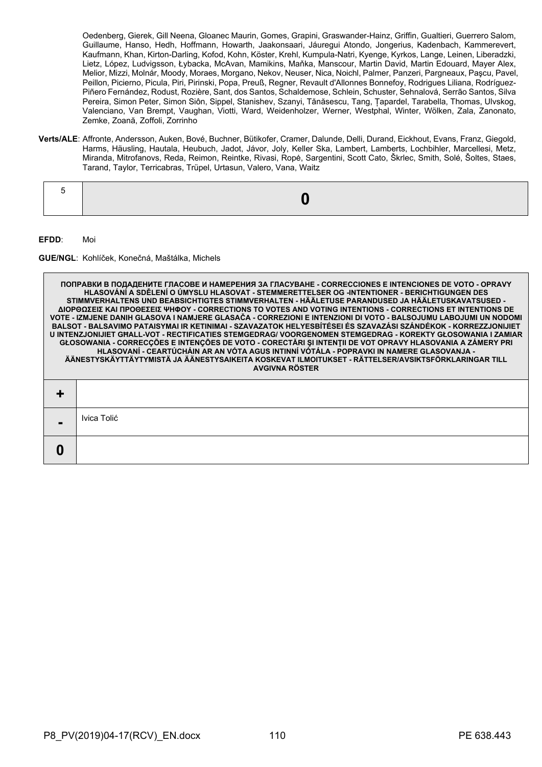Oedenberg, Gierek, Gill Neena, Gloanec Maurin, Gomes, Grapini, Graswander-Hainz, Griffin, Gualtieri, Guerrero Salom, Guillaume, Hanso, Hedh, Hoffmann, Howarth, Jaakonsaari, Jáuregui Atondo, Jongerius, Kadenbach, Kammerevert, Kaufmann, Khan, Kirton-Darling, Kofod, Kohn, Köster, Krehl, Kumpula-Natri, Kyenge, Kyrkos, Lange, Leinen, Liberadzki, Lietz, López, Ludvigsson, Łybacka, McAvan, Mamikins, Maňka, Manscour, Martin David, Martin Edouard, Mayer Alex, Melior, Mizzi, Molnár, Moody, Moraes, Morgano, Nekov, Neuser, Nica, Noichl, Palmer, Panzeri, Pargneaux, Paşcu, Pavel, Peillon, Picierno, Picula, Piri, Pirinski, Popa, Preuß, Regner, Revault d'Allonnes Bonnefoy, Rodrigues Liliana, Rodríguez-Piñero Fernández, Rodust, Rozière, Sant, dos Santos, Schaldemose, Schlein, Schuster, Sehnalová, Serrão Santos, Silva Pereira, Simon Peter, Simon Siôn, Sippel, Stanishev, Szanyi, Tănăsescu, Tang, Țapardel, Tarabella, Thomas, Ulvskog, Valenciano, Van Brempt, Vaughan, Viotti, Ward, Weidenholzer, Werner, Westphal, Winter, Wölken, Zala, Zanonato, Zemke, Zoană, Zoffoli, Zorrinho

**Verts/ALE**: Affronte, Andersson, Auken, Bové, Buchner, Bütikofer, Cramer, Dalunde, Delli, Durand, Eickhout, Evans, Franz, Giegold, Harms, Häusling, Hautala, Heubuch, Jadot, Jávor, Joly, Keller Ska, Lambert, Lamberts, Lochbihler, Marcellesi, Metz, Miranda, Mitrofanovs, Reda, Reimon, Reintke, Rivasi, Ropė, Sargentini, Scott Cato, Škrlec, Smith, Solé, Šoltes, Staes, Tarand, Taylor, Terricabras, Trüpel, Urtasun, Valero, Vana, Waitz

|--|--|--|

**EFDD**: Moi

**GUE/NGL**: Kohlíček, Konečná, Maštálka, Michels

**ПОПРАВКИ В ПОДАДЕНИТЕ ГЛАСОВЕ И НАМЕРЕНИЯ ЗА ГЛАСУВАНЕ - CORRECCIONES E INTENCIONES DE VOTO - OPRAVY HLASOVÁNÍ A SDĚLENÍ O ÚMYSLU HLASOVAT - STEMMERETTELSER OG -INTENTIONER - BERICHTIGUNGEN DES STIMMVERHALTENS UND BEABSICHTIGTES STIMMVERHALTEN - HÄÄLETUSE PARANDUSED JA HÄÄLETUSKAVATSUSED - ΔΙΟΡΘΩΣΕΙΣ ΚΑΙ ΠΡΟΘΕΣΕΙΣ ΨΗΦΟΥ - CORRECTIONS TO VOTES AND VOTING INTENTIONS - CORRECTIONS ET INTENTIONS DE VOTE - IZMJENE DANIH GLASOVA I NAMJERE GLASAČA - CORREZIONI E INTENZIONI DI VOTO - BALSOJUMU LABOJUMI UN NODOMI BALSOT - BALSAVIMO PATAISYMAI IR KETINIMAI - SZAVAZATOK HELYESBÍTÉSEI ÉS SZAVAZÁSI SZÁNDÉKOK - KORREZZJONIJIET U INTENZJONIJIET GĦALL-VOT - RECTIFICATIES STEMGEDRAG/ VOORGENOMEN STEMGEDRAG - KOREKTY GŁOSOWANIA I ZAMIAR GŁOSOWANIA - CORRECÇÕES E INTENÇÕES DE VOTO - CORECTĂRI ŞI INTENŢII DE VOT OPRAVY HLASOVANIA A ZÁMERY PRI HLASOVANÍ - CEARTÚCHÁIN AR AN VÓTA AGUS INTINNÍ VÓTÁLA - POPRAVKI IN NAMERE GLASOVANJA - ÄÄNESTYSKÄYTTÄYTYMISTÄ JA ÄÄNESTYSAIKEITA KOSKEVAT ILMOITUKSET - RÄTTELSER/AVSIKTSFÖRKLARINGAR TILL AVGIVNA RÖSTER + -** Ivica Tolić **0**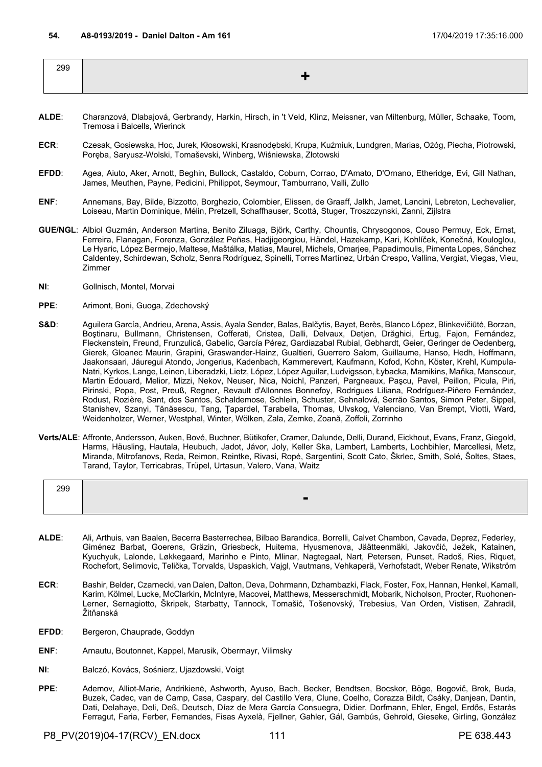| 299 |  |
|-----|--|
|     |  |

- **ALDE**: Charanzová, Dlabajová, Gerbrandy, Harkin, Hirsch, in 't Veld, Klinz, Meissner, van Miltenburg, Müller, Schaake, Toom, Tremosa i Balcells, Wierinck
- **ECR**: Czesak, Gosiewska, Hoc, Jurek, Kłosowski, Krasnodębski, Krupa, Kuźmiuk, Lundgren, Marias, Ożóg, Piecha, Piotrowski, Poręba, Saryusz-Wolski, Tomaševski, Winberg, Wiśniewska, Złotowski
- **EFDD**: Agea, Aiuto, Aker, Arnott, Beghin, Bullock, Castaldo, Coburn, Corrao, D'Amato, D'Ornano, Etheridge, Evi, Gill Nathan, James, Meuthen, Payne, Pedicini, Philippot, Seymour, Tamburrano, Valli, Zullo
- **ENF**: Annemans, Bay, Bilde, Bizzotto, Borghezio, Colombier, Elissen, de Graaff, Jalkh, Jamet, Lancini, Lebreton, Lechevalier, Loiseau, Martin Dominique, Mélin, Pretzell, Schaffhauser, Scottà, Stuger, Troszczynski, Zanni, Zijlstra
- **GUE/NGL**: Albiol Guzmán, Anderson Martina, Benito Ziluaga, Björk, Carthy, Chountis, Chrysogonos, Couso Permuy, Eck, Ernst, Ferreira, Flanagan, Forenza, González Peñas, Hadjigeorgiou, Händel, Hazekamp, Kari, Kohlíček, Konečná, Kouloglou, Le Hyaric, López Bermejo, Maltese, Maštálka, Matias, Maurel, Michels, Omarjee, Papadimoulis, Pimenta Lopes, Sánchez Caldentey, Schirdewan, Scholz, Senra Rodríguez, Spinelli, Torres Martínez, Urbán Crespo, Vallina, Vergiat, Viegas, Vieu, Zimmer
- **NI**: Gollnisch, Montel, Morvai
- **PPE**: Arimont, Boni, Guoga, Zdechovský
- S&D: Aguilera García, Andrieu, Arena, Assis, Ayala Sender, Balas, Balčytis, Bayet, Berès, Blanco López, Blinkevičiūtė, Borzan, Boştinaru, Bullmann, Christensen, Cofferati, Cristea, Dalli, Delvaux, Detjen, Drăghici, Ertug, Fajon, Fernández, Fleckenstein, Freund, Frunzulică, Gabelic, García Pérez, Gardiazabal Rubial, Gebhardt, Geier, Geringer de Oedenberg, Gierek, Gloanec Maurin, Grapini, Graswander-Hainz, Gualtieri, Guerrero Salom, Guillaume, Hanso, Hedh, Hoffmann, Jaakonsaari, Jáuregui Atondo, Jongerius, Kadenbach, Kammerevert, Kaufmann, Kofod, Kohn, Köster, Krehl, Kumpula-Natri, Kyrkos, Lange, Leinen, Liberadzki, Lietz, López, López Aguilar, Ludvigsson, Łybacka, Mamikins, Maňka, Manscour, Martin Edouard, Melior, Mizzi, Nekov, Neuser, Nica, Noichl, Panzeri, Pargneaux, Paşcu, Pavel, Peillon, Picula, Piri, Pirinski, Popa, Post, Preuß, Regner, Revault d'Allonnes Bonnefoy, Rodrigues Liliana, Rodríguez-Piñero Fernández, Rodust, Rozière, Sant, dos Santos, Schaldemose, Schlein, Schuster, Sehnalová, Serrão Santos, Simon Peter, Sippel, Stanishev, Szanyi, Tănăsescu, Tang, Țapardel, Tarabella, Thomas, Ulvskog, Valenciano, Van Brempt, Viotti, Ward, Weidenholzer, Werner, Westphal, Winter, Wölken, Zala, Zemke, Zoană, Zoffoli, Zorrinho
- **Verts/ALE**: Affronte, Andersson, Auken, Bové, Buchner, Bütikofer, Cramer, Dalunde, Delli, Durand, Eickhout, Evans, Franz, Giegold, Harms, Häusling, Hautala, Heubuch, Jadot, Jávor, Joly, Keller Ska, Lambert, Lamberts, Lochbihler, Marcellesi, Metz, Miranda, Mitrofanovs, Reda, Reimon, Reintke, Rivasi, Ropė, Sargentini, Scott Cato, Škrlec, Smith, Solé, Šoltes, Staes, Tarand, Taylor, Terricabras, Trüpel, Urtasun, Valero, Vana, Waitz

| 299 |                |
|-----|----------------|
|     | $\blacksquare$ |
|     |                |

- **ALDE**: Ali, Arthuis, van Baalen, Becerra Basterrechea, Bilbao Barandica, Borrelli, Calvet Chambon, Cavada, Deprez, Federley, Giménez Barbat, Goerens, Gräzin, Griesbeck, Huitema, Hyusmenova, Jäätteenmäki, Jakovčić, Ježek, Katainen, Kyuchyuk, Lalonde, Løkkegaard, Marinho e Pinto, Mlinar, Nagtegaal, Nart, Petersen, Punset, Radoš, Ries, Riquet, Rochefort, Selimovic, Telička, Torvalds, Uspaskich, Vajgl, Vautmans, Vehkaperä, Verhofstadt, Weber Renate, Wikström
- **ECR**: Bashir, Belder, Czarnecki, van Dalen, Dalton, Deva, Dohrmann, Dzhambazki, Flack, Foster, Fox, Hannan, Henkel, Kamall, Karim, Kölmel, Lucke, McClarkin, McIntyre, Macovei, Matthews, Messerschmidt, Mobarik, Nicholson, Procter, Ruohonen-Lerner, Sernagiotto, Škripek, Starbatty, Tannock, Tomašić, Tošenovský, Trebesius, Van Orden, Vistisen, Zahradil, Žitňanská
- EFDD: Bergeron, Chauprade, Goddyn
- **ENF**: Arnautu, Boutonnet, Kappel, Marusik, Obermayr, Vilimsky
- **NI**: Balczó, Kovács, Sośnierz, Ujazdowski, Voigt
- **PPE**: Ademov, Alliot-Marie, Andrikienė, Ashworth, Ayuso, Bach, Becker, Bendtsen, Bocskor, Böge, Bogovič, Brok, Buda, Buzek, Cadec, van de Camp, Casa, Caspary, del Castillo Vera, Clune, Coelho, Corazza Bildt, Csáky, Danjean, Dantin, Dati, Delahaye, Deli, Deß, Deutsch, Díaz de Mera García Consuegra, Didier, Dorfmann, Ehler, Engel, Erdős, Estaràs Ferragut, Faria, Ferber, Fernandes, Fisas Ayxelà, Fjellner, Gahler, Gál, Gambús, Gehrold, Gieseke, Girling, González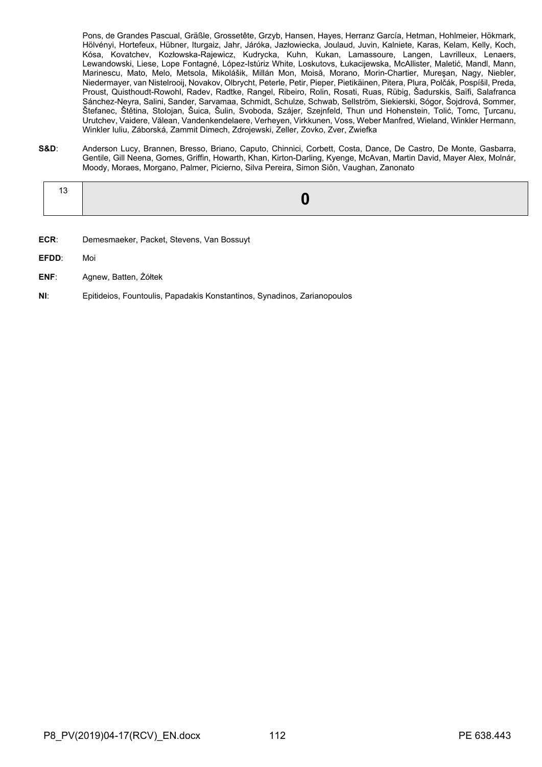Pons, de Grandes Pascual, Gräßle, Grossetête, Grzyb, Hansen, Hayes, Herranz García, Hetman, Hohlmeier, Hökmark, Hölvényi, Hortefeux, Hübner, Iturgaiz, Jahr, Járóka, Jazłowiecka, Joulaud, Juvin, Kalniete, Karas, Kelam, Kelly, Koch, Kósa, Kovatchev, Kozłowska-Rajewicz, Kudrycka, Kuhn, Kukan, Lamassoure, Langen, Lavrilleux, Lenaers, Lewandowski, Liese, Lope Fontagné, López-Istúriz White, Loskutovs, Łukacijewska, McAllister, Maletić, Mandl, Mann, Marinescu, Mato, Melo, Metsola, Mikolášik, Millán Mon, Moisă, Morano, Morin-Chartier, Mureşan, Nagy, Niebler, Niedermayer, van Nistelrooij, Novakov, Olbrycht, Peterle, Petir, Pieper, Pietikäinen, Pitera, Plura, Polčák, Pospíšil, Preda, Proust, Quisthoudt-Rowohl, Radev, Radtke, Rangel, Ribeiro, Rolin, Rosati, Ruas, Rübig, Šadurskis, Saïfi, Salafranca Sánchez-Neyra, Salini, Sander, Sarvamaa, Schmidt, Schulze, Schwab, Sellström, Siekierski, Sógor, Šojdrová, Sommer, Štefanec, Štětina, Stolojan, Šuica, Šulin, Svoboda, Szájer, Szejnfeld, Thun und Hohenstein, Tolić, Tomc, Ţurcanu, Urutchev, Vaidere, Vălean, Vandenkendelaere, Verheyen, Virkkunen, Voss, Weber Manfred, Wieland, Winkler Hermann, Winkler Iuliu, Záborská, Zammit Dimech, Zdrojewski, Zeller, Zovko, Zver, Zwiefka

**S&D**: Anderson Lucy, Brannen, Bresso, Briano, Caputo, Chinnici, Corbett, Costa, Dance, De Castro, De Monte, Gasbarra, Gentile, Gill Neena, Gomes, Griffin, Howarth, Khan, Kirton-Darling, Kyenge, McAvan, Martin David, Mayer Alex, Molnár, Moody, Moraes, Morgano, Palmer, Picierno, Silva Pereira, Simon Siôn, Vaughan, Zanonato

- **ECR**: Demesmaeker, Packet, Stevens, Van Bossuyt
- **EFDD**: Moi
- **ENF**: Agnew, Batten, Żółtek
- **NI**: Epitideios, Fountoulis, Papadakis Konstantinos, Synadinos, Zarianopoulos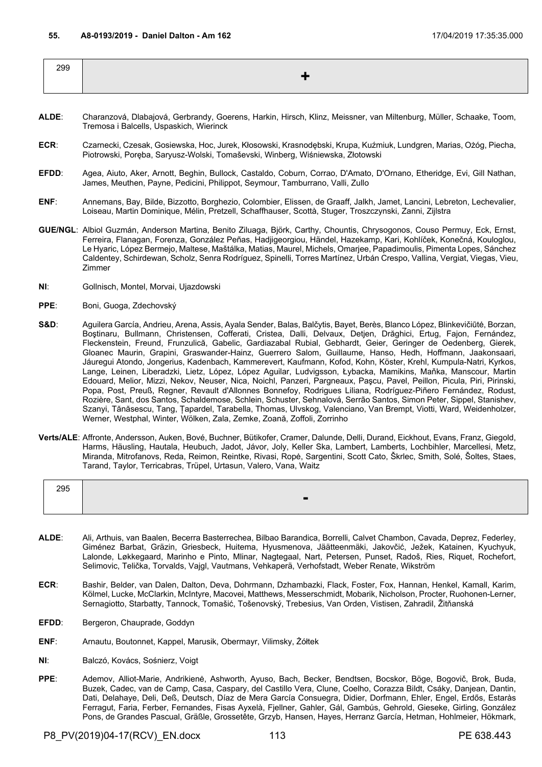| 299 |  |
|-----|--|
|     |  |
|     |  |

- **ALDE**: Charanzová, Dlabajová, Gerbrandy, Goerens, Harkin, Hirsch, Klinz, Meissner, van Miltenburg, Müller, Schaake, Toom, Tremosa i Balcells, Uspaskich, Wierinck
- **ECR**: Czarnecki, Czesak, Gosiewska, Hoc, Jurek, Kłosowski, Krasnodębski, Krupa, Kuźmiuk, Lundgren, Marias, Ożóg, Piecha, Piotrowski, Poręba, Saryusz-Wolski, Tomaševski, Winberg, Wiśniewska, Złotowski
- **EFDD**: Agea, Aiuto, Aker, Arnott, Beghin, Bullock, Castaldo, Coburn, Corrao, D'Amato, D'Ornano, Etheridge, Evi, Gill Nathan, James, Meuthen, Payne, Pedicini, Philippot, Seymour, Tamburrano, Valli, Zullo
- **ENF**: Annemans, Bay, Bilde, Bizzotto, Borghezio, Colombier, Elissen, de Graaff, Jalkh, Jamet, Lancini, Lebreton, Lechevalier, Loiseau, Martin Dominique, Mélin, Pretzell, Schaffhauser, Scottà, Stuger, Troszczynski, Zanni, Zijlstra
- **GUE/NGL**: Albiol Guzmán, Anderson Martina, Benito Ziluaga, Björk, Carthy, Chountis, Chrysogonos, Couso Permuy, Eck, Ernst, Ferreira, Flanagan, Forenza, González Peñas, Hadjigeorgiou, Händel, Hazekamp, Kari, Kohlíček, Konečná, Kouloglou, Le Hyaric, López Bermejo, Maltese, Maštálka, Matias, Maurel, Michels, Omarjee, Papadimoulis, Pimenta Lopes, Sánchez Caldentey, Schirdewan, Scholz, Senra Rodríguez, Spinelli, Torres Martínez, Urbán Crespo, Vallina, Vergiat, Viegas, Vieu, Zimmer
- **NI**: Gollnisch, Montel, Morvai, Ujazdowski
- **PPE**: Boni, Guoga, Zdechovský
- S&D: Aguilera García, Andrieu, Arena, Assis, Ayala Sender, Balas, Balčytis, Bayet, Berès, Blanco López, Blinkevičiūtė, Borzan, Boştinaru, Bullmann, Christensen, Cofferati, Cristea, Dalli, Delvaux, Detjen, Drăghici, Ertug, Fajon, Fernández, Fleckenstein, Freund, Frunzulică, Gabelic, Gardiazabal Rubial, Gebhardt, Geier, Geringer de Oedenberg, Gierek, Gloanec Maurin, Grapini, Graswander-Hainz, Guerrero Salom, Guillaume, Hanso, Hedh, Hoffmann, Jaakonsaari, Jáuregui Atondo, Jongerius, Kadenbach, Kammerevert, Kaufmann, Kofod, Kohn, Köster, Krehl, Kumpula-Natri, Kyrkos, Lange, Leinen, Liberadzki, Lietz, López, López Aguilar, Ludvigsson, Łybacka, Mamikins, Maňka, Manscour, Martin Edouard, Melior, Mizzi, Nekov, Neuser, Nica, Noichl, Panzeri, Pargneaux, Paşcu, Pavel, Peillon, Picula, Piri, Pirinski, Popa, Post, Preuß, Regner, Revault d'Allonnes Bonnefoy, Rodrigues Liliana, Rodríguez-Piñero Fernández, Rodust, Rozière, Sant, dos Santos, Schaldemose, Schlein, Schuster, Sehnalová, Serrão Santos, Simon Peter, Sippel, Stanishev, Szanyi, Tănăsescu, Tang, Țapardel, Tarabella, Thomas, Ulvskog, Valenciano, Van Brempt, Viotti, Ward, Weidenholzer, Werner, Westphal, Winter, Wölken, Zala, Zemke, Zoană, Zoffoli, Zorrinho
- **Verts/ALE**: Affronte, Andersson, Auken, Bové, Buchner, Bütikofer, Cramer, Dalunde, Delli, Durand, Eickhout, Evans, Franz, Giegold, Harms, Häusling, Hautala, Heubuch, Jadot, Jávor, Joly, Keller Ska, Lambert, Lamberts, Lochbihler, Marcellesi, Metz, Miranda, Mitrofanovs, Reda, Reimon, Reintke, Rivasi, Ropė, Sargentini, Scott Cato, Škrlec, Smith, Solé, Šoltes, Staes, Tarand, Taylor, Terricabras, Trüpel, Urtasun, Valero, Vana, Waitz

| 295 |                   |
|-----|-------------------|
|     | $\qquad \qquad =$ |
|     |                   |

- **ALDE**: Ali, Arthuis, van Baalen, Becerra Basterrechea, Bilbao Barandica, Borrelli, Calvet Chambon, Cavada, Deprez, Federley, Giménez Barbat, Gräzin, Griesbeck, Huitema, Hyusmenova, Jäätteenmäki, Jakovčić, Ježek, Katainen, Kyuchyuk, Lalonde, Løkkegaard, Marinho e Pinto, Mlinar, Nagtegaal, Nart, Petersen, Punset, Radoš, Ries, Riquet, Rochefort, Selimovic, Telička, Torvalds, Vajgl, Vautmans, Vehkaperä, Verhofstadt, Weber Renate, Wikström
- **ECR**: Bashir, Belder, van Dalen, Dalton, Deva, Dohrmann, Dzhambazki, Flack, Foster, Fox, Hannan, Henkel, Kamall, Karim, Kölmel, Lucke, McClarkin, McIntyre, Macovei, Matthews, Messerschmidt, Mobarik, Nicholson, Procter, Ruohonen-Lerner, Sernagiotto, Starbatty, Tannock, Tomašić, Tošenovský, Trebesius, Van Orden, Vistisen, Zahradil, Žitňanská
- **EFDD:** Bergeron, Chauprade, Goddyn
- **ENF**: Arnautu, Boutonnet, Kappel, Marusik, Obermayr, Vilimsky, Żółtek
- **NI**: Balczó, Kovács, Sośnierz, Voigt
- **PPE**: Ademov, Alliot-Marie, Andrikienė, Ashworth, Ayuso, Bach, Becker, Bendtsen, Bocskor, Böge, Bogovič, Brok, Buda, Buzek, Cadec, van de Camp, Casa, Caspary, del Castillo Vera, Clune, Coelho, Corazza Bildt, Csáky, Danjean, Dantin, Dati, Delahaye, Deli, Deß, Deutsch, Díaz de Mera García Consuegra, Didier, Dorfmann, Ehler, Engel, Erdős, Estaràs Ferragut, Faria, Ferber, Fernandes, Fisas Ayxelà, Fjellner, Gahler, Gál, Gambús, Gehrold, Gieseke, Girling, González Pons, de Grandes Pascual, Gräßle, Grossetête, Grzyb, Hansen, Hayes, Herranz García, Hetman, Hohlmeier, Hökmark,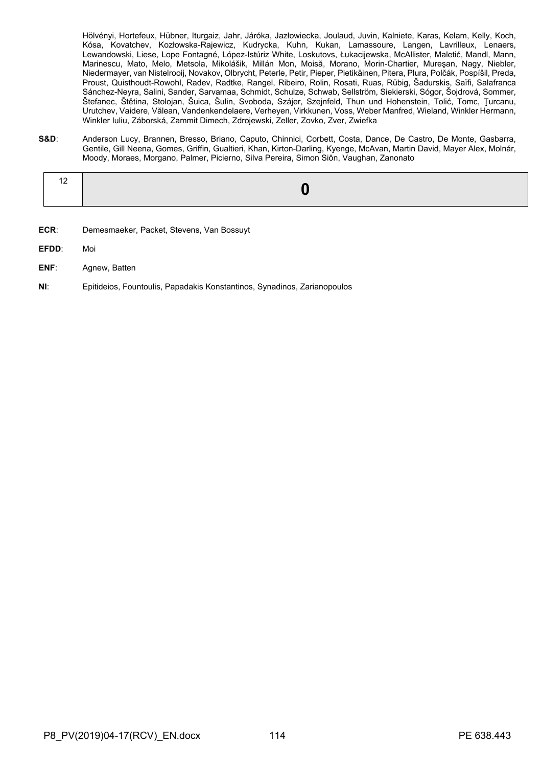Hölvényi, Hortefeux, Hübner, Iturgaiz, Jahr, Járóka, Jazłowiecka, Joulaud, Juvin, Kalniete, Karas, Kelam, Kelly, Koch, Kósa, Kovatchev, Kozłowska-Rajewicz, Kudrycka, Kuhn, Kukan, Lamassoure, Langen, Lavrilleux, Lenaers, Lewandowski, Liese, Lope Fontagné, López-Istúriz White, Loskutovs, Łukacijewska, McAllister, Maletić, Mandl, Mann, Marinescu, Mato, Melo, Metsola, Mikolášik, Millán Mon, Moisă, Morano, Morin-Chartier, Mureşan, Nagy, Niebler, Niedermayer, van Nistelrooij, Novakov, Olbrycht, Peterle, Petir, Pieper, Pietikäinen, Pitera, Plura, Polčák, Pospíšil, Preda, Proust, Quisthoudt-Rowohl, Radev, Radtke, Rangel, Ribeiro, Rolin, Rosati, Ruas, Rübig, Šadurskis, Saïfi, Salafranca Sánchez-Neyra, Salini, Sander, Sarvamaa, Schmidt, Schulze, Schwab, Sellström, Siekierski, Sógor, Šojdrová, Sommer, Štefanec, Štětina, Stolojan, Šuica, Šulin, Svoboda, Szájer, Szejnfeld, Thun und Hohenstein, Tolić, Tomc, Ţurcanu, Urutchev, Vaidere, Vălean, Vandenkendelaere, Verheyen, Virkkunen, Voss, Weber Manfred, Wieland, Winkler Hermann, Winkler Iuliu, Záborská, Zammit Dimech, Zdrojewski, Zeller, Zovko, Zver, Zwiefka

**S&D**: Anderson Lucy, Brannen, Bresso, Briano, Caputo, Chinnici, Corbett, Costa, Dance, De Castro, De Monte, Gasbarra, Gentile, Gill Neena, Gomes, Griffin, Gualtieri, Khan, Kirton-Darling, Kyenge, McAvan, Martin David, Mayer Alex, Molnár, Moody, Moraes, Morgano, Palmer, Picierno, Silva Pereira, Simon Siôn, Vaughan, Zanonato

|--|--|

- **ECR**: Demesmaeker, Packet, Stevens, Van Bossuyt
- **EFDD**: Moi
- **ENF**: Agnew, Batten
- **NI**: Epitideios, Fountoulis, Papadakis Konstantinos, Synadinos, Zarianopoulos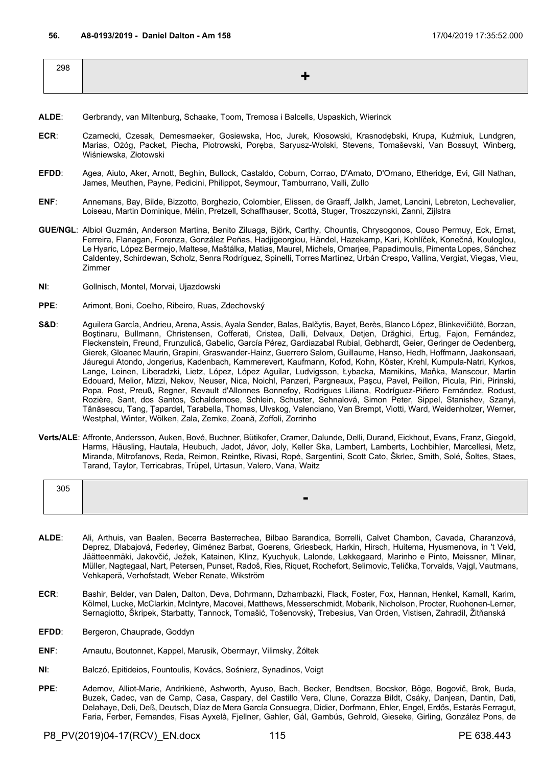| 298 |  |
|-----|--|
|     |  |

- **ALDE**: Gerbrandy, van Miltenburg, Schaake, Toom, Tremosa i Balcells, Uspaskich, Wierinck
- **ECR**: Czarnecki, Czesak, Demesmaeker, Gosiewska, Hoc, Jurek, Kłosowski, Krasnodębski, Krupa, Kuźmiuk, Lundgren, Marias, Ożóg, Packet, Piecha, Piotrowski, Poręba, Saryusz-Wolski, Stevens, Tomaševski, Van Bossuyt, Winberg, Wiśniewska, Złotowski
- **EFDD**: Agea, Aiuto, Aker, Arnott, Beghin, Bullock, Castaldo, Coburn, Corrao, D'Amato, D'Ornano, Etheridge, Evi, Gill Nathan, James, Meuthen, Payne, Pedicini, Philippot, Seymour, Tamburrano, Valli, Zullo
- **ENF**: Annemans, Bay, Bilde, Bizzotto, Borghezio, Colombier, Elissen, de Graaff, Jalkh, Jamet, Lancini, Lebreton, Lechevalier, Loiseau, Martin Dominique, Mélin, Pretzell, Schaffhauser, Scottà, Stuger, Troszczynski, Zanni, Zijlstra
- **GUE/NGL**: Albiol Guzmán, Anderson Martina, Benito Ziluaga, Björk, Carthy, Chountis, Chrysogonos, Couso Permuy, Eck, Ernst, Ferreira, Flanagan, Forenza, González Peñas, Hadjigeorgiou, Händel, Hazekamp, Kari, Kohlíček, Konečná, Kouloglou, Le Hyaric, López Bermejo, Maltese, Maštálka, Matias, Maurel, Michels, Omarjee, Papadimoulis, Pimenta Lopes, Sánchez Caldentey, Schirdewan, Scholz, Senra Rodríguez, Spinelli, Torres Martínez, Urbán Crespo, Vallina, Vergiat, Viegas, Vieu, Zimmer
- **NI**: Gollnisch, Montel, Morvai, Ujazdowski
- **PPE**: Arimont, Boni, Coelho, Ribeiro, Ruas, Zdechovský
- S&D: Aguilera García, Andrieu, Arena, Assis, Ayala Sender, Balas, Balčytis, Bayet, Berès, Blanco López, Blinkevičiūtė, Borzan, Boştinaru, Bullmann, Christensen, Cofferati, Cristea, Dalli, Delvaux, Detjen, Drăghici, Ertug, Fajon, Fernández, Fleckenstein, Freund, Frunzulică, Gabelic, García Pérez, Gardiazabal Rubial, Gebhardt, Geier, Geringer de Oedenberg, Gierek, Gloanec Maurin, Grapini, Graswander-Hainz, Guerrero Salom, Guillaume, Hanso, Hedh, Hoffmann, Jaakonsaari, Jáuregui Atondo, Jongerius, Kadenbach, Kammerevert, Kaufmann, Kofod, Kohn, Köster, Krehl, Kumpula-Natri, Kyrkos, Lange, Leinen, Liberadzki, Lietz, López, López Aguilar, Ludvigsson, Łybacka, Mamikins, Maňka, Manscour, Martin Edouard, Melior, Mizzi, Nekov, Neuser, Nica, Noichl, Panzeri, Pargneaux, Paşcu, Pavel, Peillon, Picula, Piri, Pirinski, Popa, Post, Preuß, Regner, Revault d'Allonnes Bonnefoy, Rodrigues Liliana, Rodríguez-Piñero Fernández, Rodust, Rozière, Sant, dos Santos, Schaldemose, Schlein, Schuster, Sehnalová, Simon Peter, Sippel, Stanishev, Szanyi, Tănăsescu, Tang, Țapardel, Tarabella, Thomas, Ulvskog, Valenciano, Van Brempt, Viotti, Ward, Weidenholzer, Werner, Westphal, Winter, Wölken, Zala, Zemke, Zoană, Zoffoli, Zorrinho
- **Verts/ALE**: Affronte, Andersson, Auken, Bové, Buchner, Bütikofer, Cramer, Dalunde, Delli, Durand, Eickhout, Evans, Franz, Giegold, Harms, Häusling, Hautala, Heubuch, Jadot, Jávor, Joly, Keller Ska, Lambert, Lamberts, Lochbihler, Marcellesi, Metz, Miranda, Mitrofanovs, Reda, Reimon, Reintke, Rivasi, Ropė, Sargentini, Scott Cato, Škrlec, Smith, Solé, Šoltes, Staes, Tarand, Taylor, Terricabras, Trüpel, Urtasun, Valero, Vana, Waitz

| 305 |   |
|-----|---|
|     | ▬ |
|     |   |

- **ALDE**: Ali, Arthuis, van Baalen, Becerra Basterrechea, Bilbao Barandica, Borrelli, Calvet Chambon, Cavada, Charanzová, Deprez, Dlabajová, Federley, Giménez Barbat, Goerens, Griesbeck, Harkin, Hirsch, Huitema, Hyusmenova, in 't Veld, Jäätteenmäki, Jakovčić, Ježek, Katainen, Klinz, Kyuchyuk, Lalonde, Løkkegaard, Marinho e Pinto, Meissner, Mlinar, Müller, Nagtegaal, Nart, Petersen, Punset, Radoš, Ries, Riquet, Rochefort, Selimovic, Telička, Torvalds, Vajgl, Vautmans, Vehkaperä, Verhofstadt, Weber Renate, Wikström
- **ECR:** Bashir, Belder, van Dalen, Dalton, Deva, Dohrmann, Dzhambazki, Flack, Foster, Fox, Hannan, Henkel, Kamall, Karim, Kölmel, Lucke, McClarkin, McIntyre, Macovei, Matthews, Messerschmidt, Mobarik, Nicholson, Procter, Ruohonen-Lerner, Sernagiotto, Škripek, Starbatty, Tannock, Tomašić, Tošenovský, Trebesius, Van Orden, Vistisen, Zahradil, Žitňanská
- EFDD: Bergeron, Chauprade, Goddyn
- **ENF**: Arnautu, Boutonnet, Kappel, Marusik, Obermayr, Vilimsky, Żółtek
- **NI**: Balczó, Epitideios, Fountoulis, Kovács, Sośnierz, Synadinos, Voigt
- **PPE**: Ademov, Alliot-Marie, Andrikienė, Ashworth, Ayuso, Bach, Becker, Bendtsen, Bocskor, Böge, Bogovič, Brok, Buda, Buzek, Cadec, van de Camp, Casa, Caspary, del Castillo Vera, Clune, Corazza Bildt, Csáky, Danjean, Dantin, Dati, Delahaye, Deli, Deß, Deutsch, Díaz de Mera García Consuegra, Didier, Dorfmann, Ehler, Engel, Erdős, Estaràs Ferragut, Faria, Ferber, Fernandes, Fisas Ayxelà, Fjellner, Gahler, Gál, Gambús, Gehrold, Gieseke, Girling, González Pons, de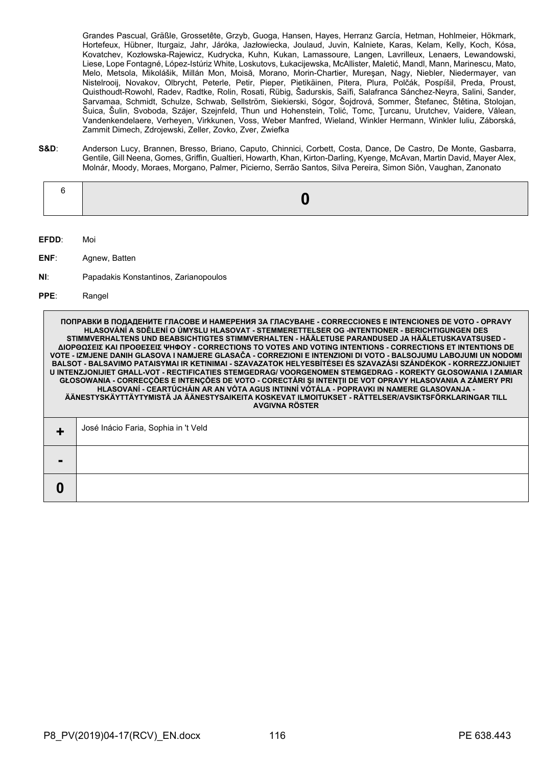Grandes Pascual, Gräßle, Grossetête, Grzyb, Guoga, Hansen, Hayes, Herranz García, Hetman, Hohlmeier, Hökmark, Hortefeux, Hübner, Iturgaiz, Jahr, Járóka, Jazłowiecka, Joulaud, Juvin, Kalniete, Karas, Kelam, Kelly, Koch, Kósa, Kovatchev, Kozłowska-Rajewicz, Kudrycka, Kuhn, Kukan, Lamassoure, Langen, Lavrilleux, Lenaers, Lewandowski, Liese, Lope Fontagné, López-Istúriz White, Loskutovs, Łukacijewska, McAllister, Maletić, Mandl, Mann, Marinescu, Mato, Melo, Metsola, Mikolášik, Millán Mon, Moisă, Morano, Morin-Chartier, Mureşan, Nagy, Niebler, Niedermayer, van Nistelrooij, Novakov, Olbrycht, Peterle, Petir, Pieper, Pietikäinen, Pitera, Plura, Polčák, Pospíšil, Preda, Proust, Quisthoudt-Rowohl, Radev, Radtke, Rolin, Rosati, Rübig, Šadurskis, Saïfi, Salafranca Sánchez-Neyra, Salini, Sander, Sarvamaa, Schmidt, Schulze, Schwab, Sellström, Siekierski, Sógor, Šojdrová, Sommer, Štefanec, Štětina, Stolojan, Šuica, Šulin, Svoboda, Szájer, Szejnfeld, Thun und Hohenstein, Tolić, Tomc, Ţurcanu, Urutchev, Vaidere, Vălean, Vandenkendelaere, Verheyen, Virkkunen, Voss, Weber Manfred, Wieland, Winkler Hermann, Winkler Iuliu, Záborská, Zammit Dimech, Zdrojewski, Zeller, Zovko, Zver, Zwiefka

**S&D**: Anderson Lucy, Brannen, Bresso, Briano, Caputo, Chinnici, Corbett, Costa, Dance, De Castro, De Monte, Gasbarra, Gentile, Gill Neena, Gomes, Griffin, Gualtieri, Howarth, Khan, Kirton-Darling, Kyenge, McAvan, Martin David, Mayer Alex, Molnár, Moody, Moraes, Morgano, Palmer, Picierno, Serrão Santos, Silva Pereira, Simon Siôn, Vaughan, Zanonato

- **EFDD**: Moi
- **ENF**: Agnew, Batten
- **NI**: Papadakis Konstantinos, Zarianopoulos
- **PPE**: Rangel

**-**

**0**

**ПОПРАВКИ В ПОДАДЕНИТЕ ГЛАСОВЕ И НАМЕРЕНИЯ ЗА ГЛАСУВАНЕ - CORRECCIONES E INTENCIONES DE VOTO - OPRAVY HLASOVÁNÍ A SDĚLENÍ O ÚMYSLU HLASOVAT - STEMMERETTELSER OG -INTENTIONER - BERICHTIGUNGEN DES STIMMVERHALTENS UND BEABSICHTIGTES STIMMVERHALTEN - HÄÄLETUSE PARANDUSED JA HÄÄLETUSKAVATSUSED - ΔΙΟΡΘΩΣΕΙΣ ΚΑΙ ΠΡΟΘΕΣΕΙΣ ΨΗΦΟΥ - CORRECTIONS TO VOTES AND VOTING INTENTIONS - CORRECTIONS ET INTENTIONS DE VOTE - IZMJENE DANIH GLASOVA I NAMJERE GLASAČA - CORREZIONI E INTENZIONI DI VOTO - BALSOJUMU LABOJUMI UN NODOMI BALSOT - BALSAVIMO PATAISYMAI IR KETINIMAI - SZAVAZATOK HELYESBÍTÉSEI ÉS SZAVAZÁSI SZÁNDÉKOK - KORREZZJONIJIET U INTENZJONIJIET GĦALL-VOT - RECTIFICATIES STEMGEDRAG/ VOORGENOMEN STEMGEDRAG - KOREKTY GŁOSOWANIA I ZAMIAR GŁOSOWANIA - CORRECÇÕES E INTENÇÕES DE VOTO - CORECTĂRI ŞI INTENŢII DE VOT OPRAVY HLASOVANIA A ZÁMERY PRI HLASOVANÍ - CEARTÚCHÁIN AR AN VÓTA AGUS INTINNÍ VÓTÁLA - POPRAVKI IN NAMERE GLASOVANJA - ÄÄNESTYSKÄYTTÄYTYMISTÄ JA ÄÄNESTYSAIKEITA KOSKEVAT ILMOITUKSET - RÄTTELSER/AVSIKTSFÖRKLARINGAR TILL AVGIVNA RÖSTER +** José Inácio Faria, Sophia in 't Veld

|  | P8 PV(2019)04-17(RCV) EN.docx |  | 116 | PE 638.443 |
|--|-------------------------------|--|-----|------------|
|--|-------------------------------|--|-----|------------|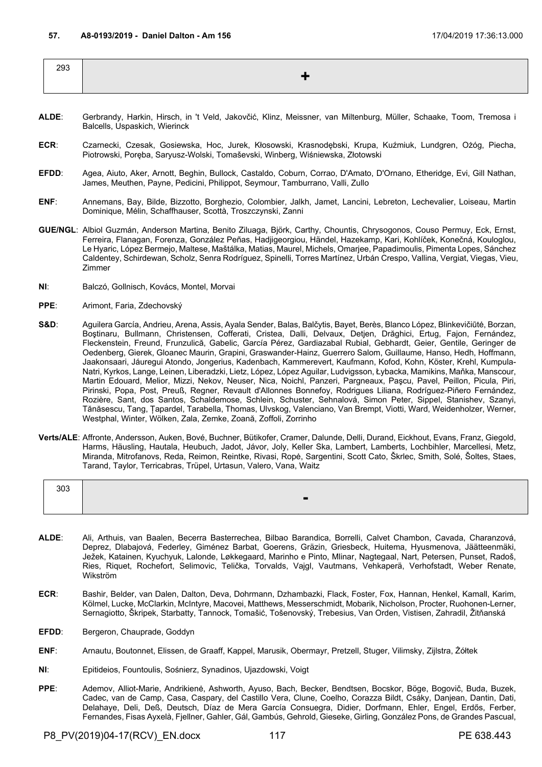| 293 |  |
|-----|--|
|     |  |

- **ALDE**: Gerbrandy, Harkin, Hirsch, in 't Veld, Jakovčić, Klinz, Meissner, van Miltenburg, Müller, Schaake, Toom, Tremosa i Balcells, Uspaskich, Wierinck
- **ECR**: Czarnecki, Czesak, Gosiewska, Hoc, Jurek, Kłosowski, Krasnodębski, Krupa, Kuźmiuk, Lundgren, Ożóg, Piecha, Piotrowski, Poręba, Saryusz-Wolski, Tomaševski, Winberg, Wiśniewska, Złotowski
- **EFDD**: Agea, Aiuto, Aker, Arnott, Beghin, Bullock, Castaldo, Coburn, Corrao, D'Amato, D'Ornano, Etheridge, Evi, Gill Nathan, James, Meuthen, Payne, Pedicini, Philippot, Seymour, Tamburrano, Valli, Zullo
- **ENF**: Annemans, Bay, Bilde, Bizzotto, Borghezio, Colombier, Jalkh, Jamet, Lancini, Lebreton, Lechevalier, Loiseau, Martin Dominique, Mélin, Schaffhauser, Scottà, Troszczynski, Zanni
- **GUE/NGL**: Albiol Guzmán, Anderson Martina, Benito Ziluaga, Björk, Carthy, Chountis, Chrysogonos, Couso Permuy, Eck, Ernst, Ferreira, Flanagan, Forenza, González Peñas, Hadjigeorgiou, Händel, Hazekamp, Kari, Kohlíček, Konečná, Kouloglou, Le Hyaric, López Bermejo, Maltese, Maštálka, Matias, Maurel, Michels, Omarjee, Papadimoulis, Pimenta Lopes, Sánchez Caldentey, Schirdewan, Scholz, Senra Rodríguez, Spinelli, Torres Martínez, Urbán Crespo, Vallina, Vergiat, Viegas, Vieu, Zimmer
- **NI**: Balczó, Gollnisch, Kovács, Montel, Morvai
- **PPE**: Arimont, Faria, Zdechovský
- S&D: Aguilera García, Andrieu, Arena, Assis, Ayala Sender, Balas, Balčytis, Bayet, Berès, Blanco López, Blinkevičiūtė, Borzan, Boştinaru, Bullmann, Christensen, Cofferati, Cristea, Dalli, Delvaux, Detjen, Drăghici, Ertug, Fajon, Fernández, Fleckenstein, Freund, Frunzulică, Gabelic, García Pérez, Gardiazabal Rubial, Gebhardt, Geier, Gentile, Geringer de Oedenberg, Gierek, Gloanec Maurin, Grapini, Graswander-Hainz, Guerrero Salom, Guillaume, Hanso, Hedh, Hoffmann, Jaakonsaari, Jáuregui Atondo, Jongerius, Kadenbach, Kammerevert, Kaufmann, Kofod, Kohn, Köster, Krehl, Kumpula-Natri, Kyrkos, Lange, Leinen, Liberadzki, Lietz, López, López Aguilar, Ludvigsson, Łybacka, Mamikins, Maňka, Manscour, Martin Edouard, Melior, Mizzi, Nekov, Neuser, Nica, Noichl, Panzeri, Pargneaux, Paşcu, Pavel, Peillon, Picula, Piri, Pirinski, Popa, Post, Preuß, Regner, Revault d'Allonnes Bonnefoy, Rodrigues Liliana, Rodríguez-Piñero Fernández, Rozière, Sant, dos Santos, Schaldemose, Schlein, Schuster, Sehnalová, Simon Peter, Sippel, Stanishev, Szanyi, Tănăsescu, Tang, Țapardel, Tarabella, Thomas, Ulvskog, Valenciano, Van Brempt, Viotti, Ward, Weidenholzer, Werner, Westphal, Winter, Wölken, Zala, Zemke, Zoană, Zoffoli, Zorrinho
- **Verts/ALE**: Affronte, Andersson, Auken, Bové, Buchner, Bütikofer, Cramer, Dalunde, Delli, Durand, Eickhout, Evans, Franz, Giegold, Harms, Häusling, Hautala, Heubuch, Jadot, Jávor, Joly, Keller Ska, Lambert, Lamberts, Lochbihler, Marcellesi, Metz, Miranda, Mitrofanovs, Reda, Reimon, Reintke, Rivasi, Ropė, Sargentini, Scott Cato, Škrlec, Smith, Solé, Šoltes, Staes, Tarand, Taylor, Terricabras, Trüpel, Urtasun, Valero, Vana, Waitz

| 303 |  |
|-----|--|
|     |  |
|     |  |

- **ALDE**: Ali, Arthuis, van Baalen, Becerra Basterrechea, Bilbao Barandica, Borrelli, Calvet Chambon, Cavada, Charanzová, Deprez, Dlabajová, Federley, Giménez Barbat, Goerens, Gräzin, Griesbeck, Huitema, Hyusmenova, Jäätteenmäki, Ježek, Katainen, Kyuchyuk, Lalonde, Løkkegaard, Marinho e Pinto, Mlinar, Nagtegaal, Nart, Petersen, Punset, Radoš, Ries, Riquet, Rochefort, Selimovic, Telička, Torvalds, Vajgl, Vautmans, Vehkaperä, Verhofstadt, Weber Renate, Wikström
- **ECR:** Bashir, Belder, van Dalen, Dalton, Deva, Dohrmann, Dzhambazki, Flack, Foster, Fox, Hannan, Henkel, Kamall, Karim, Kölmel, Lucke, McClarkin, McIntyre, Macovei, Matthews, Messerschmidt, Mobarik, Nicholson, Procter, Ruohonen-Lerner, Sernagiotto, Škripek, Starbatty, Tannock, Tomašić, Tošenovský, Trebesius, Van Orden, Vistisen, Zahradil, Žitňanská
- EFDD: Bergeron, Chauprade, Goddyn
- **ENF**: Arnautu, Boutonnet, Elissen, de Graaff, Kappel, Marusik, Obermayr, Pretzell, Stuger, Vilimsky, Zijlstra, Żółtek
- **NI**: Epitideios, Fountoulis, Sośnierz, Synadinos, Ujazdowski, Voigt
- **PPE**: Ademov, Alliot-Marie, Andrikienė, Ashworth, Ayuso, Bach, Becker, Bendtsen, Bocskor, Böge, Bogovič, Buda, Buzek, Cadec, van de Camp, Casa, Caspary, del Castillo Vera, Clune, Coelho, Corazza Bildt, Csáky, Danjean, Dantin, Dati, Delahaye, Deli, Deß, Deutsch, Díaz de Mera García Consuegra, Didier, Dorfmann, Ehler, Engel, Erdős, Ferber, Fernandes, Fisas Ayxelà, Fjellner, Gahler, Gál, Gambús, Gehrold, Gieseke, Girling, González Pons, de Grandes Pascual,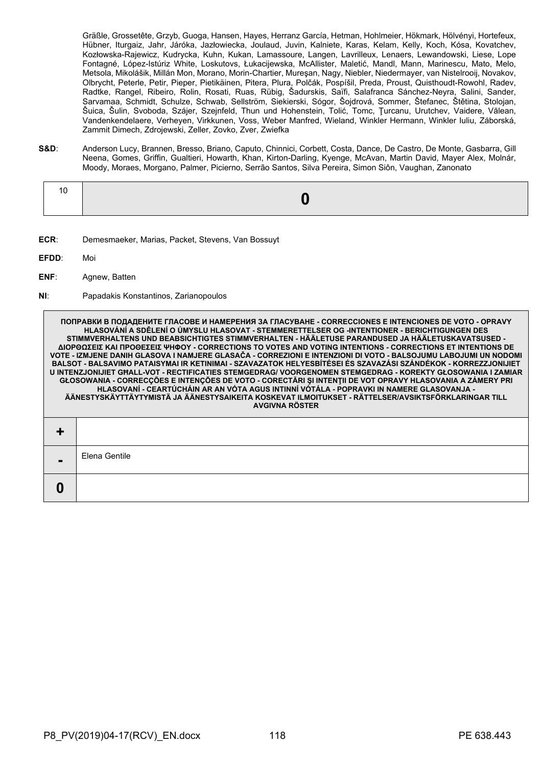Gräßle, Grossetête, Grzyb, Guoga, Hansen, Hayes, Herranz García, Hetman, Hohlmeier, Hökmark, Hölvényi, Hortefeux, Hübner, Iturgaiz, Jahr, Járóka, Jazłowiecka, Joulaud, Juvin, Kalniete, Karas, Kelam, Kelly, Koch, Kósa, Kovatchev, Kozłowska-Rajewicz, Kudrycka, Kuhn, Kukan, Lamassoure, Langen, Lavrilleux, Lenaers, Lewandowski, Liese, Lope Fontagné, López-Istúriz White, Loskutovs, Łukacijewska, McAllister, Maletić, Mandl, Mann, Marinescu, Mato, Melo, Metsola, Mikolášik, Millán Mon, Morano, Morin-Chartier, Mureşan, Nagy, Niebler, Niedermayer, van Nistelrooij, Novakov, Olbrycht, Peterle, Petir, Pieper, Pietikäinen, Pitera, Plura, Polčák, Pospíšil, Preda, Proust, Quisthoudt-Rowohl, Radev, Radtke, Rangel, Ribeiro, Rolin, Rosati, Ruas, Rübig, Šadurskis, Saïfi, Salafranca Sánchez-Neyra, Salini, Sander, Sarvamaa, Schmidt, Schulze, Schwab, Sellström, Siekierski, Sógor, Šojdrová, Sommer, Štefanec, Štětina, Stolojan, Šuica, Šulin, Svoboda, Szájer, Szejnfeld, Thun und Hohenstein, Tolić, Tomc, Ţurcanu, Urutchev, Vaidere, Vălean, Vandenkendelaere, Verheyen, Virkkunen, Voss, Weber Manfred, Wieland, Winkler Hermann, Winkler Iuliu, Záborská, Zammit Dimech, Zdrojewski, Zeller, Zovko, Zver, Zwiefka

**S&D**: Anderson Lucy, Brannen, Bresso, Briano, Caputo, Chinnici, Corbett, Costa, Dance, De Castro, De Monte, Gasbarra, Gill Neena, Gomes, Griffin, Gualtieri, Howarth, Khan, Kirton-Darling, Kyenge, McAvan, Martin David, Mayer Alex, Molnár, Moody, Moraes, Morgano, Palmer, Picierno, Serrão Santos, Silva Pereira, Simon Siôn, Vaughan, Zanonato

- **ECR**: Demesmaeker, Marias, Packet, Stevens, Van Bossuyt
- **EFDD**: Moi

**0**

- **ENF**: Agnew, Batten
- **NI**: Papadakis Konstantinos, Zarianopoulos

**ПОПРАВКИ В ПОДАДЕНИТЕ ГЛАСОВЕ И НАМЕРЕНИЯ ЗА ГЛАСУВАНЕ - CORRECCIONES E INTENCIONES DE VOTO - OPRAVY HLASOVÁNÍ A SDĚLENÍ O ÚMYSLU HLASOVAT - STEMMERETTELSER OG -INTENTIONER - BERICHTIGUNGEN DES STIMMVERHALTENS UND BEABSICHTIGTES STIMMVERHALTEN - HÄÄLETUSE PARANDUSED JA HÄÄLETUSKAVATSUSED - ΔΙΟΡΘΩΣΕΙΣ ΚΑΙ ΠΡΟΘΕΣΕΙΣ ΨΗΦΟΥ - CORRECTIONS TO VOTES AND VOTING INTENTIONS - CORRECTIONS ET INTENTIONS DE VOTE - IZMJENE DANIH GLASOVA I NAMJERE GLASAČA - CORREZIONI E INTENZIONI DI VOTO - BALSOJUMU LABOJUMI UN NODOMI BALSOT - BALSAVIMO PATAISYMAI IR KETINIMAI - SZAVAZATOK HELYESBÍTÉSEI ÉS SZAVAZÁSI SZÁNDÉKOK - KORREZZJONIJIET U INTENZJONIJIET GĦALL-VOT - RECTIFICATIES STEMGEDRAG/ VOORGENOMEN STEMGEDRAG - KOREKTY GŁOSOWANIA I ZAMIAR GŁOSOWANIA - CORRECÇÕES E INTENÇÕES DE VOTO - CORECTĂRI ŞI INTENŢII DE VOT OPRAVY HLASOVANIA A ZÁMERY PRI HLASOVANÍ - CEARTÚCHÁIN AR AN VÓTA AGUS INTINNÍ VÓTÁLA - POPRAVKI IN NAMERE GLASOVANJA - ÄÄNESTYSKÄYTTÄYTYMISTÄ JA ÄÄNESTYSAIKEITA KOSKEVAT ILMOITUKSET - RÄTTELSER/AVSIKTSFÖRKLARINGAR TILL AVGIVNA RÖSTER + -** Elena Gentile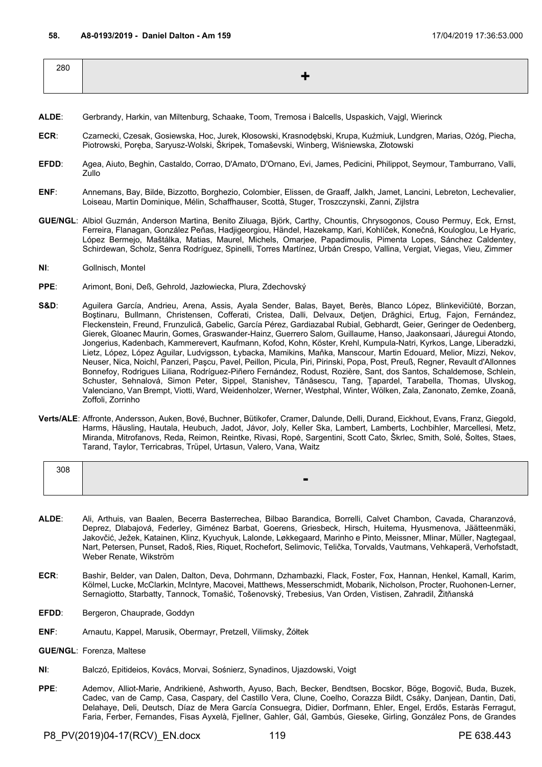| 280 |  |
|-----|--|
|     |  |

- **ALDE**: Gerbrandy, Harkin, van Miltenburg, Schaake, Toom, Tremosa i Balcells, Uspaskich, Vajgl, Wierinck
- **ECR**: Czarnecki, Czesak, Gosiewska, Hoc, Jurek, Kłosowski, Krasnodębski, Krupa, Kuźmiuk, Lundgren, Marias, Ożóg, Piecha, Piotrowski, Poręba, Saryusz-Wolski, Škripek, Tomaševski, Winberg, Wiśniewska, Złotowski
- **EFDD**: Agea, Aiuto, Beghin, Castaldo, Corrao, D'Amato, D'Ornano, Evi, James, Pedicini, Philippot, Seymour, Tamburrano, Valli, Zullo
- **ENF**: Annemans, Bay, Bilde, Bizzotto, Borghezio, Colombier, Elissen, de Graaff, Jalkh, Jamet, Lancini, Lebreton, Lechevalier, Loiseau, Martin Dominique, Mélin, Schaffhauser, Scottà, Stuger, Troszczynski, Zanni, Zijlstra
- **GUE/NGL**: Albiol Guzmán, Anderson Martina, Benito Ziluaga, Björk, Carthy, Chountis, Chrysogonos, Couso Permuy, Eck, Ernst, Ferreira, Flanagan, González Peñas, Hadjigeorgiou, Händel, Hazekamp, Kari, Kohlíček, Konečná, Kouloglou, Le Hyaric, López Bermejo, Maštálka, Matias, Maurel, Michels, Omarjee, Papadimoulis, Pimenta Lopes, Sánchez Caldentey, Schirdewan, Scholz, Senra Rodríguez, Spinelli, Torres Martínez, Urbán Crespo, Vallina, Vergiat, Viegas, Vieu, Zimmer
- **NI**: Gollnisch, Montel
- **PPE**: Arimont, Boni, Deß, Gehrold, Jazłowiecka, Plura, Zdechovský
- **S&D**: Aguilera García, Andrieu, Arena, Assis, Ayala Sender, Balas, Bayet, Berès, Blanco López, Blinkevičiūtė, Borzan, Boştinaru, Bullmann, Christensen, Cofferati, Cristea, Dalli, Delvaux, Detjen, Drăghici, Ertug, Fajon, Fernández, Fleckenstein, Freund, Frunzulică, Gabelic, García Pérez, Gardiazabal Rubial, Gebhardt, Geier, Geringer de Oedenberg, Gierek, Gloanec Maurin, Gomes, Graswander-Hainz, Guerrero Salom, Guillaume, Hanso, Jaakonsaari, Jáuregui Atondo, Jongerius, Kadenbach, Kammerevert, Kaufmann, Kofod, Kohn, Köster, Krehl, Kumpula-Natri, Kyrkos, Lange, Liberadzki, Lietz, López, López Aguilar, Ludvigsson, Łybacka, Mamikins, Maňka, Manscour, Martin Edouard, Melior, Mizzi, Nekov, Neuser, Nica, Noichl, Panzeri, Paşcu, Pavel, Peillon, Picula, Piri, Pirinski, Popa, Post, Preuß, Regner, Revault d'Allonnes Bonnefoy, Rodrigues Liliana, Rodríguez-Piñero Fernández, Rodust, Rozière, Sant, dos Santos, Schaldemose, Schlein, Schuster, Sehnalová, Simon Peter, Sippel, Stanishev, Tănăsescu, Tang, Țapardel, Tarabella, Thomas, Ulvskog, Valenciano, Van Brempt, Viotti, Ward, Weidenholzer, Werner, Westphal, Winter, Wölken, Zala, Zanonato, Zemke, Zoană, Zoffoli, Zorrinho
- **Verts/ALE**: Affronte, Andersson, Auken, Bové, Buchner, Bütikofer, Cramer, Dalunde, Delli, Durand, Eickhout, Evans, Franz, Giegold, Harms, Häusling, Hautala, Heubuch, Jadot, Jávor, Joly, Keller Ska, Lambert, Lamberts, Lochbihler, Marcellesi, Metz, Miranda, Mitrofanovs, Reda, Reimon, Reintke, Rivasi, Ropė, Sargentini, Scott Cato, Škrlec, Smith, Solé, Šoltes, Staes, Tarand, Taylor, Terricabras, Trüpel, Urtasun, Valero, Vana, Waitz

| 308 |  |
|-----|--|
|     |  |

- **ALDE**: Ali, Arthuis, van Baalen, Becerra Basterrechea, Bilbao Barandica, Borrelli, Calvet Chambon, Cavada, Charanzová, Deprez, Dlabajová, Federley, Giménez Barbat, Goerens, Griesbeck, Hirsch, Huitema, Hyusmenova, Jäätteenmäki, Jakovčić, Ježek, Katainen, Klinz, Kyuchyuk, Lalonde, Løkkegaard, Marinho e Pinto, Meissner, Mlinar, Müller, Nagtegaal, Nart, Petersen, Punset, Radoš, Ries, Riquet, Rochefort, Selimovic, Telička, Torvalds, Vautmans, Vehkaperä, Verhofstadt, Weber Renate, Wikström
- **ECR**: Bashir, Belder, van Dalen, Dalton, Deva, Dohrmann, Dzhambazki, Flack, Foster, Fox, Hannan, Henkel, Kamall, Karim, Kölmel, Lucke, McClarkin, McIntyre, Macovei, Matthews, Messerschmidt, Mobarik, Nicholson, Procter, Ruohonen-Lerner, Sernagiotto, Starbatty, Tannock, Tomašić, Tošenovský, Trebesius, Van Orden, Vistisen, Zahradil, Žitňanská
- EFDD: Bergeron, Chauprade, Goddyn
- **ENF**: Arnautu, Kappel, Marusik, Obermayr, Pretzell, Vilimsky, Żółtek
- **GUE/NGL**: Forenza, Maltese
- **NI**: Balczó, Epitideios, Kovács, Morvai, Sośnierz, Synadinos, Ujazdowski, Voigt
- **PPE**: Ademov, Alliot-Marie, Andrikienė, Ashworth, Ayuso, Bach, Becker, Bendtsen, Bocskor, Böge, Bogovič, Buda, Buzek, Cadec, van de Camp, Casa, Caspary, del Castillo Vera, Clune, Coelho, Corazza Bildt, Csáky, Danjean, Dantin, Dati, Delahaye, Deli, Deutsch, Díaz de Mera García Consuegra, Didier, Dorfmann, Ehler, Engel, Erdős, Estaràs Ferragut, Faria, Ferber, Fernandes, Fisas Ayxelà, Fjellner, Gahler, Gál, Gambús, Gieseke, Girling, González Pons, de Grandes

P8\_PV(2019)04-17(RCV)\_EN.docx 119 119 119 PE 638.443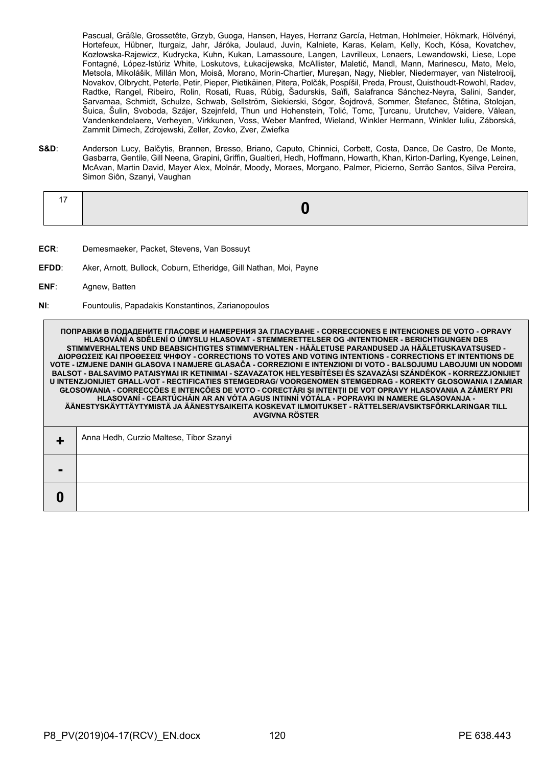Pascual, Gräßle, Grossetête, Grzyb, Guoga, Hansen, Hayes, Herranz García, Hetman, Hohlmeier, Hökmark, Hölvényi, Hortefeux, Hübner, Iturgaiz, Jahr, Járóka, Joulaud, Juvin, Kalniete, Karas, Kelam, Kelly, Koch, Kósa, Kovatchev, Kozłowska-Rajewicz, Kudrycka, Kuhn, Kukan, Lamassoure, Langen, Lavrilleux, Lenaers, Lewandowski, Liese, Lope Fontagné, López-Istúriz White, Loskutovs, Łukacijewska, McAllister, Maletić, Mandl, Mann, Marinescu, Mato, Melo, Metsola, Mikolášik, Millán Mon, Moisă, Morano, Morin-Chartier, Mureşan, Nagy, Niebler, Niedermayer, van Nistelrooij, Novakov, Olbrycht, Peterle, Petir, Pieper, Pietikäinen, Pitera, Polčák, Pospíšil, Preda, Proust, Quisthoudt-Rowohl, Radev, Radtke, Rangel, Ribeiro, Rolin, Rosati, Ruas, Rübig, Šadurskis, Saïfi, Salafranca Sánchez-Neyra, Salini, Sander, Sarvamaa, Schmidt, Schulze, Schwab, Sellström, Siekierski, Sógor, Šojdrová, Sommer, Štefanec, Štětina, Stolojan, Šuica, Šulin, Svoboda, Szájer, Szejnfeld, Thun und Hohenstein, Tolić, Tomc, Ţurcanu, Urutchev, Vaidere, Vălean, Vandenkendelaere, Verheyen, Virkkunen, Voss, Weber Manfred, Wieland, Winkler Hermann, Winkler Iuliu, Záborská, Zammit Dimech, Zdrojewski, Zeller, Zovko, Zver, Zwiefka

**S&D**: Anderson Lucy, Balčytis, Brannen, Bresso, Briano, Caputo, Chinnici, Corbett, Costa, Dance, De Castro, De Monte, Gasbarra, Gentile, Gill Neena, Grapini, Griffin, Gualtieri, Hedh, Hoffmann, Howarth, Khan, Kirton-Darling, Kyenge, Leinen, McAvan, Martin David, Mayer Alex, Molnár, Moody, Moraes, Morgano, Palmer, Picierno, Serrão Santos, Silva Pereira, Simon Siôn, Szanyi, Vaughan

- **ECR**: Demesmaeker, Packet, Stevens, Van Bossuyt
- **EFDD**: Aker, Arnott, Bullock, Coburn, Etheridge, Gill Nathan, Moi, Payne
- **ENF**: Agnew, Batten
- **NI**: Fountoulis, Papadakis Konstantinos, Zarianopoulos

**ПОПРАВКИ В ПОДАДЕНИТЕ ГЛАСОВЕ И НАМЕРЕНИЯ ЗА ГЛАСУВАНЕ - CORRECCIONES E INTENCIONES DE VOTO - OPRAVY HLASOVÁNÍ A SDĚLENÍ O ÚMYSLU HLASOVAT - STEMMERETTELSER OG -INTENTIONER - BERICHTIGUNGEN DES STIMMVERHALTENS UND BEABSICHTIGTES STIMMVERHALTEN - HÄÄLETUSE PARANDUSED JA HÄÄLETUSKAVATSUSED - ΔΙΟΡΘΩΣΕΙΣ ΚΑΙ ΠΡΟΘΕΣΕΙΣ ΨΗΦΟΥ - CORRECTIONS TO VOTES AND VOTING INTENTIONS - CORRECTIONS ET INTENTIONS DE VOTE - IZMJENE DANIH GLASOVA I NAMJERE GLASAČA - CORREZIONI E INTENZIONI DI VOTO - BALSOJUMU LABOJUMI UN NODOMI BALSOT - BALSAVIMO PATAISYMAI IR KETINIMAI - SZAVAZATOK HELYESBÍTÉSEI ÉS SZAVAZÁSI SZÁNDÉKOK - KORREZZJONIJIET U INTENZJONIJIET GĦALL-VOT - RECTIFICATIES STEMGEDRAG/ VOORGENOMEN STEMGEDRAG - KOREKTY GŁOSOWANIA I ZAMIAR GŁOSOWANIA - CORRECÇÕES E INTENÇÕES DE VOTO - CORECTĂRI ŞI INTENŢII DE VOT OPRAVY HLASOVANIA A ZÁMERY PRI HLASOVANÍ - CEARTÚCHÁIN AR AN VÓTA AGUS INTINNÍ VÓTÁLA - POPRAVKI IN NAMERE GLASOVANJA - ÄÄNESTYSKÄYTTÄYTYMISTÄ JA ÄÄNESTYSAIKEITA KOSKEVAT ILMOITUKSET - RÄTTELSER/AVSIKTSFÖRKLARINGAR TILL AVGIVNA RÖSTER**

| . .            | Anna Hedh, Curzio Maltese, Tibor Szanyi |
|----------------|-----------------------------------------|
| $\blacksquare$ |                                         |
|                |                                         |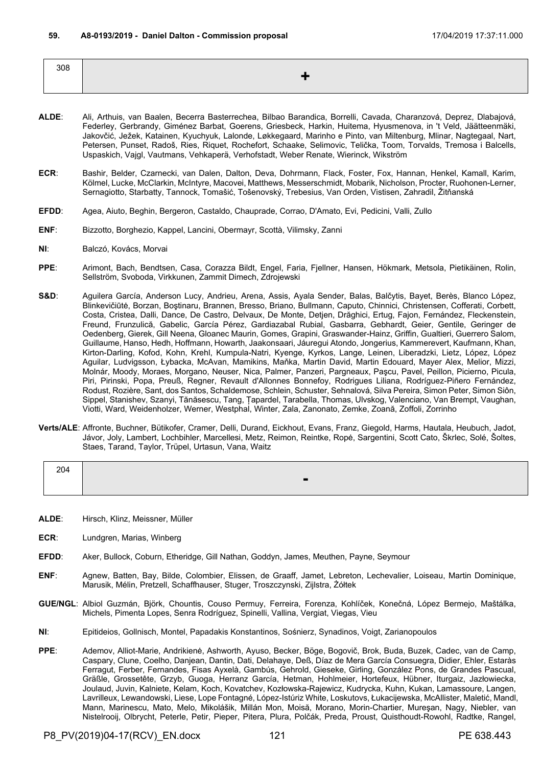| 308 |  |
|-----|--|
|     |  |

- **ALDE**: Ali, Arthuis, van Baalen, Becerra Basterrechea, Bilbao Barandica, Borrelli, Cavada, Charanzová, Deprez, Dlabajová, Federley, Gerbrandy, Giménez Barbat, Goerens, Griesbeck, Harkin, Huitema, Hyusmenova, in 't Veld, Jäätteenmäki, Jakovčić, Ježek, Katainen, Kyuchyuk, Lalonde, Løkkegaard, Marinho e Pinto, van Miltenburg, Mlinar, Nagtegaal, Nart, Petersen, Punset, Radoš, Ries, Riquet, Rochefort, Schaake, Selimovic, Telička, Toom, Torvalds, Tremosa i Balcells, Uspaskich, Vajgl, Vautmans, Vehkaperä, Verhofstadt, Weber Renate, Wierinck, Wikström
- **ECR**: Bashir, Belder, Czarnecki, van Dalen, Dalton, Deva, Dohrmann, Flack, Foster, Fox, Hannan, Henkel, Kamall, Karim, Kölmel, Lucke, McClarkin, McIntyre, Macovei, Matthews, Messerschmidt, Mobarik, Nicholson, Procter, Ruohonen-Lerner, Sernagiotto, Starbatty, Tannock, Tomašić, Tošenovský, Trebesius, Van Orden, Vistisen, Zahradil, Žitňanská
- **EFDD**: Agea, Aiuto, Beghin, Bergeron, Castaldo, Chauprade, Corrao, D'Amato, Evi, Pedicini, Valli, Zullo
- **ENF**: Bizzotto, Borghezio, Kappel, Lancini, Obermayr, Scottà, Vilimsky, Zanni
- **NI**: Balczó, Kovács, Morvai
- **PPE**: Arimont, Bach, Bendtsen, Casa, Corazza Bildt, Engel, Faria, Fjellner, Hansen, Hökmark, Metsola, Pietikäinen, Rolin, Sellström, Svoboda, Virkkunen, Zammit Dimech, Zdrojewski
- S&D: Aguilera García, Anderson Lucy, Andrieu, Arena, Assis, Ayala Sender, Balas, Balčytis, Bayet, Berès, Blanco López, Blinkevičiūtė, Borzan, Boştinaru, Brannen, Bresso, Briano, Bullmann, Caputo, Chinnici, Christensen, Cofferati, Corbett, Costa, Cristea, Dalli, Dance, De Castro, Delvaux, De Monte, Detjen, Drăghici, Ertug, Fajon, Fernández, Fleckenstein, Freund, Frunzulică, Gabelic, García Pérez, Gardiazabal Rubial, Gasbarra, Gebhardt, Geier, Gentile, Geringer de Oedenberg, Gierek, Gill Neena, Gloanec Maurin, Gomes, Grapini, Graswander-Hainz, Griffin, Gualtieri, Guerrero Salom, Guillaume, Hanso, Hedh, Hoffmann, Howarth, Jaakonsaari, Jáuregui Atondo, Jongerius, Kammerevert, Kaufmann, Khan, Kirton-Darling, Kofod, Kohn, Krehl, Kumpula-Natri, Kyenge, Kyrkos, Lange, Leinen, Liberadzki, Lietz, López, López Aguilar, Ludvigsson, Łybacka, McAvan, Mamikins, Maňka, Martin David, Martin Edouard, Mayer Alex, Melior, Mizzi, Molnár, Moody, Moraes, Morgano, Neuser, Nica, Palmer, Panzeri, Pargneaux, Paşcu, Pavel, Peillon, Picierno, Picula, Piri, Pirinski, Popa, Preuß, Regner, Revault d'Allonnes Bonnefoy, Rodrigues Liliana, Rodríguez-Piñero Fernández, Rodust, Rozière, Sant, dos Santos, Schaldemose, Schlein, Schuster, Sehnalová, Silva Pereira, Simon Peter, Simon Siôn, Sippel, Stanishev, Szanyi, Tănăsescu, Tang, Țapardel, Tarabella, Thomas, Ulvskog, Valenciano, Van Brempt, Vaughan, Viotti, Ward, Weidenholzer, Werner, Westphal, Winter, Zala, Zanonato, Zemke, Zoană, Zoffoli, Zorrinho
- **Verts/ALE**: Affronte, Buchner, Bütikofer, Cramer, Delli, Durand, Eickhout, Evans, Franz, Giegold, Harms, Hautala, Heubuch, Jadot, Jávor, Joly, Lambert, Lochbihler, Marcellesi, Metz, Reimon, Reintke, Ropė, Sargentini, Scott Cato, Škrlec, Solé, Šoltes, Staes, Tarand, Taylor, Trüpel, Urtasun, Vana, Waitz

| 204 |                |
|-----|----------------|
|     | $\blacksquare$ |

- **ALDE**: Hirsch, Klinz, Meissner, Müller
- **ECR**: Lundgren, Marias, Winberg
- **EFDD**: Aker, Bullock, Coburn, Etheridge, Gill Nathan, Goddyn, James, Meuthen, Payne, Seymour
- **ENF**: Agnew, Batten, Bay, Bilde, Colombier, Elissen, de Graaff, Jamet, Lebreton, Lechevalier, Loiseau, Martin Dominique, Marusik, Mélin, Pretzell, Schaffhauser, Stuger, Troszczynski, Zijlstra, Żółtek
- **GUE/NGL**: Albiol Guzmán, Björk, Chountis, Couso Permuy, Ferreira, Forenza, Kohlíček, Konečná, López Bermejo, Maštálka, Michels, Pimenta Lopes, Senra Rodríguez, Spinelli, Vallina, Vergiat, Viegas, Vieu
- **NI**: Epitideios, Gollnisch, Montel, Papadakis Konstantinos, Sośnierz, Synadinos, Voigt, Zarianopoulos
- **PPE**: Ademov, Alliot-Marie, Andrikienė, Ashworth, Ayuso, Becker, Böge, Bogovič, Brok, Buda, Buzek, Cadec, van de Camp, Caspary, Clune, Coelho, Danjean, Dantin, Dati, Delahaye, Deß, Díaz de Mera García Consuegra, Didier, Ehler, Estaràs Ferragut, Ferber, Fernandes, Fisas Ayxelà, Gambús, Gehrold, Gieseke, Girling, González Pons, de Grandes Pascual, Gräßle, Grossetête, Grzyb, Guoga, Herranz García, Hetman, Hohlmeier, Hortefeux, Hübner, Iturgaiz, Jazłowiecka, Joulaud, Juvin, Kalniete, Kelam, Koch, Kovatchev, Kozłowska-Rajewicz, Kudrycka, Kuhn, Kukan, Lamassoure, Langen, Lavrilleux, Lewandowski, Liese, Lope Fontagné, López-Istúriz White, Loskutovs, Łukacijewska, McAllister, Maletić, Mandl, Mann, Marinescu, Mato, Melo, Mikolášik, Millán Mon, Moisă, Morano, Morin-Chartier, Mureşan, Nagy, Niebler, van Nistelrooij, Olbrycht, Peterle, Petir, Pieper, Pitera, Plura, Polčák, Preda, Proust, Quisthoudt-Rowohl, Radtke, Rangel,